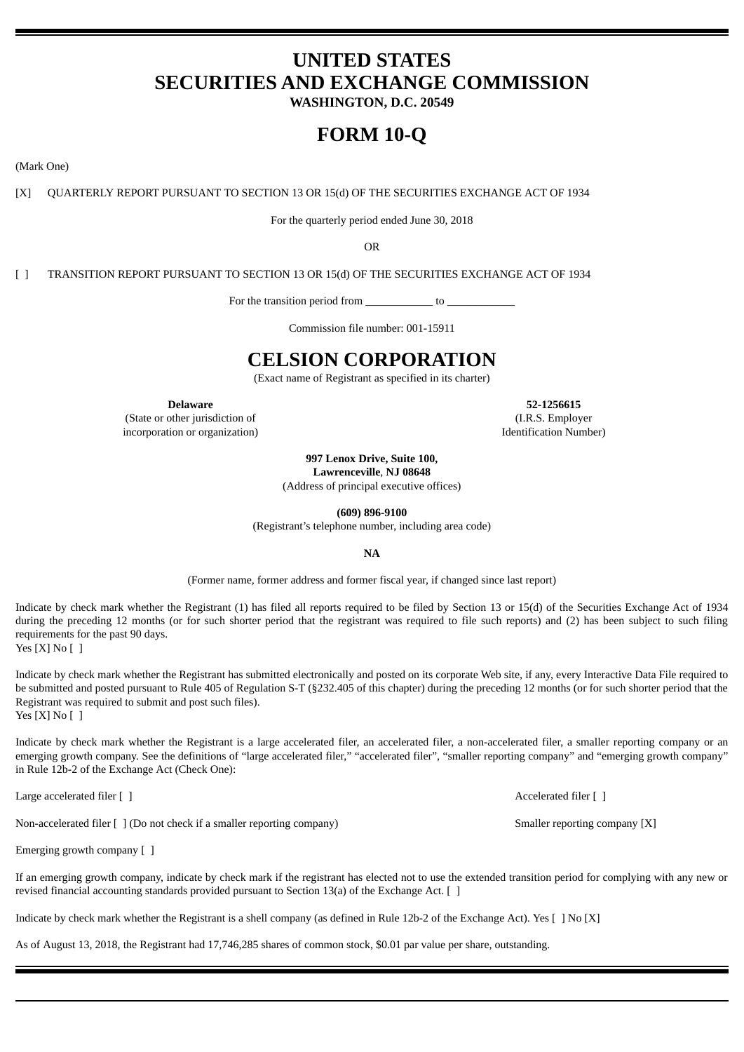# **UNITED STATES SECURITIES AND EXCHANGE COMMISSION**

**WASHINGTON, D.C. 20549**

# **FORM 10-Q**

(Mark One)

[X] QUARTERLY REPORT PURSUANT TO SECTION 13 OR 15(d) OF THE SECURITIES EXCHANGE ACT OF 1934

For the quarterly period ended June 30, 2018

OR

[ ] TRANSITION REPORT PURSUANT TO SECTION 13 OR 15(d) OF THE SECURITIES EXCHANGE ACT OF 1934

For the transition period from to Let  $\sim$ 

Commission file number: 001-15911

# **CELSION CORPORATION**

(Exact name of Registrant as specified in its charter)

(State or other jurisdiction of incorporation or organization)

**Delaware 52-1256615** (I.R.S. Employer Identification Number)

> **997 Lenox Drive, Suite 100, Lawrenceville**, **NJ 08648**

(Address of principal executive offices)

**(609) 896-9100**

(Registrant's telephone number, including area code)

**NA**

(Former name, former address and former fiscal year, if changed since last report)

Indicate by check mark whether the Registrant (1) has filed all reports required to be filed by Section 13 or 15(d) of the Securities Exchange Act of 1934 during the preceding 12 months (or for such shorter period that the registrant was required to file such reports) and (2) has been subject to such filing requirements for the past 90 days.

Yes [X] No [ ]

Indicate by check mark whether the Registrant has submitted electronically and posted on its corporate Web site, if any, every Interactive Data File required to be submitted and posted pursuant to Rule 405 of Regulation S-T (§232.405 of this chapter) during the preceding 12 months (or for such shorter period that the Registrant was required to submit and post such files).

Yes  $[X]$  No  $[$   $]$ 

Indicate by check mark whether the Registrant is a large accelerated filer, an accelerated filer, a non-accelerated filer, a smaller reporting company or an emerging growth company. See the definitions of "large accelerated filer," "accelerated filer", "smaller reporting company" and "emerging growth company" in Rule 12b-2 of the Exchange Act (Check One):

Large accelerated filer [ ] Accelerated filer [ ]

Non-accelerated filer  $[ ]$  (Do not check if a smaller reporting company) Smaller reporting company [X]

Emerging growth company [ ]

If an emerging growth company, indicate by check mark if the registrant has elected not to use the extended transition period for complying with any new or revised financial accounting standards provided pursuant to Section 13(a) of the Exchange Act. [ ]

Indicate by check mark whether the Registrant is a shell company (as defined in Rule 12b-2 of the Exchange Act). Yes [ ] No [X]

As of August 13, 2018, the Registrant had 17,746,285 shares of common stock, \$0.01 par value per share, outstanding.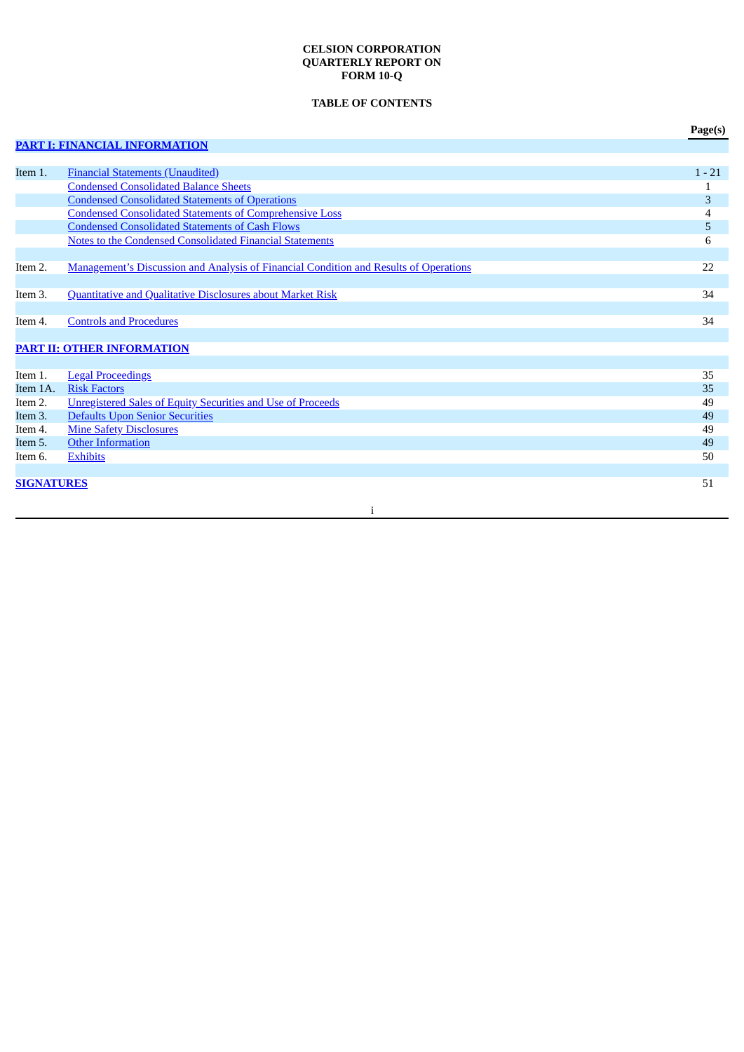# **CELSION CORPORATION QUARTERLY REPORT ON FORM 10-Q**

# **TABLE OF CONTENTS**

|                     |                                                                                                              | Page(s)  |
|---------------------|--------------------------------------------------------------------------------------------------------------|----------|
|                     | <b>PART I: FINANCIAL INFORMATION</b>                                                                         |          |
|                     |                                                                                                              |          |
| Item 1.             | <b>Financial Statements (Unaudited)</b>                                                                      | $1 - 21$ |
|                     | <b>Condensed Consolidated Balance Sheets</b>                                                                 | 1        |
|                     | <b>Condensed Consolidated Statements of Operations</b>                                                       | 3        |
|                     | <b>Condensed Consolidated Statements of Comprehensive Loss</b>                                               | 4        |
|                     | <b>Condensed Consolidated Statements of Cash Flows</b>                                                       | 5        |
|                     | <b>Notes to the Condensed Consolidated Financial Statements</b>                                              | 6        |
|                     |                                                                                                              |          |
| Item 2.             | <b>Management's Discussion and Analysis of Financial Condition and Results of Operations</b>                 | 22       |
|                     |                                                                                                              |          |
| Item 3.             | Quantitative and Qualitative Disclosures about Market Risk                                                   | 34       |
|                     |                                                                                                              |          |
| Item 4.             | <b>Controls and Procedures</b>                                                                               | 34       |
|                     |                                                                                                              |          |
|                     | <b>PART II: OTHER INFORMATION</b>                                                                            |          |
|                     |                                                                                                              |          |
| Item 1.<br>Item 1A. | <b>Legal Proceedings</b><br><b>Risk Factors</b>                                                              | 35       |
| Item 2.             |                                                                                                              | 35       |
| Item 3.             | <b>Unregistered Sales of Equity Securities and Use of Proceeds</b><br><b>Defaults Upon Senior Securities</b> | 49<br>49 |
| Item 4.             | <b>Mine Safety Disclosures</b>                                                                               | 49       |
| Item 5.             | <b>Other Information</b>                                                                                     | 49       |
| Item 6.             | <b>Exhibits</b>                                                                                              | 50       |
|                     |                                                                                                              |          |
| <b>SIGNATURES</b>   |                                                                                                              | 51       |
|                     |                                                                                                              |          |
|                     | j                                                                                                            |          |
|                     |                                                                                                              |          |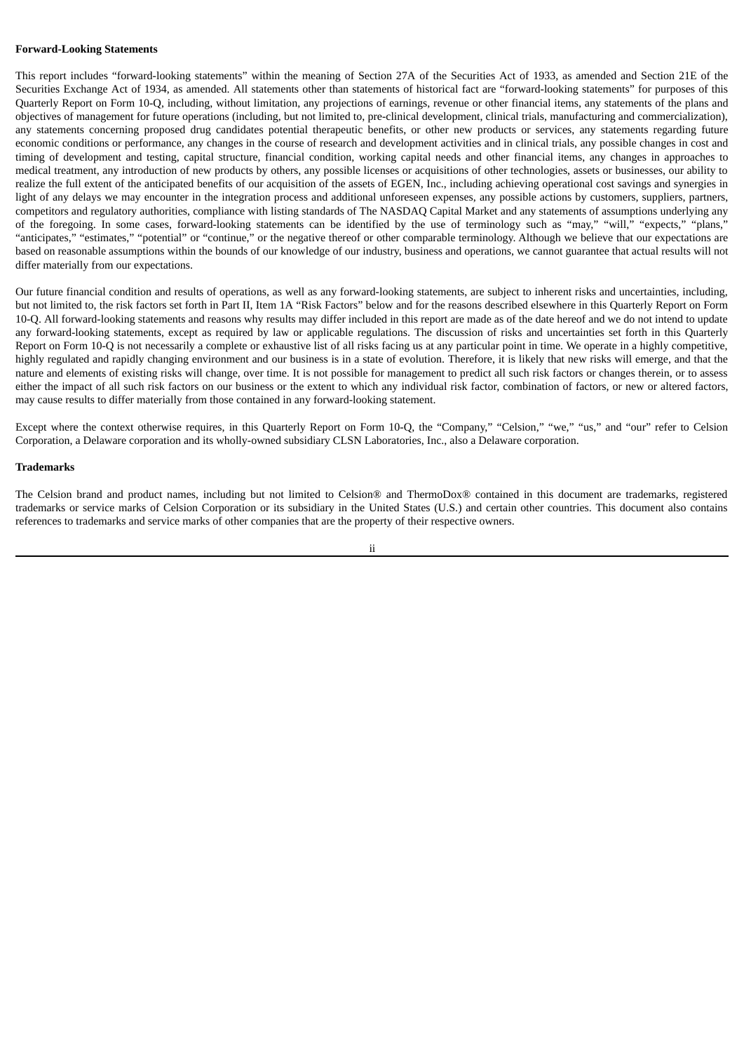## **Forward-Looking Statements**

This report includes "forward-looking statements" within the meaning of Section 27A of the Securities Act of 1933, as amended and Section 21E of the Securities Exchange Act of 1934, as amended. All statements other than statements of historical fact are "forward-looking statements" for purposes of this Quarterly Report on Form 10-Q, including, without limitation, any projections of earnings, revenue or other financial items, any statements of the plans and objectives of management for future operations (including, but not limited to, pre-clinical development, clinical trials, manufacturing and commercialization), any statements concerning proposed drug candidates potential therapeutic benefits, or other new products or services, any statements regarding future economic conditions or performance, any changes in the course of research and development activities and in clinical trials, any possible changes in cost and timing of development and testing, capital structure, financial condition, working capital needs and other financial items, any changes in approaches to medical treatment, any introduction of new products by others, any possible licenses or acquisitions of other technologies, assets or businesses, our ability to realize the full extent of the anticipated benefits of our acquisition of the assets of EGEN, Inc., including achieving operational cost savings and synergies in light of any delays we may encounter in the integration process and additional unforeseen expenses, any possible actions by customers, suppliers, partners, competitors and regulatory authorities, compliance with listing standards of The NASDAQ Capital Market and any statements of assumptions underlying any of the foregoing. In some cases, forward-looking statements can be identified by the use of terminology such as "may," "will," "expects," "plans," "anticipates," "estimates," "potential" or "continue," or the negative thereof or other comparable terminology. Although we believe that our expectations are based on reasonable assumptions within the bounds of our knowledge of our industry, business and operations, we cannot guarantee that actual results will not differ materially from our expectations.

Our future financial condition and results of operations, as well as any forward-looking statements, are subject to inherent risks and uncertainties, including, but not limited to, the risk factors set forth in Part II, Item 1A "Risk Factors" below and for the reasons described elsewhere in this Quarterly Report on Form 10-Q. All forward-looking statements and reasons why results may differ included in this report are made as of the date hereof and we do not intend to update any forward-looking statements, except as required by law or applicable regulations. The discussion of risks and uncertainties set forth in this Quarterly Report on Form 10-Q is not necessarily a complete or exhaustive list of all risks facing us at any particular point in time. We operate in a highly competitive, highly regulated and rapidly changing environment and our business is in a state of evolution. Therefore, it is likely that new risks will emerge, and that the nature and elements of existing risks will change, over time. It is not possible for management to predict all such risk factors or changes therein, or to assess either the impact of all such risk factors on our business or the extent to which any individual risk factor, combination of factors, or new or altered factors, may cause results to differ materially from those contained in any forward-looking statement.

Except where the context otherwise requires, in this Quarterly Report on Form 10-Q, the "Company," "Celsion," "we," "us," and "our" refer to Celsion Corporation, a Delaware corporation and its wholly-owned subsidiary CLSN Laboratories, Inc., also a Delaware corporation.

#### **Trademarks**

The Celsion brand and product names, including but not limited to Celsion® and ThermoDox® contained in this document are trademarks, registered trademarks or service marks of Celsion Corporation or its subsidiary in the United States (U.S.) and certain other countries. This document also contains references to trademarks and service marks of other companies that are the property of their respective owners.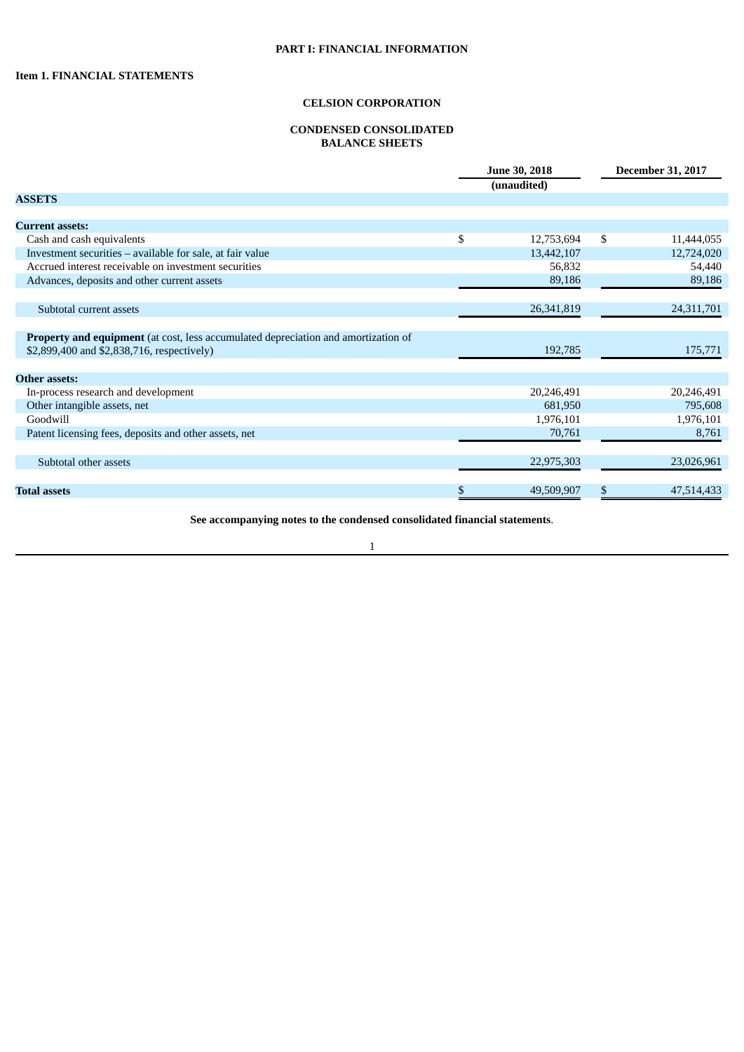## **CONDENSED CONSOLIDATED BALANCE SHEETS**

<span id="page-3-2"></span><span id="page-3-1"></span><span id="page-3-0"></span>

|                                                                                    | June 30, 2018<br>(unaudited) |            | <b>December 31, 2017</b> |
|------------------------------------------------------------------------------------|------------------------------|------------|--------------------------|
| <b>ASSETS</b>                                                                      |                              |            |                          |
|                                                                                    |                              |            |                          |
| <b>Current assets:</b>                                                             |                              |            |                          |
| Cash and cash equivalents                                                          | \$                           | 12,753,694 | \$<br>11,444,055         |
| Investment securities - available for sale, at fair value                          |                              | 13,442,107 | 12,724,020               |
| Accrued interest receivable on investment securities                               |                              | 56,832     | 54,440                   |
| Advances, deposits and other current assets                                        |                              | 89,186     | 89,186                   |
|                                                                                    |                              |            |                          |
| Subtotal current assets                                                            |                              | 26,341,819 | 24,311,701               |
|                                                                                    |                              |            |                          |
| Property and equipment (at cost, less accumulated depreciation and amortization of |                              |            |                          |
| \$2,899,400 and \$2,838,716, respectively)                                         |                              | 192,785    | 175,771                  |
|                                                                                    |                              |            |                          |
| <b>Other assets:</b>                                                               |                              |            |                          |
| In-process research and development                                                |                              | 20,246,491 | 20,246,491               |
| Other intangible assets, net                                                       |                              | 681,950    | 795,608                  |
| Goodwill                                                                           |                              | 1,976,101  | 1,976,101                |
| Patent licensing fees, deposits and other assets, net                              |                              | 70,761     | 8,761                    |
|                                                                                    |                              |            |                          |
| Subtotal other assets                                                              |                              | 22,975,303 | 23,026,961               |
|                                                                                    | \$                           |            |                          |
| <b>Total assets</b>                                                                |                              | 49,509,907 | \$<br>47,514,433         |

**See accompanying notes to the condensed consolidated financial statements**.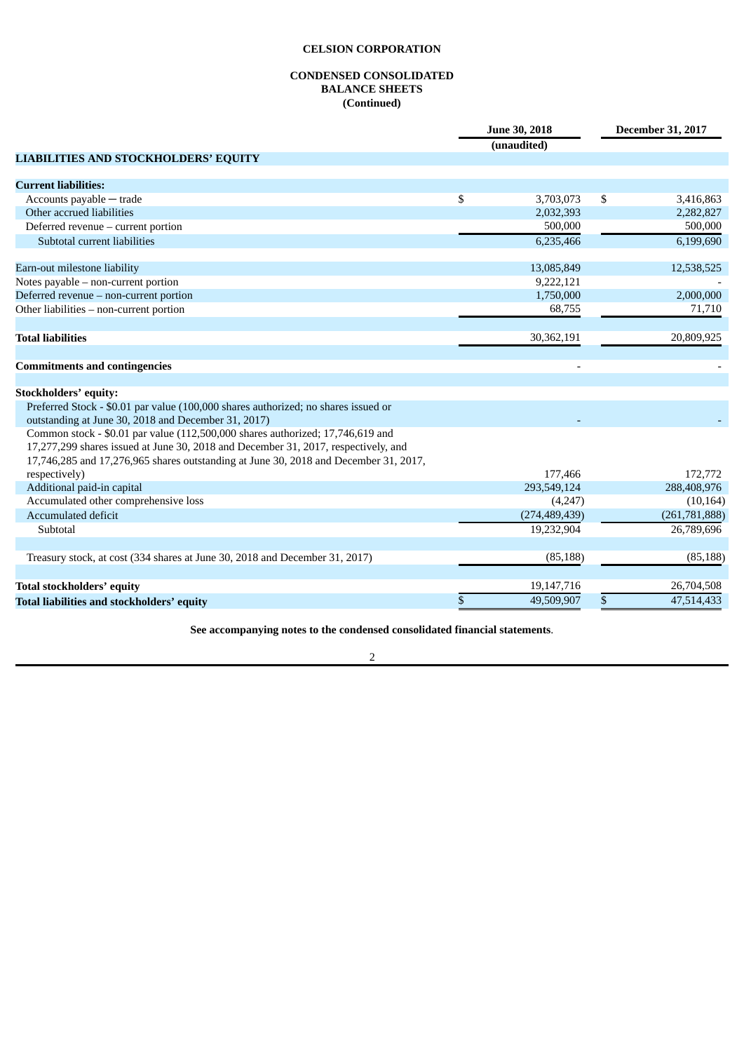# **CONDENSED CONSOLIDATED BALANCE SHEETS (Continued)**

|                                                                                      | June 30, 2018<br>(unaudited) | <b>December 31, 2017</b> |
|--------------------------------------------------------------------------------------|------------------------------|--------------------------|
| <b>LIABILITIES AND STOCKHOLDERS' EQUITY</b>                                          |                              |                          |
| <b>Current liabilities:</b>                                                          |                              |                          |
| Accounts payable - trade                                                             | \$<br>3,703,073              | \$<br>3,416,863          |
| Other accrued liabilities                                                            | 2,032,393                    | 2,282,827                |
| Deferred revenue - current portion                                                   | 500,000                      | 500,000                  |
| Subtotal current liabilities                                                         | 6,235,466                    | 6,199,690                |
|                                                                                      |                              |                          |
| Earn-out milestone liability                                                         | 13,085,849                   | 12,538,525               |
| Notes payable - non-current portion                                                  | 9,222,121                    |                          |
| Deferred revenue - non-current portion                                               | 1,750,000                    | 2,000,000                |
| Other liabilities - non-current portion                                              | 68,755                       | 71,710                   |
|                                                                                      |                              |                          |
| <b>Total liabilities</b>                                                             | 30,362,191                   | 20,809,925               |
|                                                                                      |                              |                          |
| <b>Commitments and contingencies</b>                                                 |                              |                          |
|                                                                                      |                              |                          |
| <b>Stockholders' equity:</b>                                                         |                              |                          |
| Preferred Stock - \$0.01 par value (100,000 shares authorized; no shares issued or   |                              |                          |
| outstanding at June 30, 2018 and December 31, 2017)                                  |                              |                          |
| Common stock - \$0.01 par value (112,500,000 shares authorized; 17,746,619 and       |                              |                          |
| 17,277,299 shares issued at June 30, 2018 and December 31, 2017, respectively, and   |                              |                          |
| 17,746,285 and 17,276,965 shares outstanding at June 30, 2018 and December 31, 2017, |                              |                          |
| respectively)                                                                        | 177,466                      | 172,772                  |
| Additional paid-in capital                                                           | 293,549,124                  | 288,408,976              |
| Accumulated other comprehensive loss                                                 | (4,247)                      | (10, 164)                |
| <b>Accumulated deficit</b>                                                           | (274, 489, 439)              | (261,781,888)            |
| Subtotal                                                                             | 19,232,904                   | 26,789,696               |
|                                                                                      |                              |                          |
| Treasury stock, at cost (334 shares at June 30, 2018 and December 31, 2017)          | (85, 188)                    | (85, 188)                |
| <b>Total stockholders' equity</b>                                                    | 19,147,716                   | 26,704,508               |
| Total liabilities and stockholders' equity                                           | \$<br>49,509,907             | \$<br>47,514,433         |

**See accompanying notes to the condensed consolidated financial statements**.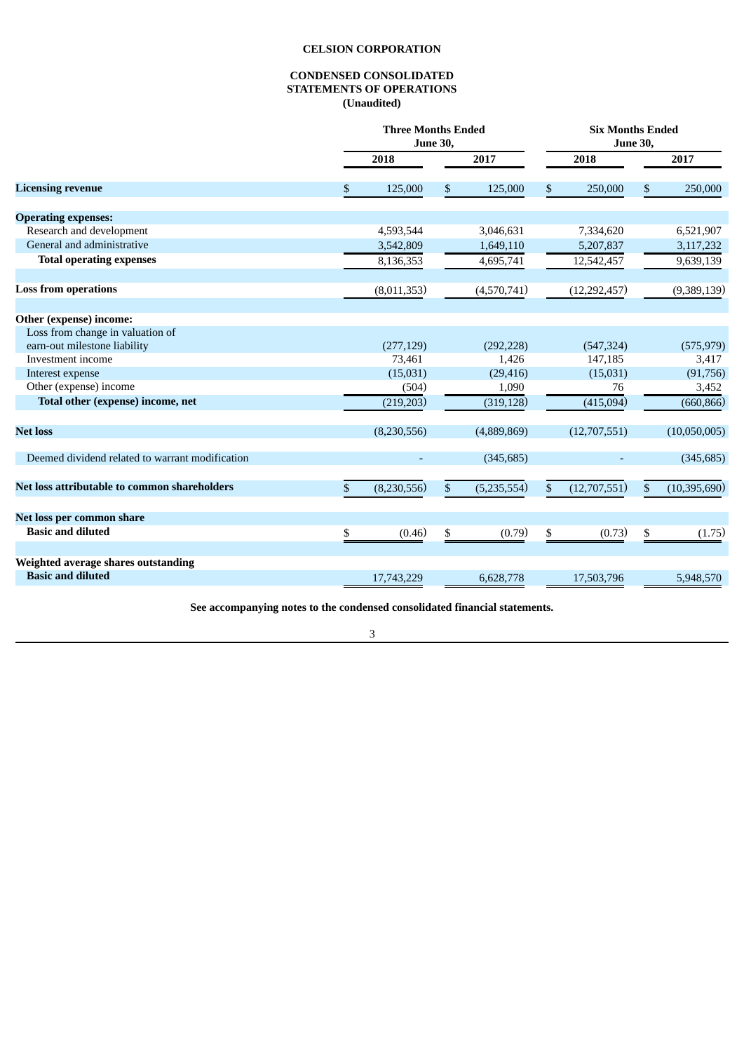# **CONDENSED CONSOLIDATED STATEMENTS OF OPERATIONS (Unaudited)**

<span id="page-5-0"></span>

|                                                 | <b>Three Months Ended</b><br><b>June 30,</b> |    |             | <b>Six Months Ended</b><br><b>June 30,</b> |    |                |  |
|-------------------------------------------------|----------------------------------------------|----|-------------|--------------------------------------------|----|----------------|--|
|                                                 | 2018                                         |    | 2017        | 2018                                       |    | 2017           |  |
| <b>Licensing revenue</b>                        | \$<br>125,000                                | \$ | 125,000     | \$<br>250,000                              | \$ | 250,000        |  |
| <b>Operating expenses:</b>                      |                                              |    |             |                                            |    |                |  |
| Research and development                        | 4,593,544                                    |    | 3,046,631   | 7,334,620                                  |    | 6,521,907      |  |
| General and administrative                      | 3,542,809                                    |    | 1,649,110   | 5,207,837                                  |    | 3,117,232      |  |
| <b>Total operating expenses</b>                 | 8,136,353                                    |    | 4,695,741   | 12,542,457                                 |    | 9,639,139      |  |
| <b>Loss from operations</b>                     | (8,011,353)                                  |    | (4,570,741) | (12, 292, 457)                             |    | (9,389,139)    |  |
| Other (expense) income:                         |                                              |    |             |                                            |    |                |  |
| Loss from change in valuation of                |                                              |    |             |                                            |    |                |  |
| earn-out milestone liability                    | (277, 129)                                   |    | (292, 228)  | (547, 324)                                 |    | (575, 979)     |  |
| Investment income                               | 73,461                                       |    | 1,426       | 147,185                                    |    | 3,417          |  |
| Interest expense                                | (15,031)                                     |    | (29, 416)   | (15,031)                                   |    | (91,756)       |  |
| Other (expense) income                          | (504)                                        |    | 1,090       | 76                                         |    | 3,452          |  |
| Total other (expense) income, net               | (219, 203)                                   |    | (319, 128)  | (415,094)                                  |    | (660, 866)     |  |
| <b>Net loss</b>                                 | (8,230,556)                                  |    | (4,889,869) | (12,707,551)                               |    | (10,050,005)   |  |
| Deemed dividend related to warrant modification |                                              |    | (345, 685)  |                                            |    | (345, 685)     |  |
| Net loss attributable to common shareholders    | \$<br>(8, 230, 556)                          | \$ | (5,235,554) | \$<br>(12,707,551)                         | \$ | (10, 395, 690) |  |
| Net loss per common share                       |                                              |    |             |                                            |    |                |  |
| <b>Basic and diluted</b>                        | \$<br>(0.46)                                 | \$ | (0.79)      | \$<br>(0.73)                               | \$ | (1.75)         |  |
| Weighted average shares outstanding             |                                              |    |             |                                            |    |                |  |
| <b>Basic and diluted</b>                        | 17,743,229                                   |    | 6,628,778   | 17,503,796                                 |    | 5,948,570      |  |

**See accompanying notes to the condensed consolidated financial statements.**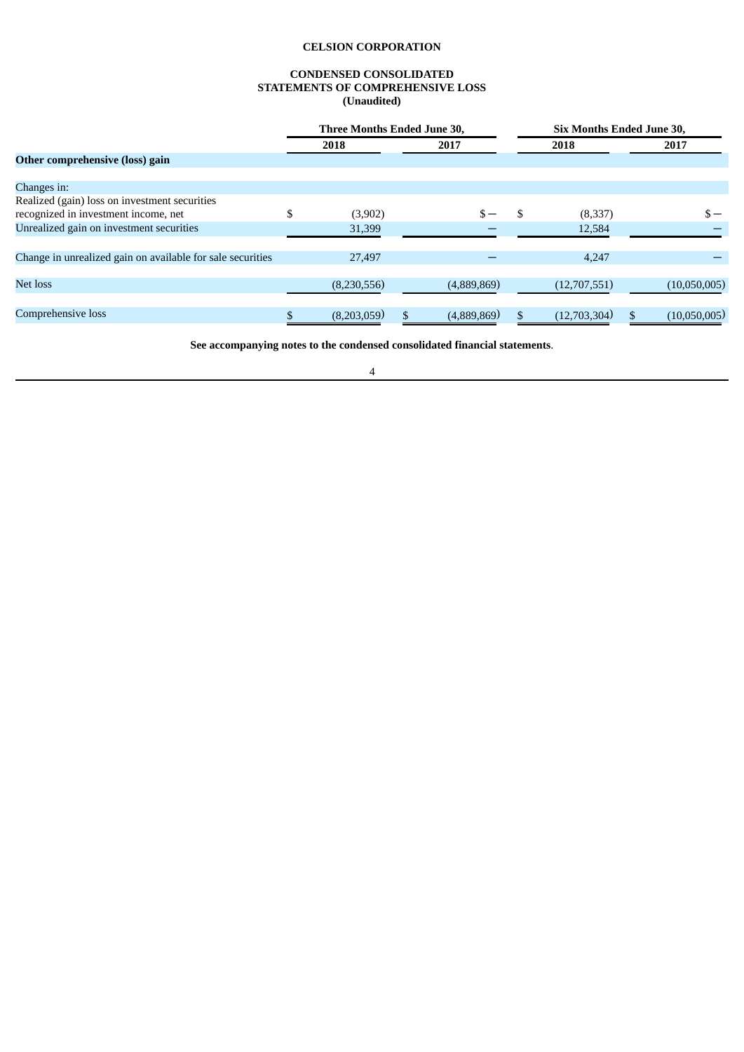## **CONDENSED CONSOLIDATED STATEMENTS OF COMPREHENSIVE LOSS (Unaudited)**

<span id="page-6-0"></span>

|                                                            | Three Months Ended June 30, |             |  | <b>Six Months Ended June 30,</b> |              |              |
|------------------------------------------------------------|-----------------------------|-------------|--|----------------------------------|--------------|--------------|
|                                                            |                             | 2018        |  | 2017                             | 2018         | 2017         |
| Other comprehensive (loss) gain                            |                             |             |  |                                  |              |              |
|                                                            |                             |             |  |                                  |              |              |
| Changes in:                                                |                             |             |  |                                  |              |              |
| Realized (gain) loss on investment securities              |                             |             |  |                                  |              |              |
| recognized in investment income, net                       |                             | (3,902)     |  |                                  | (8,337)      | $s -$        |
| Unrealized gain on investment securities                   |                             | 31,399      |  |                                  | 12,584       |              |
|                                                            |                             |             |  |                                  |              |              |
| Change in unrealized gain on available for sale securities |                             | 27,497      |  |                                  | 4.247        |              |
|                                                            |                             |             |  |                                  |              |              |
| <b>Net loss</b>                                            |                             | (8,230,556) |  | (4,889,869)                      | (12,707,551) | (10,050,005) |
|                                                            |                             |             |  |                                  |              |              |
| Comprehensive loss                                         | \$                          | (8,203,059) |  | (4,889,869)                      | (12,703,304) | (10,050,005) |

**See accompanying notes to the condensed consolidated financial statements**.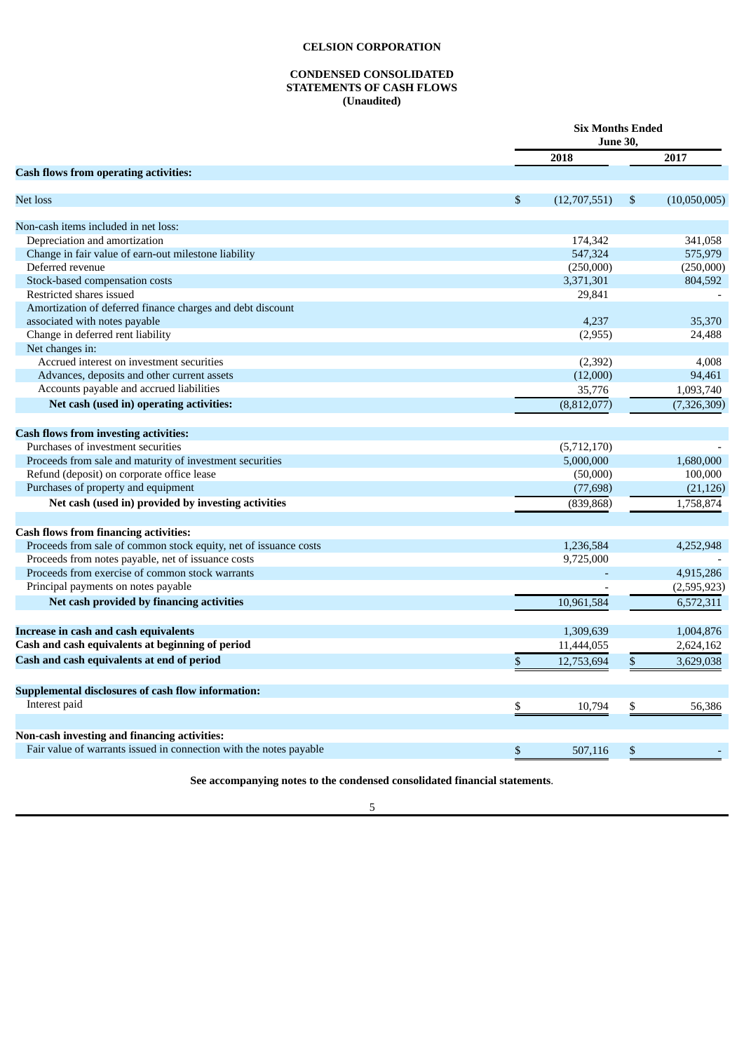## **CONDENSED CONSOLIDATED STATEMENTS OF CASH FLOWS (Unaudited)**

<span id="page-7-0"></span>

|                                                                    | <b>Six Months Ended</b><br><b>June 30,</b> |    |              |
|--------------------------------------------------------------------|--------------------------------------------|----|--------------|
|                                                                    | 2018                                       |    | 2017         |
| <b>Cash flows from operating activities:</b>                       |                                            |    |              |
| Net loss                                                           | \$<br>(12,707,551)                         | \$ | (10,050,005) |
| Non-cash items included in net loss:                               |                                            |    |              |
| Depreciation and amortization                                      | 174,342                                    |    | 341,058      |
| Change in fair value of earn-out milestone liability               | 547,324                                    |    | 575,979      |
| Deferred revenue                                                   | (250,000)                                  |    | (250,000)    |
| Stock-based compensation costs                                     | 3,371,301                                  |    | 804,592      |
| Restricted shares issued                                           | 29,841                                     |    |              |
| Amortization of deferred finance charges and debt discount         |                                            |    |              |
| associated with notes payable                                      | 4,237                                      |    | 35,370       |
| Change in deferred rent liability                                  | (2,955)                                    |    | 24,488       |
| Net changes in:                                                    |                                            |    |              |
| Accrued interest on investment securities                          | (2,392)                                    |    | 4,008        |
| Advances, deposits and other current assets                        | (12,000)                                   |    | 94,461       |
| Accounts payable and accrued liabilities                           | 35,776                                     |    | 1,093,740    |
| Net cash (used in) operating activities:                           | (8,812,077)                                |    | (7,326,309)  |
| <b>Cash flows from investing activities:</b>                       |                                            |    |              |
| Purchases of investment securities                                 | (5,712,170)                                |    |              |
| Proceeds from sale and maturity of investment securities           | 5,000,000                                  |    | 1,680,000    |
| Refund (deposit) on corporate office lease                         | (50,000)                                   |    | 100,000      |
| Purchases of property and equipment                                | (77, 698)                                  |    | (21, 126)    |
| Net cash (used in) provided by investing activities                | (839, 868)                                 |    | 1,758,874    |
|                                                                    |                                            |    |              |
| <b>Cash flows from financing activities:</b>                       |                                            |    |              |
| Proceeds from sale of common stock equity, net of issuance costs   | 1,236,584                                  |    | 4,252,948    |
| Proceeds from notes payable, net of issuance costs                 | 9,725,000                                  |    |              |
| Proceeds from exercise of common stock warrants                    |                                            |    | 4,915,286    |
| Principal payments on notes payable                                |                                            |    | (2,595,923)  |
| Net cash provided by financing activities                          | 10,961,584                                 |    | 6,572,311    |
| Increase in cash and cash equivalents                              | 1,309,639                                  |    | 1,004,876    |
| Cash and cash equivalents at beginning of period                   | 11,444,055                                 |    | 2,624,162    |
| Cash and cash equivalents at end of period                         | \$<br>12,753,694                           | \$ | 3,629,038    |
|                                                                    |                                            |    |              |
| Supplemental disclosures of cash flow information:                 |                                            |    |              |
| Interest paid                                                      | \$<br>10,794                               | \$ | 56.386       |
| Non-cash investing and financing activities:                       |                                            |    |              |
| Fair value of warrants issued in connection with the notes payable | \$<br>507,116                              | \$ |              |
|                                                                    |                                            |    |              |

**See accompanying notes to the condensed consolidated financial statements**.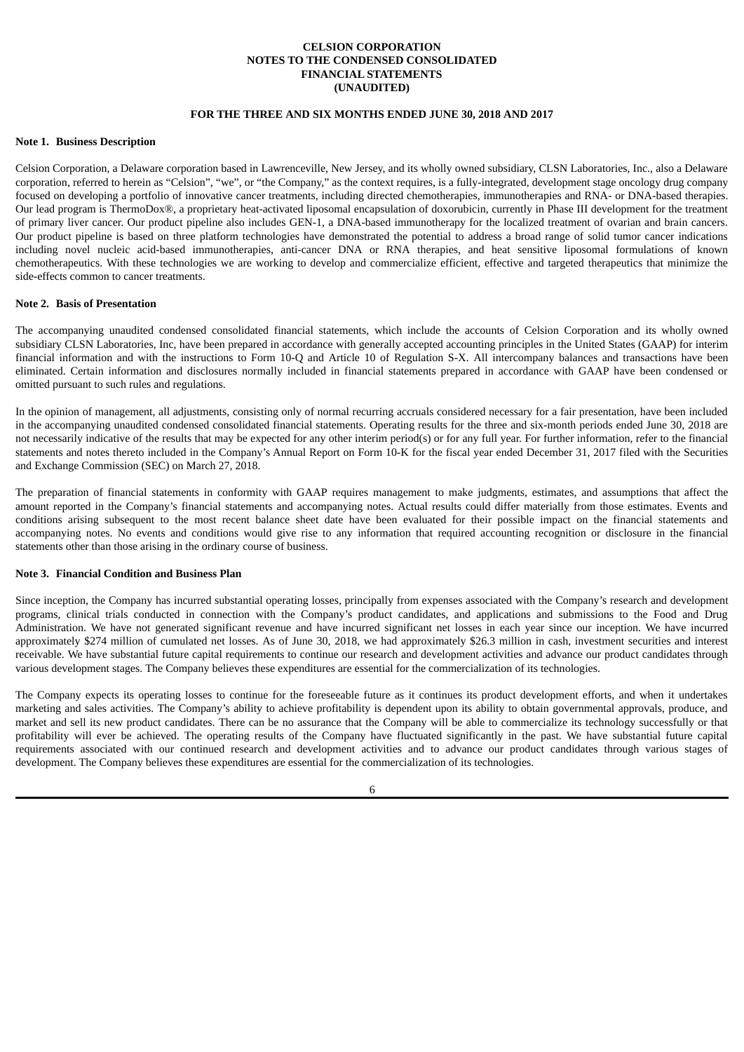## **CELSION CORPORATION NOTES TO THE CONDENSED CONSOLIDATED FINANCIAL STATEMENTS (UNAUDITED)**

## **FOR THE THREE AND SIX MONTHS ENDED JUNE 30, 2018 AND 2017**

#### <span id="page-8-0"></span>**Note 1. Business Description**

Celsion Corporation, a Delaware corporation based in Lawrenceville, New Jersey, and its wholly owned subsidiary, CLSN Laboratories, Inc., also a Delaware corporation, referred to herein as "Celsion", "we", or "the Company," as the context requires, is a fully-integrated, development stage oncology drug company focused on developing a portfolio of innovative cancer treatments, including directed chemotherapies, immunotherapies and RNA- or DNA-based therapies. Our lead program is ThermoDox®, a proprietary heat-activated liposomal encapsulation of doxorubicin, currently in Phase III development for the treatment of primary liver cancer. Our product pipeline also includes GEN-1, a DNA-based immunotherapy for the localized treatment of ovarian and brain cancers. Our product pipeline is based on three platform technologies have demonstrated the potential to address a broad range of solid tumor cancer indications including novel nucleic acid-based immunotherapies, anti-cancer DNA or RNA therapies, and heat sensitive liposomal formulations of known chemotherapeutics. With these technologies we are working to develop and commercialize efficient, effective and targeted therapeutics that minimize the side-effects common to cancer treatments.

#### **Note 2. Basis of Presentation**

The accompanying unaudited condensed consolidated financial statements, which include the accounts of Celsion Corporation and its wholly owned subsidiary CLSN Laboratories, Inc, have been prepared in accordance with generally accepted accounting principles in the United States (GAAP) for interim financial information and with the instructions to Form 10-Q and Article 10 of Regulation S-X. All intercompany balances and transactions have been eliminated. Certain information and disclosures normally included in financial statements prepared in accordance with GAAP have been condensed or omitted pursuant to such rules and regulations.

In the opinion of management, all adjustments, consisting only of normal recurring accruals considered necessary for a fair presentation, have been included in the accompanying unaudited condensed consolidated financial statements. Operating results for the three and six-month periods ended June 30, 2018 are not necessarily indicative of the results that may be expected for any other interim period(s) or for any full year. For further information, refer to the financial statements and notes thereto included in the Company's Annual Report on Form 10-K for the fiscal year ended December 31, 2017 filed with the Securities and Exchange Commission (SEC) on March 27, 2018.

The preparation of financial statements in conformity with GAAP requires management to make judgments, estimates, and assumptions that affect the amount reported in the Company's financial statements and accompanying notes. Actual results could differ materially from those estimates. Events and conditions arising subsequent to the most recent balance sheet date have been evaluated for their possible impact on the financial statements and accompanying notes. No events and conditions would give rise to any information that required accounting recognition or disclosure in the financial statements other than those arising in the ordinary course of business.

#### **Note 3. Financial Condition and Business Plan**

Since inception, the Company has incurred substantial operating losses, principally from expenses associated with the Company's research and development programs, clinical trials conducted in connection with the Company's product candidates, and applications and submissions to the Food and Drug Administration. We have not generated significant revenue and have incurred significant net losses in each year since our inception. We have incurred approximately \$274 million of cumulated net losses. As of June 30, 2018, we had approximately \$26.3 million in cash, investment securities and interest receivable. We have substantial future capital requirements to continue our research and development activities and advance our product candidates through various development stages. The Company believes these expenditures are essential for the commercialization of its technologies.

The Company expects its operating losses to continue for the foreseeable future as it continues its product development efforts, and when it undertakes marketing and sales activities. The Company's ability to achieve profitability is dependent upon its ability to obtain governmental approvals, produce, and market and sell its new product candidates. There can be no assurance that the Company will be able to commercialize its technology successfully or that profitability will ever be achieved. The operating results of the Company have fluctuated significantly in the past. We have substantial future capital requirements associated with our continued research and development activities and to advance our product candidates through various stages of development. The Company believes these expenditures are essential for the commercialization of its technologies.

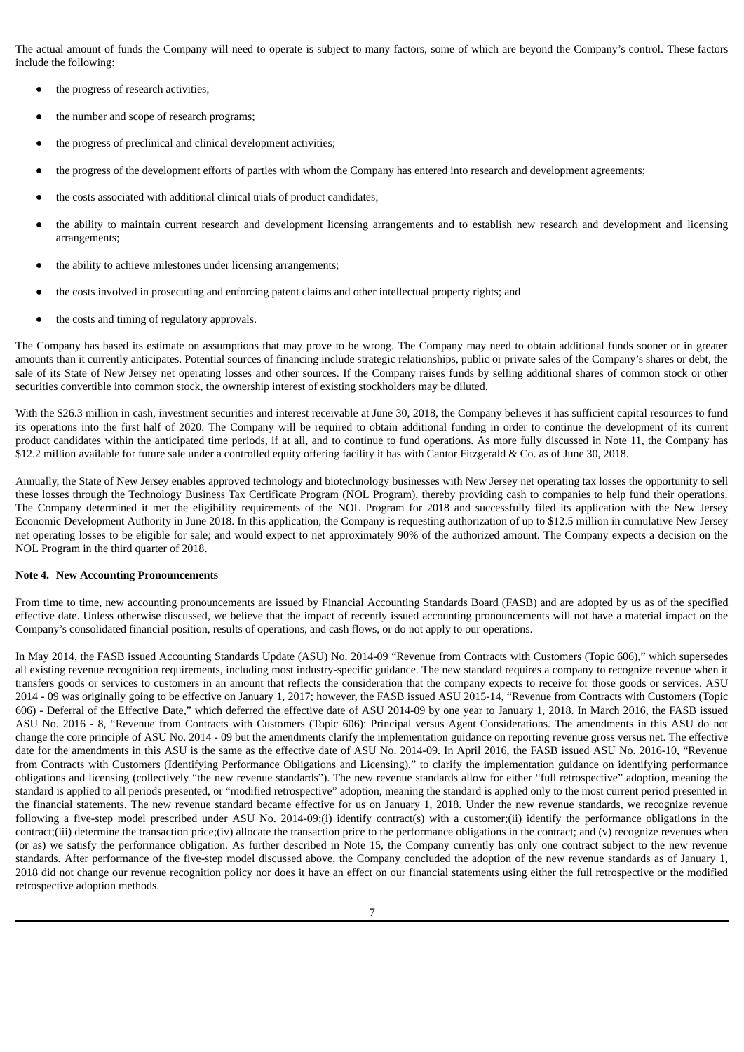The actual amount of funds the Company will need to operate is subject to many factors, some of which are beyond the Company's control. These factors include the following:

- the progress of research activities;
- the number and scope of research programs;
- the progress of preclinical and clinical development activities;
- the progress of the development efforts of parties with whom the Company has entered into research and development agreements;
- the costs associated with additional clinical trials of product candidates;
- the ability to maintain current research and development licensing arrangements and to establish new research and development and licensing arrangements;
- the ability to achieve milestones under licensing arrangements;
- the costs involved in prosecuting and enforcing patent claims and other intellectual property rights; and
- the costs and timing of regulatory approvals.

The Company has based its estimate on assumptions that may prove to be wrong. The Company may need to obtain additional funds sooner or in greater amounts than it currently anticipates. Potential sources of financing include strategic relationships, public or private sales of the Company's shares or debt, the sale of its State of New Jersey net operating losses and other sources. If the Company raises funds by selling additional shares of common stock or other securities convertible into common stock, the ownership interest of existing stockholders may be diluted.

With the \$26.3 million in cash, investment securities and interest receivable at June 30, 2018, the Company believes it has sufficient capital resources to fund its operations into the first half of 2020. The Company will be required to obtain additional funding in order to continue the development of its current product candidates within the anticipated time periods, if at all, and to continue to fund operations. As more fully discussed in Note 11, the Company has \$12.2 million available for future sale under a controlled equity offering facility it has with Cantor Fitzgerald & Co. as of June 30, 2018.

Annually, the State of New Jersey enables approved technology and biotechnology businesses with New Jersey net operating tax losses the opportunity to sell these losses through the Technology Business Tax Certificate Program (NOL Program), thereby providing cash to companies to help fund their operations. The Company determined it met the eligibility requirements of the NOL Program for 2018 and successfully filed its application with the New Jersey Economic Development Authority in June 2018. In this application, the Company is requesting authorization of up to \$12.5 million in cumulative New Jersey net operating losses to be eligible for sale; and would expect to net approximately 90% of the authorized amount. The Company expects a decision on the NOL Program in the third quarter of 2018.

## **Note 4. New Accounting Pronouncements**

From time to time, new accounting pronouncements are issued by Financial Accounting Standards Board (FASB) and are adopted by us as of the specified effective date. Unless otherwise discussed, we believe that the impact of recently issued accounting pronouncements will not have a material impact on the Company's consolidated financial position, results of operations, and cash flows, or do not apply to our operations.

In May 2014, the FASB issued Accounting Standards Update (ASU) No. 2014-09 "Revenue from Contracts with Customers (Topic 606)," which supersedes all existing revenue recognition requirements, including most industry-specific guidance. The new standard requires a company to recognize revenue when it transfers goods or services to customers in an amount that reflects the consideration that the company expects to receive for those goods or services. ASU 2014 - 09 was originally going to be effective on January 1, 2017; however, the FASB issued ASU 2015-14, "Revenue from Contracts with Customers (Topic 606) - Deferral of the Effective Date," which deferred the effective date of ASU 2014-09 by one year to January 1, 2018. In March 2016, the FASB issued ASU No. 2016 - 8, "Revenue from Contracts with Customers (Topic 606): Principal versus Agent Considerations. The amendments in this ASU do not change the core principle of ASU No. 2014 - 09 but the amendments clarify the implementation guidance on reporting revenue gross versus net. The effective date for the amendments in this ASU is the same as the effective date of ASU No. 2014-09. In April 2016, the FASB issued ASU No. 2016-10, "Revenue from Contracts with Customers (Identifying Performance Obligations and Licensing)," to clarify the implementation guidance on identifying performance obligations and licensing (collectively "the new revenue standards"). The new revenue standards allow for either "full retrospective" adoption, meaning the standard is applied to all periods presented, or "modified retrospective" adoption, meaning the standard is applied only to the most current period presented in the financial statements. The new revenue standard became effective for us on January 1, 2018. Under the new revenue standards, we recognize revenue following a five-step model prescribed under ASU No. 2014-09;(i) identify contract(s) with a customer;(ii) identify the performance obligations in the contract;(iii) determine the transaction price;(iv) allocate the transaction price to the performance obligations in the contract; and (v) recognize revenues when (or as) we satisfy the performance obligation. As further described in Note 15, the Company currently has only one contract subject to the new revenue standards. After performance of the five-step model discussed above, the Company concluded the adoption of the new revenue standards as of January 1, 2018 did not change our revenue recognition policy nor does it have an effect on our financial statements using either the full retrospective or the modified retrospective adoption methods.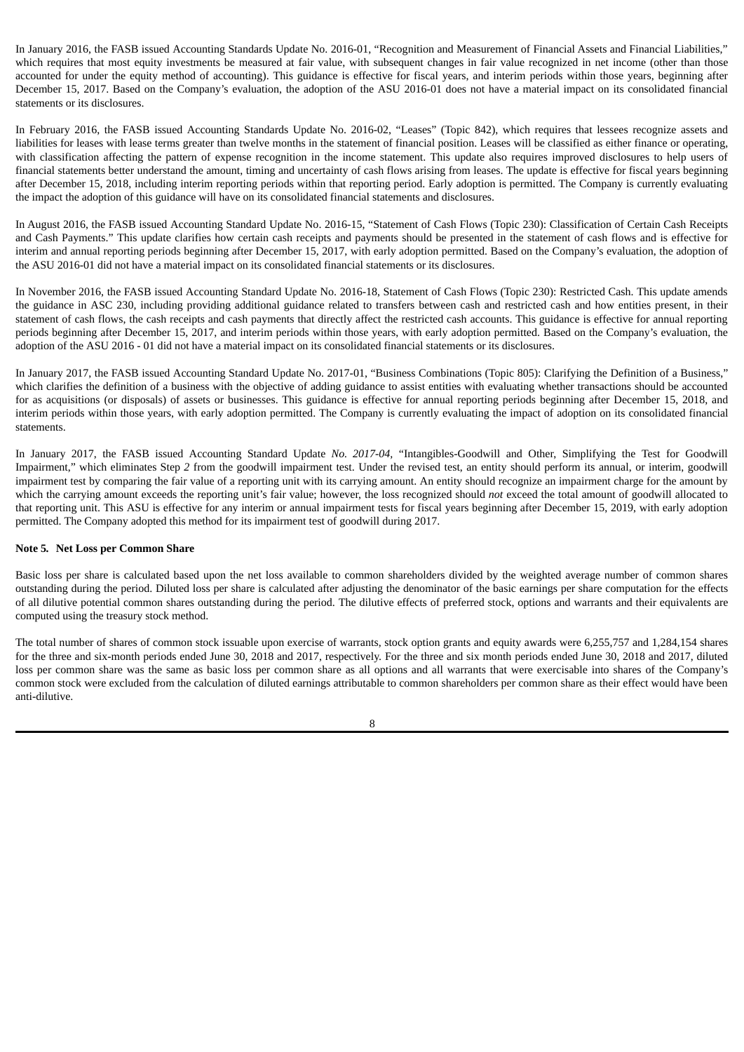In January 2016, the FASB issued Accounting Standards Update No. 2016-01, "Recognition and Measurement of Financial Assets and Financial Liabilities," which requires that most equity investments be measured at fair value, with subsequent changes in fair value recognized in net income (other than those accounted for under the equity method of accounting). This guidance is effective for fiscal years, and interim periods within those years, beginning after December 15, 2017. Based on the Company's evaluation, the adoption of the ASU 2016-01 does not have a material impact on its consolidated financial statements or its disclosures.

In February 2016, the FASB issued Accounting Standards Update No. 2016-02, "Leases" (Topic 842), which requires that lessees recognize assets and liabilities for leases with lease terms greater than twelve months in the statement of financial position. Leases will be classified as either finance or operating, with classification affecting the pattern of expense recognition in the income statement. This update also requires improved disclosures to help users of financial statements better understand the amount, timing and uncertainty of cash flows arising from leases. The update is effective for fiscal years beginning after December 15, 2018, including interim reporting periods within that reporting period. Early adoption is permitted. The Company is currently evaluating the impact the adoption of this guidance will have on its consolidated financial statements and disclosures.

In August 2016, the FASB issued Accounting Standard Update No. 2016-15, "Statement of Cash Flows (Topic 230): Classification of Certain Cash Receipts and Cash Payments." This update clarifies how certain cash receipts and payments should be presented in the statement of cash flows and is effective for interim and annual reporting periods beginning after December 15, 2017, with early adoption permitted. Based on the Company's evaluation, the adoption of the ASU 2016-01 did not have a material impact on its consolidated financial statements or its disclosures.

In November 2016, the FASB issued Accounting Standard Update No. 2016-18, Statement of Cash Flows (Topic 230): Restricted Cash. This update amends the guidance in ASC 230, including providing additional guidance related to transfers between cash and restricted cash and how entities present, in their statement of cash flows, the cash receipts and cash payments that directly affect the restricted cash accounts. This guidance is effective for annual reporting periods beginning after December 15, 2017, and interim periods within those years, with early adoption permitted. Based on the Company's evaluation, the adoption of the ASU 2016 - 01 did not have a material impact on its consolidated financial statements or its disclosures.

In January 2017, the FASB issued Accounting Standard Update No. 2017-01, "Business Combinations (Topic 805): Clarifying the Definition of a Business," which clarifies the definition of a business with the objective of adding guidance to assist entities with evaluating whether transactions should be accounted for as acquisitions (or disposals) of assets or businesses. This guidance is effective for annual reporting periods beginning after December 15, 2018, and interim periods within those years, with early adoption permitted. The Company is currently evaluating the impact of adoption on its consolidated financial statements.

In January 2017, the FASB issued Accounting Standard Update *No. 2017*-*04,* "Intangibles-Goodwill and Other, Simplifying the Test for Goodwill Impairment," which eliminates Step *2* from the goodwill impairment test. Under the revised test, an entity should perform its annual, or interim, goodwill impairment test by comparing the fair value of a reporting unit with its carrying amount. An entity should recognize an impairment charge for the amount by which the carrying amount exceeds the reporting unit's fair value; however, the loss recognized should *not* exceed the total amount of goodwill allocated to that reporting unit. This ASU is effective for any interim or annual impairment tests for fiscal years beginning after December 15, 2019, with early adoption permitted. The Company adopted this method for its impairment test of goodwill during 2017.

## **Note 5***.* **Net Loss per Common Share**

Basic loss per share is calculated based upon the net loss available to common shareholders divided by the weighted average number of common shares outstanding during the period. Diluted loss per share is calculated after adjusting the denominator of the basic earnings per share computation for the effects of all dilutive potential common shares outstanding during the period. The dilutive effects of preferred stock, options and warrants and their equivalents are computed using the treasury stock method.

The total number of shares of common stock issuable upon exercise of warrants, stock option grants and equity awards were 6,255,757 and 1,284,154 shares for the three and six-month periods ended June 30, 2018 and 2017, respectively. For the three and six month periods ended June 30, 2018 and 2017, diluted loss per common share was the same as basic loss per common share as all options and all warrants that were exercisable into shares of the Company's common stock were excluded from the calculation of diluted earnings attributable to common shareholders per common share as their effect would have been anti-dilutive.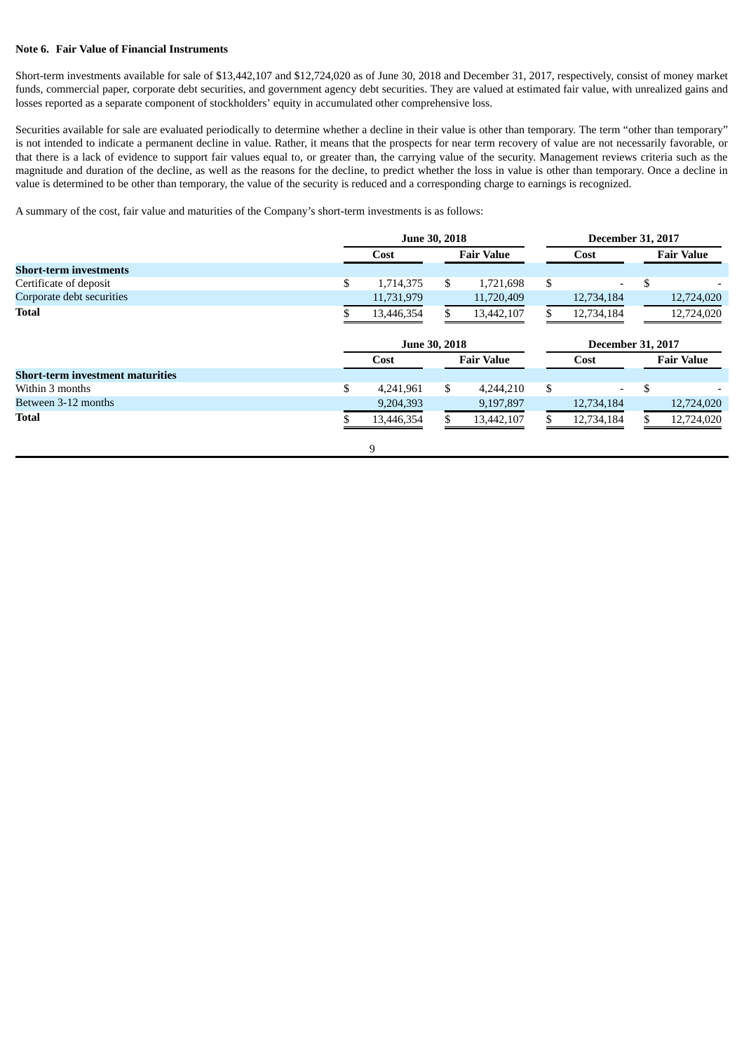## **Note 6. Fair Value of Financial Instruments**

Short-term investments available for sale of \$13,442,107 and \$12,724,020 as of June 30, 2018 and December 31, 2017, respectively, consist of money market funds, commercial paper, corporate debt securities, and government agency debt securities. They are valued at estimated fair value, with unrealized gains and losses reported as a separate component of stockholders' equity in accumulated other comprehensive loss.

Securities available for sale are evaluated periodically to determine whether a decline in their value is other than temporary. The term "other than temporary" is not intended to indicate a permanent decline in value. Rather, it means that the prospects for near term recovery of value are not necessarily favorable, or that there is a lack of evidence to support fair values equal to, or greater than, the carrying value of the security. Management reviews criteria such as the magnitude and duration of the decline, as well as the reasons for the decline, to predict whether the loss in value is other than temporary. Once a decline in value is determined to be other than temporary, the value of the security is reduced and a corresponding charge to earnings is recognized.

A summary of the cost, fair value and maturities of the Company's short-term investments is as follows:

|                                         | <b>June 30, 2018</b>      |    |                   |      | <b>December 31, 2017</b> |                          |                   |  |
|-----------------------------------------|---------------------------|----|-------------------|------|--------------------------|--------------------------|-------------------|--|
|                                         | <b>Fair Value</b><br>Cost |    |                   | Cost |                          | <b>Fair Value</b>        |                   |  |
| <b>Short-term investments</b>           |                           |    |                   |      |                          |                          |                   |  |
| Certificate of deposit                  | \$<br>1,714,375           | \$ | 1,721,698         | \$   |                          | \$                       |                   |  |
| Corporate debt securities               | 11,731,979                |    | 11,720,409        |      | 12,734,184               |                          | 12,724,020        |  |
| <b>Total</b>                            | 13,446,354                |    | 13,442,107        |      | 12,734,184               |                          | 12,724,020        |  |
|                                         | <b>June 30, 2018</b>      |    |                   |      |                          | <b>December 31, 2017</b> |                   |  |
|                                         | Cost                      |    | <b>Fair Value</b> |      | Cost                     |                          | <b>Fair Value</b> |  |
| <b>Short-term investment maturities</b> |                           |    |                   |      |                          |                          |                   |  |
| Within 3 months                         | \$<br>4,241,961           | \$ | 4,244,210         | \$   | Ξ.                       | \$                       |                   |  |
| Between 3-12 months                     | 9,204,393                 |    | 9,197,897         |      | 12,734,184               |                          | 12,724,020        |  |
| <b>Total</b>                            | 13,446,354                |    | 13,442,107        |      | 12,734,184               |                          | 12,724,020        |  |
|                                         | 9                         |    |                   |      |                          |                          |                   |  |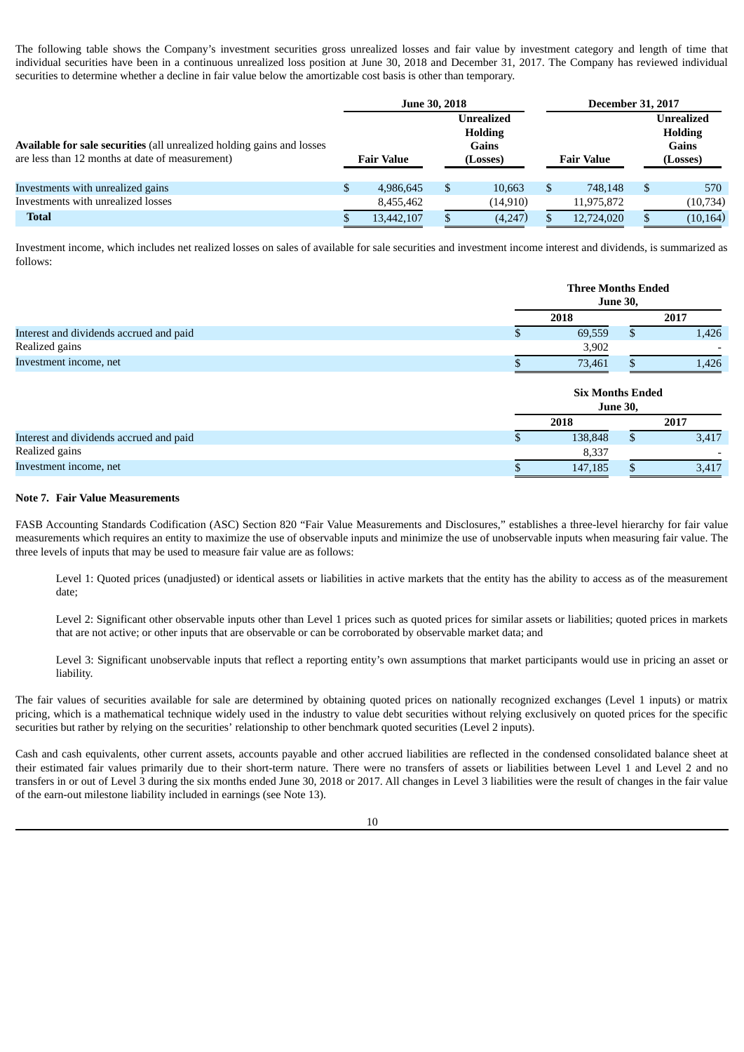The following table shows the Company's investment securities gross unrealized losses and fair value by investment category and length of time that individual securities have been in a continuous unrealized loss position at June 30, 2018 and December 31, 2017. The Company has reviewed individual securities to determine whether a decline in fair value below the amortizable cost basis is other than temporary.

|                                                                                                                           | <b>June 30, 2018</b> |   |                                                                 | <b>December 31, 2017</b> |                   |     |                                                          |
|---------------------------------------------------------------------------------------------------------------------------|----------------------|---|-----------------------------------------------------------------|--------------------------|-------------------|-----|----------------------------------------------------------|
| Available for sale securities (all unrealized holding gains and losses<br>are less than 12 months at date of measurement) | <b>Fair Value</b>    |   | <b>Unrealized</b><br><b>Holding</b><br><b>Gains</b><br>(Losses) |                          | <b>Fair Value</b> |     | Unrealized<br><b>Holding</b><br><b>Gains</b><br>(Losses) |
| Investments with unrealized gains                                                                                         | 4,986,645            | S | 10,663                                                          | S                        | 748,148           | -\$ | 570                                                      |
| Investments with unrealized losses                                                                                        | 8,455,462            |   | (14, 910)                                                       |                          | 11,975,872        |     | (10, 734)                                                |
| <b>Total</b>                                                                                                              | 13,442,107           |   | (4,247)                                                         |                          | 12,724,020        |     | (10, 164)                                                |

Investment income, which includes net realized losses on sales of available for sale securities and investment income interest and dividends, is summarized as follows:

|                                         | <b>Three Months Ended</b><br><b>June 30,</b> |                 |       |  |
|-----------------------------------------|----------------------------------------------|-----------------|-------|--|
|                                         | 2018                                         |                 | 2017  |  |
| Interest and dividends accrued and paid | 69,559                                       | $\mathfrak{g}$  | 1,426 |  |
| Realized gains                          | 3,902                                        |                 |       |  |
| Investment income, net                  | 73,461                                       |                 | 1,426 |  |
|                                         | <b>Six Months Ended</b>                      | <b>June 30,</b> |       |  |
|                                         | 2018                                         |                 | 2017  |  |
| Interest and dividends accrued and paid | 138,848                                      | \$.             | 3,417 |  |
| Realized gains                          | 8,337                                        |                 |       |  |

#### **Note 7. Fair Value Measurements**

FASB Accounting Standards Codification (ASC) Section 820 "Fair Value Measurements and Disclosures," establishes a three-level hierarchy for fair value measurements which requires an entity to maximize the use of observable inputs and minimize the use of unobservable inputs when measuring fair value. The three levels of inputs that may be used to measure fair value are as follows:

Investment income, net  $\frac{1}{3}$   $\frac{147,185}{3,417}$ 

Level 1: Quoted prices (unadjusted) or identical assets or liabilities in active markets that the entity has the ability to access as of the measurement date;

Level 2: Significant other observable inputs other than Level 1 prices such as quoted prices for similar assets or liabilities; quoted prices in markets that are not active; or other inputs that are observable or can be corroborated by observable market data; and

Level 3: Significant unobservable inputs that reflect a reporting entity's own assumptions that market participants would use in pricing an asset or liability.

The fair values of securities available for sale are determined by obtaining quoted prices on nationally recognized exchanges (Level 1 inputs) or matrix pricing, which is a mathematical technique widely used in the industry to value debt securities without relying exclusively on quoted prices for the specific securities but rather by relying on the securities' relationship to other benchmark quoted securities (Level 2 inputs).

Cash and cash equivalents, other current assets, accounts payable and other accrued liabilities are reflected in the condensed consolidated balance sheet at their estimated fair values primarily due to their short-term nature. There were no transfers of assets or liabilities between Level 1 and Level 2 and no transfers in or out of Level 3 during the six months ended June 30, 2018 or 2017. All changes in Level 3 liabilities were the result of changes in the fair value of the earn-out milestone liability included in earnings (see Note 13).

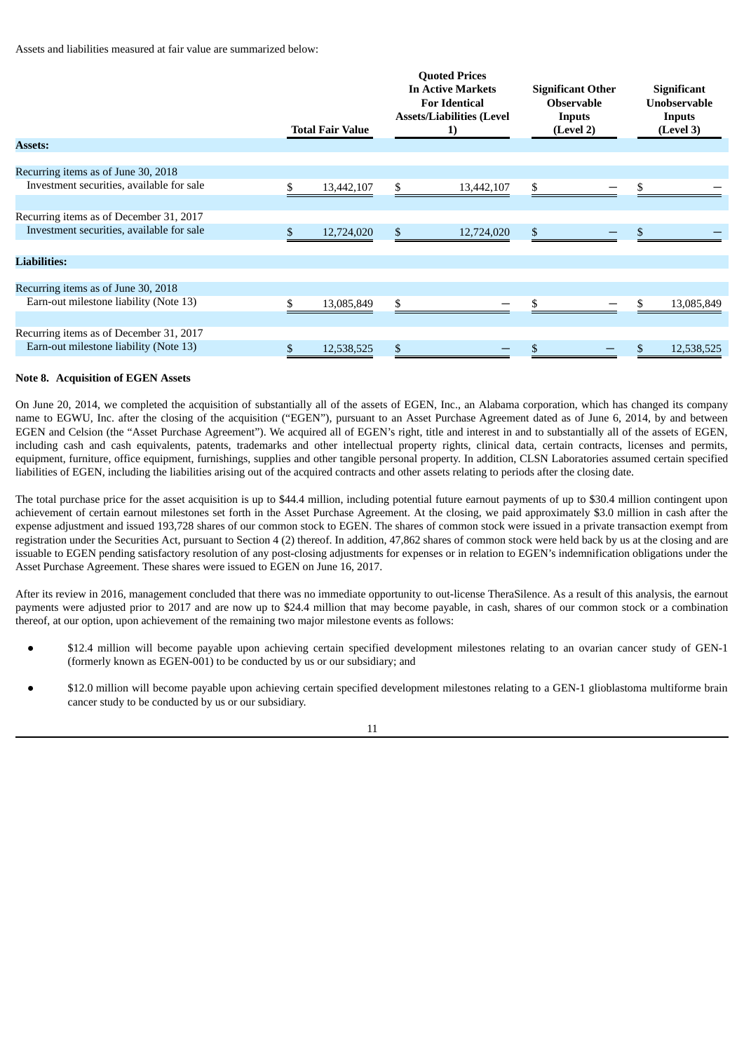Assets and liabilities measured at fair value are summarized below:

|                                           |     | <b>Total Fair Value</b> | <b>Quoted Prices</b><br><b>In Active Markets</b><br><b>For Identical</b><br><b>Assets/Liabilities (Level</b><br>1) | <b>Significant Other</b><br><b>Observable</b><br>Inputs<br>(Level 2) |     | <b>Significant</b><br><b>Unobservable</b><br>Inputs<br>(Level 3) |
|-------------------------------------------|-----|-------------------------|--------------------------------------------------------------------------------------------------------------------|----------------------------------------------------------------------|-----|------------------------------------------------------------------|
| <b>Assets:</b>                            |     |                         |                                                                                                                    |                                                                      |     |                                                                  |
|                                           |     |                         |                                                                                                                    |                                                                      |     |                                                                  |
| Recurring items as of June 30, 2018       |     |                         |                                                                                                                    |                                                                      |     |                                                                  |
| Investment securities, available for sale | \$. | 13,442,107              | \$<br>13,442,107                                                                                                   | \$                                                                   | \$. |                                                                  |
|                                           |     |                         |                                                                                                                    |                                                                      |     |                                                                  |
| Recurring items as of December 31, 2017   |     |                         |                                                                                                                    |                                                                      |     |                                                                  |
| Investment securities, available for sale | S   | 12,724,020              | \$<br>12,724,020                                                                                                   | \$                                                                   |     |                                                                  |
|                                           |     |                         |                                                                                                                    |                                                                      |     |                                                                  |
| <b>Liabilities:</b>                       |     |                         |                                                                                                                    |                                                                      |     |                                                                  |
|                                           |     |                         |                                                                                                                    |                                                                      |     |                                                                  |
| Recurring items as of June 30, 2018       |     |                         |                                                                                                                    |                                                                      |     |                                                                  |
| Earn-out milestone liability (Note 13)    |     | 13,085,849              | \$                                                                                                                 |                                                                      |     | 13,085,849                                                       |
|                                           |     |                         |                                                                                                                    |                                                                      |     |                                                                  |
| Recurring items as of December 31, 2017   |     |                         |                                                                                                                    |                                                                      |     |                                                                  |
| Earn-out milestone liability (Note 13)    | \$  | 12,538,525              | \$                                                                                                                 |                                                                      |     | 12,538,525                                                       |

## **Note 8. Acquisition of EGEN Assets**

On June 20, 2014, we completed the acquisition of substantially all of the assets of EGEN, Inc., an Alabama corporation, which has changed its company name to EGWU, Inc. after the closing of the acquisition ("EGEN"), pursuant to an Asset Purchase Agreement dated as of June 6, 2014, by and between EGEN and Celsion (the "Asset Purchase Agreement"). We acquired all of EGEN's right, title and interest in and to substantially all of the assets of EGEN, including cash and cash equivalents, patents, trademarks and other intellectual property rights, clinical data, certain contracts, licenses and permits, equipment, furniture, office equipment, furnishings, supplies and other tangible personal property. In addition, CLSN Laboratories assumed certain specified liabilities of EGEN, including the liabilities arising out of the acquired contracts and other assets relating to periods after the closing date.

The total purchase price for the asset acquisition is up to \$44.4 million, including potential future earnout payments of up to \$30.4 million contingent upon achievement of certain earnout milestones set forth in the Asset Purchase Agreement. At the closing, we paid approximately \$3.0 million in cash after the expense adjustment and issued 193,728 shares of our common stock to EGEN. The shares of common stock were issued in a private transaction exempt from registration under the Securities Act, pursuant to Section 4 (2) thereof. In addition, 47,862 shares of common stock were held back by us at the closing and are issuable to EGEN pending satisfactory resolution of any post-closing adjustments for expenses or in relation to EGEN's indemnification obligations under the Asset Purchase Agreement. These shares were issued to EGEN on June 16, 2017.

After its review in 2016, management concluded that there was no immediate opportunity to out-license TheraSilence. As a result of this analysis, the earnout payments were adjusted prior to 2017 and are now up to \$24.4 million that may become payable, in cash, shares of our common stock or a combination thereof, at our option, upon achievement of the remaining two major milestone events as follows:

- \$12.4 million will become payable upon achieving certain specified development milestones relating to an ovarian cancer study of GEN-1 (formerly known as EGEN-001) to be conducted by us or our subsidiary; and
- \$12.0 million will become payable upon achieving certain specified development milestones relating to a GEN-1 glioblastoma multiforme brain cancer study to be conducted by us or our subsidiary.

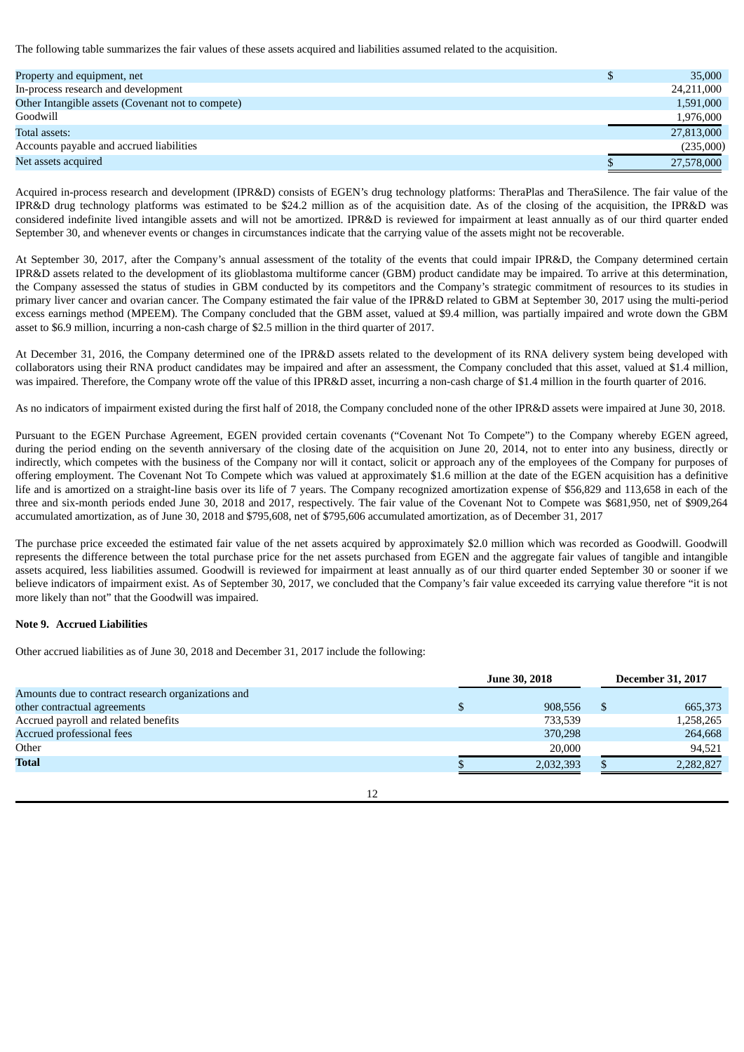The following table summarizes the fair values of these assets acquired and liabilities assumed related to the acquisition.

| Property and equipment, net                       | 35,000     |
|---------------------------------------------------|------------|
| In-process research and development               | 24,211,000 |
| Other Intangible assets (Covenant not to compete) | 1,591,000  |
| Goodwill                                          | 1,976,000  |
| Total assets:                                     | 27,813,000 |
| Accounts payable and accrued liabilities          | (235,000)  |
| Net assets acquired                               | 27,578,000 |

Acquired in-process research and development (IPR&D) consists of EGEN's drug technology platforms: TheraPlas and TheraSilence. The fair value of the IPR&D drug technology platforms was estimated to be \$24.2 million as of the acquisition date. As of the closing of the acquisition, the IPR&D was considered indefinite lived intangible assets and will not be amortized. IPR&D is reviewed for impairment at least annually as of our third quarter ended September 30, and whenever events or changes in circumstances indicate that the carrying value of the assets might not be recoverable.

At September 30, 2017, after the Company's annual assessment of the totality of the events that could impair IPR&D, the Company determined certain IPR&D assets related to the development of its glioblastoma multiforme cancer (GBM) product candidate may be impaired. To arrive at this determination, the Company assessed the status of studies in GBM conducted by its competitors and the Company's strategic commitment of resources to its studies in primary liver cancer and ovarian cancer. The Company estimated the fair value of the IPR&D related to GBM at September 30, 2017 using the multi-period excess earnings method (MPEEM). The Company concluded that the GBM asset, valued at \$9.4 million, was partially impaired and wrote down the GBM asset to \$6.9 million, incurring a non-cash charge of \$2.5 million in the third quarter of 2017.

At December 31, 2016, the Company determined one of the IPR&D assets related to the development of its RNA delivery system being developed with collaborators using their RNA product candidates may be impaired and after an assessment, the Company concluded that this asset, valued at \$1.4 million, was impaired. Therefore, the Company wrote off the value of this IPR&D asset, incurring a non-cash charge of \$1.4 million in the fourth quarter of 2016.

As no indicators of impairment existed during the first half of 2018, the Company concluded none of the other IPR&D assets were impaired at June 30, 2018.

Pursuant to the EGEN Purchase Agreement, EGEN provided certain covenants ("Covenant Not To Compete") to the Company whereby EGEN agreed, during the period ending on the seventh anniversary of the closing date of the acquisition on June 20, 2014, not to enter into any business, directly or indirectly, which competes with the business of the Company nor will it contact, solicit or approach any of the employees of the Company for purposes of offering employment. The Covenant Not To Compete which was valued at approximately \$1.6 million at the date of the EGEN acquisition has a definitive life and is amortized on a straight-line basis over its life of 7 years. The Company recognized amortization expense of \$56,829 and 113,658 in each of the three and six-month periods ended June 30, 2018 and 2017, respectively. The fair value of the Covenant Not to Compete was \$681,950, net of \$909,264 accumulated amortization, as of June 30, 2018 and \$795,608, net of \$795,606 accumulated amortization, as of December 31, 2017

The purchase price exceeded the estimated fair value of the net assets acquired by approximately \$2.0 million which was recorded as Goodwill. Goodwill represents the difference between the total purchase price for the net assets purchased from EGEN and the aggregate fair values of tangible and intangible assets acquired, less liabilities assumed. Goodwill is reviewed for impairment at least annually as of our third quarter ended September 30 or sooner if we believe indicators of impairment exist. As of September 30, 2017, we concluded that the Company's fair value exceeded its carrying value therefore "it is not more likely than not" that the Goodwill was impaired.

## **Note 9. Accrued Liabilities**

Other accrued liabilities as of June 30, 2018 and December 31, 2017 include the following:

|                                                    | <b>June 30, 2018</b> | <b>December 31, 2017</b> |
|----------------------------------------------------|----------------------|--------------------------|
| Amounts due to contract research organizations and |                      |                          |
| other contractual agreements                       | 908,556              | 665,373                  |
| Accrued payroll and related benefits               | 733,539              | 1,258,265                |
| Accrued professional fees                          | 370,298              | 264,668                  |
| Other                                              | 20,000               | 94.521                   |
| <b>Total</b>                                       | 2,032,393            | 2,282,827                |
|                                                    |                      |                          |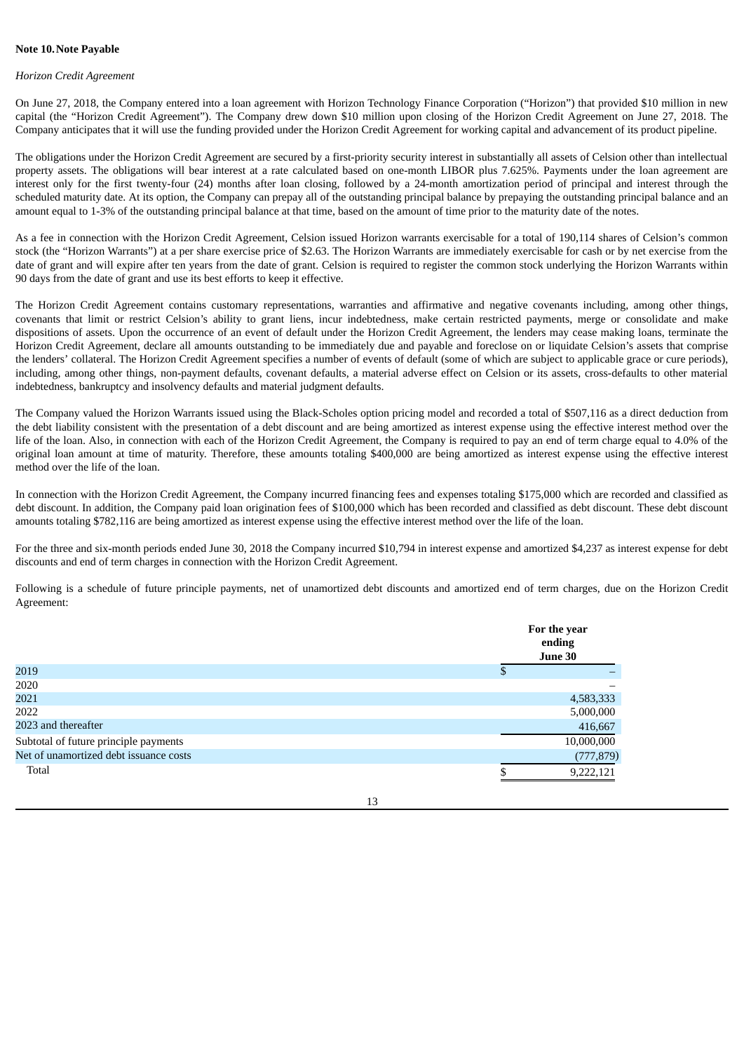#### **Note 10.Note Payable**

#### *Horizon Credit Agreement*

On June 27, 2018, the Company entered into a loan agreement with Horizon Technology Finance Corporation ("Horizon") that provided \$10 million in new capital (the "Horizon Credit Agreement"). The Company drew down \$10 million upon closing of the Horizon Credit Agreement on June 27, 2018. The Company anticipates that it will use the funding provided under the Horizon Credit Agreement for working capital and advancement of its product pipeline.

The obligations under the Horizon Credit Agreement are secured by a first-priority security interest in substantially all assets of Celsion other than intellectual property assets. The obligations will bear interest at a rate calculated based on one-month LIBOR plus 7.625%. Payments under the loan agreement are interest only for the first twenty-four (24) months after loan closing, followed by a 24-month amortization period of principal and interest through the scheduled maturity date. At its option, the Company can prepay all of the outstanding principal balance by prepaying the outstanding principal balance and an amount equal to 1-3% of the outstanding principal balance at that time, based on the amount of time prior to the maturity date of the notes.

As a fee in connection with the Horizon Credit Agreement, Celsion issued Horizon warrants exercisable for a total of 190,114 shares of Celsion's common stock (the "Horizon Warrants") at a per share exercise price of \$2.63. The Horizon Warrants are immediately exercisable for cash or by net exercise from the date of grant and will expire after ten years from the date of grant. Celsion is required to register the common stock underlying the Horizon Warrants within 90 days from the date of grant and use its best efforts to keep it effective.

The Horizon Credit Agreement contains customary representations, warranties and affirmative and negative covenants including, among other things, covenants that limit or restrict Celsion's ability to grant liens, incur indebtedness, make certain restricted payments, merge or consolidate and make dispositions of assets. Upon the occurrence of an event of default under the Horizon Credit Agreement, the lenders may cease making loans, terminate the Horizon Credit Agreement, declare all amounts outstanding to be immediately due and payable and foreclose on or liquidate Celsion's assets that comprise the lenders' collateral. The Horizon Credit Agreement specifies a number of events of default (some of which are subject to applicable grace or cure periods), including, among other things, non-payment defaults, covenant defaults, a material adverse effect on Celsion or its assets, cross-defaults to other material indebtedness, bankruptcy and insolvency defaults and material judgment defaults.

The Company valued the Horizon Warrants issued using the Black-Scholes option pricing model and recorded a total of \$507,116 as a direct deduction from the debt liability consistent with the presentation of a debt discount and are being amortized as interest expense using the effective interest method over the life of the loan. Also, in connection with each of the Horizon Credit Agreement, the Company is required to pay an end of term charge equal to 4.0% of the original loan amount at time of maturity. Therefore, these amounts totaling \$400,000 are being amortized as interest expense using the effective interest method over the life of the loan.

In connection with the Horizon Credit Agreement, the Company incurred financing fees and expenses totaling \$175,000 which are recorded and classified as debt discount. In addition, the Company paid loan origination fees of \$100,000 which has been recorded and classified as debt discount. These debt discount amounts totaling \$782,116 are being amortized as interest expense using the effective interest method over the life of the loan.

For the three and six-month periods ended June 30, 2018 the Company incurred \$10,794 in interest expense and amortized \$4,237 as interest expense for debt discounts and end of term charges in connection with the Horizon Credit Agreement.

Following is a schedule of future principle payments, net of unamortized debt discounts and amortized end of term charges, due on the Horizon Credit Agreement:

|                                        |   | For the year<br>ending<br>June 30 |
|----------------------------------------|---|-----------------------------------|
| 2019                                   | Φ |                                   |
| 2020                                   |   |                                   |
| 2021                                   |   | 4,583,333                         |
| 2022                                   |   | 5,000,000                         |
| 2023 and thereafter                    |   | 416,667                           |
| Subtotal of future principle payments  |   | 10,000,000                        |
| Net of unamortized debt issuance costs |   | (777, 879)                        |
| Total                                  |   | 9,222,121                         |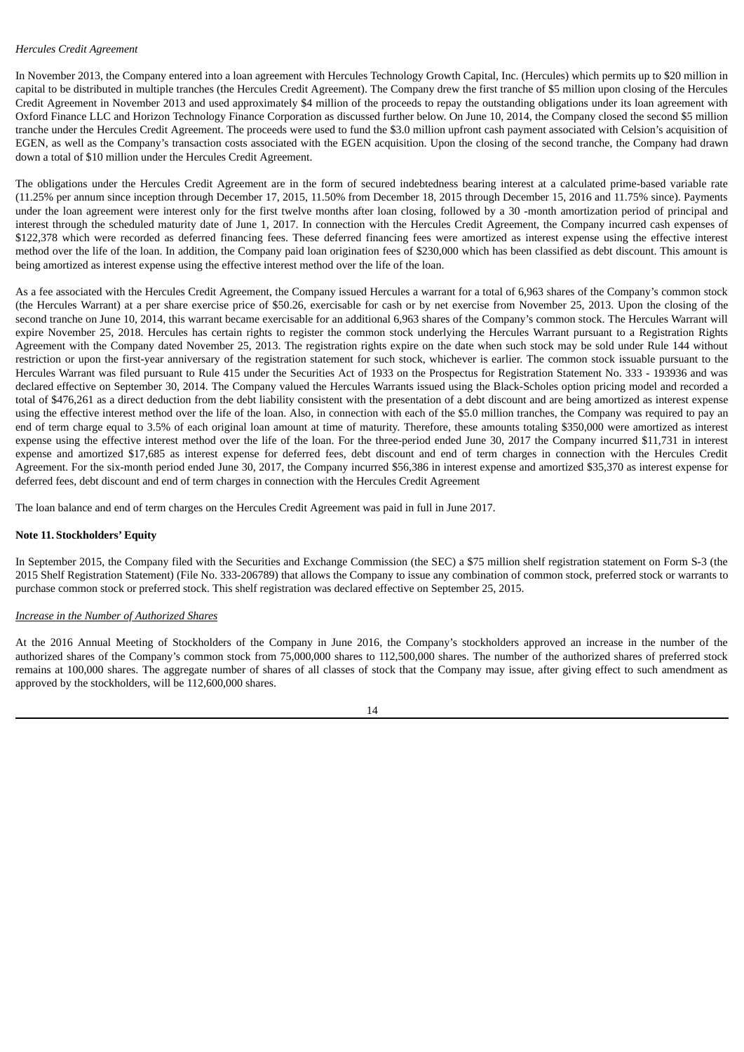## *Hercules Credit Agreement*

In November 2013, the Company entered into a loan agreement with Hercules Technology Growth Capital, Inc. (Hercules) which permits up to \$20 million in capital to be distributed in multiple tranches (the Hercules Credit Agreement). The Company drew the first tranche of \$5 million upon closing of the Hercules Credit Agreement in November 2013 and used approximately \$4 million of the proceeds to repay the outstanding obligations under its loan agreement with Oxford Finance LLC and Horizon Technology Finance Corporation as discussed further below. On June 10, 2014, the Company closed the second \$5 million tranche under the Hercules Credit Agreement. The proceeds were used to fund the \$3.0 million upfront cash payment associated with Celsion's acquisition of EGEN, as well as the Company's transaction costs associated with the EGEN acquisition. Upon the closing of the second tranche, the Company had drawn down a total of \$10 million under the Hercules Credit Agreement.

The obligations under the Hercules Credit Agreement are in the form of secured indebtedness bearing interest at a calculated prime-based variable rate (11.25% per annum since inception through December 17, 2015, 11.50% from December 18, 2015 through December 15, 2016 and 11.75% since). Payments under the loan agreement were interest only for the first twelve months after loan closing, followed by a 30 -month amortization period of principal and interest through the scheduled maturity date of June 1, 2017. In connection with the Hercules Credit Agreement, the Company incurred cash expenses of \$122,378 which were recorded as deferred financing fees. These deferred financing fees were amortized as interest expense using the effective interest method over the life of the loan. In addition, the Company paid loan origination fees of \$230,000 which has been classified as debt discount. This amount is being amortized as interest expense using the effective interest method over the life of the loan.

As a fee associated with the Hercules Credit Agreement, the Company issued Hercules a warrant for a total of 6,963 shares of the Company's common stock (the Hercules Warrant) at a per share exercise price of \$50.26, exercisable for cash or by net exercise from November 25, 2013. Upon the closing of the second tranche on June 10, 2014, this warrant became exercisable for an additional 6,963 shares of the Company's common stock. The Hercules Warrant will expire November 25, 2018. Hercules has certain rights to register the common stock underlying the Hercules Warrant pursuant to a Registration Rights Agreement with the Company dated November 25, 2013. The registration rights expire on the date when such stock may be sold under Rule 144 without restriction or upon the first-year anniversary of the registration statement for such stock, whichever is earlier. The common stock issuable pursuant to the Hercules Warrant was filed pursuant to Rule 415 under the Securities Act of 1933 on the Prospectus for Registration Statement No. 333 - 193936 and was declared effective on September 30, 2014. The Company valued the Hercules Warrants issued using the Black-Scholes option pricing model and recorded a total of \$476,261 as a direct deduction from the debt liability consistent with the presentation of a debt discount and are being amortized as interest expense using the effective interest method over the life of the loan. Also, in connection with each of the \$5.0 million tranches, the Company was required to pay an end of term charge equal to 3.5% of each original loan amount at time of maturity. Therefore, these amounts totaling \$350,000 were amortized as interest expense using the effective interest method over the life of the loan. For the three-period ended June 30, 2017 the Company incurred \$11,731 in interest expense and amortized \$17,685 as interest expense for deferred fees, debt discount and end of term charges in connection with the Hercules Credit Agreement. For the six-month period ended June 30, 2017, the Company incurred \$56,386 in interest expense and amortized \$35,370 as interest expense for deferred fees, debt discount and end of term charges in connection with the Hercules Credit Agreement

The loan balance and end of term charges on the Hercules Credit Agreement was paid in full in June 2017.

## **Note 11. Stockholders' Equity**

In September 2015, the Company filed with the Securities and Exchange Commission (the SEC) a \$75 million shelf registration statement on Form S-3 (the 2015 Shelf Registration Statement) (File No. 333-206789) that allows the Company to issue any combination of common stock, preferred stock or warrants to purchase common stock or preferred stock. This shelf registration was declared effective on September 25, 2015.

## *Increase in the Number of Authorized Shares*

At the 2016 Annual Meeting of Stockholders of the Company in June 2016, the Company's stockholders approved an increase in the number of the authorized shares of the Company's common stock from 75,000,000 shares to 112,500,000 shares. The number of the authorized shares of preferred stock remains at 100,000 shares. The aggregate number of shares of all classes of stock that the Company may issue, after giving effect to such amendment as approved by the stockholders, will be 112,600,000 shares.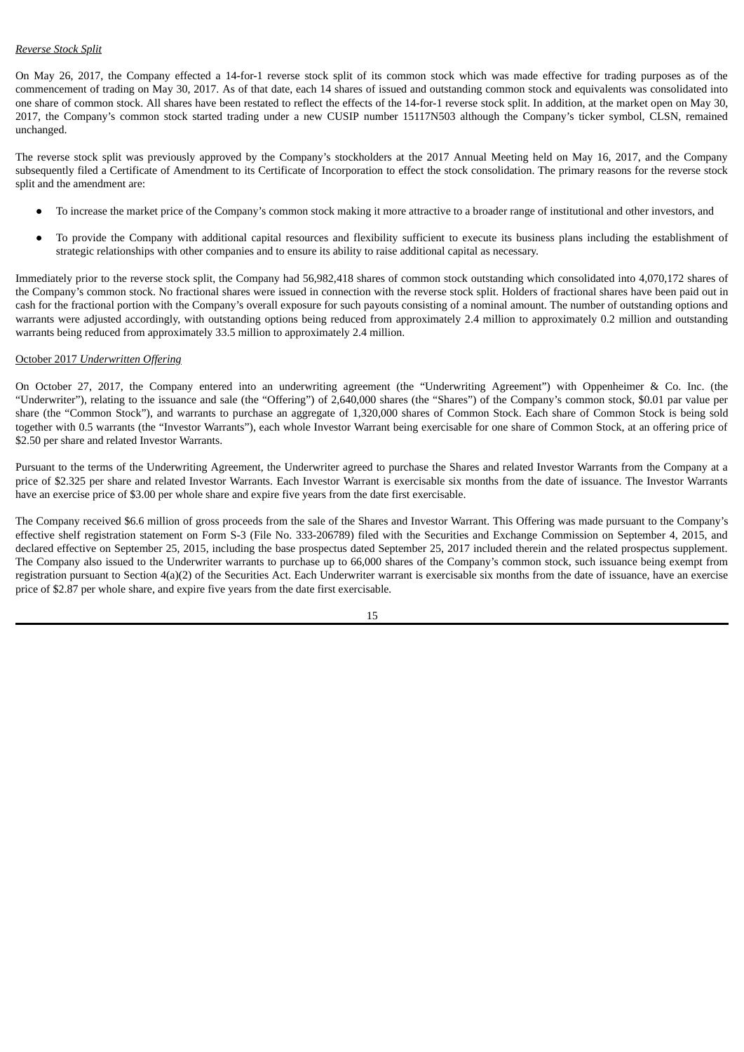## *Reverse Stock Split*

On May 26, 2017, the Company effected a 14-for-1 reverse stock split of its common stock which was made effective for trading purposes as of the commencement of trading on May 30, 2017. As of that date, each 14 shares of issued and outstanding common stock and equivalents was consolidated into one share of common stock. All shares have been restated to reflect the effects of the 14-for-1 reverse stock split. In addition, at the market open on May 30, 2017, the Company's common stock started trading under a new CUSIP number 15117N503 although the Company's ticker symbol, CLSN, remained unchanged.

The reverse stock split was previously approved by the Company's stockholders at the 2017 Annual Meeting held on May 16, 2017, and the Company subsequently filed a Certificate of Amendment to its Certificate of Incorporation to effect the stock consolidation. The primary reasons for the reverse stock split and the amendment are:

- To increase the market price of the Company's common stock making it more attractive to a broader range of institutional and other investors, and
- To provide the Company with additional capital resources and flexibility sufficient to execute its business plans including the establishment of strategic relationships with other companies and to ensure its ability to raise additional capital as necessary.

Immediately prior to the reverse stock split, the Company had 56,982,418 shares of common stock outstanding which consolidated into 4,070,172 shares of the Company's common stock. No fractional shares were issued in connection with the reverse stock split. Holders of fractional shares have been paid out in cash for the fractional portion with the Company's overall exposure for such payouts consisting of a nominal amount. The number of outstanding options and warrants were adjusted accordingly, with outstanding options being reduced from approximately 2.4 million to approximately 0.2 million and outstanding warrants being reduced from approximately 33.5 million to approximately 2.4 million.

## October 2017 *Underwritten Offering*

On October 27, 2017, the Company entered into an underwriting agreement (the "Underwriting Agreement") with Oppenheimer & Co. Inc. (the "Underwriter"), relating to the issuance and sale (the "Offering") of 2,640,000 shares (the "Shares") of the Company's common stock, \$0.01 par value per share (the "Common Stock"), and warrants to purchase an aggregate of 1,320,000 shares of Common Stock. Each share of Common Stock is being sold together with 0.5 warrants (the "Investor Warrants"), each whole Investor Warrant being exercisable for one share of Common Stock, at an offering price of \$2.50 per share and related Investor Warrants.

Pursuant to the terms of the Underwriting Agreement, the Underwriter agreed to purchase the Shares and related Investor Warrants from the Company at a price of \$2.325 per share and related Investor Warrants. Each Investor Warrant is exercisable six months from the date of issuance. The Investor Warrants have an exercise price of \$3.00 per whole share and expire five years from the date first exercisable.

The Company received \$6.6 million of gross proceeds from the sale of the Shares and Investor Warrant. This Offering was made pursuant to the Company's effective shelf registration statement on Form S-3 (File No. 333-206789) filed with the Securities and Exchange Commission on September 4, 2015, and declared effective on September 25, 2015, including the base prospectus dated September 25, 2017 included therein and the related prospectus supplement. The Company also issued to the Underwriter warrants to purchase up to 66,000 shares of the Company's common stock, such issuance being exempt from registration pursuant to Section 4(a)(2) of the Securities Act. Each Underwriter warrant is exercisable six months from the date of issuance, have an exercise price of \$2.87 per whole share, and expire five years from the date first exercisable*.*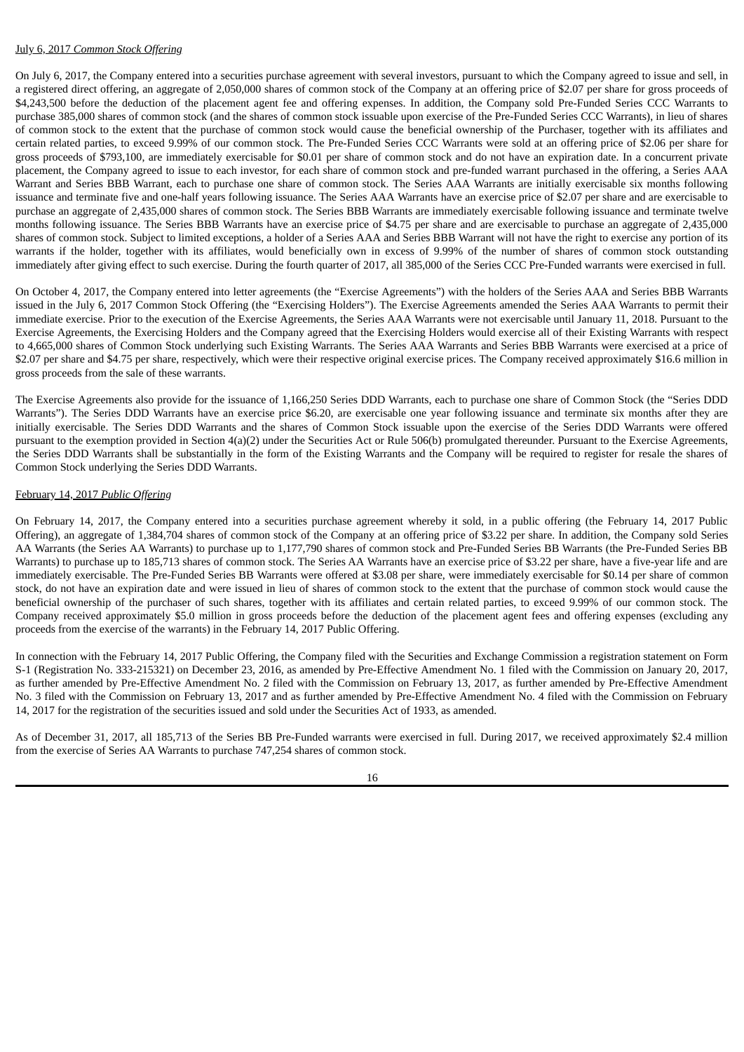## July 6, 2017 *Common Stock Offering*

On July 6, 2017, the Company entered into a securities purchase agreement with several investors, pursuant to which the Company agreed to issue and sell, in a registered direct offering, an aggregate of 2,050,000 shares of common stock of the Company at an offering price of \$2.07 per share for gross proceeds of \$4,243,500 before the deduction of the placement agent fee and offering expenses. In addition, the Company sold Pre-Funded Series CCC Warrants to purchase 385,000 shares of common stock (and the shares of common stock issuable upon exercise of the Pre-Funded Series CCC Warrants), in lieu of shares of common stock to the extent that the purchase of common stock would cause the beneficial ownership of the Purchaser, together with its affiliates and certain related parties, to exceed 9.99% of our common stock. The Pre-Funded Series CCC Warrants were sold at an offering price of \$2.06 per share for gross proceeds of \$793,100, are immediately exercisable for \$0.01 per share of common stock and do not have an expiration date. In a concurrent private placement, the Company agreed to issue to each investor, for each share of common stock and pre-funded warrant purchased in the offering, a Series AAA Warrant and Series BBB Warrant, each to purchase one share of common stock. The Series AAA Warrants are initially exercisable six months following issuance and terminate five and one-half years following issuance. The Series AAA Warrants have an exercise price of \$2.07 per share and are exercisable to purchase an aggregate of 2,435,000 shares of common stock. The Series BBB Warrants are immediately exercisable following issuance and terminate twelve months following issuance. The Series BBB Warrants have an exercise price of \$4.75 per share and are exercisable to purchase an aggregate of 2,435,000 shares of common stock. Subject to limited exceptions, a holder of a Series AAA and Series BBB Warrant will not have the right to exercise any portion of its warrants if the holder, together with its affiliates, would beneficially own in excess of 9.99% of the number of shares of common stock outstanding immediately after giving effect to such exercise. During the fourth quarter of 2017, all 385,000 of the Series CCC Pre-Funded warrants were exercised in full.

On October 4, 2017, the Company entered into letter agreements (the "Exercise Agreements") with the holders of the Series AAA and Series BBB Warrants issued in the July 6, 2017 Common Stock Offering (the "Exercising Holders"). The Exercise Agreements amended the Series AAA Warrants to permit their immediate exercise. Prior to the execution of the Exercise Agreements, the Series AAA Warrants were not exercisable until January 11, 2018. Pursuant to the Exercise Agreements, the Exercising Holders and the Company agreed that the Exercising Holders would exercise all of their Existing Warrants with respect to 4,665,000 shares of Common Stock underlying such Existing Warrants. The Series AAA Warrants and Series BBB Warrants were exercised at a price of \$2.07 per share and \$4.75 per share, respectively, which were their respective original exercise prices. The Company received approximately \$16.6 million in gross proceeds from the sale of these warrants.

The Exercise Agreements also provide for the issuance of 1,166,250 Series DDD Warrants, each to purchase one share of Common Stock (the "Series DDD Warrants"). The Series DDD Warrants have an exercise price \$6.20, are exercisable one year following issuance and terminate six months after they are initially exercisable. The Series DDD Warrants and the shares of Common Stock issuable upon the exercise of the Series DDD Warrants were offered pursuant to the exemption provided in Section 4(a)(2) under the Securities Act or Rule 506(b) promulgated thereunder. Pursuant to the Exercise Agreements, the Series DDD Warrants shall be substantially in the form of the Existing Warrants and the Company will be required to register for resale the shares of Common Stock underlying the Series DDD Warrants.

#### February 14, 2017 *Public Offering*

On February 14, 2017, the Company entered into a securities purchase agreement whereby it sold, in a public offering (the February 14, 2017 Public Offering), an aggregate of 1,384,704 shares of common stock of the Company at an offering price of \$3.22 per share. In addition, the Company sold Series AA Warrants (the Series AA Warrants) to purchase up to 1,177,790 shares of common stock and Pre-Funded Series BB Warrants (the Pre-Funded Series BB Warrants) to purchase up to 185,713 shares of common stock. The Series AA Warrants have an exercise price of \$3.22 per share, have a five-year life and are immediately exercisable. The Pre-Funded Series BB Warrants were offered at \$3.08 per share, were immediately exercisable for \$0.14 per share of common stock, do not have an expiration date and were issued in lieu of shares of common stock to the extent that the purchase of common stock would cause the beneficial ownership of the purchaser of such shares, together with its affiliates and certain related parties, to exceed 9.99% of our common stock. The Company received approximately \$5.0 million in gross proceeds before the deduction of the placement agent fees and offering expenses (excluding any proceeds from the exercise of the warrants) in the February 14, 2017 Public Offering.

In connection with the February 14, 2017 Public Offering, the Company filed with the Securities and Exchange Commission a registration statement on Form S-1 (Registration No. 333-215321) on December 23, 2016, as amended by Pre-Effective Amendment No. 1 filed with the Commission on January 20, 2017, as further amended by Pre-Effective Amendment No. 2 filed with the Commission on February 13, 2017, as further amended by Pre-Effective Amendment No. 3 filed with the Commission on February 13, 2017 and as further amended by Pre-Effective Amendment No. 4 filed with the Commission on February 14, 2017 for the registration of the securities issued and sold under the Securities Act of 1933, as amended.

As of December 31, 2017, all 185,713 of the Series BB Pre-Funded warrants were exercised in full. During 2017, we received approximately \$2.4 million from the exercise of Series AA Warrants to purchase 747,254 shares of common stock.

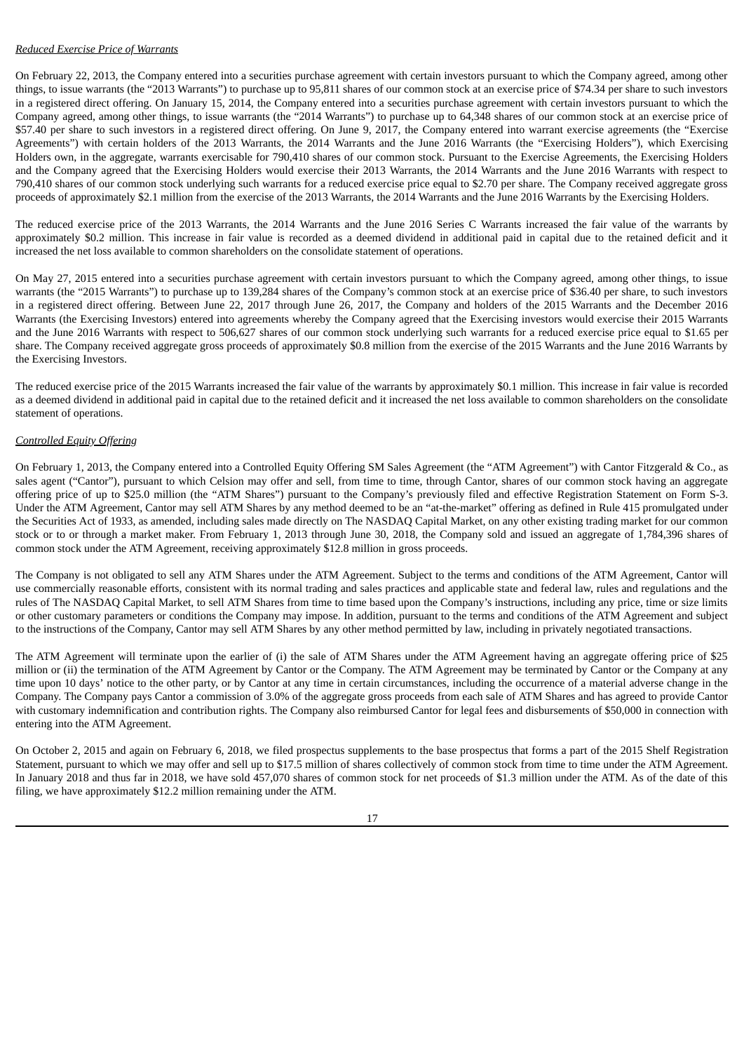## *Reduced Exercise Price of Warrants*

On February 22, 2013, the Company entered into a securities purchase agreement with certain investors pursuant to which the Company agreed, among other things, to issue warrants (the "2013 Warrants") to purchase up to 95,811 shares of our common stock at an exercise price of \$74.34 per share to such investors in a registered direct offering. On January 15, 2014, the Company entered into a securities purchase agreement with certain investors pursuant to which the Company agreed, among other things, to issue warrants (the "2014 Warrants") to purchase up to 64,348 shares of our common stock at an exercise price of \$57.40 per share to such investors in a registered direct offering. On June 9, 2017, the Company entered into warrant exercise agreements (the "Exercise Agreements") with certain holders of the 2013 Warrants, the 2014 Warrants and the June 2016 Warrants (the "Exercising Holders"), which Exercising Holders own, in the aggregate, warrants exercisable for 790,410 shares of our common stock. Pursuant to the Exercise Agreements, the Exercising Holders and the Company agreed that the Exercising Holders would exercise their 2013 Warrants, the 2014 Warrants and the June 2016 Warrants with respect to 790,410 shares of our common stock underlying such warrants for a reduced exercise price equal to \$2.70 per share. The Company received aggregate gross proceeds of approximately \$2.1 million from the exercise of the 2013 Warrants, the 2014 Warrants and the June 2016 Warrants by the Exercising Holders.

The reduced exercise price of the 2013 Warrants, the 2014 Warrants and the June 2016 Series C Warrants increased the fair value of the warrants by approximately \$0.2 million. This increase in fair value is recorded as a deemed dividend in additional paid in capital due to the retained deficit and it increased the net loss available to common shareholders on the consolidate statement of operations.

On May 27, 2015 entered into a securities purchase agreement with certain investors pursuant to which the Company agreed, among other things, to issue warrants (the "2015 Warrants") to purchase up to 139,284 shares of the Company's common stock at an exercise price of \$36.40 per share, to such investors in a registered direct offering. Between June 22, 2017 through June 26, 2017, the Company and holders of the 2015 Warrants and the December 2016 Warrants (the Exercising Investors) entered into agreements whereby the Company agreed that the Exercising investors would exercise their 2015 Warrants and the June 2016 Warrants with respect to 506,627 shares of our common stock underlying such warrants for a reduced exercise price equal to \$1.65 per share. The Company received aggregate gross proceeds of approximately \$0.8 million from the exercise of the 2015 Warrants and the June 2016 Warrants by the Exercising Investors.

The reduced exercise price of the 2015 Warrants increased the fair value of the warrants by approximately \$0.1 million. This increase in fair value is recorded as a deemed dividend in additional paid in capital due to the retained deficit and it increased the net loss available to common shareholders on the consolidate statement of operations.

## *Controlled Equity Offering*

On February 1, 2013, the Company entered into a Controlled Equity Offering SM Sales Agreement (the "ATM Agreement") with Cantor Fitzgerald & Co., as sales agent ("Cantor"), pursuant to which Celsion may offer and sell, from time to time, through Cantor, shares of our common stock having an aggregate offering price of up to \$25.0 million (the "ATM Shares") pursuant to the Company's previously filed and effective Registration Statement on Form S-3. Under the ATM Agreement, Cantor may sell ATM Shares by any method deemed to be an "at-the-market" offering as defined in Rule 415 promulgated under the Securities Act of 1933, as amended, including sales made directly on The NASDAQ Capital Market, on any other existing trading market for our common stock or to or through a market maker. From February 1, 2013 through June 30, 2018, the Company sold and issued an aggregate of 1,784,396 shares of common stock under the ATM Agreement, receiving approximately \$12.8 million in gross proceeds.

The Company is not obligated to sell any ATM Shares under the ATM Agreement. Subject to the terms and conditions of the ATM Agreement, Cantor will use commercially reasonable efforts, consistent with its normal trading and sales practices and applicable state and federal law, rules and regulations and the rules of The NASDAQ Capital Market, to sell ATM Shares from time to time based upon the Company's instructions, including any price, time or size limits or other customary parameters or conditions the Company may impose. In addition, pursuant to the terms and conditions of the ATM Agreement and subject to the instructions of the Company, Cantor may sell ATM Shares by any other method permitted by law, including in privately negotiated transactions.

The ATM Agreement will terminate upon the earlier of (i) the sale of ATM Shares under the ATM Agreement having an aggregate offering price of \$25 million or (ii) the termination of the ATM Agreement by Cantor or the Company. The ATM Agreement may be terminated by Cantor or the Company at any time upon 10 days' notice to the other party, or by Cantor at any time in certain circumstances, including the occurrence of a material adverse change in the Company. The Company pays Cantor a commission of 3.0% of the aggregate gross proceeds from each sale of ATM Shares and has agreed to provide Cantor with customary indemnification and contribution rights. The Company also reimbursed Cantor for legal fees and disbursements of \$50,000 in connection with entering into the ATM Agreement.

On October 2, 2015 and again on February 6, 2018, we filed prospectus supplements to the base prospectus that forms a part of the 2015 Shelf Registration Statement, pursuant to which we may offer and sell up to \$17.5 million of shares collectively of common stock from time to time under the ATM Agreement. In January 2018 and thus far in 2018, we have sold 457,070 shares of common stock for net proceeds of \$1.3 million under the ATM. As of the date of this filing, we have approximately \$12.2 million remaining under the ATM.

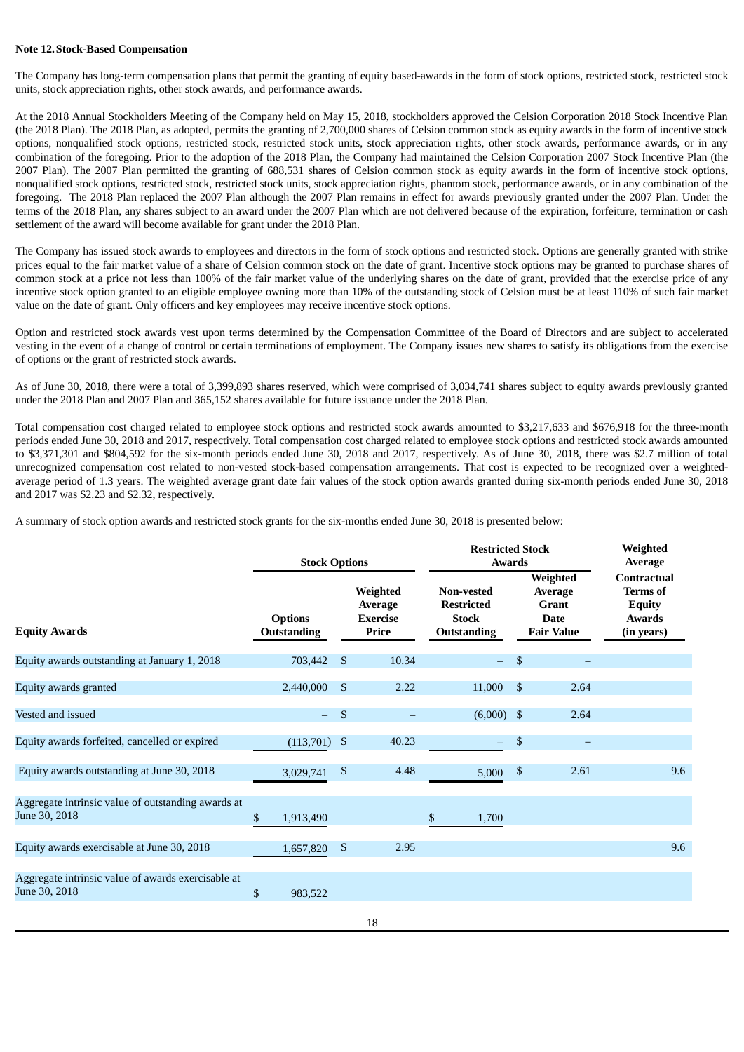#### **Note 12.Stock-Based Compensation**

The Company has long-term compensation plans that permit the granting of equity based-awards in the form of stock options, restricted stock, restricted stock units, stock appreciation rights, other stock awards, and performance awards.

At the 2018 Annual Stockholders Meeting of the Company held on May 15, 2018, stockholders approved the Celsion Corporation 2018 Stock Incentive Plan (the 2018 Plan). The 2018 Plan, as adopted, permits the granting of 2,700,000 shares of Celsion common stock as equity awards in the form of incentive stock options, nonqualified stock options, restricted stock, restricted stock units, stock appreciation rights, other stock awards, performance awards, or in any combination of the foregoing. Prior to the adoption of the 2018 Plan, the Company had maintained the Celsion Corporation 2007 Stock Incentive Plan (the 2007 Plan). The 2007 Plan permitted the granting of 688,531 shares of Celsion common stock as equity awards in the form of incentive stock options, nonqualified stock options, restricted stock, restricted stock units, stock appreciation rights, phantom stock, performance awards, or in any combination of the foregoing. The 2018 Plan replaced the 2007 Plan although the 2007 Plan remains in effect for awards previously granted under the 2007 Plan. Under the terms of the 2018 Plan, any shares subject to an award under the 2007 Plan which are not delivered because of the expiration, forfeiture, termination or cash settlement of the award will become available for grant under the 2018 Plan.

The Company has issued stock awards to employees and directors in the form of stock options and restricted stock. Options are generally granted with strike prices equal to the fair market value of a share of Celsion common stock on the date of grant. Incentive stock options may be granted to purchase shares of common stock at a price not less than 100% of the fair market value of the underlying shares on the date of grant, provided that the exercise price of any incentive stock option granted to an eligible employee owning more than 10% of the outstanding stock of Celsion must be at least 110% of such fair market value on the date of grant. Only officers and key employees may receive incentive stock options.

Option and restricted stock awards vest upon terms determined by the Compensation Committee of the Board of Directors and are subject to accelerated vesting in the event of a change of control or certain terminations of employment. The Company issues new shares to satisfy its obligations from the exercise of options or the grant of restricted stock awards.

As of June 30, 2018, there were a total of 3,399,893 shares reserved, which were comprised of 3,034,741 shares subject to equity awards previously granted under the 2018 Plan and 2007 Plan and 365,152 shares available for future issuance under the 2018 Plan.

Total compensation cost charged related to employee stock options and restricted stock awards amounted to \$3,217,633 and \$676,918 for the three-month periods ended June 30, 2018 and 2017, respectively. Total compensation cost charged related to employee stock options and restricted stock awards amounted to \$3,371,301 and \$804,592 for the six-month periods ended June 30, 2018 and 2017, respectively. As of June 30, 2018, there was \$2.7 million of total unrecognized compensation cost related to non-vested stock-based compensation arrangements. That cost is expected to be recognized over a weightedaverage period of 1.3 years. The weighted average grant date fair values of the stock option awards granted during six-month periods ended June 30, 2018 and 2017 was \$2.23 and \$2.32, respectively.

A summary of stock option awards and restricted stock grants for the six-months ended June 30, 2018 is presented below:

|                                                                     | <b>Stock Options</b>                 |                           |                                                 | <b>Restricted Stock</b><br><b>Awards</b>                                     |                                                                  |      | Weighted<br>Average                                                                   |  |
|---------------------------------------------------------------------|--------------------------------------|---------------------------|-------------------------------------------------|------------------------------------------------------------------------------|------------------------------------------------------------------|------|---------------------------------------------------------------------------------------|--|
| <b>Equity Awards</b>                                                | <b>Options</b><br><b>Outstanding</b> |                           | Weighted<br>Average<br><b>Exercise</b><br>Price | <b>Non-vested</b><br><b>Restricted</b><br><b>Stock</b><br><b>Outstanding</b> | Weighted<br>Average<br>Grant<br><b>Date</b><br><b>Fair Value</b> |      | <b>Contractual</b><br><b>Terms</b> of<br><b>Equity</b><br><b>Awards</b><br>(in years) |  |
| Equity awards outstanding at January 1, 2018                        | 703,442                              | \$                        | 10.34                                           | $-$                                                                          | \$                                                               |      |                                                                                       |  |
| Equity awards granted                                               | 2,440,000                            | $\mathfrak{S}$            | 2.22                                            | 11,000                                                                       | -\$                                                              | 2.64 |                                                                                       |  |
| Vested and issued                                                   | $-$                                  | $\mathfrak{s}$            |                                                 | $(6,000)$ \$                                                                 |                                                                  | 2.64 |                                                                                       |  |
| Equity awards forfeited, cancelled or expired                       | (113,701)                            | $\boldsymbol{\mathsf{S}}$ | 40.23                                           | $\overline{\phantom{0}}$                                                     | \$                                                               |      |                                                                                       |  |
| Equity awards outstanding at June 30, 2018                          | 3,029,741                            | \$                        | 4.48                                            | 5,000                                                                        | $\boldsymbol{\mathsf{S}}$                                        | 2.61 | 9.6                                                                                   |  |
| Aggregate intrinsic value of outstanding awards at<br>June 30, 2018 | \$<br>1,913,490                      |                           |                                                 | \$<br>1,700                                                                  |                                                                  |      |                                                                                       |  |
| Equity awards exercisable at June 30, 2018                          | 1,657,820                            | $\mathbb{S}$              | 2.95                                            |                                                                              |                                                                  |      | 9.6                                                                                   |  |
| Aggregate intrinsic value of awards exercisable at<br>June 30, 2018 | \$<br>983,522                        |                           |                                                 |                                                                              |                                                                  |      |                                                                                       |  |
|                                                                     |                                      |                           | 18                                              |                                                                              |                                                                  |      |                                                                                       |  |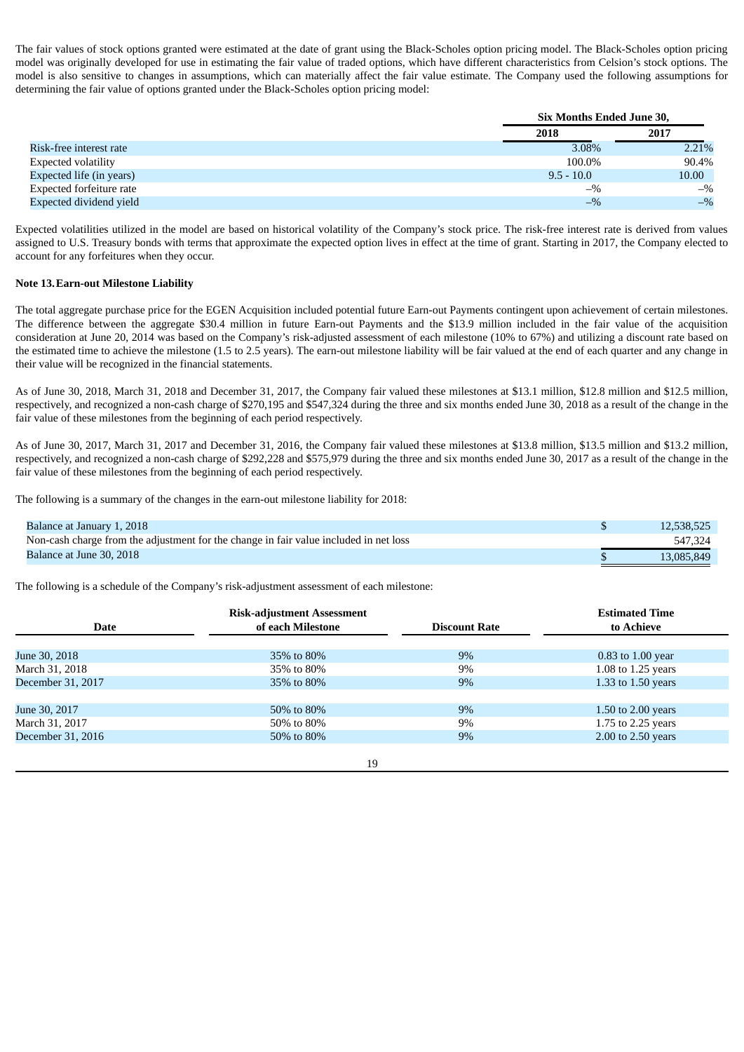The fair values of stock options granted were estimated at the date of grant using the Black-Scholes option pricing model. The Black-Scholes option pricing model was originally developed for use in estimating the fair value of traded options, which have different characteristics from Celsion's stock options. The model is also sensitive to changes in assumptions, which can materially affect the fair value estimate. The Company used the following assumptions for determining the fair value of options granted under the Black-Scholes option pricing model:

|                                | Six Months Ended June 30, |       |
|--------------------------------|---------------------------|-------|
|                                | 2018                      | 2017  |
| Risk-free interest rate        | 3.08%                     | 2.21% |
| Expected volatility            | 100.0%                    | 90.4% |
| Expected life (in years)       | $9.5 - 10.0$              | 10.00 |
| Expected forfeiture rate       | $-$ %                     | $-$ % |
| <b>Expected dividend yield</b> | $-$ %                     | $-$ % |

Expected volatilities utilized in the model are based on historical volatility of the Company's stock price. The risk-free interest rate is derived from values assigned to U.S. Treasury bonds with terms that approximate the expected option lives in effect at the time of grant. Starting in 2017, the Company elected to account for any forfeitures when they occur.

## **Note 13.Earn-out Milestone Liability**

The total aggregate purchase price for the EGEN Acquisition included potential future Earn-out Payments contingent upon achievement of certain milestones. The difference between the aggregate \$30.4 million in future Earn-out Payments and the \$13.9 million included in the fair value of the acquisition consideration at June 20, 2014 was based on the Company's risk-adjusted assessment of each milestone (10% to 67%) and utilizing a discount rate based on the estimated time to achieve the milestone (1.5 to 2.5 years). The earn-out milestone liability will be fair valued at the end of each quarter and any change in their value will be recognized in the financial statements.

As of June 30, 2018, March 31, 2018 and December 31, 2017, the Company fair valued these milestones at \$13.1 million, \$12.8 million and \$12.5 million, respectively, and recognized a non-cash charge of \$270,195 and \$547,324 during the three and six months ended June 30, 2018 as a result of the change in the fair value of these milestones from the beginning of each period respectively.

As of June 30, 2017, March 31, 2017 and December 31, 2016, the Company fair valued these milestones at \$13.8 million, \$13.5 million and \$13.2 million, respectively, and recognized a non-cash charge of \$292,228 and \$575,979 during the three and six months ended June 30, 2017 as a result of the change in the fair value of these milestones from the beginning of each period respectively.

The following is a summary of the changes in the earn-out milestone liability for 2018:

| Balance at January 1, 2018                                                            | 12,538,525 |
|---------------------------------------------------------------------------------------|------------|
| Non-cash charge from the adjustment for the change in fair value included in net loss | 547,324    |
| Balance at June 30, 2018                                                              | 13,085,849 |

The following is a schedule of the Company's risk-adjustment assessment of each milestone:

|                   | <b>Risk-adjustment Assessment</b> |                      | <b>Estimated Time</b> |
|-------------------|-----------------------------------|----------------------|-----------------------|
| Date              | of each Milestone                 | <b>Discount Rate</b> | to Achieve            |
|                   |                                   |                      |                       |
| June 30, 2018     | 35% to 80%                        | $9\%$                | 0.83 to 1.00 year     |
| March 31, 2018    | 35% to 80%                        | $9\%$                | 1.08 to 1.25 years    |
| December 31, 2017 | 35% to 80%                        | 9%                   | 1.33 to 1.50 years    |
|                   |                                   |                      |                       |
| June 30, 2017     | 50% to 80%                        | 9%                   | 1.50 to $2.00$ years  |
| March 31, 2017    | 50% to 80%                        | 9%                   | 1.75 to 2.25 years    |
| December 31, 2016 | 50% to 80%                        | 9%                   | 2.00 to 2.50 years    |
|                   |                                   |                      |                       |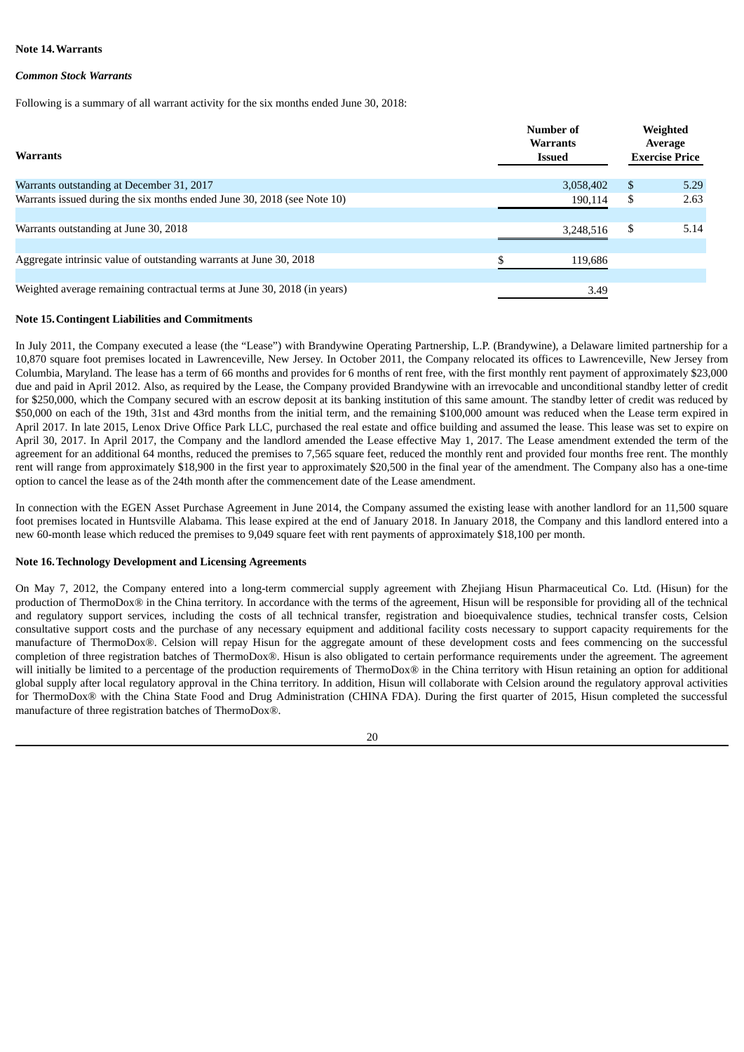#### **Note 14.Warrants**

#### *Common Stock Warrants*

Following is a summary of all warrant activity for the six months ended June 30, 2018:

| <b>Warrants</b>                                                          |   | Number of<br><b>Warrants</b><br><b>Issued</b> | Weighted<br>Average<br><b>Exercise Price</b> |
|--------------------------------------------------------------------------|---|-----------------------------------------------|----------------------------------------------|
| Warrants outstanding at December 31, 2017                                |   | 3,058,402                                     | \$<br>5.29                                   |
| Warrants issued during the six months ended June 30, 2018 (see Note 10)  |   | 190,114                                       | \$<br>2.63                                   |
|                                                                          |   |                                               |                                              |
| Warrants outstanding at June 30, 2018                                    |   | 3,248,516                                     | \$<br>5.14                                   |
|                                                                          |   |                                               |                                              |
| Aggregate intrinsic value of outstanding warrants at June 30, 2018       | ¢ | 119,686                                       |                                              |
|                                                                          |   |                                               |                                              |
| Weighted average remaining contractual terms at June 30, 2018 (in years) |   | 3.49                                          |                                              |
|                                                                          |   |                                               |                                              |

#### **Note 15.Contingent Liabilities and Commitments**

In July 2011, the Company executed a lease (the "Lease") with Brandywine Operating Partnership, L.P. (Brandywine), a Delaware limited partnership for a 10,870 square foot premises located in Lawrenceville, New Jersey. In October 2011, the Company relocated its offices to Lawrenceville, New Jersey from Columbia, Maryland. The lease has a term of 66 months and provides for 6 months of rent free, with the first monthly rent payment of approximately \$23,000 due and paid in April 2012. Also, as required by the Lease, the Company provided Brandywine with an irrevocable and unconditional standby letter of credit for \$250,000, which the Company secured with an escrow deposit at its banking institution of this same amount. The standby letter of credit was reduced by \$50,000 on each of the 19th, 31st and 43rd months from the initial term, and the remaining \$100,000 amount was reduced when the Lease term expired in April 2017. In late 2015, Lenox Drive Office Park LLC, purchased the real estate and office building and assumed the lease. This lease was set to expire on April 30, 2017. In April 2017, the Company and the landlord amended the Lease effective May 1, 2017. The Lease amendment extended the term of the agreement for an additional 64 months, reduced the premises to 7,565 square feet, reduced the monthly rent and provided four months free rent. The monthly rent will range from approximately \$18,900 in the first year to approximately \$20,500 in the final year of the amendment. The Company also has a one-time option to cancel the lease as of the 24th month after the commencement date of the Lease amendment.

In connection with the EGEN Asset Purchase Agreement in June 2014, the Company assumed the existing lease with another landlord for an 11,500 square foot premises located in Huntsville Alabama. This lease expired at the end of January 2018. In January 2018, the Company and this landlord entered into a new 60-month lease which reduced the premises to 9,049 square feet with rent payments of approximately \$18,100 per month.

#### **Note 16.Technology Development and Licensing Agreements**

On May 7, 2012, the Company entered into a long-term commercial supply agreement with Zhejiang Hisun Pharmaceutical Co. Ltd. (Hisun) for the production of ThermoDox® in the China territory. In accordance with the terms of the agreement, Hisun will be responsible for providing all of the technical and regulatory support services, including the costs of all technical transfer, registration and bioequivalence studies, technical transfer costs, Celsion consultative support costs and the purchase of any necessary equipment and additional facility costs necessary to support capacity requirements for the manufacture of ThermoDox®. Celsion will repay Hisun for the aggregate amount of these development costs and fees commencing on the successful completion of three registration batches of ThermoDox®. Hisun is also obligated to certain performance requirements under the agreement. The agreement will initially be limited to a percentage of the production requirements of ThermoDox® in the China territory with Hisun retaining an option for additional global supply after local regulatory approval in the China territory. In addition, Hisun will collaborate with Celsion around the regulatory approval activities for ThermoDox® with the China State Food and Drug Administration (CHINA FDA). During the first quarter of 2015, Hisun completed the successful manufacture of three registration batches of ThermoDox®.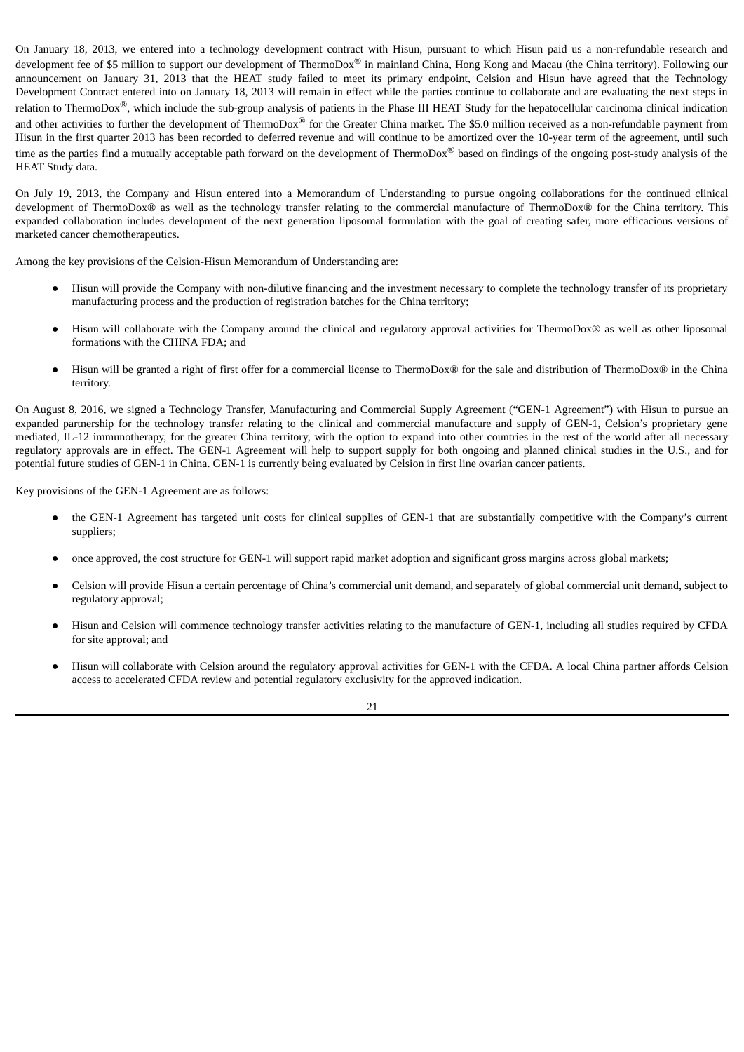On January 18, 2013, we entered into a technology development contract with Hisun, pursuant to which Hisun paid us a non-refundable research and development fee of \$5 million to support our development of ThermoDox<sup>®</sup> in mainland China, Hong Kong and Macau (the China territory). Following our announcement on January 31, 2013 that the HEAT study failed to meet its primary endpoint, Celsion and Hisun have agreed that the Technology Development Contract entered into on January 18, 2013 will remain in effect while the parties continue to collaborate and are evaluating the next steps in relation to ThermoDox<sup>®</sup>, which include the sub-group analysis of patients in the Phase III HEAT Study for the hepatocellular carcinoma clinical indication and other activities to further the development of ThermoDox<sup>®</sup> for the Greater China market. The \$5.0 million received as a non-refundable payment from Hisun in the first quarter 2013 has been recorded to deferred revenue and will continue to be amortized over the 10-year term of the agreement, until such time as the parties find a mutually acceptable path forward on the development of ThermoDox<sup>®</sup> based on findings of the ongoing post-study analysis of the HEAT Study data.

On July 19, 2013, the Company and Hisun entered into a Memorandum of Understanding to pursue ongoing collaborations for the continued clinical development of ThermoDox® as well as the technology transfer relating to the commercial manufacture of ThermoDox® for the China territory. This expanded collaboration includes development of the next generation liposomal formulation with the goal of creating safer, more efficacious versions of marketed cancer chemotherapeutics.

Among the key provisions of the Celsion-Hisun Memorandum of Understanding are:

- **●** Hisun will provide the Company with non-dilutive financing and the investment necessary to complete the technology transfer of its proprietary manufacturing process and the production of registration batches for the China territory;
- **●** Hisun will collaborate with the Company around the clinical and regulatory approval activities for ThermoDox® as well as other liposomal formations with the CHINA FDA; and
- **●** Hisun will be granted a right of first offer for a commercial license to ThermoDox® for the sale and distribution of ThermoDox® in the China territory.

On August 8, 2016, we signed a Technology Transfer, Manufacturing and Commercial Supply Agreement ("GEN-1 Agreement") with Hisun to pursue an expanded partnership for the technology transfer relating to the clinical and commercial manufacture and supply of GEN-1, Celsion's proprietary gene mediated, IL-12 immunotherapy, for the greater China territory, with the option to expand into other countries in the rest of the world after all necessary regulatory approvals are in effect. The GEN-1 Agreement will help to support supply for both ongoing and planned clinical studies in the U.S., and for potential future studies of GEN-1 in China. GEN-1 is currently being evaluated by Celsion in first line ovarian cancer patients.

Key provisions of the GEN-1 Agreement are as follows:

- **●** the GEN-1 Agreement has targeted unit costs for clinical supplies of GEN-1 that are substantially competitive with the Company's current suppliers;
- **●** once approved, the cost structure for GEN-1 will support rapid market adoption and significant gross margins across global markets;
- **●** Celsion will provide Hisun a certain percentage of China's commercial unit demand, and separately of global commercial unit demand, subject to regulatory approval;
- **●** Hisun and Celsion will commence technology transfer activities relating to the manufacture of GEN-1, including all studies required by CFDA for site approval; and
- **●** Hisun will collaborate with Celsion around the regulatory approval activities for GEN-1 with the CFDA. A local China partner affords Celsion access to accelerated CFDA review and potential regulatory exclusivity for the approved indication.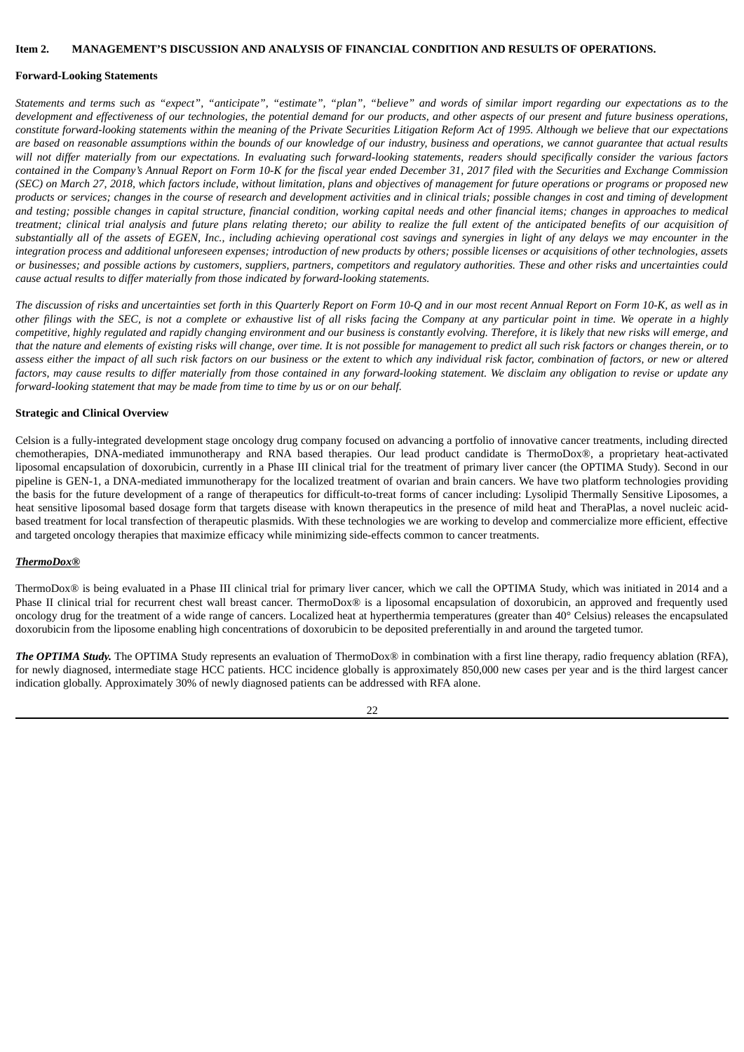#### <span id="page-24-0"></span>**Item 2. MANAGEMENT'S DISCUSSION AND ANALYSIS OF FINANCIAL CONDITION AND RESULTS OF OPERATIONS.**

#### **Forward-Looking Statements**

Statements and terms such as "expect", "anticipate", "estimate", "plan", "believe" and words of similar import regarding our expectations as to the development and effectiveness of our technologies, the potential demand for our products, and other aspects of our present and future business operations, constitute forward-looking statements within the meaning of the Private Securities Litigation Reform Act of 1995. Although we believe that our expectations are based on reasonable assumptions within the bounds of our knowledge of our industry, business and operations, we cannot guarantee that actual results will not differ materially from our expectations. In evaluating such forward-looking statements, readers should specifically consider the various factors contained in the Company's Annual Report on Form 10-K for the fiscal year ended December 31, 2017 filed with the Securities and Exchange Commission (SEC) on March 27, 2018, which factors include, without limitation, plans and objectives of management for future operations or programs or proposed new products or services; changes in the course of research and development activities and in clinical trials; possible changes in cost and timing of development and testing; possible changes in capital structure, financial condition, working capital needs and other financial items; changes in approaches to medical treatment; clinical trial analysis and future plans relating thereto; our ability to realize the full extent of the anticipated benefits of our acquisition of substantially all of the assets of EGEN, Inc., including achieving operational cost savings and synergies in light of any delays we may encounter in the integration process and additional unforeseen expenses; introduction of new products by others; possible licenses or acquisitions of other technologies, assets or businesses; and possible actions by customers, suppliers, partners, competitors and regulatory authorities. These and other risks and uncertainties could *cause actual results to differ materially from those indicated by forward-looking statements.*

The discussion of risks and uncertainties set forth in this Quarterly Report on Form 10-Q and in our most recent Annual Report on Form 10-K, as well as in other filings with the SEC, is not a complete or exhaustive list of all risks facing the Company at any particular point in time. We operate in a highly competitive, highly regulated and rapidly changing environment and our business is constantly evolving. Therefore, it is likely that new risks will emerge, and that the nature and elements of existing risks will change, over time. It is not possible for management to predict all such risk factors or changes therein, or to assess either the impact of all such risk factors on our business or the extent to which any individual risk factor, combination of factors, or new or altered factors, may cause results to differ materially from those contained in any forward-looking statement. We disclaim any obligation to revise or update any *forward-looking statement that may be made from time to time by us or on our behalf.*

#### **Strategic and Clinical Overview**

Celsion is a fully-integrated development stage oncology drug company focused on advancing a portfolio of innovative cancer treatments, including directed chemotherapies, DNA-mediated immunotherapy and RNA based therapies. Our lead product candidate is ThermoDox®, a proprietary heat-activated liposomal encapsulation of doxorubicin, currently in a Phase III clinical trial for the treatment of primary liver cancer (the OPTIMA Study). Second in our pipeline is GEN-1, a DNA-mediated immunotherapy for the localized treatment of ovarian and brain cancers. We have two platform technologies providing the basis for the future development of a range of therapeutics for difficult-to-treat forms of cancer including: Lysolipid Thermally Sensitive Liposomes, a heat sensitive liposomal based dosage form that targets disease with known therapeutics in the presence of mild heat and TheraPlas, a novel nucleic acidbased treatment for local transfection of therapeutic plasmids. With these technologies we are working to develop and commercialize more efficient, effective and targeted oncology therapies that maximize efficacy while minimizing side-effects common to cancer treatments.

#### *ThermoDox®*

ThermoDox® is being evaluated in a Phase III clinical trial for primary liver cancer, which we call the OPTIMA Study, which was initiated in 2014 and a Phase II clinical trial for recurrent chest wall breast cancer. ThermoDox® is a liposomal encapsulation of doxorubicin, an approved and frequently used oncology drug for the treatment of a wide range of cancers. Localized heat at hyperthermia temperatures (greater than 40° Celsius) releases the encapsulated doxorubicin from the liposome enabling high concentrations of doxorubicin to be deposited preferentially in and around the targeted tumor.

*The OPTIMA Study.* The OPTIMA Study represents an evaluation of ThermoDox® in combination with a first line therapy, radio frequency ablation (RFA), for newly diagnosed, intermediate stage HCC patients. HCC incidence globally is approximately 850,000 new cases per year and is the third largest cancer indication globally. Approximately 30% of newly diagnosed patients can be addressed with RFA alone.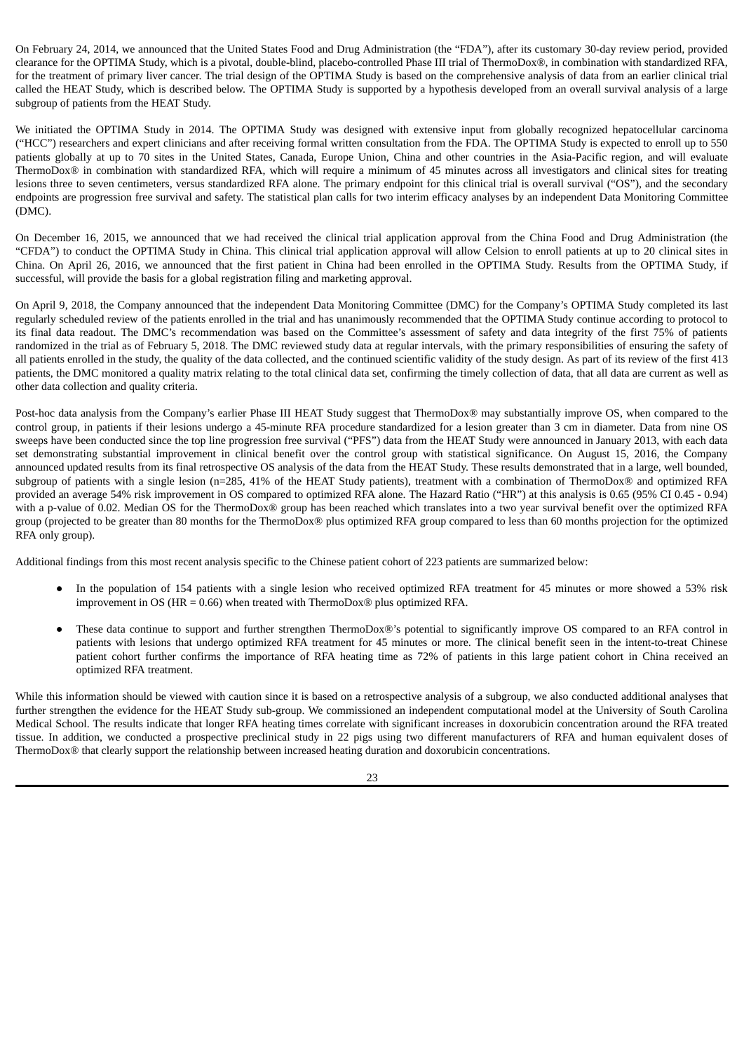On February 24, 2014, we announced that the United States Food and Drug Administration (the "FDA"), after its customary 30-day review period, provided clearance for the OPTIMA Study, which is a pivotal, double-blind, placebo-controlled Phase III trial of ThermoDox®, in combination with standardized RFA, for the treatment of primary liver cancer. The trial design of the OPTIMA Study is based on the comprehensive analysis of data from an earlier clinical trial called the HEAT Study, which is described below. The OPTIMA Study is supported by a hypothesis developed from an overall survival analysis of a large subgroup of patients from the HEAT Study.

We initiated the OPTIMA Study in 2014. The OPTIMA Study was designed with extensive input from globally recognized hepatocellular carcinoma ("HCC") researchers and expert clinicians and after receiving formal written consultation from the FDA. The OPTIMA Study is expected to enroll up to 550 patients globally at up to 70 sites in the United States, Canada, Europe Union, China and other countries in the Asia-Pacific region, and will evaluate ThermoDox® in combination with standardized RFA, which will require a minimum of 45 minutes across all investigators and clinical sites for treating lesions three to seven centimeters, versus standardized RFA alone. The primary endpoint for this clinical trial is overall survival ("OS"), and the secondary endpoints are progression free survival and safety. The statistical plan calls for two interim efficacy analyses by an independent Data Monitoring Committee (DMC).

On December 16, 2015, we announced that we had received the clinical trial application approval from the China Food and Drug Administration (the "CFDA") to conduct the OPTIMA Study in China. This clinical trial application approval will allow Celsion to enroll patients at up to 20 clinical sites in China. On April 26, 2016, we announced that the first patient in China had been enrolled in the OPTIMA Study. Results from the OPTIMA Study, if successful, will provide the basis for a global registration filing and marketing approval.

On April 9, 2018, the Company announced that the independent Data Monitoring Committee (DMC) for the Company's OPTIMA Study completed its last regularly scheduled review of the patients enrolled in the trial and has unanimously recommended that the OPTIMA Study continue according to protocol to its final data readout. The DMC's recommendation was based on the Committee's assessment of safety and data integrity of the first 75% of patients randomized in the trial as of February 5, 2018. The DMC reviewed study data at regular intervals, with the primary responsibilities of ensuring the safety of all patients enrolled in the study, the quality of the data collected, and the continued scientific validity of the study design. As part of its review of the first 413 patients, the DMC monitored a quality matrix relating to the total clinical data set, confirming the timely collection of data, that all data are current as well as other data collection and quality criteria.

Post-hoc data analysis from the Company's earlier Phase III HEAT Study suggest that ThermoDox® may substantially improve OS, when compared to the control group, in patients if their lesions undergo a 45-minute RFA procedure standardized for a lesion greater than 3 cm in diameter. Data from nine OS sweeps have been conducted since the top line progression free survival ("PFS") data from the HEAT Study were announced in January 2013, with each data set demonstrating substantial improvement in clinical benefit over the control group with statistical significance. On August 15, 2016, the Company announced updated results from its final retrospective OS analysis of the data from the HEAT Study. These results demonstrated that in a large, well bounded, subgroup of patients with a single lesion (n=285, 41% of the HEAT Study patients), treatment with a combination of ThermoDox® and optimized RFA provided an average 54% risk improvement in OS compared to optimized RFA alone. The Hazard Ratio ("HR") at this analysis is 0.65 (95% CI 0.45 - 0.94) with a p-value of 0.02. Median OS for the ThermoDox® group has been reached which translates into a two year survival benefit over the optimized RFA group (projected to be greater than 80 months for the ThermoDox® plus optimized RFA group compared to less than 60 months projection for the optimized RFA only group).

Additional findings from this most recent analysis specific to the Chinese patient cohort of 223 patients are summarized below:

- In the population of 154 patients with a single lesion who received optimized RFA treatment for 45 minutes or more showed a 53% risk improvement in OS (HR = 0.66) when treated with ThermoDox® plus optimized RFA.
- These data continue to support and further strengthen ThermoDox®'s potential to significantly improve OS compared to an RFA control in patients with lesions that undergo optimized RFA treatment for 45 minutes or more. The clinical benefit seen in the intent-to-treat Chinese patient cohort further confirms the importance of RFA heating time as 72% of patients in this large patient cohort in China received an optimized RFA treatment.

While this information should be viewed with caution since it is based on a retrospective analysis of a subgroup, we also conducted additional analyses that further strengthen the evidence for the HEAT Study sub-group. We commissioned an independent computational model at the University of South Carolina Medical School. The results indicate that longer RFA heating times correlate with significant increases in doxorubicin concentration around the RFA treated tissue. In addition, we conducted a prospective preclinical study in 22 pigs using two different manufacturers of RFA and human equivalent doses of ThermoDox® that clearly support the relationship between increased heating duration and doxorubicin concentrations.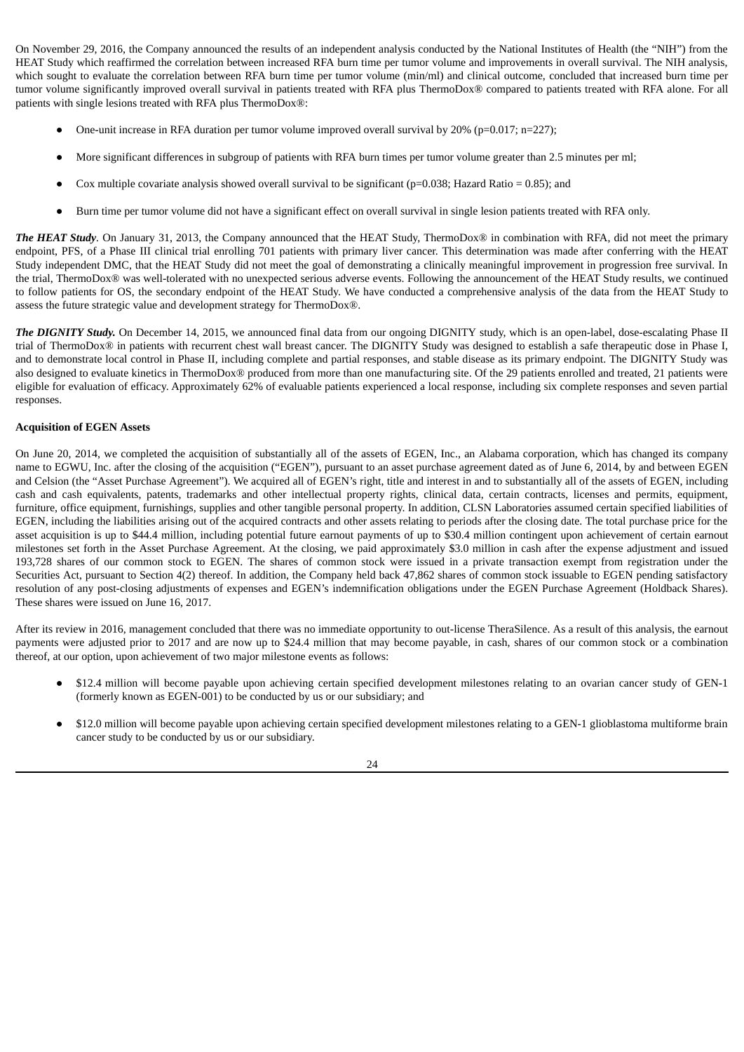On November 29, 2016, the Company announced the results of an independent analysis conducted by the National Institutes of Health (the "NIH") from the HEAT Study which reaffirmed the correlation between increased RFA burn time per tumor volume and improvements in overall survival. The NIH analysis, which sought to evaluate the correlation between RFA burn time per tumor volume (min/ml) and clinical outcome, concluded that increased burn time per tumor volume significantly improved overall survival in patients treated with RFA plus ThermoDox® compared to patients treated with RFA alone. For all patients with single lesions treated with RFA plus ThermoDox®:

- One-unit increase in RFA duration per tumor volume improved overall survival by 20% (p=0.017; n=227);
- More significant differences in subgroup of patients with RFA burn times per tumor volume greater than 2.5 minutes per ml;
- Cox multiple covariate analysis showed overall survival to be significant ( $p=0.038$ ; Hazard Ratio = 0.85); and
- Burn time per tumor volume did not have a significant effect on overall survival in single lesion patients treated with RFA only.

*The HEAT Study.* On January 31, 2013, the Company announced that the HEAT Study, ThermoDox® in combination with RFA, did not meet the primary endpoint, PFS, of a Phase III clinical trial enrolling 701 patients with primary liver cancer. This determination was made after conferring with the HEAT Study independent DMC, that the HEAT Study did not meet the goal of demonstrating a clinically meaningful improvement in progression free survival. In the trial, ThermoDox® was well-tolerated with no unexpected serious adverse events. Following the announcement of the HEAT Study results, we continued to follow patients for OS, the secondary endpoint of the HEAT Study. We have conducted a comprehensive analysis of the data from the HEAT Study to assess the future strategic value and development strategy for ThermoDox®.

*The DIGNITY Study.* On December 14, 2015, we announced final data from our ongoing DIGNITY study, which is an open-label, dose-escalating Phase II trial of ThermoDox® in patients with recurrent chest wall breast cancer. The DIGNITY Study was designed to establish a safe therapeutic dose in Phase I, and to demonstrate local control in Phase II, including complete and partial responses, and stable disease as its primary endpoint. The DIGNITY Study was also designed to evaluate kinetics in ThermoDox® produced from more than one manufacturing site. Of the 29 patients enrolled and treated, 21 patients were eligible for evaluation of efficacy. Approximately 62% of evaluable patients experienced a local response, including six complete responses and seven partial responses.

## **Acquisition of EGEN Assets**

On June 20, 2014, we completed the acquisition of substantially all of the assets of EGEN, Inc., an Alabama corporation, which has changed its company name to EGWU, Inc. after the closing of the acquisition ("EGEN"), pursuant to an asset purchase agreement dated as of June 6, 2014, by and between EGEN and Celsion (the "Asset Purchase Agreement"). We acquired all of EGEN's right, title and interest in and to substantially all of the assets of EGEN, including cash and cash equivalents, patents, trademarks and other intellectual property rights, clinical data, certain contracts, licenses and permits, equipment, furniture, office equipment, furnishings, supplies and other tangible personal property. In addition, CLSN Laboratories assumed certain specified liabilities of EGEN, including the liabilities arising out of the acquired contracts and other assets relating to periods after the closing date. The total purchase price for the asset acquisition is up to \$44.4 million, including potential future earnout payments of up to \$30.4 million contingent upon achievement of certain earnout milestones set forth in the Asset Purchase Agreement. At the closing, we paid approximately \$3.0 million in cash after the expense adjustment and issued 193,728 shares of our common stock to EGEN. The shares of common stock were issued in a private transaction exempt from registration under the Securities Act, pursuant to Section 4(2) thereof. In addition, the Company held back 47,862 shares of common stock issuable to EGEN pending satisfactory resolution of any post-closing adjustments of expenses and EGEN's indemnification obligations under the EGEN Purchase Agreement (Holdback Shares). These shares were issued on June 16, 2017.

After its review in 2016, management concluded that there was no immediate opportunity to out-license TheraSilence. As a result of this analysis, the earnout payments were adjusted prior to 2017 and are now up to \$24.4 million that may become payable, in cash, shares of our common stock or a combination thereof, at our option, upon achievement of two major milestone events as follows:

- \$12.4 million will become payable upon achieving certain specified development milestones relating to an ovarian cancer study of GEN-1 (formerly known as EGEN-001) to be conducted by us or our subsidiary; and
- \$12.0 million will become payable upon achieving certain specified development milestones relating to a GEN-1 glioblastoma multiforme brain cancer study to be conducted by us or our subsidiary.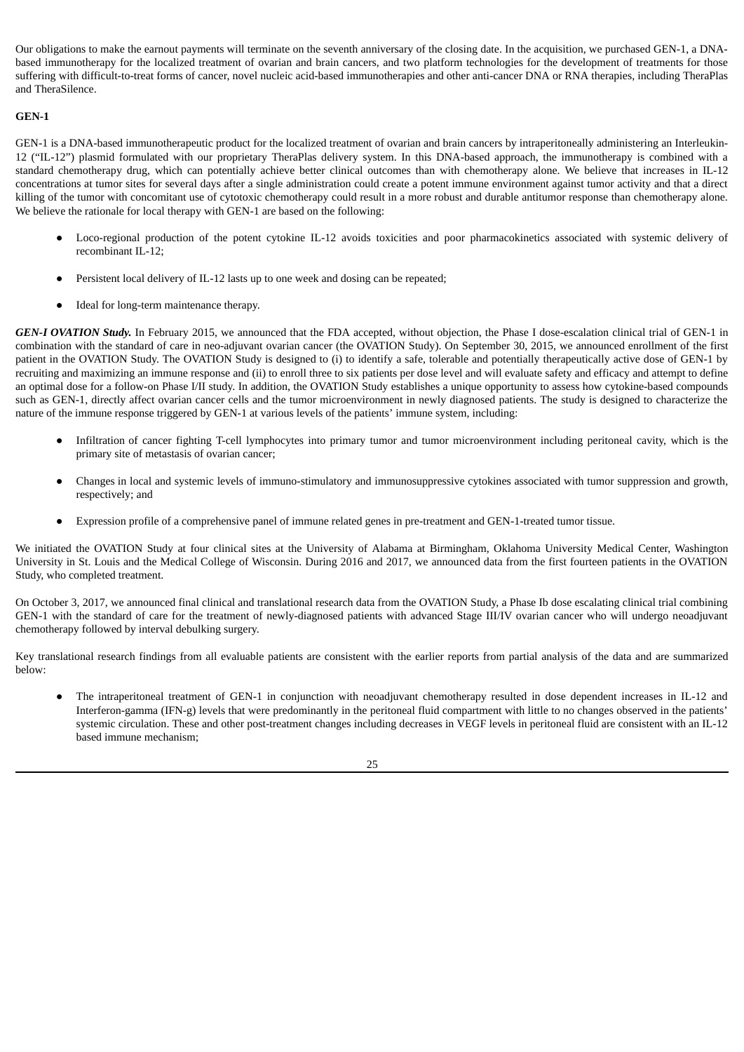Our obligations to make the earnout payments will terminate on the seventh anniversary of the closing date. In the acquisition, we purchased GEN-1, a DNAbased immunotherapy for the localized treatment of ovarian and brain cancers, and two platform technologies for the development of treatments for those suffering with difficult-to-treat forms of cancer, novel nucleic acid-based immunotherapies and other anti-cancer DNA or RNA therapies, including TheraPlas and TheraSilence.

## **GEN-1**

GEN-1 is a DNA-based immunotherapeutic product for the localized treatment of ovarian and brain cancers by intraperitoneally administering an Interleukin-12 ("IL-12") plasmid formulated with our proprietary TheraPlas delivery system. In this DNA-based approach, the immunotherapy is combined with a standard chemotherapy drug, which can potentially achieve better clinical outcomes than with chemotherapy alone. We believe that increases in IL-12 concentrations at tumor sites for several days after a single administration could create a potent immune environment against tumor activity and that a direct killing of the tumor with concomitant use of cytotoxic chemotherapy could result in a more robust and durable antitumor response than chemotherapy alone. We believe the rationale for local therapy with GEN-1 are based on the following:

- Loco-regional production of the potent cytokine IL-12 avoids toxicities and poor pharmacokinetics associated with systemic delivery of recombinant IL-12;
- Persistent local delivery of IL-12 lasts up to one week and dosing can be repeated;
- Ideal for long-term maintenance therapy.

*GEN-I OVATION Study.* In February 2015, we announced that the FDA accepted, without objection, the Phase I dose-escalation clinical trial of GEN-1 in combination with the standard of care in neo-adjuvant ovarian cancer (the OVATION Study). On September 30, 2015, we announced enrollment of the first patient in the OVATION Study. The OVATION Study is designed to (i) to identify a safe, tolerable and potentially therapeutically active dose of GEN-1 by recruiting and maximizing an immune response and (ii) to enroll three to six patients per dose level and will evaluate safety and efficacy and attempt to define an optimal dose for a follow-on Phase I/II study. In addition, the OVATION Study establishes a unique opportunity to assess how cytokine-based compounds such as GEN-1, directly affect ovarian cancer cells and the tumor microenvironment in newly diagnosed patients. The study is designed to characterize the nature of the immune response triggered by GEN-1 at various levels of the patients' immune system, including:

- Infiltration of cancer fighting T-cell lymphocytes into primary tumor and tumor microenvironment including peritoneal cavity, which is the primary site of metastasis of ovarian cancer;
- Changes in local and systemic levels of immuno-stimulatory and immunosuppressive cytokines associated with tumor suppression and growth, respectively; and
- Expression profile of a comprehensive panel of immune related genes in pre-treatment and GEN-1-treated tumor tissue.

We initiated the OVATION Study at four clinical sites at the University of Alabama at Birmingham, Oklahoma University Medical Center, Washington University in St. Louis and the Medical College of Wisconsin. During 2016 and 2017, we announced data from the first fourteen patients in the OVATION Study, who completed treatment.

On October 3, 2017, we announced final clinical and translational research data from the OVATION Study, a Phase Ib dose escalating clinical trial combining GEN-1 with the standard of care for the treatment of newly-diagnosed patients with advanced Stage III/IV ovarian cancer who will undergo neoadjuvant chemotherapy followed by interval debulking surgery.

Key translational research findings from all evaluable patients are consistent with the earlier reports from partial analysis of the data and are summarized below:

The intraperitoneal treatment of GEN-1 in conjunction with neoadjuvant chemotherapy resulted in dose dependent increases in IL-12 and Interferon-gamma (IFN-g) levels that were predominantly in the peritoneal fluid compartment with little to no changes observed in the patients' systemic circulation. These and other post-treatment changes including decreases in VEGF levels in peritoneal fluid are consistent with an IL-12 based immune mechanism;

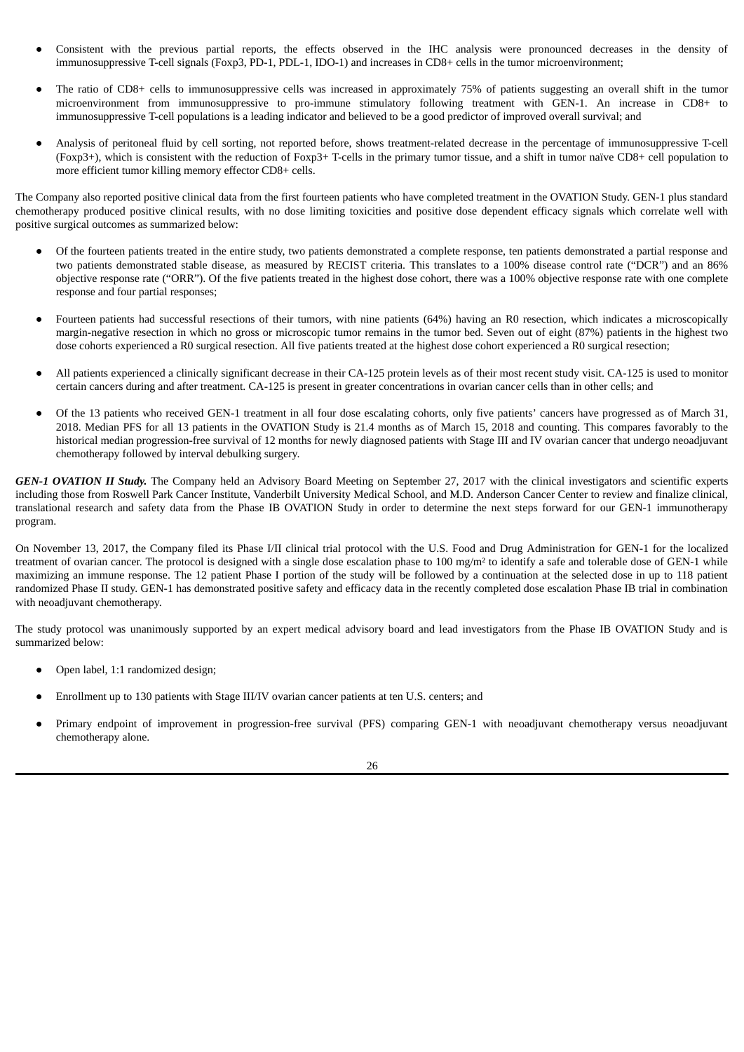- Consistent with the previous partial reports, the effects observed in the IHC analysis were pronounced decreases in the density of immunosuppressive T-cell signals (Foxp3, PD-1, PDL-1, IDO-1) and increases in CD8+ cells in the tumor microenvironment;
- The ratio of CD8+ cells to immunosuppressive cells was increased in approximately 75% of patients suggesting an overall shift in the tumor microenvironment from immunosuppressive to pro-immune stimulatory following treatment with GEN-1. An increase in CD8+ to immunosuppressive T-cell populations is a leading indicator and believed to be a good predictor of improved overall survival; and
- Analysis of peritoneal fluid by cell sorting, not reported before, shows treatment-related decrease in the percentage of immunosuppressive T-cell (Foxp3+), which is consistent with the reduction of Foxp3+ T-cells in the primary tumor tissue, and a shift in tumor naïve CD8+ cell population to more efficient tumor killing memory effector CD8+ cells.

The Company also reported positive clinical data from the first fourteen patients who have completed treatment in the OVATION Study. GEN-1 plus standard chemotherapy produced positive clinical results, with no dose limiting toxicities and positive dose dependent efficacy signals which correlate well with positive surgical outcomes as summarized below:

- Of the fourteen patients treated in the entire study, two patients demonstrated a complete response, ten patients demonstrated a partial response and two patients demonstrated stable disease, as measured by RECIST criteria. This translates to a 100% disease control rate ("DCR") and an 86% objective response rate ("ORR"). Of the five patients treated in the highest dose cohort, there was a 100% objective response rate with one complete response and four partial responses;
- Fourteen patients had successful resections of their tumors, with nine patients (64%) having an R0 resection, which indicates a microscopically margin-negative resection in which no gross or microscopic tumor remains in the tumor bed. Seven out of eight (87%) patients in the highest two dose cohorts experienced a R0 surgical resection. All five patients treated at the highest dose cohort experienced a R0 surgical resection;
- All patients experienced a clinically significant decrease in their CA-125 protein levels as of their most recent study visit. CA-125 is used to monitor certain cancers during and after treatment. CA-125 is present in greater concentrations in ovarian cancer cells than in other cells; and
- Of the 13 patients who received GEN-1 treatment in all four dose escalating cohorts, only five patients' cancers have progressed as of March 31, 2018. Median PFS for all 13 patients in the OVATION Study is 21.4 months as of March 15, 2018 and counting. This compares favorably to the historical median progression-free survival of 12 months for newly diagnosed patients with Stage III and IV ovarian cancer that undergo neoadjuvant chemotherapy followed by interval debulking surgery.

*GEN-1 OVATION II Study.* The Company held an Advisory Board Meeting on September 27, 2017 with the clinical investigators and scientific experts including those from Roswell Park Cancer Institute, Vanderbilt University Medical School, and M.D. Anderson Cancer Center to review and finalize clinical, translational research and safety data from the Phase IB OVATION Study in order to determine the next steps forward for our GEN-1 immunotherapy program.

On November 13, 2017, the Company filed its Phase I/II clinical trial protocol with the U.S. Food and Drug Administration for GEN-1 for the localized treatment of ovarian cancer. The protocol is designed with a single dose escalation phase to 100 mg/m<sup>2</sup> to identify a safe and tolerable dose of GEN-1 while maximizing an immune response. The 12 patient Phase I portion of the study will be followed by a continuation at the selected dose in up to 118 patient randomized Phase II study. GEN-1 has demonstrated positive safety and efficacy data in the recently completed dose escalation Phase IB trial in combination with neoadjuvant chemotherapy.

The study protocol was unanimously supported by an expert medical advisory board and lead investigators from the Phase IB OVATION Study and is summarized below:

- Open label, 1:1 randomized design;
- Enrollment up to 130 patients with Stage III/IV ovarian cancer patients at ten U.S. centers; and
- Primary endpoint of improvement in progression-free survival (PFS) comparing GEN-1 with neoadjuvant chemotherapy versus neoadjuvant chemotherapy alone.

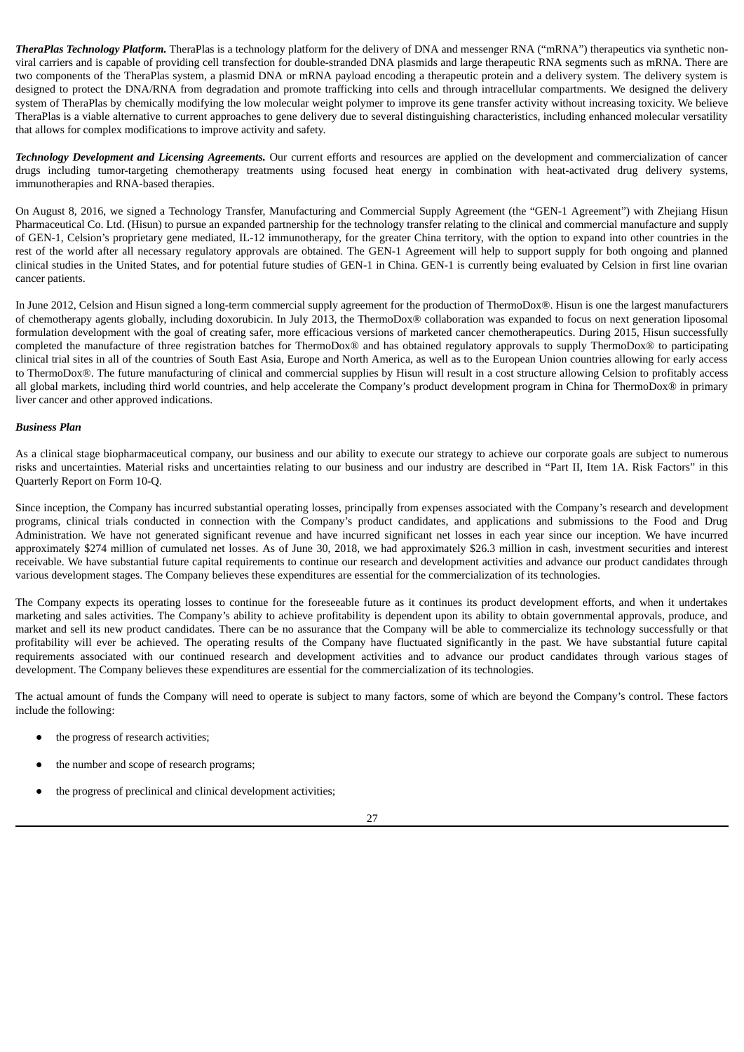*TheraPlas Technology Platform.* TheraPlas is a technology platform for the delivery of DNA and messenger RNA ("mRNA") therapeutics via synthetic nonviral carriers and is capable of providing cell transfection for double-stranded DNA plasmids and large therapeutic RNA segments such as mRNA. There are two components of the TheraPlas system, a plasmid DNA or mRNA payload encoding a therapeutic protein and a delivery system. The delivery system is designed to protect the DNA/RNA from degradation and promote trafficking into cells and through intracellular compartments. We designed the delivery system of TheraPlas by chemically modifying the low molecular weight polymer to improve its gene transfer activity without increasing toxicity. We believe TheraPlas is a viable alternative to current approaches to gene delivery due to several distinguishing characteristics, including enhanced molecular versatility that allows for complex modifications to improve activity and safety.

*Technology Development and Licensing Agreements.* Our current efforts and resources are applied on the development and commercialization of cancer drugs including tumor-targeting chemotherapy treatments using focused heat energy in combination with heat-activated drug delivery systems, immunotherapies and RNA-based therapies.

On August 8, 2016, we signed a Technology Transfer, Manufacturing and Commercial Supply Agreement (the "GEN-1 Agreement") with Zhejiang Hisun Pharmaceutical Co. Ltd. (Hisun) to pursue an expanded partnership for the technology transfer relating to the clinical and commercial manufacture and supply of GEN-1, Celsion's proprietary gene mediated, IL-12 immunotherapy, for the greater China territory, with the option to expand into other countries in the rest of the world after all necessary regulatory approvals are obtained. The GEN-1 Agreement will help to support supply for both ongoing and planned clinical studies in the United States, and for potential future studies of GEN-1 in China. GEN-1 is currently being evaluated by Celsion in first line ovarian cancer patients.

In June 2012, Celsion and Hisun signed a long-term commercial supply agreement for the production of ThermoDox®. Hisun is one the largest manufacturers of chemotherapy agents globally, including doxorubicin. In July 2013, the ThermoDox® collaboration was expanded to focus on next generation liposomal formulation development with the goal of creating safer, more efficacious versions of marketed cancer chemotherapeutics. During 2015, Hisun successfully completed the manufacture of three registration batches for ThermoDox® and has obtained regulatory approvals to supply ThermoDox® to participating clinical trial sites in all of the countries of South East Asia, Europe and North America, as well as to the European Union countries allowing for early access to ThermoDox®. The future manufacturing of clinical and commercial supplies by Hisun will result in a cost structure allowing Celsion to profitably access all global markets, including third world countries, and help accelerate the Company's product development program in China for ThermoDox® in primary liver cancer and other approved indications.

## *Business Plan*

As a clinical stage biopharmaceutical company, our business and our ability to execute our strategy to achieve our corporate goals are subject to numerous risks and uncertainties. Material risks and uncertainties relating to our business and our industry are described in "Part II, Item 1A. Risk Factors" in this Quarterly Report on Form 10-Q.

Since inception, the Company has incurred substantial operating losses, principally from expenses associated with the Company's research and development programs, clinical trials conducted in connection with the Company's product candidates, and applications and submissions to the Food and Drug Administration. We have not generated significant revenue and have incurred significant net losses in each year since our inception. We have incurred approximately \$274 million of cumulated net losses. As of June 30, 2018, we had approximately \$26.3 million in cash, investment securities and interest receivable. We have substantial future capital requirements to continue our research and development activities and advance our product candidates through various development stages. The Company believes these expenditures are essential for the commercialization of its technologies.

The Company expects its operating losses to continue for the foreseeable future as it continues its product development efforts, and when it undertakes marketing and sales activities. The Company's ability to achieve profitability is dependent upon its ability to obtain governmental approvals, produce, and market and sell its new product candidates. There can be no assurance that the Company will be able to commercialize its technology successfully or that profitability will ever be achieved. The operating results of the Company have fluctuated significantly in the past. We have substantial future capital requirements associated with our continued research and development activities and to advance our product candidates through various stages of development. The Company believes these expenditures are essential for the commercialization of its technologies.

The actual amount of funds the Company will need to operate is subject to many factors, some of which are beyond the Company's control. These factors include the following:

- the progress of research activities;
- the number and scope of research programs;
- the progress of preclinical and clinical development activities;

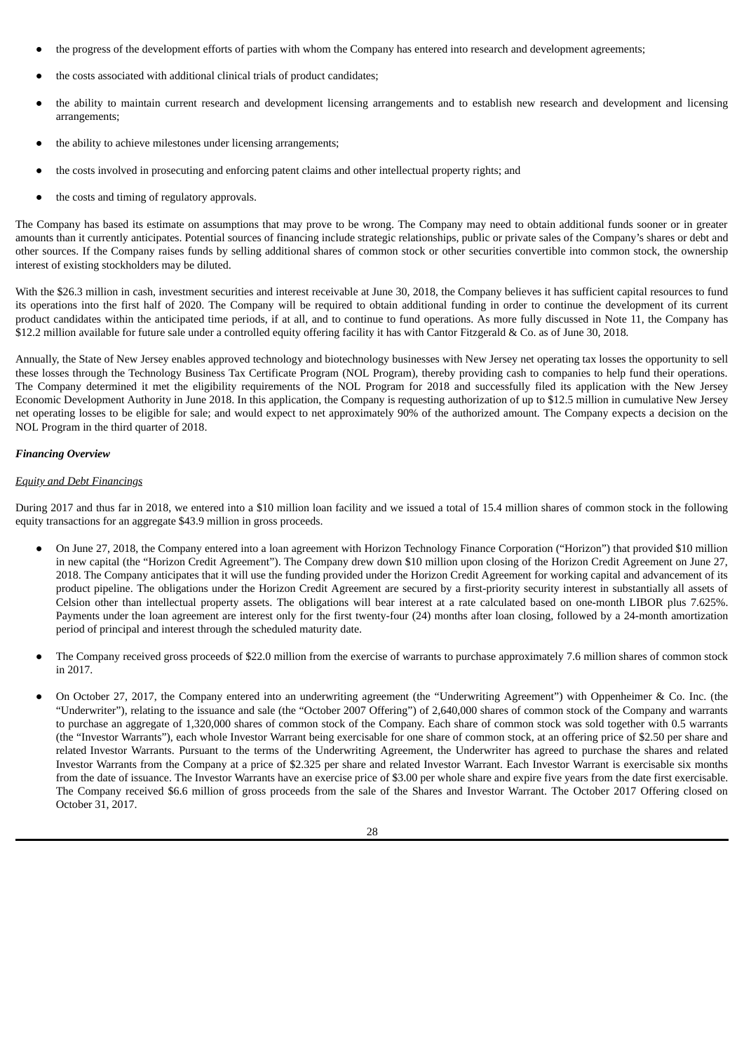- the progress of the development efforts of parties with whom the Company has entered into research and development agreements;
- the costs associated with additional clinical trials of product candidates;
- the ability to maintain current research and development licensing arrangements and to establish new research and development and licensing arrangements;
- the ability to achieve milestones under licensing arrangements;
- the costs involved in prosecuting and enforcing patent claims and other intellectual property rights; and
- the costs and timing of regulatory approvals.

The Company has based its estimate on assumptions that may prove to be wrong. The Company may need to obtain additional funds sooner or in greater amounts than it currently anticipates. Potential sources of financing include strategic relationships, public or private sales of the Company's shares or debt and other sources. If the Company raises funds by selling additional shares of common stock or other securities convertible into common stock, the ownership interest of existing stockholders may be diluted.

With the \$26.3 million in cash, investment securities and interest receivable at June 30, 2018, the Company believes it has sufficient capital resources to fund its operations into the first half of 2020. The Company will be required to obtain additional funding in order to continue the development of its current product candidates within the anticipated time periods, if at all, and to continue to fund operations. As more fully discussed in Note 11, the Company has \$12.2 million available for future sale under a controlled equity offering facility it has with Cantor Fitzgerald & Co. as of June 30, 2018*.*

Annually, the State of New Jersey enables approved technology and biotechnology businesses with New Jersey net operating tax losses the opportunity to sell these losses through the Technology Business Tax Certificate Program (NOL Program), thereby providing cash to companies to help fund their operations. The Company determined it met the eligibility requirements of the NOL Program for 2018 and successfully filed its application with the New Jersey Economic Development Authority in June 2018. In this application, the Company is requesting authorization of up to \$12.5 million in cumulative New Jersey net operating losses to be eligible for sale; and would expect to net approximately 90% of the authorized amount. The Company expects a decision on the NOL Program in the third quarter of 2018.

## *Financing Overview*

## *Equity and Debt Financings*

During 2017 and thus far in 2018, we entered into a \$10 million loan facility and we issued a total of 15.4 million shares of common stock in the following equity transactions for an aggregate \$43.9 million in gross proceeds.

- On June 27, 2018, the Company entered into a loan agreement with Horizon Technology Finance Corporation ("Horizon") that provided \$10 million in new capital (the "Horizon Credit Agreement"). The Company drew down \$10 million upon closing of the Horizon Credit Agreement on June 27, 2018. The Company anticipates that it will use the funding provided under the Horizon Credit Agreement for working capital and advancement of its product pipeline. The obligations under the Horizon Credit Agreement are secured by a first-priority security interest in substantially all assets of Celsion other than intellectual property assets. The obligations will bear interest at a rate calculated based on one-month LIBOR plus 7.625%. Payments under the loan agreement are interest only for the first twenty-four (24) months after loan closing, followed by a 24-month amortization period of principal and interest through the scheduled maturity date.
- The Company received gross proceeds of \$22.0 million from the exercise of warrants to purchase approximately 7.6 million shares of common stock in 2017.
- On October 27, 2017, the Company entered into an underwriting agreement (the "Underwriting Agreement") with Oppenheimer & Co. Inc. (the "Underwriter"), relating to the issuance and sale (the "October 2007 Offering") of 2,640,000 shares of common stock of the Company and warrants to purchase an aggregate of 1,320,000 shares of common stock of the Company. Each share of common stock was sold together with 0.5 warrants (the "Investor Warrants"), each whole Investor Warrant being exercisable for one share of common stock, at an offering price of \$2.50 per share and related Investor Warrants. Pursuant to the terms of the Underwriting Agreement, the Underwriter has agreed to purchase the shares and related Investor Warrants from the Company at a price of \$2.325 per share and related Investor Warrant. Each Investor Warrant is exercisable six months from the date of issuance. The Investor Warrants have an exercise price of \$3.00 per whole share and expire five years from the date first exercisable. The Company received \$6.6 million of gross proceeds from the sale of the Shares and Investor Warrant. The October 2017 Offering closed on October 31, 2017.

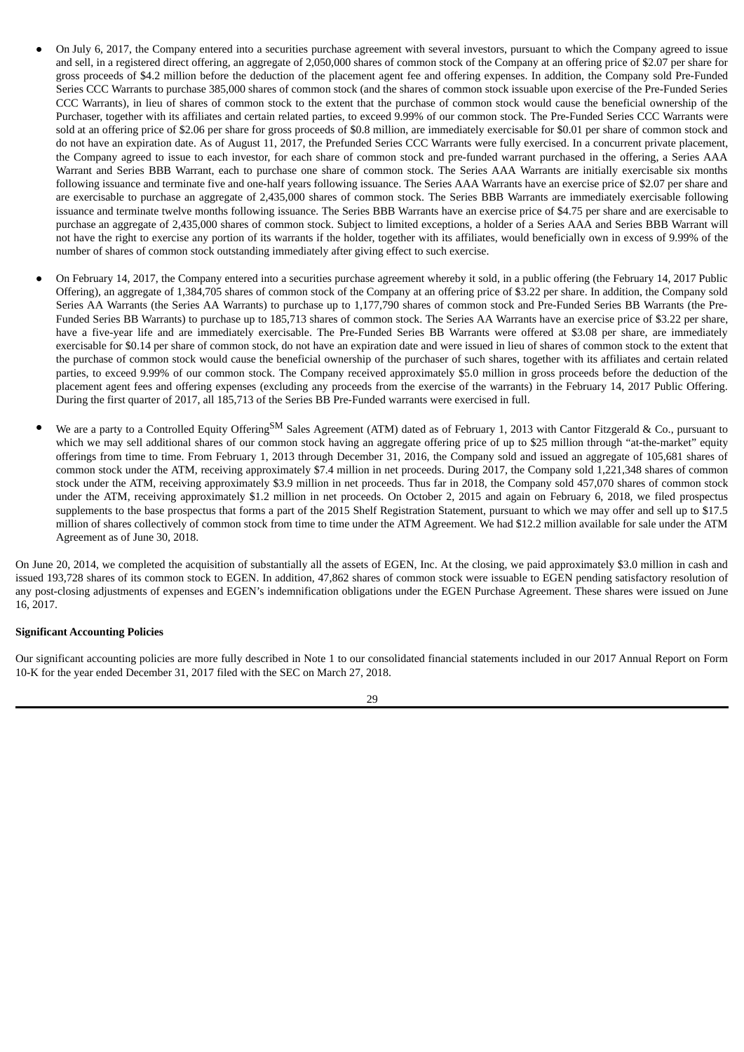- On July 6, 2017, the Company entered into a securities purchase agreement with several investors, pursuant to which the Company agreed to issue and sell, in a registered direct offering, an aggregate of 2,050,000 shares of common stock of the Company at an offering price of \$2.07 per share for gross proceeds of \$4.2 million before the deduction of the placement agent fee and offering expenses. In addition, the Company sold Pre-Funded Series CCC Warrants to purchase 385,000 shares of common stock (and the shares of common stock issuable upon exercise of the Pre-Funded Series CCC Warrants), in lieu of shares of common stock to the extent that the purchase of common stock would cause the beneficial ownership of the Purchaser, together with its affiliates and certain related parties, to exceed 9.99% of our common stock. The Pre-Funded Series CCC Warrants were sold at an offering price of \$2.06 per share for gross proceeds of \$0.8 million, are immediately exercisable for \$0.01 per share of common stock and do not have an expiration date. As of August 11, 2017, the Prefunded Series CCC Warrants were fully exercised. In a concurrent private placement, the Company agreed to issue to each investor, for each share of common stock and pre-funded warrant purchased in the offering, a Series AAA Warrant and Series BBB Warrant, each to purchase one share of common stock. The Series AAA Warrants are initially exercisable six months following issuance and terminate five and one-half years following issuance. The Series AAA Warrants have an exercise price of \$2.07 per share and are exercisable to purchase an aggregate of 2,435,000 shares of common stock. The Series BBB Warrants are immediately exercisable following issuance and terminate twelve months following issuance. The Series BBB Warrants have an exercise price of \$4.75 per share and are exercisable to purchase an aggregate of 2,435,000 shares of common stock. Subject to limited exceptions, a holder of a Series AAA and Series BBB Warrant will not have the right to exercise any portion of its warrants if the holder, together with its affiliates, would beneficially own in excess of 9.99% of the number of shares of common stock outstanding immediately after giving effect to such exercise.
- On February 14, 2017, the Company entered into a securities purchase agreement whereby it sold, in a public offering (the February 14, 2017 Public Offering), an aggregate of 1,384,705 shares of common stock of the Company at an offering price of \$3.22 per share. In addition, the Company sold Series AA Warrants (the Series AA Warrants) to purchase up to 1,177,790 shares of common stock and Pre-Funded Series BB Warrants (the Pre-Funded Series BB Warrants) to purchase up to 185,713 shares of common stock. The Series AA Warrants have an exercise price of \$3.22 per share, have a five-year life and are immediately exercisable. The Pre-Funded Series BB Warrants were offered at \$3.08 per share, are immediately exercisable for \$0.14 per share of common stock, do not have an expiration date and were issued in lieu of shares of common stock to the extent that the purchase of common stock would cause the beneficial ownership of the purchaser of such shares, together with its affiliates and certain related parties, to exceed 9.99% of our common stock. The Company received approximately \$5.0 million in gross proceeds before the deduction of the placement agent fees and offering expenses (excluding any proceeds from the exercise of the warrants) in the February 14, 2017 Public Offering. During the first quarter of 2017, all 185,713 of the Series BB Pre-Funded warrants were exercised in full.
- We are a party to a Controlled Equity Offering<sup>SM</sup> Sales Agreement (ATM) dated as of February 1, 2013 with Cantor Fitzgerald & Co., pursuant to which we may sell additional shares of our common stock having an aggregate offering price of up to \$25 million through "at-the-market" equity offerings from time to time. From February 1, 2013 through December 31, 2016, the Company sold and issued an aggregate of 105,681 shares of common stock under the ATM, receiving approximately \$7.4 million in net proceeds. During 2017, the Company sold 1,221,348 shares of common stock under the ATM, receiving approximately \$3.9 million in net proceeds. Thus far in 2018, the Company sold 457,070 shares of common stock under the ATM, receiving approximately \$1.2 million in net proceeds. On October 2, 2015 and again on February 6, 2018, we filed prospectus supplements to the base prospectus that forms a part of the 2015 Shelf Registration Statement, pursuant to which we may offer and sell up to \$17.5 million of shares collectively of common stock from time to time under the ATM Agreement. We had \$12.2 million available for sale under the ATM Agreement as of June 30, 2018.

On June 20, 2014, we completed the acquisition of substantially all the assets of EGEN, Inc. At the closing, we paid approximately \$3.0 million in cash and issued 193,728 shares of its common stock to EGEN. In addition, 47,862 shares of common stock were issuable to EGEN pending satisfactory resolution of any post-closing adjustments of expenses and EGEN's indemnification obligations under the EGEN Purchase Agreement. These shares were issued on June 16, 2017.

## **Significant Accounting Policies**

Our significant accounting policies are more fully described in Note 1 to our consolidated financial statements included in our 2017 Annual Report on Form 10-K for the year ended December 31, 2017 filed with the SEC on March 27, 2018.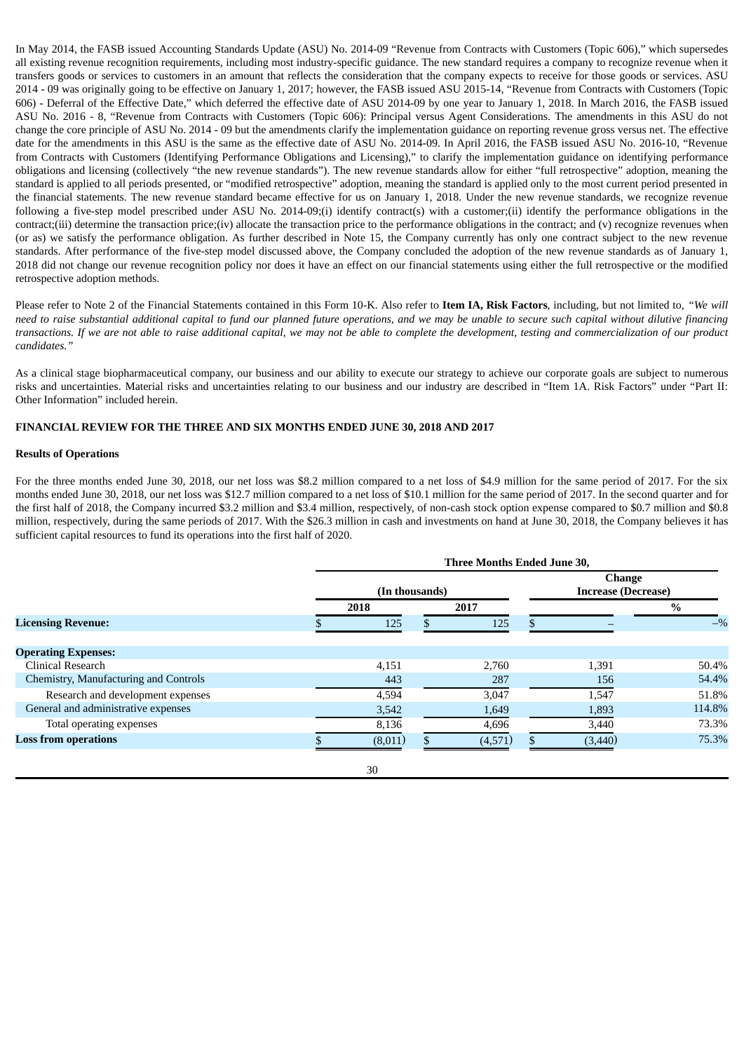In May 2014, the FASB issued Accounting Standards Update (ASU) No. 2014-09 "Revenue from Contracts with Customers (Topic 606)," which supersedes all existing revenue recognition requirements, including most industry-specific guidance. The new standard requires a company to recognize revenue when it transfers goods or services to customers in an amount that reflects the consideration that the company expects to receive for those goods or services. ASU 2014 - 09 was originally going to be effective on January 1, 2017; however, the FASB issued ASU 2015-14, "Revenue from Contracts with Customers (Topic 606) - Deferral of the Effective Date," which deferred the effective date of ASU 2014-09 by one year to January 1, 2018. In March 2016, the FASB issued ASU No. 2016 - 8, "Revenue from Contracts with Customers (Topic 606): Principal versus Agent Considerations. The amendments in this ASU do not change the core principle of ASU No. 2014 - 09 but the amendments clarify the implementation guidance on reporting revenue gross versus net. The effective date for the amendments in this ASU is the same as the effective date of ASU No. 2014-09. In April 2016, the FASB issued ASU No. 2016-10, "Revenue from Contracts with Customers (Identifying Performance Obligations and Licensing)," to clarify the implementation guidance on identifying performance obligations and licensing (collectively "the new revenue standards"). The new revenue standards allow for either "full retrospective" adoption, meaning the standard is applied to all periods presented, or "modified retrospective" adoption, meaning the standard is applied only to the most current period presented in the financial statements. The new revenue standard became effective for us on January 1, 2018. Under the new revenue standards, we recognize revenue following a five-step model prescribed under ASU No. 2014-09;(i) identify contract(s) with a customer;(ii) identify the performance obligations in the contract;(iii) determine the transaction price;(iv) allocate the transaction price to the performance obligations in the contract; and (v) recognize revenues when (or as) we satisfy the performance obligation. As further described in Note 15, the Company currently has only one contract subject to the new revenue standards. After performance of the five-step model discussed above, the Company concluded the adoption of the new revenue standards as of January 1, 2018 did not change our revenue recognition policy nor does it have an effect on our financial statements using either the full retrospective or the modified retrospective adoption methods.

Please refer to Note 2 of the Financial Statements contained in this Form 10-K. Also refer to **Item IA, Risk Factors**, including, but not limited to*, "We will* need to raise substantial additional capital to fund our planned future operations, and we may be unable to secure such capital without dilutive financing transactions. If we are not able to raise additional capital, we may not be able to complete the development, testing and commercialization of our product *candidates."*

As a clinical stage biopharmaceutical company, our business and our ability to execute our strategy to achieve our corporate goals are subject to numerous risks and uncertainties. Material risks and uncertainties relating to our business and our industry are described in "Item 1A. Risk Factors" under "Part II: Other Information" included herein.

## **FINANCIAL REVIEW FOR THE THREE AND SIX MONTHS ENDED JUNE 30, 2018 AND 2017**

#### **Results of Operations**

For the three months ended June 30, 2018, our net loss was \$8.2 million compared to a net loss of \$4.9 million for the same period of 2017. For the six months ended June 30, 2018, our net loss was \$12.7 million compared to a net loss of \$10.1 million for the same period of 2017. In the second quarter and for the first half of 2018, the Company incurred \$3.2 million and \$3.4 million, respectively, of non-cash stock option expense compared to \$0.7 million and \$0.8 million, respectively, during the same periods of 2017. With the \$26.3 million in cash and investments on hand at June 30, 2018, the Company believes it has sufficient capital resources to fund its operations into the first half of 2020.

|                                       | Three Months Ended June 30, |         |  |         |   |                                             |        |  |  |
|---------------------------------------|-----------------------------|---------|--|---------|---|---------------------------------------------|--------|--|--|
|                                       | (In thousands)              |         |  |         |   | <b>Change</b><br><b>Increase (Decrease)</b> |        |  |  |
|                                       |                             | 2018    |  | 2017    |   |                                             | $\%$   |  |  |
| <b>Licensing Revenue:</b>             |                             | 125     |  | 125     |   |                                             | $-$ %  |  |  |
| <b>Operating Expenses:</b>            |                             |         |  |         |   |                                             |        |  |  |
| Clinical Research                     |                             | 4,151   |  | 2,760   |   | 1,391                                       | 50.4%  |  |  |
| Chemistry, Manufacturing and Controls |                             | 443     |  | 287     |   | 156                                         | 54.4%  |  |  |
| Research and development expenses     |                             | 4,594   |  | 3,047   |   | 1,547                                       | 51.8%  |  |  |
| General and administrative expenses   |                             | 3,542   |  | 1,649   |   | 1,893                                       | 114.8% |  |  |
| Total operating expenses              |                             | 8,136   |  | 4,696   |   | 3,440                                       | 73.3%  |  |  |
| <b>Loss from operations</b>           |                             | (8,011) |  | (4,571) | S | (3,440)                                     | 75.3%  |  |  |
|                                       |                             | 30      |  |         |   |                                             |        |  |  |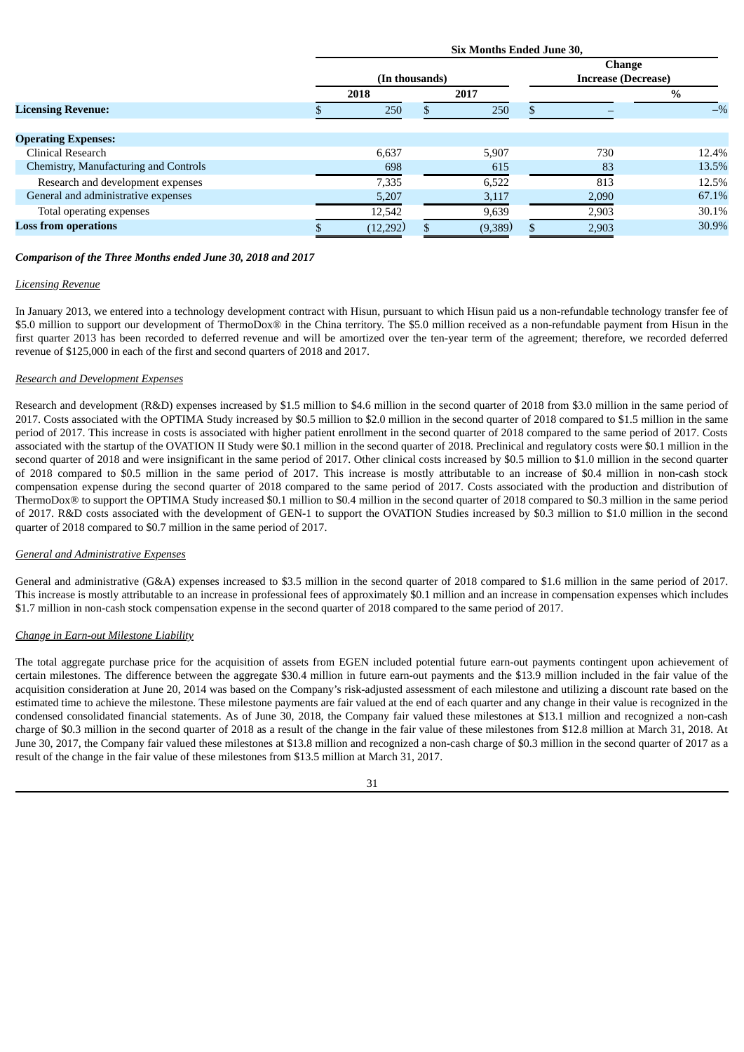|                                       |                | Six Months Ended June 30, |  |         |  |                                             |       |  |
|---------------------------------------|----------------|---------------------------|--|---------|--|---------------------------------------------|-------|--|
|                                       | (In thousands) |                           |  |         |  | <b>Change</b><br><b>Increase (Decrease)</b> |       |  |
|                                       |                | 2018                      |  | 2017    |  |                                             | $\%$  |  |
| <b>Licensing Revenue:</b>             |                | 250                       |  | 250     |  |                                             | $-$ % |  |
|                                       |                |                           |  |         |  |                                             |       |  |
| <b>Operating Expenses:</b>            |                |                           |  |         |  |                                             |       |  |
| Clinical Research                     |                | 6,637                     |  | 5,907   |  | 730                                         | 12.4% |  |
| Chemistry, Manufacturing and Controls |                | 698                       |  | 615     |  | 83                                          | 13.5% |  |
| Research and development expenses     |                | 7,335                     |  | 6,522   |  | 813                                         | 12.5% |  |
| General and administrative expenses   |                | 5,207                     |  | 3,117   |  | 2,090                                       | 67.1% |  |
| Total operating expenses              |                | 12,542                    |  | 9,639   |  | 2,903                                       | 30.1% |  |
| <b>Loss from operations</b>           |                | (12,292)                  |  | (9,389) |  | 2,903                                       | 30.9% |  |

## *Comparison of the Three Months ended June 30, 2018 and 2017*

#### *Licensing Revenue*

In January 2013, we entered into a technology development contract with Hisun, pursuant to which Hisun paid us a non-refundable technology transfer fee of \$5.0 million to support our development of ThermoDox® in the China territory. The \$5.0 million received as a non-refundable payment from Hisun in the first quarter 2013 has been recorded to deferred revenue and will be amortized over the ten-year term of the agreement; therefore, we recorded deferred revenue of \$125,000 in each of the first and second quarters of 2018 and 2017.

## *Research and Development Expenses*

Research and development (R&D) expenses increased by \$1.5 million to \$4.6 million in the second quarter of 2018 from \$3.0 million in the same period of 2017. Costs associated with the OPTIMA Study increased by \$0.5 million to \$2.0 million in the second quarter of 2018 compared to \$1.5 million in the same period of 2017. This increase in costs is associated with higher patient enrollment in the second quarter of 2018 compared to the same period of 2017. Costs associated with the startup of the OVATION II Study were \$0.1 million in the second quarter of 2018. Preclinical and regulatory costs were \$0.1 million in the second quarter of 2018 and were insignificant in the same period of 2017. Other clinical costs increased by \$0.5 million to \$1.0 million in the second quarter of 2018 compared to \$0.5 million in the same period of 2017. This increase is mostly attributable to an increase of \$0.4 million in non-cash stock compensation expense during the second quarter of 2018 compared to the same period of 2017. Costs associated with the production and distribution of ThermoDox® to support the OPTIMA Study increased \$0.1 million to \$0.4 million in the second quarter of 2018 compared to \$0.3 million in the same period of 2017. R&D costs associated with the development of GEN-1 to support the OVATION Studies increased by \$0.3 million to \$1.0 million in the second quarter of 2018 compared to \$0.7 million in the same period of 2017.

#### *General and Administrative Expenses*

General and administrative (G&A) expenses increased to \$3.5 million in the second quarter of 2018 compared to \$1.6 million in the same period of 2017. This increase is mostly attributable to an increase in professional fees of approximately \$0.1 million and an increase in compensation expenses which includes \$1.7 million in non-cash stock compensation expense in the second quarter of 2018 compared to the same period of 2017.

## *Change in Earn-out Milestone Liability*

The total aggregate purchase price for the acquisition of assets from EGEN included potential future earn-out payments contingent upon achievement of certain milestones. The difference between the aggregate \$30.4 million in future earn-out payments and the \$13.9 million included in the fair value of the acquisition consideration at June 20, 2014 was based on the Company's risk-adjusted assessment of each milestone and utilizing a discount rate based on the estimated time to achieve the milestone. These milestone payments are fair valued at the end of each quarter and any change in their value is recognized in the condensed consolidated financial statements. As of June 30, 2018, the Company fair valued these milestones at \$13.1 million and recognized a non-cash charge of \$0.3 million in the second quarter of 2018 as a result of the change in the fair value of these milestones from \$12.8 million at March 31, 2018. At June 30, 2017, the Company fair valued these milestones at \$13.8 million and recognized a non-cash charge of \$0.3 million in the second quarter of 2017 as a result of the change in the fair value of these milestones from \$13.5 million at March 31, 2017.

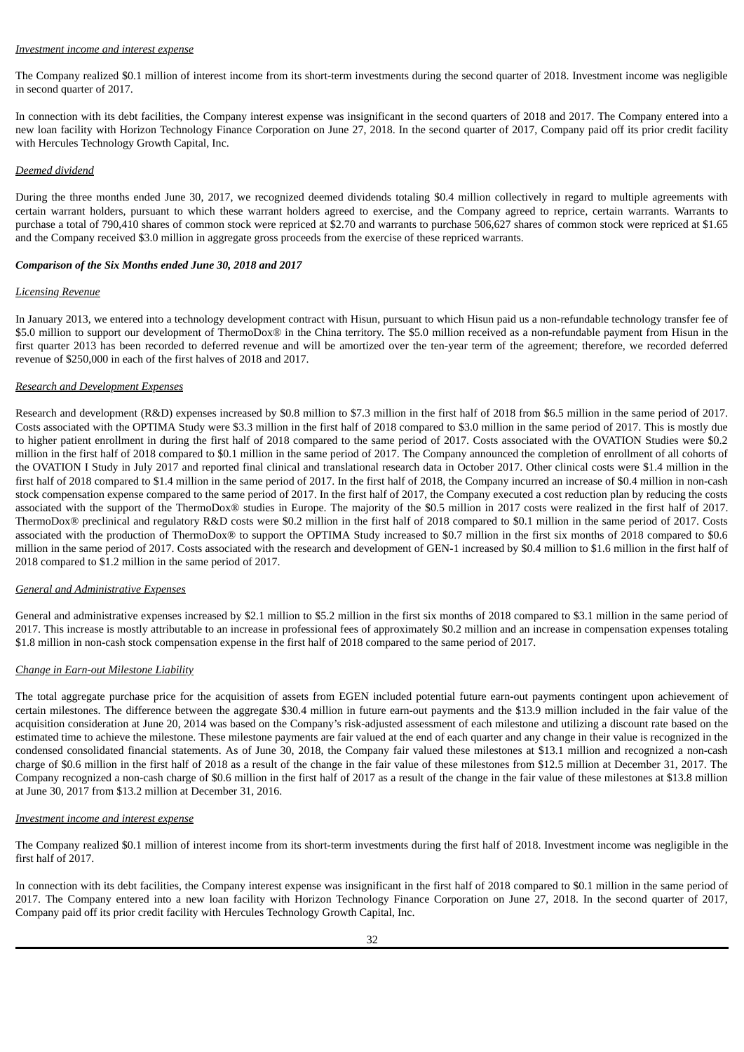#### *Investment income and interest expense*

The Company realized \$0.1 million of interest income from its short-term investments during the second quarter of 2018. Investment income was negligible in second quarter of 2017.

In connection with its debt facilities, the Company interest expense was insignificant in the second quarters of 2018 and 2017. The Company entered into a new loan facility with Horizon Technology Finance Corporation on June 27, 2018. In the second quarter of 2017, Company paid off its prior credit facility with Hercules Technology Growth Capital, Inc.

## *Deemed dividend*

During the three months ended June 30, 2017, we recognized deemed dividends totaling \$0.4 million collectively in regard to multiple agreements with certain warrant holders, pursuant to which these warrant holders agreed to exercise, and the Company agreed to reprice, certain warrants. Warrants to purchase a total of 790,410 shares of common stock were repriced at \$2.70 and warrants to purchase 506,627 shares of common stock were repriced at \$1.65 and the Company received \$3.0 million in aggregate gross proceeds from the exercise of these repriced warrants.

## *Comparison of the Six Months ended June 30, 2018 and 2017*

## *Licensing Revenue*

In January 2013, we entered into a technology development contract with Hisun, pursuant to which Hisun paid us a non-refundable technology transfer fee of \$5.0 million to support our development of ThermoDox® in the China territory. The \$5.0 million received as a non-refundable payment from Hisun in the first quarter 2013 has been recorded to deferred revenue and will be amortized over the ten-year term of the agreement; therefore, we recorded deferred revenue of \$250,000 in each of the first halves of 2018 and 2017.

## *Research and Development Expenses*

Research and development (R&D) expenses increased by \$0.8 million to \$7.3 million in the first half of 2018 from \$6.5 million in the same period of 2017. Costs associated with the OPTIMA Study were \$3.3 million in the first half of 2018 compared to \$3.0 million in the same period of 2017. This is mostly due to higher patient enrollment in during the first half of 2018 compared to the same period of 2017. Costs associated with the OVATION Studies were \$0.2 million in the first half of 2018 compared to \$0.1 million in the same period of 2017. The Company announced the completion of enrollment of all cohorts of the OVATION I Study in July 2017 and reported final clinical and translational research data in October 2017. Other clinical costs were \$1.4 million in the first half of 2018 compared to \$1.4 million in the same period of 2017. In the first half of 2018, the Company incurred an increase of \$0.4 million in non-cash stock compensation expense compared to the same period of 2017. In the first half of 2017, the Company executed a cost reduction plan by reducing the costs associated with the support of the ThermoDox® studies in Europe. The majority of the \$0.5 million in 2017 costs were realized in the first half of 2017. ThermoDox® preclinical and regulatory R&D costs were \$0.2 million in the first half of 2018 compared to \$0.1 million in the same period of 2017. Costs associated with the production of ThermoDox® to support the OPTIMA Study increased to \$0.7 million in the first six months of 2018 compared to \$0.6 million in the same period of 2017. Costs associated with the research and development of GEN-1 increased by \$0.4 million to \$1.6 million in the first half of 2018 compared to \$1.2 million in the same period of 2017.

## *General and Administrative Expenses*

General and administrative expenses increased by \$2.1 million to \$5.2 million in the first six months of 2018 compared to \$3.1 million in the same period of 2017. This increase is mostly attributable to an increase in professional fees of approximately \$0.2 million and an increase in compensation expenses totaling \$1.8 million in non-cash stock compensation expense in the first half of 2018 compared to the same period of 2017.

## *Change in Earn-out Milestone Liability*

The total aggregate purchase price for the acquisition of assets from EGEN included potential future earn-out payments contingent upon achievement of certain milestones. The difference between the aggregate \$30.4 million in future earn-out payments and the \$13.9 million included in the fair value of the acquisition consideration at June 20, 2014 was based on the Company's risk-adjusted assessment of each milestone and utilizing a discount rate based on the estimated time to achieve the milestone. These milestone payments are fair valued at the end of each quarter and any change in their value is recognized in the condensed consolidated financial statements. As of June 30, 2018, the Company fair valued these milestones at \$13.1 million and recognized a non-cash charge of \$0.6 million in the first half of 2018 as a result of the change in the fair value of these milestones from \$12.5 million at December 31, 2017. The Company recognized a non-cash charge of \$0.6 million in the first half of 2017 as a result of the change in the fair value of these milestones at \$13.8 million at June 30, 2017 from \$13.2 million at December 31, 2016.

#### *Investment income and interest expense*

The Company realized \$0.1 million of interest income from its short-term investments during the first half of 2018. Investment income was negligible in the first half of 2017.

In connection with its debt facilities, the Company interest expense was insignificant in the first half of 2018 compared to \$0.1 million in the same period of 2017. The Company entered into a new loan facility with Horizon Technology Finance Corporation on June 27, 2018. In the second quarter of 2017, Company paid off its prior credit facility with Hercules Technology Growth Capital, Inc.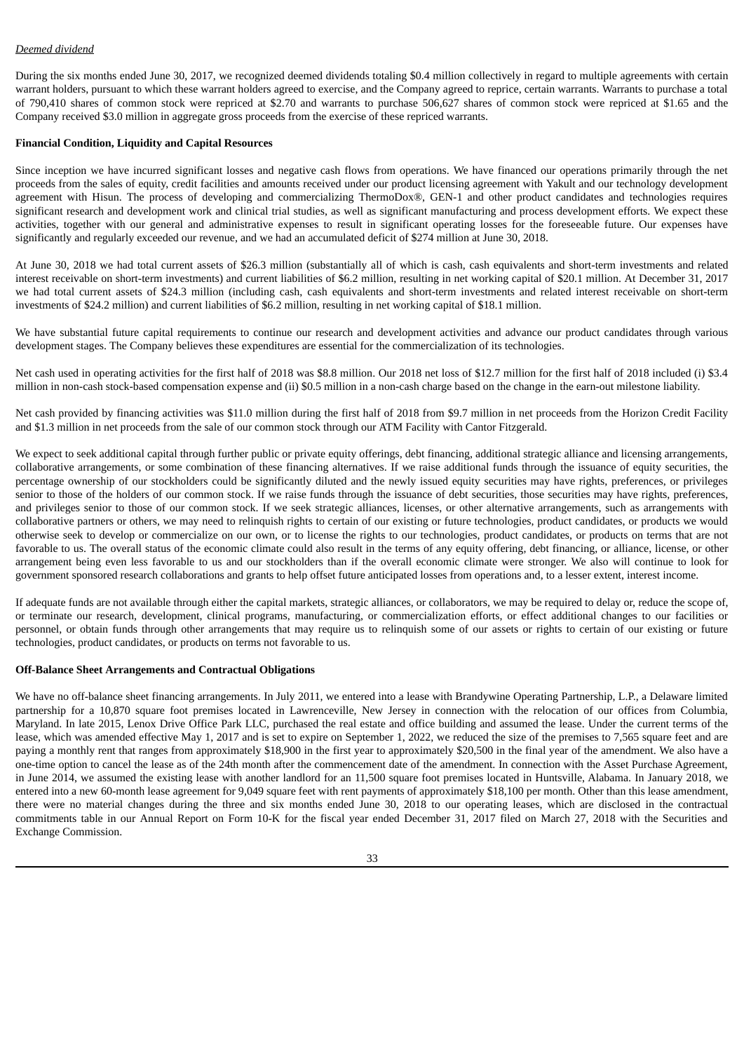## *Deemed dividend*

During the six months ended June 30, 2017, we recognized deemed dividends totaling \$0.4 million collectively in regard to multiple agreements with certain warrant holders, pursuant to which these warrant holders agreed to exercise, and the Company agreed to reprice, certain warrants. Warrants to purchase a total of 790,410 shares of common stock were repriced at \$2.70 and warrants to purchase 506,627 shares of common stock were repriced at \$1.65 and the Company received \$3.0 million in aggregate gross proceeds from the exercise of these repriced warrants.

## **Financial Condition, Liquidity and Capital Resources**

Since inception we have incurred significant losses and negative cash flows from operations. We have financed our operations primarily through the net proceeds from the sales of equity, credit facilities and amounts received under our product licensing agreement with Yakult and our technology development agreement with Hisun. The process of developing and commercializing ThermoDox®, GEN-1 and other product candidates and technologies requires significant research and development work and clinical trial studies, as well as significant manufacturing and process development efforts. We expect these activities, together with our general and administrative expenses to result in significant operating losses for the foreseeable future. Our expenses have significantly and regularly exceeded our revenue, and we had an accumulated deficit of \$274 million at June 30, 2018.

At June 30, 2018 we had total current assets of \$26.3 million (substantially all of which is cash, cash equivalents and short-term investments and related interest receivable on short-term investments) and current liabilities of \$6.2 million, resulting in net working capital of \$20.1 million. At December 31, 2017 we had total current assets of \$24.3 million (including cash, cash equivalents and short-term investments and related interest receivable on short-term investments of \$24.2 million) and current liabilities of \$6.2 million, resulting in net working capital of \$18.1 million.

We have substantial future capital requirements to continue our research and development activities and advance our product candidates through various development stages. The Company believes these expenditures are essential for the commercialization of its technologies.

Net cash used in operating activities for the first half of 2018 was \$8.8 million. Our 2018 net loss of \$12.7 million for the first half of 2018 included (i) \$3.4 million in non-cash stock-based compensation expense and (ii) \$0.5 million in a non-cash charge based on the change in the earn-out milestone liability.

Net cash provided by financing activities was \$11.0 million during the first half of 2018 from \$9.7 million in net proceeds from the Horizon Credit Facility and \$1.3 million in net proceeds from the sale of our common stock through our ATM Facility with Cantor Fitzgerald.

We expect to seek additional capital through further public or private equity offerings, debt financing, additional strategic alliance and licensing arrangements, collaborative arrangements, or some combination of these financing alternatives. If we raise additional funds through the issuance of equity securities, the percentage ownership of our stockholders could be significantly diluted and the newly issued equity securities may have rights, preferences, or privileges senior to those of the holders of our common stock. If we raise funds through the issuance of debt securities, those securities may have rights, preferences, and privileges senior to those of our common stock. If we seek strategic alliances, licenses, or other alternative arrangements, such as arrangements with collaborative partners or others, we may need to relinquish rights to certain of our existing or future technologies, product candidates, or products we would otherwise seek to develop or commercialize on our own, or to license the rights to our technologies, product candidates, or products on terms that are not favorable to us. The overall status of the economic climate could also result in the terms of any equity offering, debt financing, or alliance, license, or other arrangement being even less favorable to us and our stockholders than if the overall economic climate were stronger. We also will continue to look for government sponsored research collaborations and grants to help offset future anticipated losses from operations and, to a lesser extent, interest income.

If adequate funds are not available through either the capital markets, strategic alliances, or collaborators, we may be required to delay or, reduce the scope of, or terminate our research, development, clinical programs, manufacturing, or commercialization efforts, or effect additional changes to our facilities or personnel, or obtain funds through other arrangements that may require us to relinquish some of our assets or rights to certain of our existing or future technologies, product candidates, or products on terms not favorable to us.

#### **Off-Balance Sheet Arrangements and Contractual Obligations**

We have no off-balance sheet financing arrangements. In July 2011, we entered into a lease with Brandywine Operating Partnership, L.P., a Delaware limited partnership for a 10,870 square foot premises located in Lawrenceville, New Jersey in connection with the relocation of our offices from Columbia, Maryland. In late 2015, Lenox Drive Office Park LLC, purchased the real estate and office building and assumed the lease. Under the current terms of the lease, which was amended effective May 1, 2017 and is set to expire on September 1, 2022, we reduced the size of the premises to 7,565 square feet and are paying a monthly rent that ranges from approximately \$18,900 in the first year to approximately \$20,500 in the final year of the amendment. We also have a one-time option to cancel the lease as of the 24th month after the commencement date of the amendment. In connection with the Asset Purchase Agreement, in June 2014, we assumed the existing lease with another landlord for an 11,500 square foot premises located in Huntsville, Alabama. In January 2018, we entered into a new 60-month lease agreement for 9,049 square feet with rent payments of approximately \$18,100 per month. Other than this lease amendment, there were no material changes during the three and six months ended June 30, 2018 to our operating leases, which are disclosed in the contractual commitments table in our Annual Report on Form 10-K for the fiscal year ended December 31, 2017 filed on March 27, 2018 with the Securities and Exchange Commission.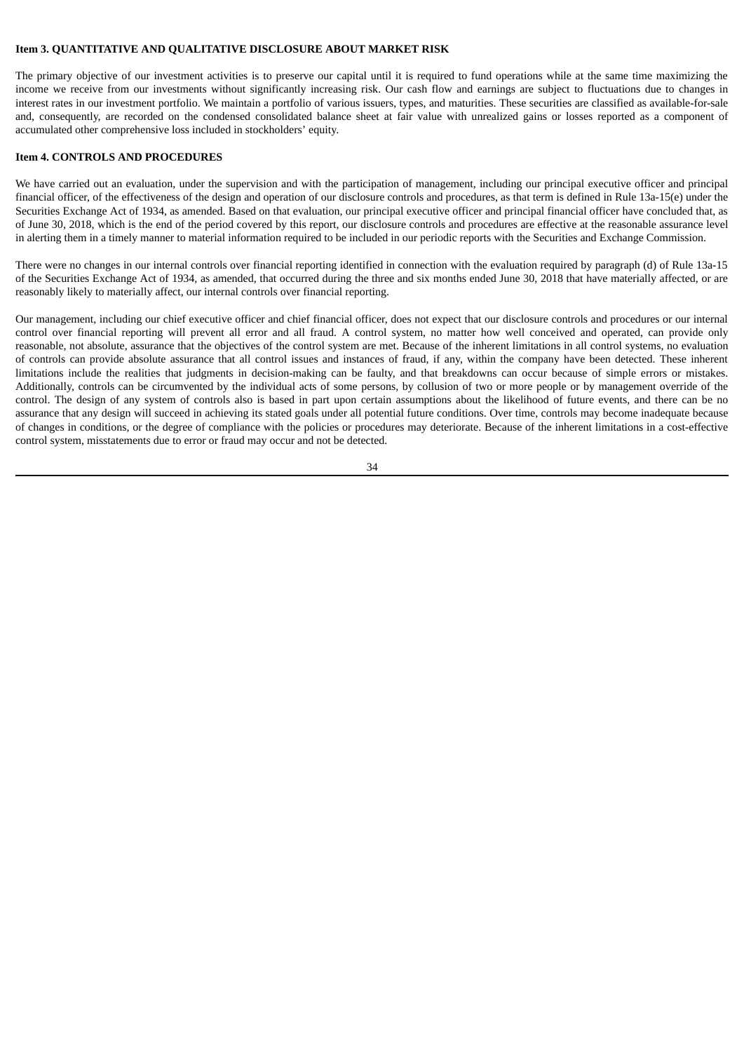#### **Item 3. QUANTITATIVE AND QUALITATIVE DISCLOSURE ABOUT MARKET RISK**

The primary objective of our investment activities is to preserve our capital until it is required to fund operations while at the same time maximizing the income we receive from our investments without significantly increasing risk. Our cash flow and earnings are subject to fluctuations due to changes in interest rates in our investment portfolio. We maintain a portfolio of various issuers, types, and maturities. These securities are classified as available-for-sale and, consequently, are recorded on the condensed consolidated balance sheet at fair value with unrealized gains or losses reported as a component of accumulated other comprehensive loss included in stockholders' equity.

## **Item 4. CONTROLS AND PROCEDURES**

We have carried out an evaluation, under the supervision and with the participation of management, including our principal executive officer and principal financial officer, of the effectiveness of the design and operation of our disclosure controls and procedures, as that term is defined in Rule 13a-15(e) under the Securities Exchange Act of 1934, as amended. Based on that evaluation, our principal executive officer and principal financial officer have concluded that, as of June 30, 2018, which is the end of the period covered by this report, our disclosure controls and procedures are effective at the reasonable assurance level in alerting them in a timely manner to material information required to be included in our periodic reports with the Securities and Exchange Commission.

There were no changes in our internal controls over financial reporting identified in connection with the evaluation required by paragraph (d) of Rule 13a-15 of the Securities Exchange Act of 1934, as amended, that occurred during the three and six months ended June 30, 2018 that have materially affected, or are reasonably likely to materially affect, our internal controls over financial reporting.

Our management, including our chief executive officer and chief financial officer, does not expect that our disclosure controls and procedures or our internal control over financial reporting will prevent all error and all fraud. A control system, no matter how well conceived and operated, can provide only reasonable, not absolute, assurance that the objectives of the control system are met. Because of the inherent limitations in all control systems, no evaluation of controls can provide absolute assurance that all control issues and instances of fraud, if any, within the company have been detected. These inherent limitations include the realities that judgments in decision-making can be faulty, and that breakdowns can occur because of simple errors or mistakes. Additionally, controls can be circumvented by the individual acts of some persons, by collusion of two or more people or by management override of the control. The design of any system of controls also is based in part upon certain assumptions about the likelihood of future events, and there can be no assurance that any design will succeed in achieving its stated goals under all potential future conditions. Over time, controls may become inadequate because of changes in conditions, or the degree of compliance with the policies or procedures may deteriorate. Because of the inherent limitations in a cost-effective control system, misstatements due to error or fraud may occur and not be detected.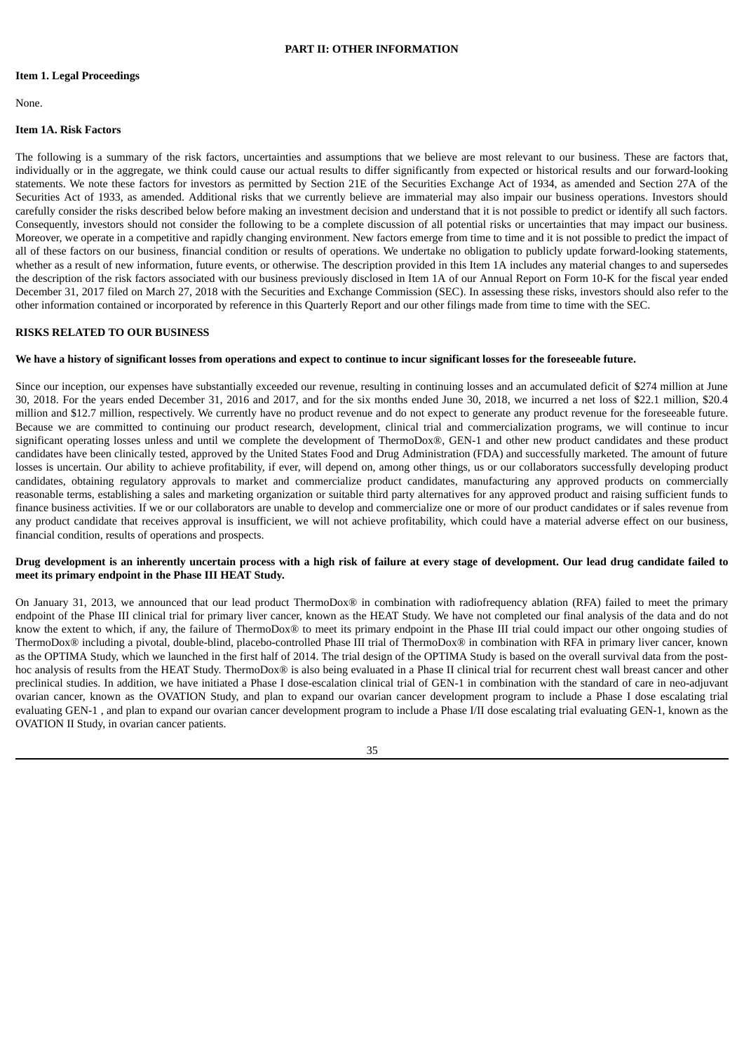#### **PART II: OTHER INFORMATION**

#### **Item 1. Legal Proceedings**

None.

## **Item 1A. Risk Factors**

The following is a summary of the risk factors, uncertainties and assumptions that we believe are most relevant to our business. These are factors that, individually or in the aggregate, we think could cause our actual results to differ significantly from expected or historical results and our forward-looking statements. We note these factors for investors as permitted by Section 21E of the Securities Exchange Act of 1934, as amended and Section 27A of the Securities Act of 1933, as amended. Additional risks that we currently believe are immaterial may also impair our business operations. Investors should carefully consider the risks described below before making an investment decision and understand that it is not possible to predict or identify all such factors. Consequently, investors should not consider the following to be a complete discussion of all potential risks or uncertainties that may impact our business. Moreover, we operate in a competitive and rapidly changing environment. New factors emerge from time to time and it is not possible to predict the impact of all of these factors on our business, financial condition or results of operations. We undertake no obligation to publicly update forward-looking statements, whether as a result of new information, future events, or otherwise. The description provided in this Item 1A includes any material changes to and supersedes the description of the risk factors associated with our business previously disclosed in Item 1A of our Annual Report on Form 10-K for the fiscal year ended December 31, 2017 filed on March 27, 2018 with the Securities and Exchange Commission (SEC). In assessing these risks, investors should also refer to the other information contained or incorporated by reference in this Quarterly Report and our other filings made from time to time with the SEC.

## **RISKS RELATED TO OUR BUSINESS**

## We have a history of significant losses from operations and expect to continue to incur significant losses for the foreseeable future.

Since our inception, our expenses have substantially exceeded our revenue, resulting in continuing losses and an accumulated deficit of \$274 million at June 30, 2018. For the years ended December 31, 2016 and 2017, and for the six months ended June 30, 2018, we incurred a net loss of \$22.1 million, \$20.4 million and \$12.7 million, respectively. We currently have no product revenue and do not expect to generate any product revenue for the foreseeable future. Because we are committed to continuing our product research, development, clinical trial and commercialization programs, we will continue to incur significant operating losses unless and until we complete the development of ThermoDox®, GEN-1 and other new product candidates and these product candidates have been clinically tested, approved by the United States Food and Drug Administration (FDA) and successfully marketed. The amount of future losses is uncertain. Our ability to achieve profitability, if ever, will depend on, among other things, us or our collaborators successfully developing product candidates, obtaining regulatory approvals to market and commercialize product candidates, manufacturing any approved products on commercially reasonable terms, establishing a sales and marketing organization or suitable third party alternatives for any approved product and raising sufficient funds to finance business activities. If we or our collaborators are unable to develop and commercialize one or more of our product candidates or if sales revenue from any product candidate that receives approval is insufficient, we will not achieve profitability, which could have a material adverse effect on our business, financial condition, results of operations and prospects.

# Drug development is an inherently uncertain process with a high risk of failure at every stage of development. Our lead drug candidate failed to **meet its primary endpoint in the Phase III HEAT Study.**

On January 31, 2013, we announced that our lead product ThermoDox® in combination with radiofrequency ablation (RFA) failed to meet the primary endpoint of the Phase III clinical trial for primary liver cancer, known as the HEAT Study. We have not completed our final analysis of the data and do not know the extent to which, if any, the failure of ThermoDox® to meet its primary endpoint in the Phase III trial could impact our other ongoing studies of ThermoDox® including a pivotal, double-blind, placebo-controlled Phase III trial of ThermoDox® in combination with RFA in primary liver cancer, known as the OPTIMA Study, which we launched in the first half of 2014. The trial design of the OPTIMA Study is based on the overall survival data from the posthoc analysis of results from the HEAT Study. ThermoDox® is also being evaluated in a Phase II clinical trial for recurrent chest wall breast cancer and other preclinical studies. In addition, we have initiated a Phase I dose-escalation clinical trial of GEN-1 in combination with the standard of care in neo-adjuvant ovarian cancer, known as the OVATION Study, and plan to expand our ovarian cancer development program to include a Phase I dose escalating trial evaluating GEN-1 , and plan to expand our ovarian cancer development program to include a Phase I/II dose escalating trial evaluating GEN-1, known as the OVATION II Study, in ovarian cancer patients.

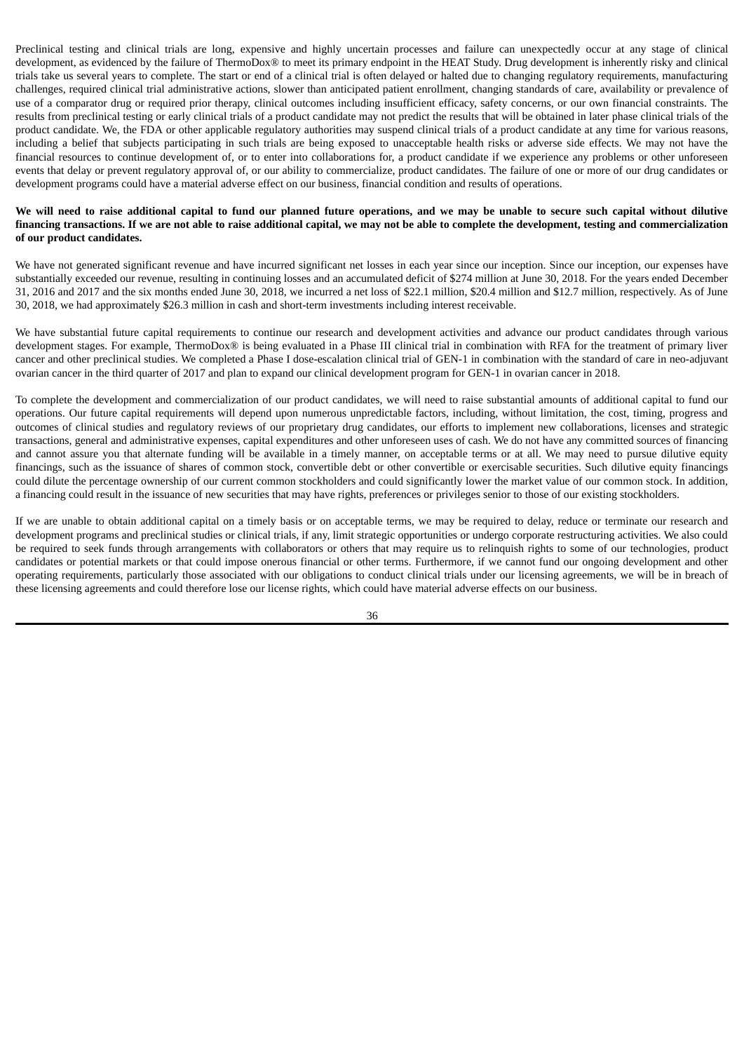Preclinical testing and clinical trials are long, expensive and highly uncertain processes and failure can unexpectedly occur at any stage of clinical development, as evidenced by the failure of ThermoDox® to meet its primary endpoint in the HEAT Study. Drug development is inherently risky and clinical trials take us several years to complete. The start or end of a clinical trial is often delayed or halted due to changing regulatory requirements, manufacturing challenges, required clinical trial administrative actions, slower than anticipated patient enrollment, changing standards of care, availability or prevalence of use of a comparator drug or required prior therapy, clinical outcomes including insufficient efficacy, safety concerns, or our own financial constraints. The results from preclinical testing or early clinical trials of a product candidate may not predict the results that will be obtained in later phase clinical trials of the product candidate. We, the FDA or other applicable regulatory authorities may suspend clinical trials of a product candidate at any time for various reasons, including a belief that subjects participating in such trials are being exposed to unacceptable health risks or adverse side effects. We may not have the financial resources to continue development of, or to enter into collaborations for, a product candidate if we experience any problems or other unforeseen events that delay or prevent regulatory approval of, or our ability to commercialize, product candidates. The failure of one or more of our drug candidates or development programs could have a material adverse effect on our business, financial condition and results of operations.

## We will need to raise additional capital to fund our planned future operations, and we may be unable to secure such capital without dilutive financing transactions. If we are not able to raise additional capital, we may not be able to complete the development, testing and commercialization **of our product candidates.**

We have not generated significant revenue and have incurred significant net losses in each year since our inception. Since our inception, our expenses have substantially exceeded our revenue, resulting in continuing losses and an accumulated deficit of \$274 million at June 30, 2018. For the years ended December 31, 2016 and 2017 and the six months ended June 30, 2018, we incurred a net loss of \$22.1 million, \$20.4 million and \$12.7 million, respectively. As of June 30, 2018, we had approximately \$26.3 million in cash and short-term investments including interest receivable.

We have substantial future capital requirements to continue our research and development activities and advance our product candidates through various development stages. For example, ThermoDox® is being evaluated in a Phase III clinical trial in combination with RFA for the treatment of primary liver cancer and other preclinical studies. We completed a Phase I dose-escalation clinical trial of GEN-1 in combination with the standard of care in neo-adjuvant ovarian cancer in the third quarter of 2017 and plan to expand our clinical development program for GEN-1 in ovarian cancer in 2018.

To complete the development and commercialization of our product candidates, we will need to raise substantial amounts of additional capital to fund our operations. Our future capital requirements will depend upon numerous unpredictable factors, including, without limitation, the cost, timing, progress and outcomes of clinical studies and regulatory reviews of our proprietary drug candidates, our efforts to implement new collaborations, licenses and strategic transactions, general and administrative expenses, capital expenditures and other unforeseen uses of cash. We do not have any committed sources of financing and cannot assure you that alternate funding will be available in a timely manner, on acceptable terms or at all. We may need to pursue dilutive equity financings, such as the issuance of shares of common stock, convertible debt or other convertible or exercisable securities. Such dilutive equity financings could dilute the percentage ownership of our current common stockholders and could significantly lower the market value of our common stock. In addition, a financing could result in the issuance of new securities that may have rights, preferences or privileges senior to those of our existing stockholders.

If we are unable to obtain additional capital on a timely basis or on acceptable terms, we may be required to delay, reduce or terminate our research and development programs and preclinical studies or clinical trials, if any, limit strategic opportunities or undergo corporate restructuring activities. We also could be required to seek funds through arrangements with collaborators or others that may require us to relinquish rights to some of our technologies, product candidates or potential markets or that could impose onerous financial or other terms. Furthermore, if we cannot fund our ongoing development and other operating requirements, particularly those associated with our obligations to conduct clinical trials under our licensing agreements, we will be in breach of these licensing agreements and could therefore lose our license rights, which could have material adverse effects on our business.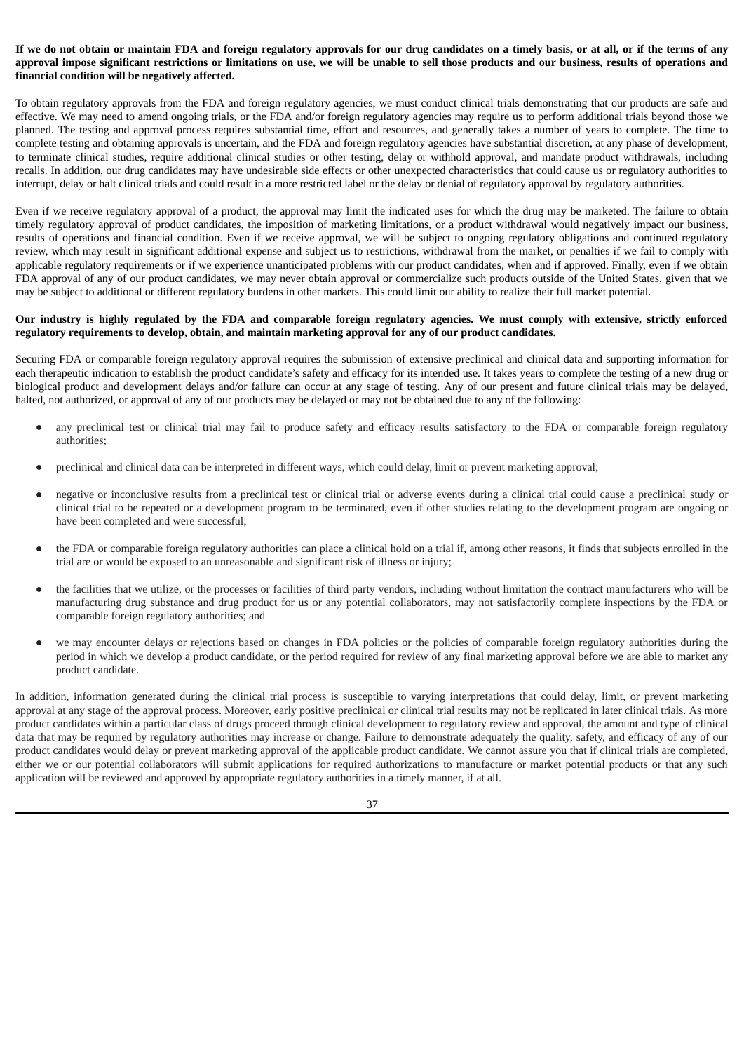## If we do not obtain or maintain FDA and foreign regulatory approvals for our drug candidates on a timely basis, or at all, or if the terms of any approval impose significant restrictions or limitations on use, we will be unable to sell those products and our business, results of operations and **financial condition will be negatively affected.**

To obtain regulatory approvals from the FDA and foreign regulatory agencies, we must conduct clinical trials demonstrating that our products are safe and effective. We may need to amend ongoing trials, or the FDA and/or foreign regulatory agencies may require us to perform additional trials beyond those we planned. The testing and approval process requires substantial time, effort and resources, and generally takes a number of years to complete. The time to complete testing and obtaining approvals is uncertain, and the FDA and foreign regulatory agencies have substantial discretion, at any phase of development, to terminate clinical studies, require additional clinical studies or other testing, delay or withhold approval, and mandate product withdrawals, including recalls. In addition, our drug candidates may have undesirable side effects or other unexpected characteristics that could cause us or regulatory authorities to interrupt, delay or halt clinical trials and could result in a more restricted label or the delay or denial of regulatory approval by regulatory authorities.

Even if we receive regulatory approval of a product, the approval may limit the indicated uses for which the drug may be marketed. The failure to obtain timely regulatory approval of product candidates, the imposition of marketing limitations, or a product withdrawal would negatively impact our business, results of operations and financial condition. Even if we receive approval, we will be subject to ongoing regulatory obligations and continued regulatory review, which may result in significant additional expense and subject us to restrictions, withdrawal from the market, or penalties if we fail to comply with applicable regulatory requirements or if we experience unanticipated problems with our product candidates, when and if approved. Finally, even if we obtain FDA approval of any of our product candidates, we may never obtain approval or commercialize such products outside of the United States, given that we may be subject to additional or different regulatory burdens in other markets. This could limit our ability to realize their full market potential.

## Our industry is highly regulated by the FDA and comparable foreign regulatory agencies. We must comply with extensive, strictly enforced **regulatory requirements to develop, obtain, and maintain marketing approval for any of our product candidates.**

Securing FDA or comparable foreign regulatory approval requires the submission of extensive preclinical and clinical data and supporting information for each therapeutic indication to establish the product candidate's safety and efficacy for its intended use. It takes years to complete the testing of a new drug or biological product and development delays and/or failure can occur at any stage of testing. Any of our present and future clinical trials may be delayed, halted, not authorized, or approval of any of our products may be delayed or may not be obtained due to any of the following:

- any preclinical test or clinical trial may fail to produce safety and efficacy results satisfactory to the FDA or comparable foreign regulatory authorities;
- preclinical and clinical data can be interpreted in different ways, which could delay, limit or prevent marketing approval;
- negative or inconclusive results from a preclinical test or clinical trial or adverse events during a clinical trial could cause a preclinical study or clinical trial to be repeated or a development program to be terminated, even if other studies relating to the development program are ongoing or have been completed and were successful;
- the FDA or comparable foreign regulatory authorities can place a clinical hold on a trial if, among other reasons, it finds that subjects enrolled in the trial are or would be exposed to an unreasonable and significant risk of illness or injury;
- the facilities that we utilize, or the processes or facilities of third party vendors, including without limitation the contract manufacturers who will be manufacturing drug substance and drug product for us or any potential collaborators, may not satisfactorily complete inspections by the FDA or comparable foreign regulatory authorities; and
- we may encounter delays or rejections based on changes in FDA policies or the policies of comparable foreign regulatory authorities during the period in which we develop a product candidate, or the period required for review of any final marketing approval before we are able to market any product candidate.

In addition, information generated during the clinical trial process is susceptible to varying interpretations that could delay, limit, or prevent marketing approval at any stage of the approval process. Moreover, early positive preclinical or clinical trial results may not be replicated in later clinical trials. As more product candidates within a particular class of drugs proceed through clinical development to regulatory review and approval, the amount and type of clinical data that may be required by regulatory authorities may increase or change. Failure to demonstrate adequately the quality, safety, and efficacy of any of our product candidates would delay or prevent marketing approval of the applicable product candidate. We cannot assure you that if clinical trials are completed, either we or our potential collaborators will submit applications for required authorizations to manufacture or market potential products or that any such application will be reviewed and approved by appropriate regulatory authorities in a timely manner, if at all.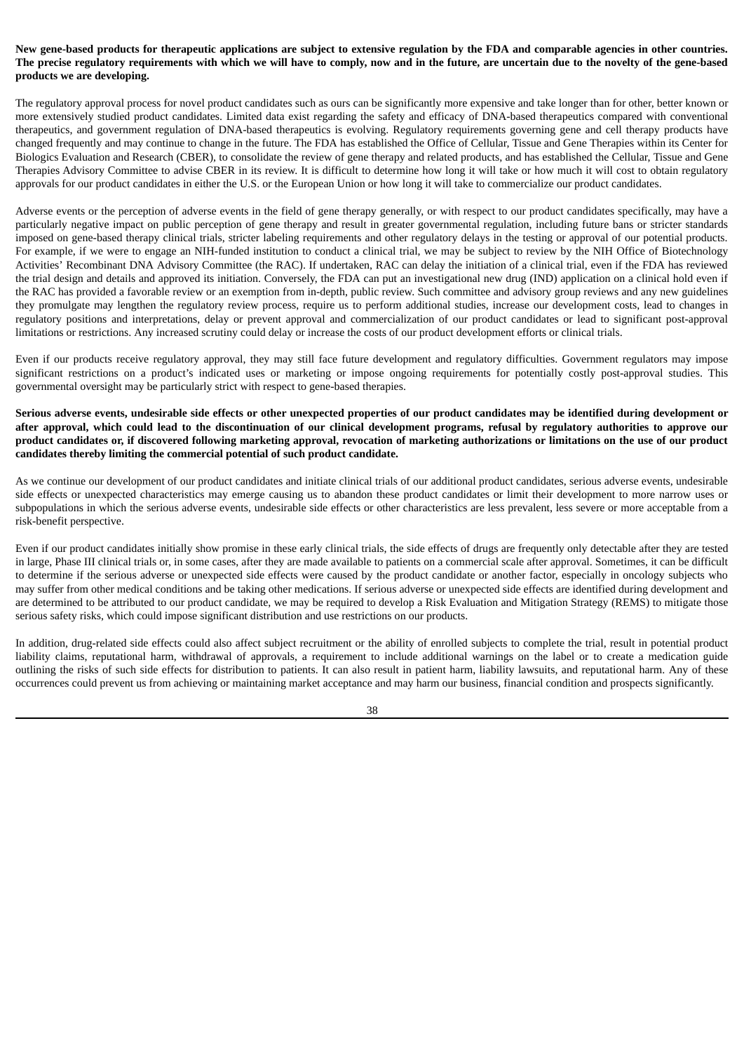## New gene-based products for therapeutic applications are subject to extensive regulation by the FDA and comparable agencies in other countries. The precise regulatory requirements with which we will have to comply, now and in the future, are uncertain due to the novelty of the gene-based **products we are developing.**

The regulatory approval process for novel product candidates such as ours can be significantly more expensive and take longer than for other, better known or more extensively studied product candidates. Limited data exist regarding the safety and efficacy of DNA-based therapeutics compared with conventional therapeutics, and government regulation of DNA-based therapeutics is evolving. Regulatory requirements governing gene and cell therapy products have changed frequently and may continue to change in the future. The FDA has established the Office of Cellular, Tissue and Gene Therapies within its Center for Biologics Evaluation and Research (CBER), to consolidate the review of gene therapy and related products, and has established the Cellular, Tissue and Gene Therapies Advisory Committee to advise CBER in its review. It is difficult to determine how long it will take or how much it will cost to obtain regulatory approvals for our product candidates in either the U.S. or the European Union or how long it will take to commercialize our product candidates.

Adverse events or the perception of adverse events in the field of gene therapy generally, or with respect to our product candidates specifically, may have a particularly negative impact on public perception of gene therapy and result in greater governmental regulation, including future bans or stricter standards imposed on gene-based therapy clinical trials, stricter labeling requirements and other regulatory delays in the testing or approval of our potential products. For example, if we were to engage an NIH-funded institution to conduct a clinical trial, we may be subject to review by the NIH Office of Biotechnology Activities' Recombinant DNA Advisory Committee (the RAC). If undertaken, RAC can delay the initiation of a clinical trial, even if the FDA has reviewed the trial design and details and approved its initiation. Conversely, the FDA can put an investigational new drug (IND) application on a clinical hold even if the RAC has provided a favorable review or an exemption from in-depth, public review. Such committee and advisory group reviews and any new guidelines they promulgate may lengthen the regulatory review process, require us to perform additional studies, increase our development costs, lead to changes in regulatory positions and interpretations, delay or prevent approval and commercialization of our product candidates or lead to significant post-approval limitations or restrictions. Any increased scrutiny could delay or increase the costs of our product development efforts or clinical trials.

Even if our products receive regulatory approval, they may still face future development and regulatory difficulties. Government regulators may impose significant restrictions on a product's indicated uses or marketing or impose ongoing requirements for potentially costly post-approval studies. This governmental oversight may be particularly strict with respect to gene-based therapies.

Serious adverse events, undesirable side effects or other unexpected properties of our product candidates may be identified during development or after approval, which could lead to the discontinuation of our clinical development programs, refusal by regulatory authorities to approve our product candidates or, if discovered following marketing approval, revocation of marketing authorizations or limitations on the use of our product **candidates thereby limiting the commercial potential of such product candidate.**

As we continue our development of our product candidates and initiate clinical trials of our additional product candidates, serious adverse events, undesirable side effects or unexpected characteristics may emerge causing us to abandon these product candidates or limit their development to more narrow uses or subpopulations in which the serious adverse events, undesirable side effects or other characteristics are less prevalent, less severe or more acceptable from a risk-benefit perspective.

Even if our product candidates initially show promise in these early clinical trials, the side effects of drugs are frequently only detectable after they are tested in large, Phase III clinical trials or, in some cases, after they are made available to patients on a commercial scale after approval. Sometimes, it can be difficult to determine if the serious adverse or unexpected side effects were caused by the product candidate or another factor, especially in oncology subjects who may suffer from other medical conditions and be taking other medications. If serious adverse or unexpected side effects are identified during development and are determined to be attributed to our product candidate, we may be required to develop a Risk Evaluation and Mitigation Strategy (REMS) to mitigate those serious safety risks, which could impose significant distribution and use restrictions on our products.

In addition, drug-related side effects could also affect subject recruitment or the ability of enrolled subjects to complete the trial, result in potential product liability claims, reputational harm, withdrawal of approvals, a requirement to include additional warnings on the label or to create a medication guide outlining the risks of such side effects for distribution to patients. It can also result in patient harm, liability lawsuits, and reputational harm. Any of these occurrences could prevent us from achieving or maintaining market acceptance and may harm our business, financial condition and prospects significantly.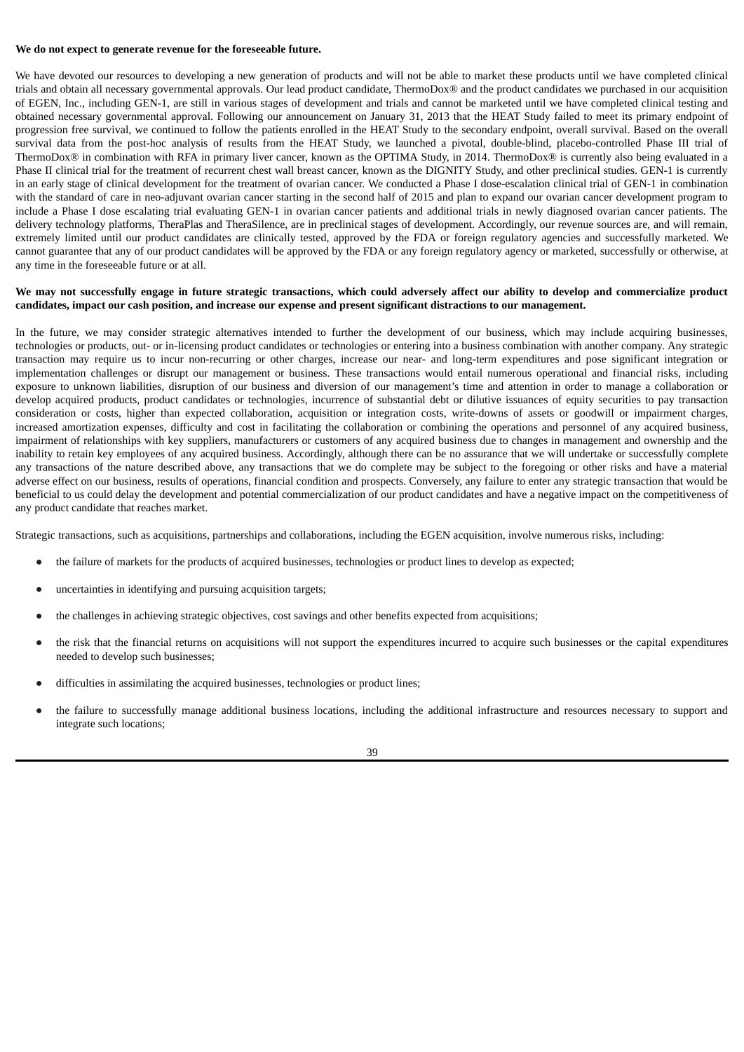#### **We do not expect to generate revenue for the foreseeable future.**

We have devoted our resources to developing a new generation of products and will not be able to market these products until we have completed clinical trials and obtain all necessary governmental approvals. Our lead product candidate, ThermoDox® and the product candidates we purchased in our acquisition of EGEN, Inc., including GEN-1, are still in various stages of development and trials and cannot be marketed until we have completed clinical testing and obtained necessary governmental approval. Following our announcement on January 31, 2013 that the HEAT Study failed to meet its primary endpoint of progression free survival, we continued to follow the patients enrolled in the HEAT Study to the secondary endpoint, overall survival. Based on the overall survival data from the post-hoc analysis of results from the HEAT Study, we launched a pivotal, double-blind, placebo-controlled Phase III trial of ThermoDox® in combination with RFA in primary liver cancer, known as the OPTIMA Study, in 2014. ThermoDox® is currently also being evaluated in a Phase II clinical trial for the treatment of recurrent chest wall breast cancer, known as the DIGNITY Study, and other preclinical studies. GEN-1 is currently in an early stage of clinical development for the treatment of ovarian cancer. We conducted a Phase I dose-escalation clinical trial of GEN-1 in combination with the standard of care in neo-adjuvant ovarian cancer starting in the second half of 2015 and plan to expand our ovarian cancer development program to include a Phase I dose escalating trial evaluating GEN-1 in ovarian cancer patients and additional trials in newly diagnosed ovarian cancer patients. The delivery technology platforms, TheraPlas and TheraSilence, are in preclinical stages of development. Accordingly, our revenue sources are, and will remain, extremely limited until our product candidates are clinically tested, approved by the FDA or foreign regulatory agencies and successfully marketed. We cannot guarantee that any of our product candidates will be approved by the FDA or any foreign regulatory agency or marketed, successfully or otherwise, at any time in the foreseeable future or at all.

## We may not successfully engage in future strategic transactions, which could adversely affect our ability to develop and commercialize product candidates, impact our cash position, and increase our expense and present significant distractions to our management.

In the future, we may consider strategic alternatives intended to further the development of our business, which may include acquiring businesses, technologies or products, out- or in-licensing product candidates or technologies or entering into a business combination with another company. Any strategic transaction may require us to incur non-recurring or other charges, increase our near- and long-term expenditures and pose significant integration or implementation challenges or disrupt our management or business. These transactions would entail numerous operational and financial risks, including exposure to unknown liabilities, disruption of our business and diversion of our management's time and attention in order to manage a collaboration or develop acquired products, product candidates or technologies, incurrence of substantial debt or dilutive issuances of equity securities to pay transaction consideration or costs, higher than expected collaboration, acquisition or integration costs, write-downs of assets or goodwill or impairment charges, increased amortization expenses, difficulty and cost in facilitating the collaboration or combining the operations and personnel of any acquired business, impairment of relationships with key suppliers, manufacturers or customers of any acquired business due to changes in management and ownership and the inability to retain key employees of any acquired business. Accordingly, although there can be no assurance that we will undertake or successfully complete any transactions of the nature described above, any transactions that we do complete may be subject to the foregoing or other risks and have a material adverse effect on our business, results of operations, financial condition and prospects. Conversely, any failure to enter any strategic transaction that would be beneficial to us could delay the development and potential commercialization of our product candidates and have a negative impact on the competitiveness of any product candidate that reaches market.

Strategic transactions, such as acquisitions, partnerships and collaborations, including the EGEN acquisition, involve numerous risks, including:

- the failure of markets for the products of acquired businesses, technologies or product lines to develop as expected;
- uncertainties in identifying and pursuing acquisition targets;
- the challenges in achieving strategic objectives, cost savings and other benefits expected from acquisitions;
- the risk that the financial returns on acquisitions will not support the expenditures incurred to acquire such businesses or the capital expenditures needed to develop such businesses;
- difficulties in assimilating the acquired businesses, technologies or product lines;
- the failure to successfully manage additional business locations, including the additional infrastructure and resources necessary to support and integrate such locations;

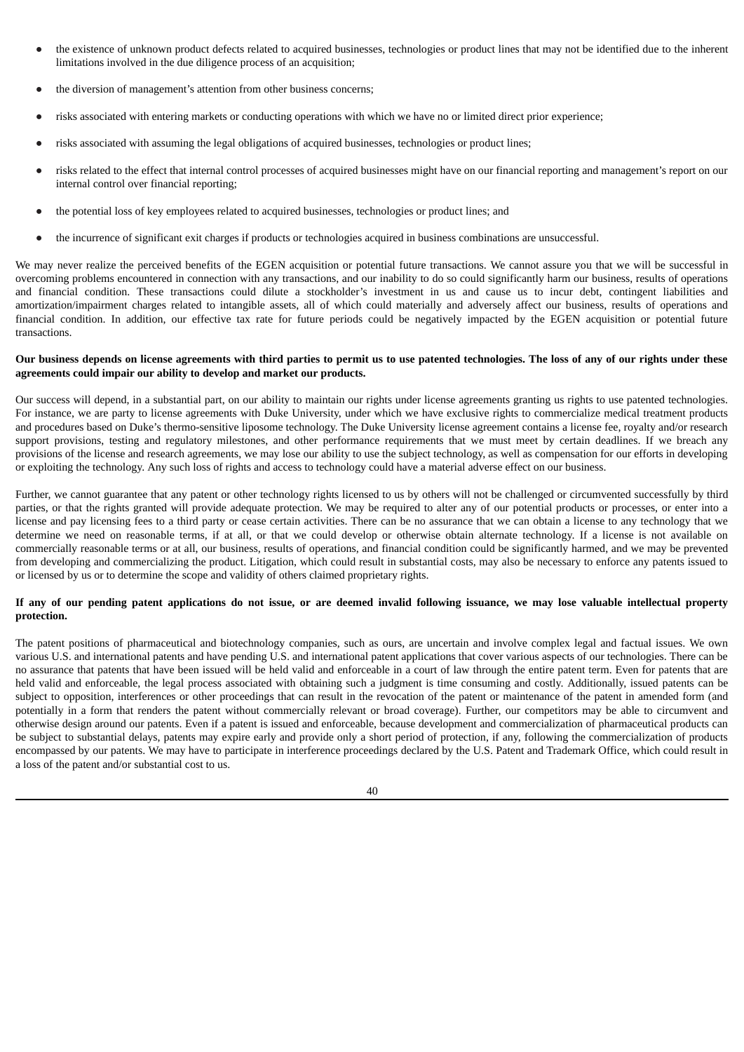- the existence of unknown product defects related to acquired businesses, technologies or product lines that may not be identified due to the inherent limitations involved in the due diligence process of an acquisition;
- the diversion of management's attention from other business concerns;
- risks associated with entering markets or conducting operations with which we have no or limited direct prior experience;
- risks associated with assuming the legal obligations of acquired businesses, technologies or product lines;
- risks related to the effect that internal control processes of acquired businesses might have on our financial reporting and management's report on our internal control over financial reporting;
- the potential loss of key employees related to acquired businesses, technologies or product lines; and
- the incurrence of significant exit charges if products or technologies acquired in business combinations are unsuccessful.

We may never realize the perceived benefits of the EGEN acquisition or potential future transactions. We cannot assure you that we will be successful in overcoming problems encountered in connection with any transactions, and our inability to do so could significantly harm our business, results of operations and financial condition. These transactions could dilute a stockholder's investment in us and cause us to incur debt, contingent liabilities and amortization/impairment charges related to intangible assets, all of which could materially and adversely affect our business, results of operations and financial condition. In addition, our effective tax rate for future periods could be negatively impacted by the EGEN acquisition or potential future transactions.

# Our business depends on license agreements with third parties to permit us to use patented technologies. The loss of any of our rights under these **agreements could impair our ability to develop and market our products.**

Our success will depend, in a substantial part, on our ability to maintain our rights under license agreements granting us rights to use patented technologies. For instance, we are party to license agreements with Duke University, under which we have exclusive rights to commercialize medical treatment products and procedures based on Duke's thermo-sensitive liposome technology. The Duke University license agreement contains a license fee, royalty and/or research support provisions, testing and regulatory milestones, and other performance requirements that we must meet by certain deadlines. If we breach any provisions of the license and research agreements, we may lose our ability to use the subject technology, as well as compensation for our efforts in developing or exploiting the technology. Any such loss of rights and access to technology could have a material adverse effect on our business.

Further, we cannot guarantee that any patent or other technology rights licensed to us by others will not be challenged or circumvented successfully by third parties, or that the rights granted will provide adequate protection. We may be required to alter any of our potential products or processes, or enter into a license and pay licensing fees to a third party or cease certain activities. There can be no assurance that we can obtain a license to any technology that we determine we need on reasonable terms, if at all, or that we could develop or otherwise obtain alternate technology. If a license is not available on commercially reasonable terms or at all, our business, results of operations, and financial condition could be significantly harmed, and we may be prevented from developing and commercializing the product. Litigation, which could result in substantial costs, may also be necessary to enforce any patents issued to or licensed by us or to determine the scope and validity of others claimed proprietary rights.

## If any of our pending patent applications do not issue, or are deemed invalid following issuance, we may lose valuable intellectual property **protection.**

The patent positions of pharmaceutical and biotechnology companies, such as ours, are uncertain and involve complex legal and factual issues. We own various U.S. and international patents and have pending U.S. and international patent applications that cover various aspects of our technologies. There can be no assurance that patents that have been issued will be held valid and enforceable in a court of law through the entire patent term. Even for patents that are held valid and enforceable, the legal process associated with obtaining such a judgment is time consuming and costly. Additionally, issued patents can be subject to opposition, interferences or other proceedings that can result in the revocation of the patent or maintenance of the patent in amended form (and potentially in a form that renders the patent without commercially relevant or broad coverage). Further, our competitors may be able to circumvent and otherwise design around our patents. Even if a patent is issued and enforceable, because development and commercialization of pharmaceutical products can be subject to substantial delays, patents may expire early and provide only a short period of protection, if any, following the commercialization of products encompassed by our patents. We may have to participate in interference proceedings declared by the U.S. Patent and Trademark Office, which could result in a loss of the patent and/or substantial cost to us.

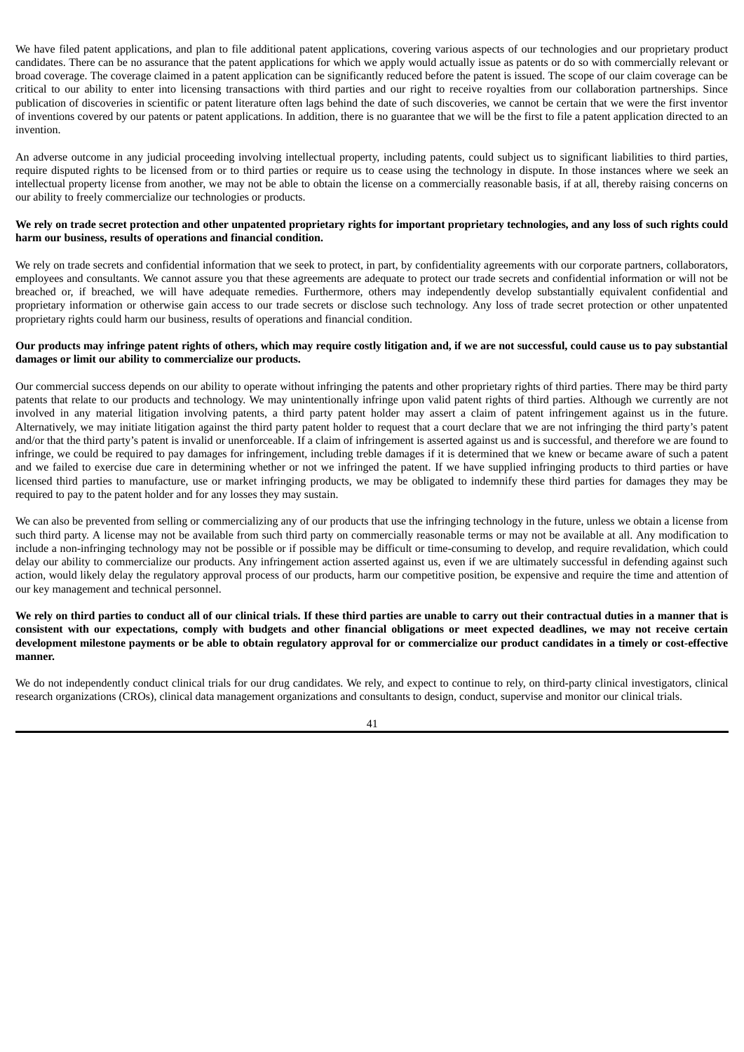We have filed patent applications, and plan to file additional patent applications, covering various aspects of our technologies and our proprietary product candidates. There can be no assurance that the patent applications for which we apply would actually issue as patents or do so with commercially relevant or broad coverage. The coverage claimed in a patent application can be significantly reduced before the patent is issued. The scope of our claim coverage can be critical to our ability to enter into licensing transactions with third parties and our right to receive royalties from our collaboration partnerships. Since publication of discoveries in scientific or patent literature often lags behind the date of such discoveries, we cannot be certain that we were the first inventor of inventions covered by our patents or patent applications. In addition, there is no guarantee that we will be the first to file a patent application directed to an invention.

An adverse outcome in any judicial proceeding involving intellectual property, including patents, could subject us to significant liabilities to third parties, require disputed rights to be licensed from or to third parties or require us to cease using the technology in dispute. In those instances where we seek an intellectual property license from another, we may not be able to obtain the license on a commercially reasonable basis, if at all, thereby raising concerns on our ability to freely commercialize our technologies or products.

## We rely on trade secret protection and other unpatented proprietary rights for important proprietary technologies, and any loss of such rights could **harm our business, results of operations and financial condition.**

We rely on trade secrets and confidential information that we seek to protect, in part, by confidentiality agreements with our corporate partners, collaborators, employees and consultants. We cannot assure you that these agreements are adequate to protect our trade secrets and confidential information or will not be breached or, if breached, we will have adequate remedies. Furthermore, others may independently develop substantially equivalent confidential and proprietary information or otherwise gain access to our trade secrets or disclose such technology. Any loss of trade secret protection or other unpatented proprietary rights could harm our business, results of operations and financial condition.

## Our products may infringe patent rights of others, which may require costly litigation and, if we are not successful, could cause us to pay substantial **damages or limit our ability to commercialize our products.**

Our commercial success depends on our ability to operate without infringing the patents and other proprietary rights of third parties. There may be third party patents that relate to our products and technology. We may unintentionally infringe upon valid patent rights of third parties. Although we currently are not involved in any material litigation involving patents, a third party patent holder may assert a claim of patent infringement against us in the future. Alternatively, we may initiate litigation against the third party patent holder to request that a court declare that we are not infringing the third party's patent and/or that the third party's patent is invalid or unenforceable. If a claim of infringement is asserted against us and is successful, and therefore we are found to infringe, we could be required to pay damages for infringement, including treble damages if it is determined that we knew or became aware of such a patent and we failed to exercise due care in determining whether or not we infringed the patent. If we have supplied infringing products to third parties or have licensed third parties to manufacture, use or market infringing products, we may be obligated to indemnify these third parties for damages they may be required to pay to the patent holder and for any losses they may sustain.

We can also be prevented from selling or commercializing any of our products that use the infringing technology in the future, unless we obtain a license from such third party. A license may not be available from such third party on commercially reasonable terms or may not be available at all. Any modification to include a non-infringing technology may not be possible or if possible may be difficult or time-consuming to develop, and require revalidation, which could delay our ability to commercialize our products. Any infringement action asserted against us, even if we are ultimately successful in defending against such action, would likely delay the regulatory approval process of our products, harm our competitive position, be expensive and require the time and attention of our key management and technical personnel.

We rely on third parties to conduct all of our clinical trials. If these third parties are unable to carry out their contractual duties in a manner that is consistent with our expectations, comply with budgets and other financial obligations or meet expected deadlines, we may not receive certain development milestone payments or be able to obtain regulatory approval for or commercialize our product candidates in a timely or cost-effective **manner.**

We do not independently conduct clinical trials for our drug candidates. We rely, and expect to continue to rely, on third-party clinical investigators, clinical research organizations (CROs), clinical data management organizations and consultants to design, conduct, supervise and monitor our clinical trials.

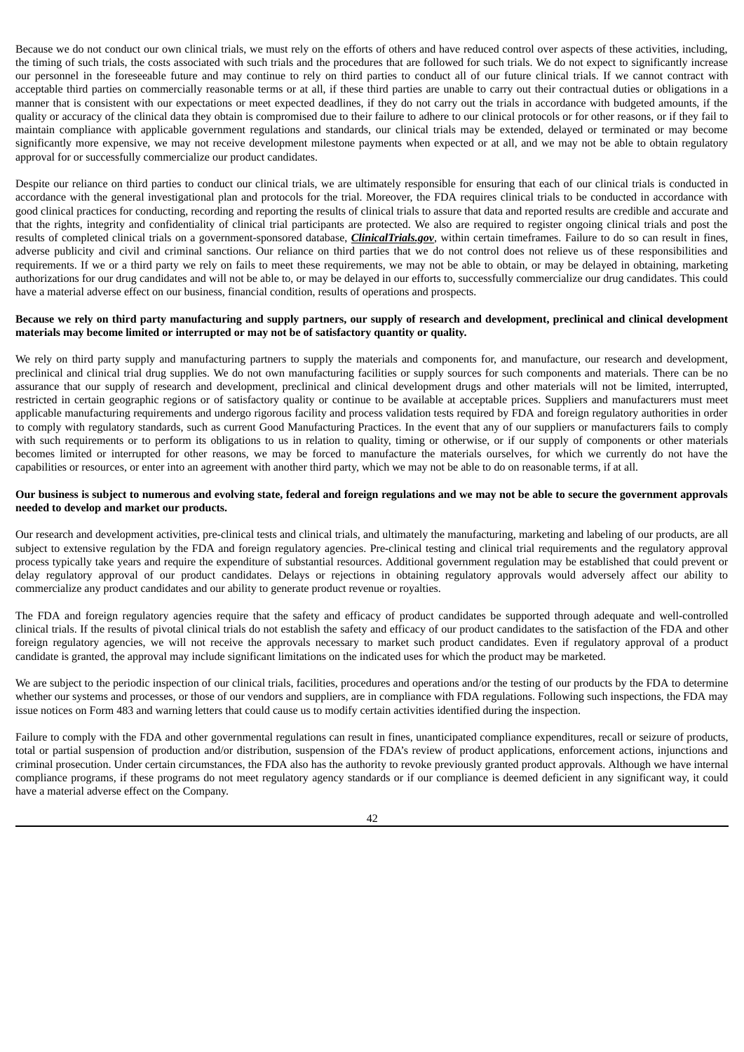Because we do not conduct our own clinical trials, we must rely on the efforts of others and have reduced control over aspects of these activities, including, the timing of such trials, the costs associated with such trials and the procedures that are followed for such trials. We do not expect to significantly increase our personnel in the foreseeable future and may continue to rely on third parties to conduct all of our future clinical trials. If we cannot contract with acceptable third parties on commercially reasonable terms or at all, if these third parties are unable to carry out their contractual duties or obligations in a manner that is consistent with our expectations or meet expected deadlines, if they do not carry out the trials in accordance with budgeted amounts, if the quality or accuracy of the clinical data they obtain is compromised due to their failure to adhere to our clinical protocols or for other reasons, or if they fail to maintain compliance with applicable government regulations and standards, our clinical trials may be extended, delayed or terminated or may become significantly more expensive, we may not receive development milestone payments when expected or at all, and we may not be able to obtain regulatory approval for or successfully commercialize our product candidates.

Despite our reliance on third parties to conduct our clinical trials, we are ultimately responsible for ensuring that each of our clinical trials is conducted in accordance with the general investigational plan and protocols for the trial. Moreover, the FDA requires clinical trials to be conducted in accordance with good clinical practices for conducting, recording and reporting the results of clinical trials to assure that data and reported results are credible and accurate and that the rights, integrity and confidentiality of clinical trial participants are protected. We also are required to register ongoing clinical trials and post the results of completed clinical trials on a government-sponsored database, *ClinicalTrials.gov*, within certain timeframes. Failure to do so can result in fines, adverse publicity and civil and criminal sanctions. Our reliance on third parties that we do not control does not relieve us of these responsibilities and requirements. If we or a third party we rely on fails to meet these requirements, we may not be able to obtain, or may be delayed in obtaining, marketing authorizations for our drug candidates and will not be able to, or may be delayed in our efforts to, successfully commercialize our drug candidates. This could have a material adverse effect on our business, financial condition, results of operations and prospects.

## Because we rely on third party manufacturing and supply partners, our supply of research and development, preclinical and clinical development **materials may become limited or interrupted or may not be of satisfactory quantity or quality.**

We rely on third party supply and manufacturing partners to supply the materials and components for, and manufacture, our research and development, preclinical and clinical trial drug supplies. We do not own manufacturing facilities or supply sources for such components and materials. There can be no assurance that our supply of research and development, preclinical and clinical development drugs and other materials will not be limited, interrupted, restricted in certain geographic regions or of satisfactory quality or continue to be available at acceptable prices. Suppliers and manufacturers must meet applicable manufacturing requirements and undergo rigorous facility and process validation tests required by FDA and foreign regulatory authorities in order to comply with regulatory standards, such as current Good Manufacturing Practices. In the event that any of our suppliers or manufacturers fails to comply with such requirements or to perform its obligations to us in relation to quality, timing or otherwise, or if our supply of components or other materials becomes limited or interrupted for other reasons, we may be forced to manufacture the materials ourselves, for which we currently do not have the capabilities or resources, or enter into an agreement with another third party, which we may not be able to do on reasonable terms, if at all.

## Our business is subject to numerous and evolving state, federal and foreign regulations and we may not be able to secure the government approvals **needed to develop and market our products.**

Our research and development activities, pre-clinical tests and clinical trials, and ultimately the manufacturing, marketing and labeling of our products, are all subject to extensive regulation by the FDA and foreign regulatory agencies. Pre-clinical testing and clinical trial requirements and the regulatory approval process typically take years and require the expenditure of substantial resources. Additional government regulation may be established that could prevent or delay regulatory approval of our product candidates. Delays or rejections in obtaining regulatory approvals would adversely affect our ability to commercialize any product candidates and our ability to generate product revenue or royalties.

The FDA and foreign regulatory agencies require that the safety and efficacy of product candidates be supported through adequate and well-controlled clinical trials. If the results of pivotal clinical trials do not establish the safety and efficacy of our product candidates to the satisfaction of the FDA and other foreign regulatory agencies, we will not receive the approvals necessary to market such product candidates. Even if regulatory approval of a product candidate is granted, the approval may include significant limitations on the indicated uses for which the product may be marketed.

We are subject to the periodic inspection of our clinical trials, facilities, procedures and operations and/or the testing of our products by the FDA to determine whether our systems and processes, or those of our vendors and suppliers, are in compliance with FDA regulations. Following such inspections, the FDA may issue notices on Form 483 and warning letters that could cause us to modify certain activities identified during the inspection.

Failure to comply with the FDA and other governmental regulations can result in fines, unanticipated compliance expenditures, recall or seizure of products, total or partial suspension of production and/or distribution, suspension of the FDA's review of product applications, enforcement actions, injunctions and criminal prosecution. Under certain circumstances, the FDA also has the authority to revoke previously granted product approvals. Although we have internal compliance programs, if these programs do not meet regulatory agency standards or if our compliance is deemed deficient in any significant way, it could have a material adverse effect on the Company.

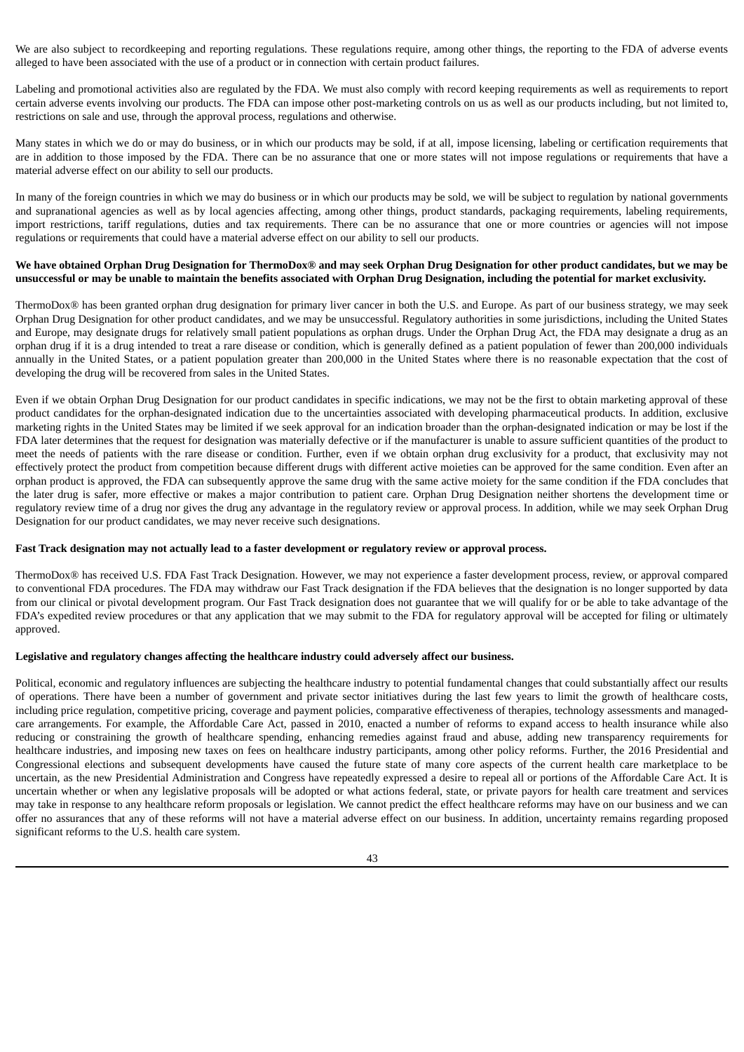We are also subject to recordkeeping and reporting regulations. These regulations require, among other things, the reporting to the FDA of adverse events alleged to have been associated with the use of a product or in connection with certain product failures.

Labeling and promotional activities also are regulated by the FDA. We must also comply with record keeping requirements as well as requirements to report certain adverse events involving our products. The FDA can impose other post-marketing controls on us as well as our products including, but not limited to, restrictions on sale and use, through the approval process, regulations and otherwise.

Many states in which we do or may do business, or in which our products may be sold, if at all, impose licensing, labeling or certification requirements that are in addition to those imposed by the FDA. There can be no assurance that one or more states will not impose regulations or requirements that have a material adverse effect on our ability to sell our products.

In many of the foreign countries in which we may do business or in which our products may be sold, we will be subject to regulation by national governments and supranational agencies as well as by local agencies affecting, among other things, product standards, packaging requirements, labeling requirements, import restrictions, tariff regulations, duties and tax requirements. There can be no assurance that one or more countries or agencies will not impose regulations or requirements that could have a material adverse effect on our ability to sell our products.

## We have obtained Orphan Drug Designation for ThermoDox® and may seek Orphan Drug Designation for other product candidates, but we may be unsuccessful or may be unable to maintain the benefits associated with Orphan Drug Designation, including the potential for market exclusivity.

ThermoDox® has been granted orphan drug designation for primary liver cancer in both the U.S. and Europe. As part of our business strategy, we may seek Orphan Drug Designation for other product candidates, and we may be unsuccessful. Regulatory authorities in some jurisdictions, including the United States and Europe, may designate drugs for relatively small patient populations as orphan drugs. Under the Orphan Drug Act, the FDA may designate a drug as an orphan drug if it is a drug intended to treat a rare disease or condition, which is generally defined as a patient population of fewer than 200,000 individuals annually in the United States, or a patient population greater than 200,000 in the United States where there is no reasonable expectation that the cost of developing the drug will be recovered from sales in the United States.

Even if we obtain Orphan Drug Designation for our product candidates in specific indications, we may not be the first to obtain marketing approval of these product candidates for the orphan-designated indication due to the uncertainties associated with developing pharmaceutical products. In addition, exclusive marketing rights in the United States may be limited if we seek approval for an indication broader than the orphan-designated indication or may be lost if the FDA later determines that the request for designation was materially defective or if the manufacturer is unable to assure sufficient quantities of the product to meet the needs of patients with the rare disease or condition. Further, even if we obtain orphan drug exclusivity for a product, that exclusivity may not effectively protect the product from competition because different drugs with different active moieties can be approved for the same condition. Even after an orphan product is approved, the FDA can subsequently approve the same drug with the same active moiety for the same condition if the FDA concludes that the later drug is safer, more effective or makes a major contribution to patient care. Orphan Drug Designation neither shortens the development time or regulatory review time of a drug nor gives the drug any advantage in the regulatory review or approval process. In addition, while we may seek Orphan Drug Designation for our product candidates, we may never receive such designations.

## Fast Track designation may not actually lead to a faster development or regulatory review or approval process.

ThermoDox® has received U.S. FDA Fast Track Designation. However, we may not experience a faster development process, review, or approval compared to conventional FDA procedures. The FDA may withdraw our Fast Track designation if the FDA believes that the designation is no longer supported by data from our clinical or pivotal development program. Our Fast Track designation does not guarantee that we will qualify for or be able to take advantage of the FDA's expedited review procedures or that any application that we may submit to the FDA for regulatory approval will be accepted for filing or ultimately approved.

## **Legislative and regulatory changes affecting the healthcare industry could adversely affect our business.**

Political, economic and regulatory influences are subjecting the healthcare industry to potential fundamental changes that could substantially affect our results of operations. There have been a number of government and private sector initiatives during the last few years to limit the growth of healthcare costs, including price regulation, competitive pricing, coverage and payment policies, comparative effectiveness of therapies, technology assessments and managedcare arrangements. For example, the Affordable Care Act, passed in 2010, enacted a number of reforms to expand access to health insurance while also reducing or constraining the growth of healthcare spending, enhancing remedies against fraud and abuse, adding new transparency requirements for healthcare industries, and imposing new taxes on fees on healthcare industry participants, among other policy reforms. Further, the 2016 Presidential and Congressional elections and subsequent developments have caused the future state of many core aspects of the current health care marketplace to be uncertain, as the new Presidential Administration and Congress have repeatedly expressed a desire to repeal all or portions of the Affordable Care Act. It is uncertain whether or when any legislative proposals will be adopted or what actions federal, state, or private payors for health care treatment and services may take in response to any healthcare reform proposals or legislation. We cannot predict the effect healthcare reforms may have on our business and we can offer no assurances that any of these reforms will not have a material adverse effect on our business. In addition, uncertainty remains regarding proposed significant reforms to the U.S. health care system.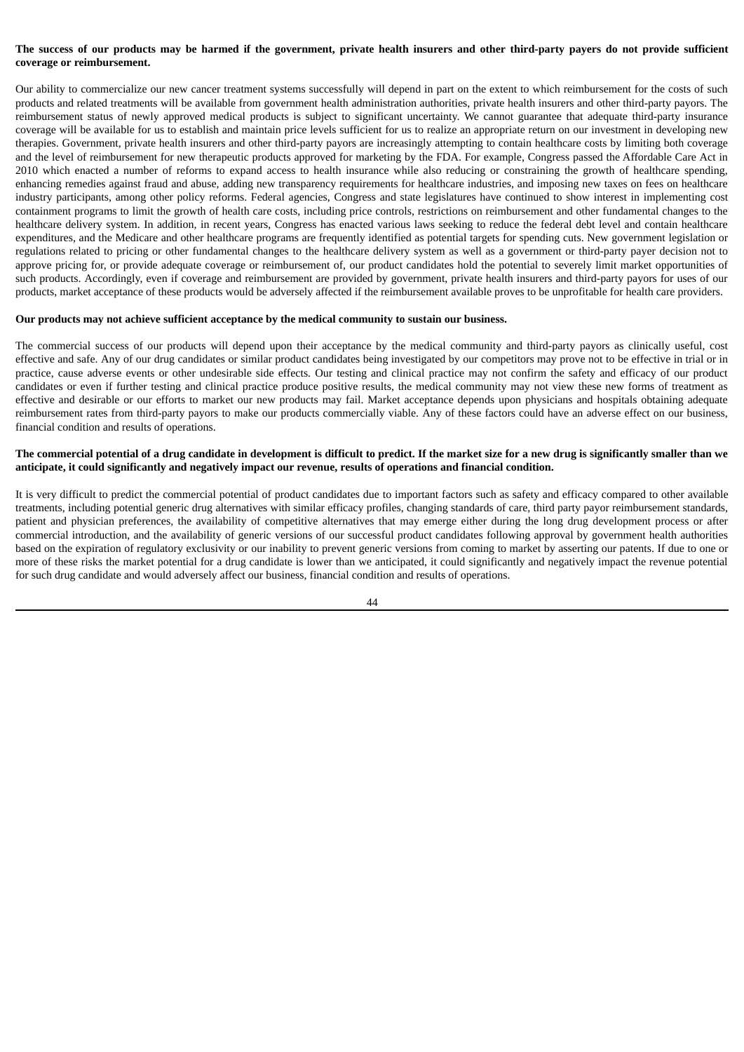# The success of our products may be harmed if the government, private health insurers and other third-party payers do not provide sufficient **coverage or reimbursement.**

Our ability to commercialize our new cancer treatment systems successfully will depend in part on the extent to which reimbursement for the costs of such products and related treatments will be available from government health administration authorities, private health insurers and other third-party payors. The reimbursement status of newly approved medical products is subject to significant uncertainty. We cannot guarantee that adequate third-party insurance coverage will be available for us to establish and maintain price levels sufficient for us to realize an appropriate return on our investment in developing new therapies. Government, private health insurers and other third-party payors are increasingly attempting to contain healthcare costs by limiting both coverage and the level of reimbursement for new therapeutic products approved for marketing by the FDA. For example, Congress passed the Affordable Care Act in 2010 which enacted a number of reforms to expand access to health insurance while also reducing or constraining the growth of healthcare spending, enhancing remedies against fraud and abuse, adding new transparency requirements for healthcare industries, and imposing new taxes on fees on healthcare industry participants, among other policy reforms. Federal agencies, Congress and state legislatures have continued to show interest in implementing cost containment programs to limit the growth of health care costs, including price controls, restrictions on reimbursement and other fundamental changes to the healthcare delivery system. In addition, in recent years, Congress has enacted various laws seeking to reduce the federal debt level and contain healthcare expenditures, and the Medicare and other healthcare programs are frequently identified as potential targets for spending cuts. New government legislation or regulations related to pricing or other fundamental changes to the healthcare delivery system as well as a government or third-party payer decision not to approve pricing for, or provide adequate coverage or reimbursement of, our product candidates hold the potential to severely limit market opportunities of such products. Accordingly, even if coverage and reimbursement are provided by government, private health insurers and third-party payors for uses of our products, market acceptance of these products would be adversely affected if the reimbursement available proves to be unprofitable for health care providers.

#### **Our products may not achieve sufficient acceptance by the medical community to sustain our business.**

The commercial success of our products will depend upon their acceptance by the medical community and third-party payors as clinically useful, cost effective and safe. Any of our drug candidates or similar product candidates being investigated by our competitors may prove not to be effective in trial or in practice, cause adverse events or other undesirable side effects. Our testing and clinical practice may not confirm the safety and efficacy of our product candidates or even if further testing and clinical practice produce positive results, the medical community may not view these new forms of treatment as effective and desirable or our efforts to market our new products may fail. Market acceptance depends upon physicians and hospitals obtaining adequate reimbursement rates from third-party payors to make our products commercially viable. Any of these factors could have an adverse effect on our business, financial condition and results of operations.

## The commercial potential of a drug candidate in development is difficult to predict. If the market size for a new drug is significantly smaller than we **anticipate, it could significantly and negatively impact our revenue, results of operations and financial condition.**

It is very difficult to predict the commercial potential of product candidates due to important factors such as safety and efficacy compared to other available treatments, including potential generic drug alternatives with similar efficacy profiles, changing standards of care, third party payor reimbursement standards, patient and physician preferences, the availability of competitive alternatives that may emerge either during the long drug development process or after commercial introduction, and the availability of generic versions of our successful product candidates following approval by government health authorities based on the expiration of regulatory exclusivity or our inability to prevent generic versions from coming to market by asserting our patents. If due to one or more of these risks the market potential for a drug candidate is lower than we anticipated, it could significantly and negatively impact the revenue potential for such drug candidate and would adversely affect our business, financial condition and results of operations.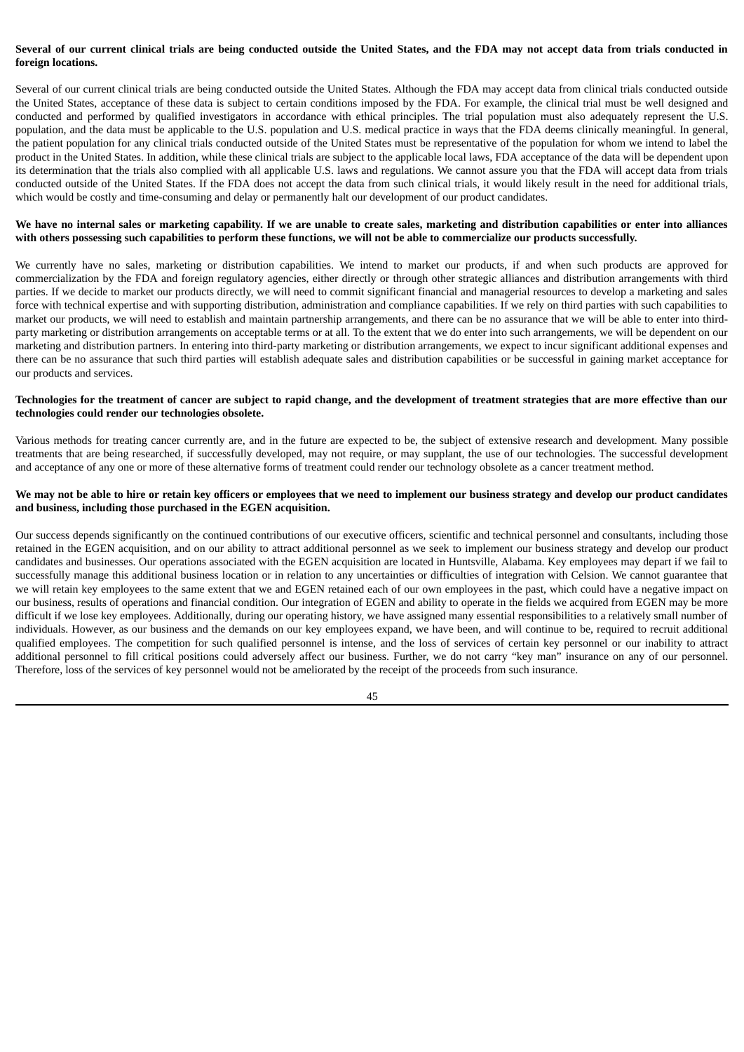# Several of our current clinical trials are being conducted outside the United States, and the FDA may not accept data from trials conducted in **foreign locations.**

Several of our current clinical trials are being conducted outside the United States. Although the FDA may accept data from clinical trials conducted outside the United States, acceptance of these data is subject to certain conditions imposed by the FDA. For example, the clinical trial must be well designed and conducted and performed by qualified investigators in accordance with ethical principles. The trial population must also adequately represent the U.S. population, and the data must be applicable to the U.S. population and U.S. medical practice in ways that the FDA deems clinically meaningful. In general, the patient population for any clinical trials conducted outside of the United States must be representative of the population for whom we intend to label the product in the United States. In addition, while these clinical trials are subject to the applicable local laws, FDA acceptance of the data will be dependent upon its determination that the trials also complied with all applicable U.S. laws and regulations. We cannot assure you that the FDA will accept data from trials conducted outside of the United States. If the FDA does not accept the data from such clinical trials, it would likely result in the need for additional trials, which would be costly and time-consuming and delay or permanently halt our development of our product candidates.

## We have no internal sales or marketing capability. If we are unable to create sales, marketing and distribution capabilities or enter into alliances with others possessing such capabilities to perform these functions, we will not be able to commercialize our products successfully.

We currently have no sales, marketing or distribution capabilities. We intend to market our products, if and when such products are approved for commercialization by the FDA and foreign regulatory agencies, either directly or through other strategic alliances and distribution arrangements with third parties. If we decide to market our products directly, we will need to commit significant financial and managerial resources to develop a marketing and sales force with technical expertise and with supporting distribution, administration and compliance capabilities. If we rely on third parties with such capabilities to market our products, we will need to establish and maintain partnership arrangements, and there can be no assurance that we will be able to enter into thirdparty marketing or distribution arrangements on acceptable terms or at all. To the extent that we do enter into such arrangements, we will be dependent on our marketing and distribution partners. In entering into third-party marketing or distribution arrangements, we expect to incur significant additional expenses and there can be no assurance that such third parties will establish adequate sales and distribution capabilities or be successful in gaining market acceptance for our products and services.

## Technologies for the treatment of cancer are subject to rapid change, and the development of treatment strategies that are more effective than our **technologies could render our technologies obsolete.**

Various methods for treating cancer currently are, and in the future are expected to be, the subject of extensive research and development. Many possible treatments that are being researched, if successfully developed, may not require, or may supplant, the use of our technologies. The successful development and acceptance of any one or more of these alternative forms of treatment could render our technology obsolete as a cancer treatment method.

## We may not be able to hire or retain key officers or employees that we need to implement our business strategy and develop our product candidates **and business, including those purchased in the EGEN acquisition.**

Our success depends significantly on the continued contributions of our executive officers, scientific and technical personnel and consultants, including those retained in the EGEN acquisition, and on our ability to attract additional personnel as we seek to implement our business strategy and develop our product candidates and businesses. Our operations associated with the EGEN acquisition are located in Huntsville, Alabama. Key employees may depart if we fail to successfully manage this additional business location or in relation to any uncertainties or difficulties of integration with Celsion. We cannot guarantee that we will retain key employees to the same extent that we and EGEN retained each of our own employees in the past, which could have a negative impact on our business, results of operations and financial condition. Our integration of EGEN and ability to operate in the fields we acquired from EGEN may be more difficult if we lose key employees. Additionally, during our operating history, we have assigned many essential responsibilities to a relatively small number of individuals. However, as our business and the demands on our key employees expand, we have been, and will continue to be, required to recruit additional qualified employees. The competition for such qualified personnel is intense, and the loss of services of certain key personnel or our inability to attract additional personnel to fill critical positions could adversely affect our business. Further, we do not carry "key man" insurance on any of our personnel. Therefore, loss of the services of key personnel would not be ameliorated by the receipt of the proceeds from such insurance.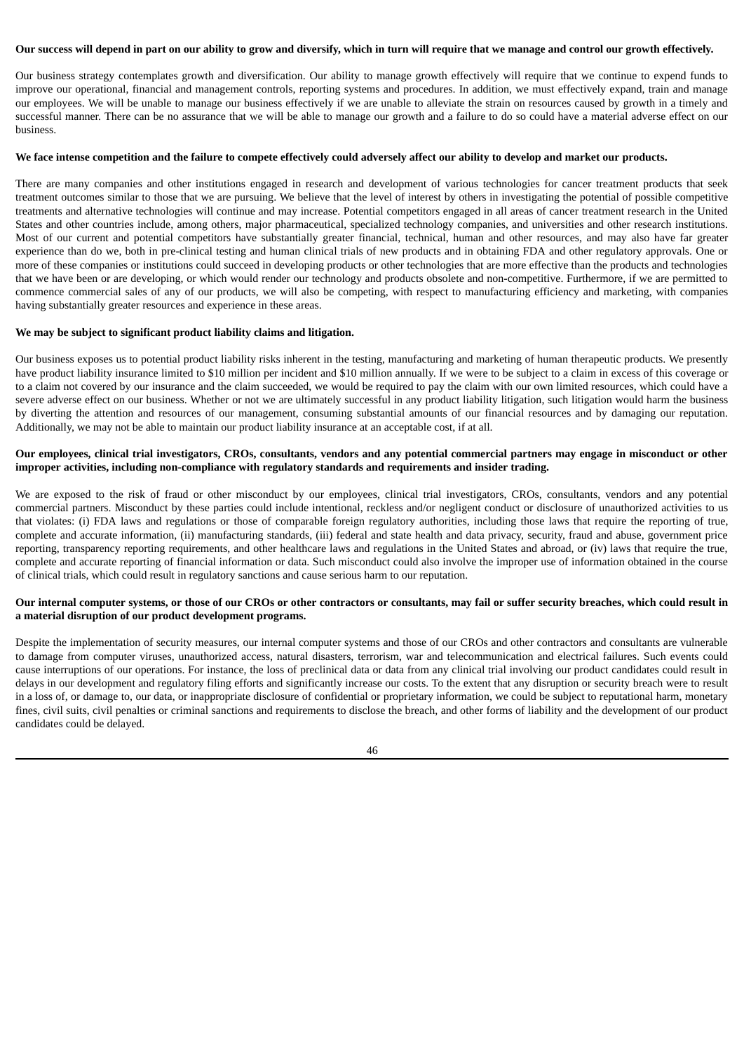#### Our success will depend in part on our ability to grow and diversify, which in turn will require that we manage and control our growth effectively.

Our business strategy contemplates growth and diversification. Our ability to manage growth effectively will require that we continue to expend funds to improve our operational, financial and management controls, reporting systems and procedures. In addition, we must effectively expand, train and manage our employees. We will be unable to manage our business effectively if we are unable to alleviate the strain on resources caused by growth in a timely and successful manner. There can be no assurance that we will be able to manage our growth and a failure to do so could have a material adverse effect on our business.

#### We face intense competition and the failure to compete effectively could adversely affect our ability to develop and market our products.

There are many companies and other institutions engaged in research and development of various technologies for cancer treatment products that seek treatment outcomes similar to those that we are pursuing. We believe that the level of interest by others in investigating the potential of possible competitive treatments and alternative technologies will continue and may increase. Potential competitors engaged in all areas of cancer treatment research in the United States and other countries include, among others, major pharmaceutical, specialized technology companies, and universities and other research institutions. Most of our current and potential competitors have substantially greater financial, technical, human and other resources, and may also have far greater experience than do we, both in pre-clinical testing and human clinical trials of new products and in obtaining FDA and other regulatory approvals. One or more of these companies or institutions could succeed in developing products or other technologies that are more effective than the products and technologies that we have been or are developing, or which would render our technology and products obsolete and non-competitive. Furthermore, if we are permitted to commence commercial sales of any of our products, we will also be competing, with respect to manufacturing efficiency and marketing, with companies having substantially greater resources and experience in these areas.

## **We may be subject to significant product liability claims and litigation.**

Our business exposes us to potential product liability risks inherent in the testing, manufacturing and marketing of human therapeutic products. We presently have product liability insurance limited to \$10 million per incident and \$10 million annually. If we were to be subject to a claim in excess of this coverage or to a claim not covered by our insurance and the claim succeeded, we would be required to pay the claim with our own limited resources, which could have a severe adverse effect on our business. Whether or not we are ultimately successful in any product liability litigation, such litigation would harm the business by diverting the attention and resources of our management, consuming substantial amounts of our financial resources and by damaging our reputation. Additionally, we may not be able to maintain our product liability insurance at an acceptable cost, if at all.

## Our employees, clinical trial investigators, CROs, consultants, vendors and any potential commercial partners may engage in misconduct or other **improper activities, including non-compliance with regulatory standards and requirements and insider trading.**

We are exposed to the risk of fraud or other misconduct by our employees, clinical trial investigators, CROs, consultants, vendors and any potential commercial partners. Misconduct by these parties could include intentional, reckless and/or negligent conduct or disclosure of unauthorized activities to us that violates: (i) FDA laws and regulations or those of comparable foreign regulatory authorities, including those laws that require the reporting of true, complete and accurate information, (ii) manufacturing standards, (iii) federal and state health and data privacy, security, fraud and abuse, government price reporting, transparency reporting requirements, and other healthcare laws and regulations in the United States and abroad, or (iv) laws that require the true, complete and accurate reporting of financial information or data. Such misconduct could also involve the improper use of information obtained in the course of clinical trials, which could result in regulatory sanctions and cause serious harm to our reputation.

## Our internal computer systems, or those of our CROs or other contractors or consultants, may fail or suffer security breaches, which could result in **a material disruption of our product development programs.**

Despite the implementation of security measures, our internal computer systems and those of our CROs and other contractors and consultants are vulnerable to damage from computer viruses, unauthorized access, natural disasters, terrorism, war and telecommunication and electrical failures. Such events could cause interruptions of our operations. For instance, the loss of preclinical data or data from any clinical trial involving our product candidates could result in delays in our development and regulatory filing efforts and significantly increase our costs. To the extent that any disruption or security breach were to result in a loss of, or damage to, our data, or inappropriate disclosure of confidential or proprietary information, we could be subject to reputational harm, monetary fines, civil suits, civil penalties or criminal sanctions and requirements to disclose the breach, and other forms of liability and the development of our product candidates could be delayed.

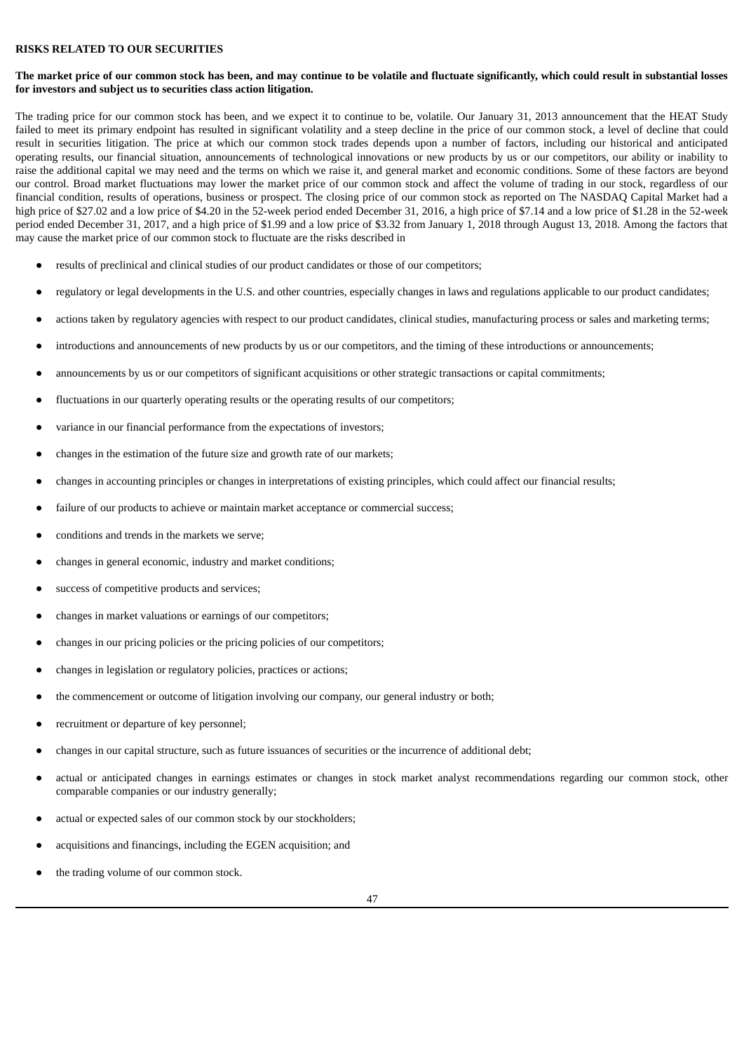## **RISKS RELATED TO OUR SECURITIES**

## The market price of our common stock has been, and may continue to be volatile and fluctuate significantly, which could result in substantial losses **for investors and subject us to securities class action litigation.**

The trading price for our common stock has been, and we expect it to continue to be, volatile. Our January 31, 2013 announcement that the HEAT Study failed to meet its primary endpoint has resulted in significant volatility and a steep decline in the price of our common stock, a level of decline that could result in securities litigation. The price at which our common stock trades depends upon a number of factors, including our historical and anticipated operating results, our financial situation, announcements of technological innovations or new products by us or our competitors, our ability or inability to raise the additional capital we may need and the terms on which we raise it, and general market and economic conditions. Some of these factors are beyond our control. Broad market fluctuations may lower the market price of our common stock and affect the volume of trading in our stock, regardless of our financial condition, results of operations, business or prospect. The closing price of our common stock as reported on The NASDAQ Capital Market had a high price of \$27.02 and a low price of \$4.20 in the 52-week period ended December 31, 2016, a high price of \$7.14 and a low price of \$1.28 in the 52-week period ended December 31, 2017, and a high price of \$1.99 and a low price of \$3.32 from January 1, 2018 through August 13, 2018. Among the factors that may cause the market price of our common stock to fluctuate are the risks described in

- results of preclinical and clinical studies of our product candidates or those of our competitors;
- regulatory or legal developments in the U.S. and other countries, especially changes in laws and regulations applicable to our product candidates;
- actions taken by regulatory agencies with respect to our product candidates, clinical studies, manufacturing process or sales and marketing terms;
- introductions and announcements of new products by us or our competitors, and the timing of these introductions or announcements;
- announcements by us or our competitors of significant acquisitions or other strategic transactions or capital commitments;
- fluctuations in our quarterly operating results or the operating results of our competitors;
- variance in our financial performance from the expectations of investors;
- changes in the estimation of the future size and growth rate of our markets;
- changes in accounting principles or changes in interpretations of existing principles, which could affect our financial results;
- failure of our products to achieve or maintain market acceptance or commercial success;
- conditions and trends in the markets we serve;
- changes in general economic, industry and market conditions;
- success of competitive products and services;
- changes in market valuations or earnings of our competitors;
- changes in our pricing policies or the pricing policies of our competitors;
- changes in legislation or regulatory policies, practices or actions;
- the commencement or outcome of litigation involving our company, our general industry or both;
- recruitment or departure of key personnel;
- changes in our capital structure, such as future issuances of securities or the incurrence of additional debt;
- actual or anticipated changes in earnings estimates or changes in stock market analyst recommendations regarding our common stock, other comparable companies or our industry generally;
- actual or expected sales of our common stock by our stockholders;
- acquisitions and financings, including the EGEN acquisition; and
- the trading volume of our common stock.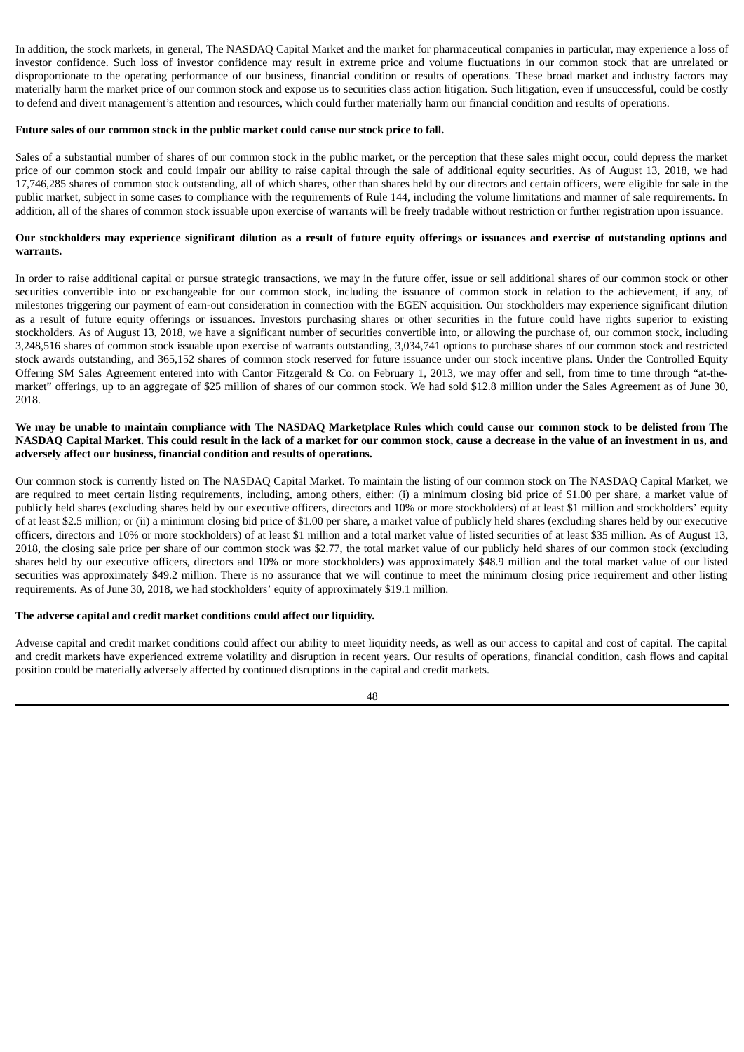In addition, the stock markets, in general, The NASDAQ Capital Market and the market for pharmaceutical companies in particular, may experience a loss of investor confidence. Such loss of investor confidence may result in extreme price and volume fluctuations in our common stock that are unrelated or disproportionate to the operating performance of our business, financial condition or results of operations. These broad market and industry factors may materially harm the market price of our common stock and expose us to securities class action litigation. Such litigation, even if unsuccessful, could be costly to defend and divert management's attention and resources, which could further materially harm our financial condition and results of operations.

#### **Future sales of our common stock in the public market could cause our stock price to fall.**

Sales of a substantial number of shares of our common stock in the public market, or the perception that these sales might occur, could depress the market price of our common stock and could impair our ability to raise capital through the sale of additional equity securities. As of August 13, 2018, we had 17,746,285 shares of common stock outstanding, all of which shares, other than shares held by our directors and certain officers, were eligible for sale in the public market, subject in some cases to compliance with the requirements of Rule 144, including the volume limitations and manner of sale requirements. In addition, all of the shares of common stock issuable upon exercise of warrants will be freely tradable without restriction or further registration upon issuance.

## Our stockholders may experience significant dilution as a result of future equity offerings or issuances and exercise of outstanding options and **warrants.**

In order to raise additional capital or pursue strategic transactions, we may in the future offer, issue or sell additional shares of our common stock or other securities convertible into or exchangeable for our common stock, including the issuance of common stock in relation to the achievement, if any, of milestones triggering our payment of earn-out consideration in connection with the EGEN acquisition. Our stockholders may experience significant dilution as a result of future equity offerings or issuances. Investors purchasing shares or other securities in the future could have rights superior to existing stockholders. As of August 13, 2018, we have a significant number of securities convertible into, or allowing the purchase of, our common stock, including 3,248,516 shares of common stock issuable upon exercise of warrants outstanding, 3,034,741 options to purchase shares of our common stock and restricted stock awards outstanding, and 365,152 shares of common stock reserved for future issuance under our stock incentive plans. Under the Controlled Equity Offering SM Sales Agreement entered into with Cantor Fitzgerald & Co. on February 1, 2013, we may offer and sell, from time to time through "at-themarket" offerings, up to an aggregate of \$25 million of shares of our common stock. We had sold \$12.8 million under the Sales Agreement as of June 30, 2018.

## We may be unable to maintain compliance with The NASDAQ Marketplace Rules which could cause our common stock to be delisted from The NASDAQ Capital Market. This could result in the lack of a market for our common stock, cause a decrease in the value of an investment in us, and **adversely affect our business, financial condition and results of operations.**

Our common stock is currently listed on The NASDAQ Capital Market. To maintain the listing of our common stock on The NASDAQ Capital Market, we are required to meet certain listing requirements, including, among others, either: (i) a minimum closing bid price of \$1.00 per share, a market value of publicly held shares (excluding shares held by our executive officers, directors and 10% or more stockholders) of at least \$1 million and stockholders' equity of at least \$2.5 million; or (ii) a minimum closing bid price of \$1.00 per share, a market value of publicly held shares (excluding shares held by our executive officers, directors and 10% or more stockholders) of at least \$1 million and a total market value of listed securities of at least \$35 million. As of August 13, 2018, the closing sale price per share of our common stock was \$2.77, the total market value of our publicly held shares of our common stock (excluding shares held by our executive officers, directors and 10% or more stockholders) was approximately \$48.9 million and the total market value of our listed securities was approximately \$49.2 million. There is no assurance that we will continue to meet the minimum closing price requirement and other listing requirements. As of June 30, 2018, we had stockholders' equity of approximately \$19.1 million.

## **The adverse capital and credit market conditions could affect our liquidity.**

Adverse capital and credit market conditions could affect our ability to meet liquidity needs, as well as our access to capital and cost of capital. The capital and credit markets have experienced extreme volatility and disruption in recent years. Our results of operations, financial condition, cash flows and capital position could be materially adversely affected by continued disruptions in the capital and credit markets.

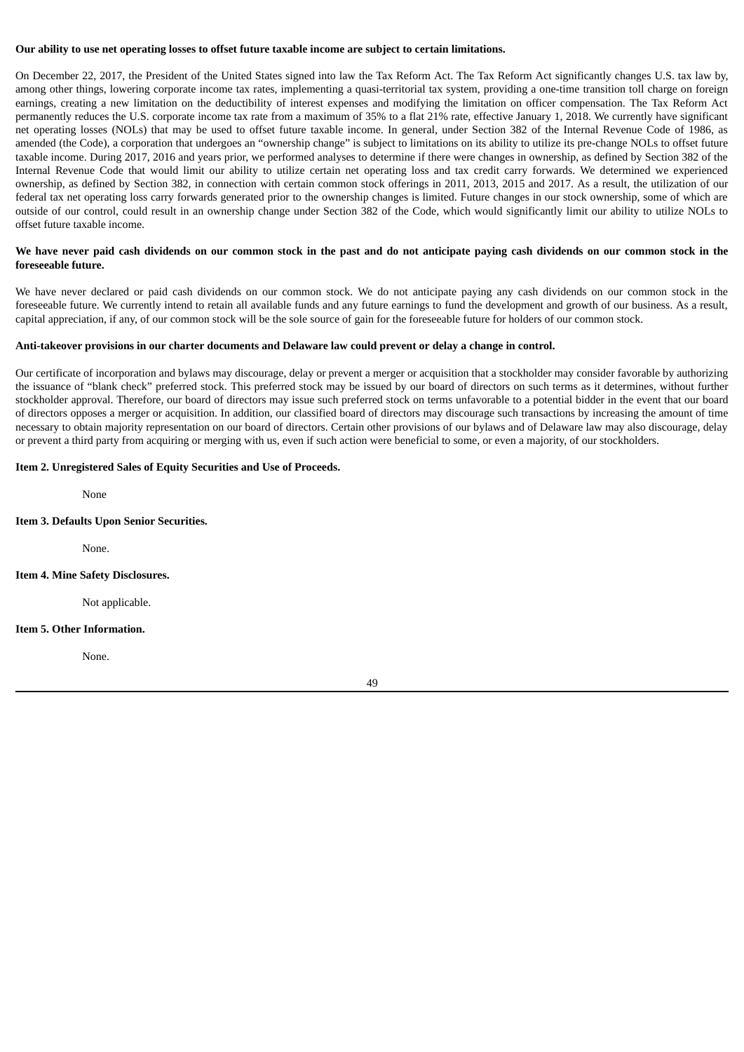## Our ability to use net operating losses to offset future taxable income are subject to certain limitations.

On December 22, 2017, the President of the United States signed into law the Tax Reform Act. The Tax Reform Act significantly changes U.S. tax law by, among other things, lowering corporate income tax rates, implementing a quasi-territorial tax system, providing a one-time transition toll charge on foreign earnings, creating a new limitation on the deductibility of interest expenses and modifying the limitation on officer compensation. The Tax Reform Act permanently reduces the U.S. corporate income tax rate from a maximum of 35% to a flat 21% rate, effective January 1, 2018. We currently have significant net operating losses (NOLs) that may be used to offset future taxable income. In general, under Section 382 of the Internal Revenue Code of 1986, as amended (the Code), a corporation that undergoes an "ownership change" is subject to limitations on its ability to utilize its pre-change NOLs to offset future taxable income. During 2017, 2016 and years prior, we performed analyses to determine if there were changes in ownership, as defined by Section 382 of the Internal Revenue Code that would limit our ability to utilize certain net operating loss and tax credit carry forwards. We determined we experienced ownership, as defined by Section 382, in connection with certain common stock offerings in 2011, 2013, 2015 and 2017. As a result, the utilization of our federal tax net operating loss carry forwards generated prior to the ownership changes is limited. Future changes in our stock ownership, some of which are outside of our control, could result in an ownership change under Section 382 of the Code, which would significantly limit our ability to utilize NOLs to offset future taxable income.

# We have never paid cash dividends on our common stock in the past and do not anticipate paying cash dividends on our common stock in the **foreseeable future.**

We have never declared or paid cash dividends on our common stock. We do not anticipate paying any cash dividends on our common stock in the foreseeable future. We currently intend to retain all available funds and any future earnings to fund the development and growth of our business. As a result, capital appreciation, if any, of our common stock will be the sole source of gain for the foreseeable future for holders of our common stock.

## Anti-takeover provisions in our charter documents and Delaware law could prevent or delay a change in control.

Our certificate of incorporation and bylaws may discourage, delay or prevent a merger or acquisition that a stockholder may consider favorable by authorizing the issuance of "blank check" preferred stock. This preferred stock may be issued by our board of directors on such terms as it determines, without further stockholder approval. Therefore, our board of directors may issue such preferred stock on terms unfavorable to a potential bidder in the event that our board of directors opposes a merger or acquisition. In addition, our classified board of directors may discourage such transactions by increasing the amount of time necessary to obtain majority representation on our board of directors. Certain other provisions of our bylaws and of Delaware law may also discourage, delay or prevent a third party from acquiring or merging with us, even if such action were beneficial to some, or even a majority, of our stockholders.

## **Item 2. Unregistered Sales of Equity Securities and Use of Proceeds.**

None

## **Item 3. Defaults Upon Senior Securities.**

None.

## **Item 4. Mine Safety Disclosures.**

Not applicable.

## **Item 5. Other Information.**

None.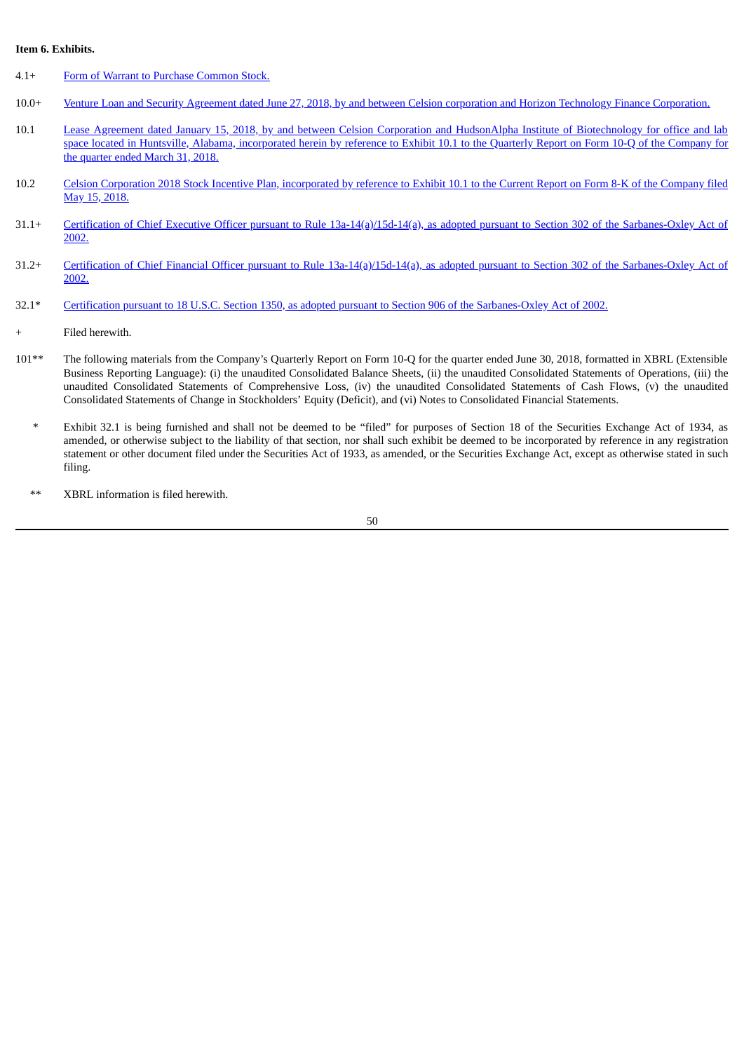#### **Item 6. Exhibits.**

- 4.1+ Form of Warrant to Purchase [Common](#page-55-0) Stock.
- 10.0+ Venture Loan and Security Agreement dated June 27, 2018, by and between Celsion corporation and Horizon Technology Finance [Corporation.](#page-69-0)
- 10.1 Lease Agreement dated January 15, 2018, by and between Celsion Corporation and HudsonAlpha Institute of [Biotechnology](http://www.sec.gov/Archives/edgar/data/749647/000143774918009535/ex_113795.htm) for office and lab space located in Huntsville, Alabama, incorporated herein by reference to Exhibit 10.1 to the Quarterly Report on Form 10-Q of the Company for the quarter ended March 31, 2018.
- 10.2 Celsion Corporation 2018 Stock Incentive Plan, [incorporated](http://www.sec.gov/Archives/edgar/data/749647/000143774918010040/ex_114605.htm) by reference to Exhibit 10.1 to the Current Report on Form 8-K of the Company filed May 15, 2018.
- 31.1+ Certification of Chief Executive Officer pursuant to Rule [13a-14\(a\)/15d-14\(a\),](#page-120-0) as adopted pursuant to Section 302 of the Sarbanes-Oxley Act of 2002.
- 31.2+ Certification of Chief Financial Officer pursuant to Rule [13a-14\(a\)/15d-14\(a\),](#page-122-0) as adopted pursuant to Section 302 of the Sarbanes-Oxley Act of  $2002.$
- 32.1\* Certification pursuant to 18 U.S.C. Section 1350, as adopted pursuant to Section 906 of the [Sarbanes-Oxley](#page-124-0) Act of 2002.
- Filed herewith.
- 101\*\* The following materials from the Company's Quarterly Report on Form 10-Q for the quarter ended June 30, 2018, formatted in XBRL (Extensible Business Reporting Language): (i) the unaudited Consolidated Balance Sheets, (ii) the unaudited Consolidated Statements of Operations, (iii) the unaudited Consolidated Statements of Comprehensive Loss, (iv) the unaudited Consolidated Statements of Cash Flows, (v) the unaudited Consolidated Statements of Change in Stockholders' Equity (Deficit), and (vi) Notes to Consolidated Financial Statements.
	- \* Exhibit 32.1 is being furnished and shall not be deemed to be "filed" for purposes of Section 18 of the Securities Exchange Act of 1934, as amended, or otherwise subject to the liability of that section, nor shall such exhibit be deemed to be incorporated by reference in any registration statement or other document filed under the Securities Act of 1933, as amended, or the Securities Exchange Act, except as otherwise stated in such filing.
	- XBRL information is filed herewith.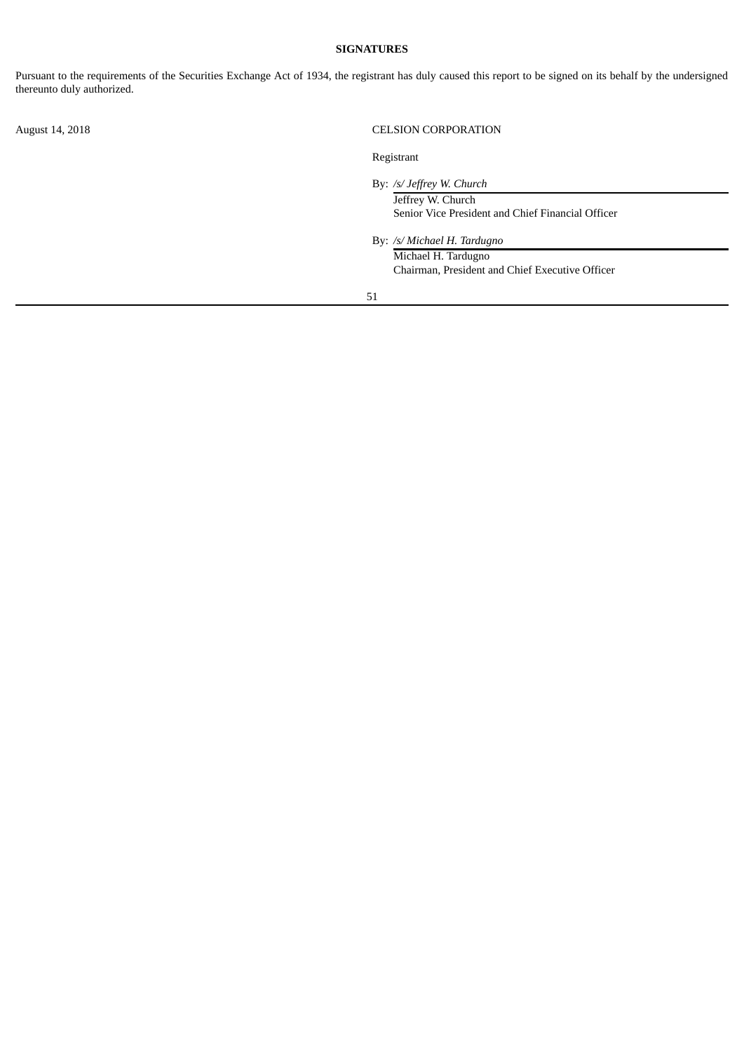## **SIGNATURES**

Pursuant to the requirements of the Securities Exchange Act of 1934, the registrant has duly caused this report to be signed on its behalf by the undersigned thereunto duly authorized.

August 14, 2018 CELSION CORPORATION

Registrant

By: */s/ Jeffrey W. Church*

Jeffrey W. Church Senior Vice President and Chief Financial Officer

By: */s/ Michael H. Tardugno* Michael H. Tardugno Chairman, President and Chief Executive Officer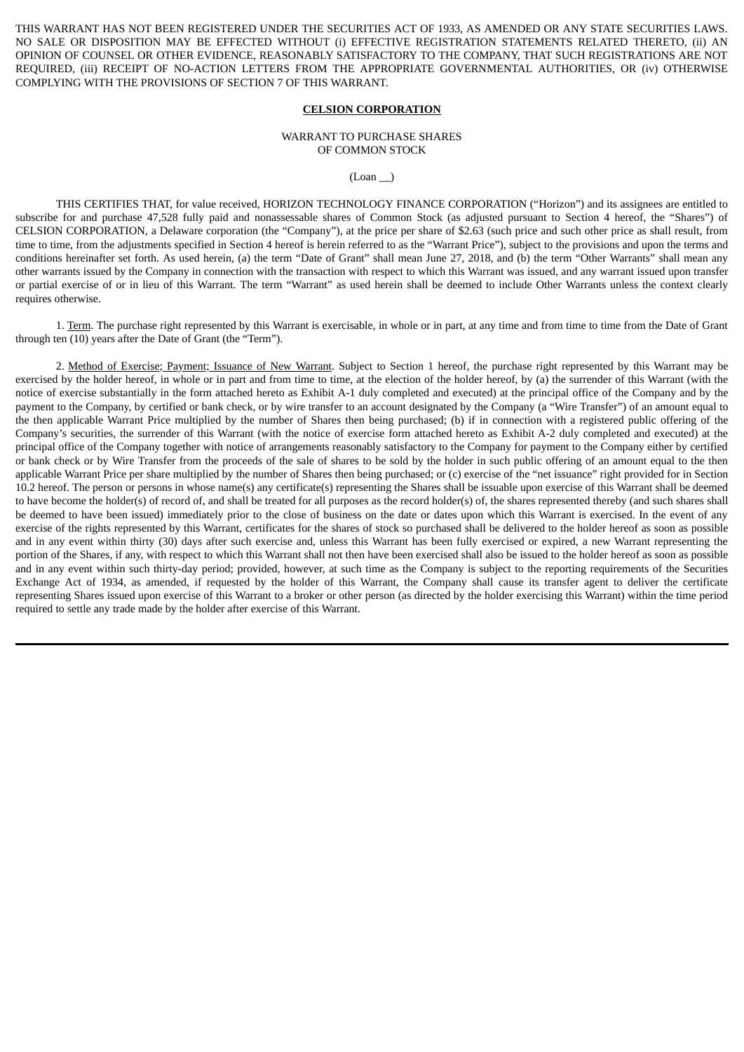<span id="page-55-0"></span>THIS WARRANT HAS NOT BEEN REGISTERED UNDER THE SECURITIES ACT OF 1933, AS AMENDED OR ANY STATE SECURITIES LAWS. NO SALE OR DISPOSITION MAY BE EFFECTED WITHOUT (i) EFFECTIVE REGISTRATION STATEMENTS RELATED THERETO, (ii) AN OPINION OF COUNSEL OR OTHER EVIDENCE, REASONABLY SATISFACTORY TO THE COMPANY, THAT SUCH REGISTRATIONS ARE NOT REQUIRED, (iii) RECEIPT OF NO-ACTION LETTERS FROM THE APPROPRIATE GOVERNMENTAL AUTHORITIES, OR (iv) OTHERWISE COMPLYING WITH THE PROVISIONS OF SECTION 7 OF THIS WARRANT.

#### **CELSION CORPORATION**

#### WARRANT TO PURCHASE SHARES OF COMMON STOCK

 $(Loan$ <sub>)</sub>

THIS CERTIFIES THAT, for value received, HORIZON TECHNOLOGY FINANCE CORPORATION ("Horizon") and its assignees are entitled to subscribe for and purchase 47,528 fully paid and nonassessable shares of Common Stock (as adjusted pursuant to Section 4 hereof, the "Shares") of CELSION CORPORATION, a Delaware corporation (the "Company"), at the price per share of \$2.63 (such price and such other price as shall result, from time to time, from the adjustments specified in Section 4 hereof is herein referred to as the "Warrant Price"), subject to the provisions and upon the terms and conditions hereinafter set forth. As used herein, (a) the term "Date of Grant" shall mean June 27, 2018, and (b) the term "Other Warrants" shall mean any other warrants issued by the Company in connection with the transaction with respect to which this Warrant was issued, and any warrant issued upon transfer or partial exercise of or in lieu of this Warrant. The term "Warrant" as used herein shall be deemed to include Other Warrants unless the context clearly requires otherwise.

1. Term. The purchase right represented by this Warrant is exercisable, in whole or in part, at any time and from time to time from the Date of Grant through ten (10) years after the Date of Grant (the "Term").

2. Method of Exercise; Payment; Issuance of New Warrant. Subject to Section 1 hereof, the purchase right represented by this Warrant may be exercised by the holder hereof, in whole or in part and from time to time, at the election of the holder hereof, by (a) the surrender of this Warrant (with the notice of exercise substantially in the form attached hereto as Exhibit A-1 duly completed and executed) at the principal office of the Company and by the payment to the Company, by certified or bank check, or by wire transfer to an account designated by the Company (a "Wire Transfer") of an amount equal to the then applicable Warrant Price multiplied by the number of Shares then being purchased; (b) if in connection with a registered public offering of the Company's securities, the surrender of this Warrant (with the notice of exercise form attached hereto as Exhibit A-2 duly completed and executed) at the principal office of the Company together with notice of arrangements reasonably satisfactory to the Company for payment to the Company either by certified or bank check or by Wire Transfer from the proceeds of the sale of shares to be sold by the holder in such public offering of an amount equal to the then applicable Warrant Price per share multiplied by the number of Shares then being purchased; or (c) exercise of the "net issuance" right provided for in Section 10.2 hereof. The person or persons in whose name(s) any certificate(s) representing the Shares shall be issuable upon exercise of this Warrant shall be deemed to have become the holder(s) of record of, and shall be treated for all purposes as the record holder(s) of, the shares represented thereby (and such shares shall be deemed to have been issued) immediately prior to the close of business on the date or dates upon which this Warrant is exercised. In the event of any exercise of the rights represented by this Warrant, certificates for the shares of stock so purchased shall be delivered to the holder hereof as soon as possible and in any event within thirty (30) days after such exercise and, unless this Warrant has been fully exercised or expired, a new Warrant representing the portion of the Shares, if any, with respect to which this Warrant shall not then have been exercised shall also be issued to the holder hereof as soon as possible and in any event within such thirty-day period; provided, however, at such time as the Company is subject to the reporting requirements of the Securities Exchange Act of 1934, as amended, if requested by the holder of this Warrant, the Company shall cause its transfer agent to deliver the certificate representing Shares issued upon exercise of this Warrant to a broker or other person (as directed by the holder exercising this Warrant) within the time period required to settle any trade made by the holder after exercise of this Warrant.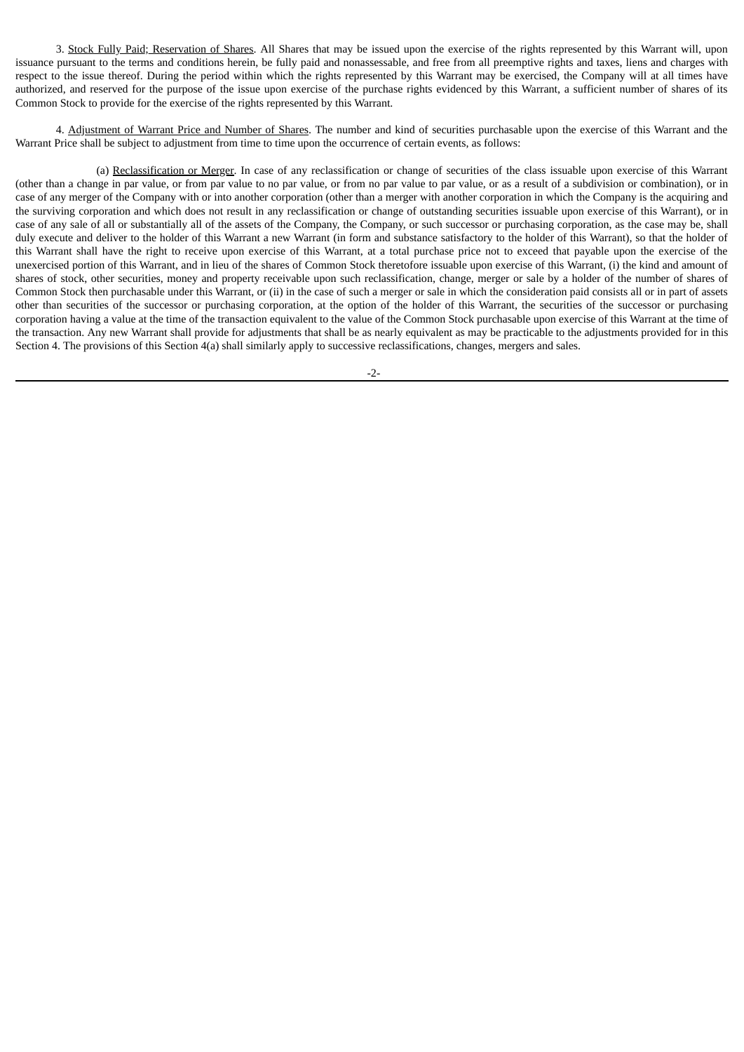3. Stock Fully Paid; Reservation of Shares. All Shares that may be issued upon the exercise of the rights represented by this Warrant will, upon issuance pursuant to the terms and conditions herein, be fully paid and nonassessable, and free from all preemptive rights and taxes, liens and charges with respect to the issue thereof. During the period within which the rights represented by this Warrant may be exercised, the Company will at all times have authorized, and reserved for the purpose of the issue upon exercise of the purchase rights evidenced by this Warrant, a sufficient number of shares of its Common Stock to provide for the exercise of the rights represented by this Warrant.

4. Adjustment of Warrant Price and Number of Shares. The number and kind of securities purchasable upon the exercise of this Warrant and the Warrant Price shall be subject to adjustment from time to time upon the occurrence of certain events, as follows:

(a) Reclassification or Merger. In case of any reclassification or change of securities of the class issuable upon exercise of this Warrant (other than a change in par value, or from par value to no par value, or from no par value to par value, or as a result of a subdivision or combination), or in case of any merger of the Company with or into another corporation (other than a merger with another corporation in which the Company is the acquiring and the surviving corporation and which does not result in any reclassification or change of outstanding securities issuable upon exercise of this Warrant), or in case of any sale of all or substantially all of the assets of the Company, the Company, or such successor or purchasing corporation, as the case may be, shall duly execute and deliver to the holder of this Warrant a new Warrant (in form and substance satisfactory to the holder of this Warrant), so that the holder of this Warrant shall have the right to receive upon exercise of this Warrant, at a total purchase price not to exceed that payable upon the exercise of the unexercised portion of this Warrant, and in lieu of the shares of Common Stock theretofore issuable upon exercise of this Warrant, (i) the kind and amount of shares of stock, other securities, money and property receivable upon such reclassification, change, merger or sale by a holder of the number of shares of Common Stock then purchasable under this Warrant, or (ii) in the case of such a merger or sale in which the consideration paid consists all or in part of assets other than securities of the successor or purchasing corporation, at the option of the holder of this Warrant, the securities of the successor or purchasing corporation having a value at the time of the transaction equivalent to the value of the Common Stock purchasable upon exercise of this Warrant at the time of the transaction. Any new Warrant shall provide for adjustments that shall be as nearly equivalent as may be practicable to the adjustments provided for in this Section 4. The provisions of this Section 4(a) shall similarly apply to successive reclassifications, changes, mergers and sales.

-2-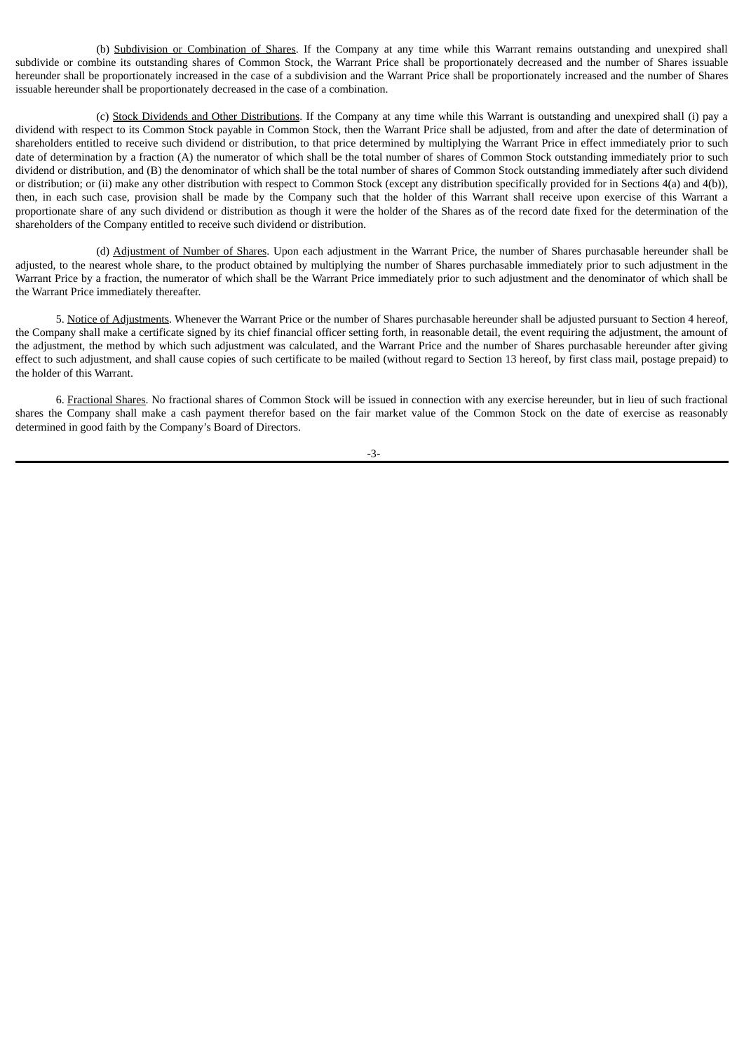(b) Subdivision or Combination of Shares. If the Company at any time while this Warrant remains outstanding and unexpired shall subdivide or combine its outstanding shares of Common Stock, the Warrant Price shall be proportionately decreased and the number of Shares issuable hereunder shall be proportionately increased in the case of a subdivision and the Warrant Price shall be proportionately increased and the number of Shares issuable hereunder shall be proportionately decreased in the case of a combination.

(c) Stock Dividends and Other Distributions. If the Company at any time while this Warrant is outstanding and unexpired shall (i) pay a dividend with respect to its Common Stock payable in Common Stock, then the Warrant Price shall be adjusted, from and after the date of determination of shareholders entitled to receive such dividend or distribution, to that price determined by multiplying the Warrant Price in effect immediately prior to such date of determination by a fraction (A) the numerator of which shall be the total number of shares of Common Stock outstanding immediately prior to such dividend or distribution, and (B) the denominator of which shall be the total number of shares of Common Stock outstanding immediately after such dividend or distribution; or (ii) make any other distribution with respect to Common Stock (except any distribution specifically provided for in Sections 4(a) and 4(b)), then, in each such case, provision shall be made by the Company such that the holder of this Warrant shall receive upon exercise of this Warrant a proportionate share of any such dividend or distribution as though it were the holder of the Shares as of the record date fixed for the determination of the shareholders of the Company entitled to receive such dividend or distribution.

(d) Adjustment of Number of Shares. Upon each adjustment in the Warrant Price, the number of Shares purchasable hereunder shall be adjusted, to the nearest whole share, to the product obtained by multiplying the number of Shares purchasable immediately prior to such adjustment in the Warrant Price by a fraction, the numerator of which shall be the Warrant Price immediately prior to such adjustment and the denominator of which shall be the Warrant Price immediately thereafter.

5. Notice of Adjustments. Whenever the Warrant Price or the number of Shares purchasable hereunder shall be adjusted pursuant to Section 4 hereof, the Company shall make a certificate signed by its chief financial officer setting forth, in reasonable detail, the event requiring the adjustment, the amount of the adjustment, the method by which such adjustment was calculated, and the Warrant Price and the number of Shares purchasable hereunder after giving effect to such adjustment, and shall cause copies of such certificate to be mailed (without regard to Section 13 hereof, by first class mail, postage prepaid) to the holder of this Warrant.

6. Fractional Shares. No fractional shares of Common Stock will be issued in connection with any exercise hereunder, but in lieu of such fractional shares the Company shall make a cash payment therefor based on the fair market value of the Common Stock on the date of exercise as reasonably determined in good faith by the Company's Board of Directors.

-3-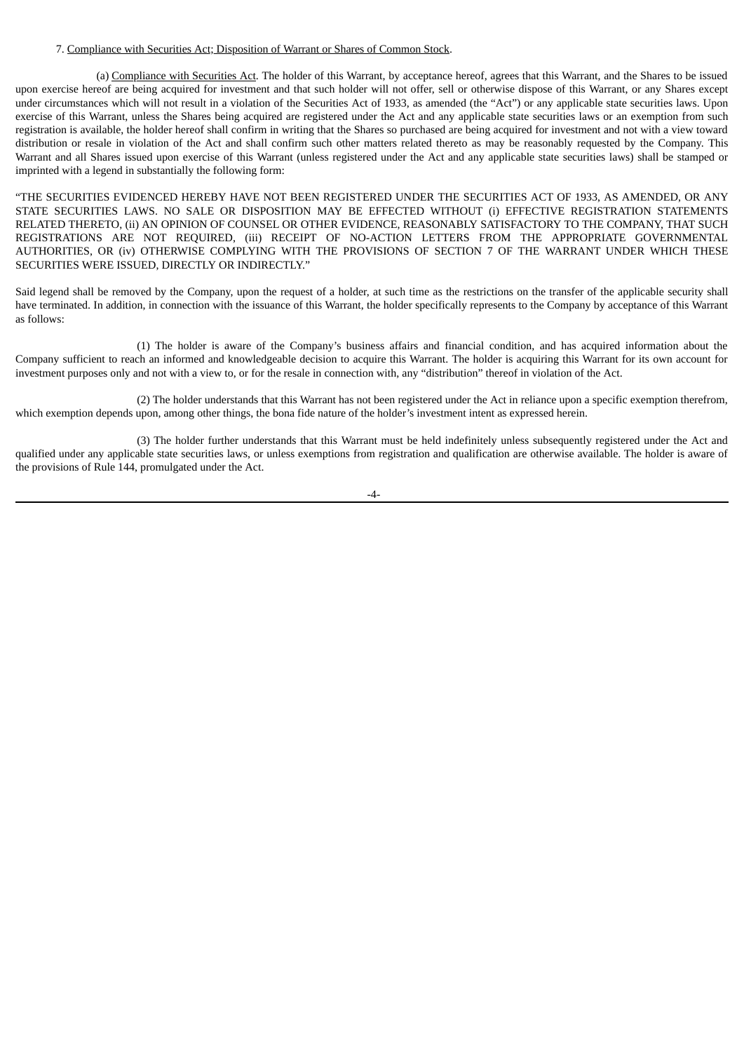#### 7. Compliance with Securities Act; Disposition of Warrant or Shares of Common Stock.

(a) Compliance with Securities Act. The holder of this Warrant, by acceptance hereof, agrees that this Warrant, and the Shares to be issued upon exercise hereof are being acquired for investment and that such holder will not offer, sell or otherwise dispose of this Warrant, or any Shares except under circumstances which will not result in a violation of the Securities Act of 1933, as amended (the "Act") or any applicable state securities laws. Upon exercise of this Warrant, unless the Shares being acquired are registered under the Act and any applicable state securities laws or an exemption from such registration is available, the holder hereof shall confirm in writing that the Shares so purchased are being acquired for investment and not with a view toward distribution or resale in violation of the Act and shall confirm such other matters related thereto as may be reasonably requested by the Company. This Warrant and all Shares issued upon exercise of this Warrant (unless registered under the Act and any applicable state securities laws) shall be stamped or imprinted with a legend in substantially the following form:

"THE SECURITIES EVIDENCED HEREBY HAVE NOT BEEN REGISTERED UNDER THE SECURITIES ACT OF 1933, AS AMENDED, OR ANY STATE SECURITIES LAWS. NO SALE OR DISPOSITION MAY BE EFFECTED WITHOUT (i) EFFECTIVE REGISTRATION STATEMENTS RELATED THERETO, (ii) AN OPINION OF COUNSEL OR OTHER EVIDENCE, REASONABLY SATISFACTORY TO THE COMPANY, THAT SUCH REGISTRATIONS ARE NOT REQUIRED, (iii) RECEIPT OF NO-ACTION LETTERS FROM THE APPROPRIATE GOVERNMENTAL AUTHORITIES, OR (iv) OTHERWISE COMPLYING WITH THE PROVISIONS OF SECTION 7 OF THE WARRANT UNDER WHICH THESE SECURITIES WERE ISSUED, DIRECTLY OR INDIRECTLY."

Said legend shall be removed by the Company, upon the request of a holder, at such time as the restrictions on the transfer of the applicable security shall have terminated. In addition, in connection with the issuance of this Warrant, the holder specifically represents to the Company by acceptance of this Warrant as follows:

(1) The holder is aware of the Company's business affairs and financial condition, and has acquired information about the Company sufficient to reach an informed and knowledgeable decision to acquire this Warrant. The holder is acquiring this Warrant for its own account for investment purposes only and not with a view to, or for the resale in connection with, any "distribution" thereof in violation of the Act.

(2) The holder understands that this Warrant has not been registered under the Act in reliance upon a specific exemption therefrom, which exemption depends upon, among other things, the bona fide nature of the holder's investment intent as expressed herein.

(3) The holder further understands that this Warrant must be held indefinitely unless subsequently registered under the Act and qualified under any applicable state securities laws, or unless exemptions from registration and qualification are otherwise available. The holder is aware of the provisions of Rule 144, promulgated under the Act.

-4-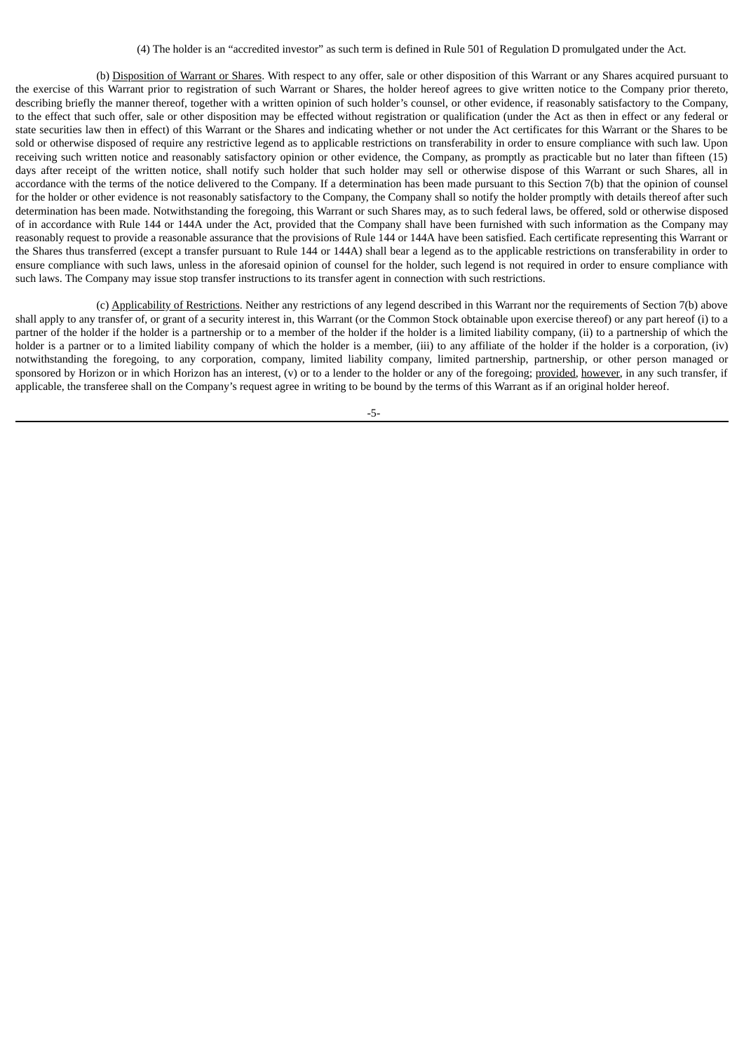(4) The holder is an "accredited investor" as such term is defined in Rule 501 of Regulation D promulgated under the Act.

(b) Disposition of Warrant or Shares. With respect to any offer, sale or other disposition of this Warrant or any Shares acquired pursuant to the exercise of this Warrant prior to registration of such Warrant or Shares, the holder hereof agrees to give written notice to the Company prior thereto, describing briefly the manner thereof, together with a written opinion of such holder's counsel, or other evidence, if reasonably satisfactory to the Company, to the effect that such offer, sale or other disposition may be effected without registration or qualification (under the Act as then in effect or any federal or state securities law then in effect) of this Warrant or the Shares and indicating whether or not under the Act certificates for this Warrant or the Shares to be sold or otherwise disposed of require any restrictive legend as to applicable restrictions on transferability in order to ensure compliance with such law. Upon receiving such written notice and reasonably satisfactory opinion or other evidence, the Company, as promptly as practicable but no later than fifteen (15) days after receipt of the written notice, shall notify such holder that such holder may sell or otherwise dispose of this Warrant or such Shares, all in accordance with the terms of the notice delivered to the Company. If a determination has been made pursuant to this Section 7(b) that the opinion of counsel for the holder or other evidence is not reasonably satisfactory to the Company, the Company shall so notify the holder promptly with details thereof after such determination has been made. Notwithstanding the foregoing, this Warrant or such Shares may, as to such federal laws, be offered, sold or otherwise disposed of in accordance with Rule 144 or 144A under the Act, provided that the Company shall have been furnished with such information as the Company may reasonably request to provide a reasonable assurance that the provisions of Rule 144 or 144A have been satisfied. Each certificate representing this Warrant or the Shares thus transferred (except a transfer pursuant to Rule 144 or 144A) shall bear a legend as to the applicable restrictions on transferability in order to ensure compliance with such laws, unless in the aforesaid opinion of counsel for the holder, such legend is not required in order to ensure compliance with such laws. The Company may issue stop transfer instructions to its transfer agent in connection with such restrictions.

(c) Applicability of Restrictions. Neither any restrictions of any legend described in this Warrant nor the requirements of Section 7(b) above shall apply to any transfer of, or grant of a security interest in, this Warrant (or the Common Stock obtainable upon exercise thereof) or any part hereof (i) to a partner of the holder if the holder is a partnership or to a member of the holder if the holder is a limited liability company, (ii) to a partnership of which the holder is a partner or to a limited liability company of which the holder is a member, (iii) to any affiliate of the holder if the holder is a corporation, (iv) notwithstanding the foregoing, to any corporation, company, limited liability company, limited partnership, partnership, or other person managed or sponsored by Horizon or in which Horizon has an interest, (v) or to a lender to the holder or any of the foregoing; provided, however, in any such transfer, if applicable, the transferee shall on the Company's request agree in writing to be bound by the terms of this Warrant as if an original holder hereof.

-5-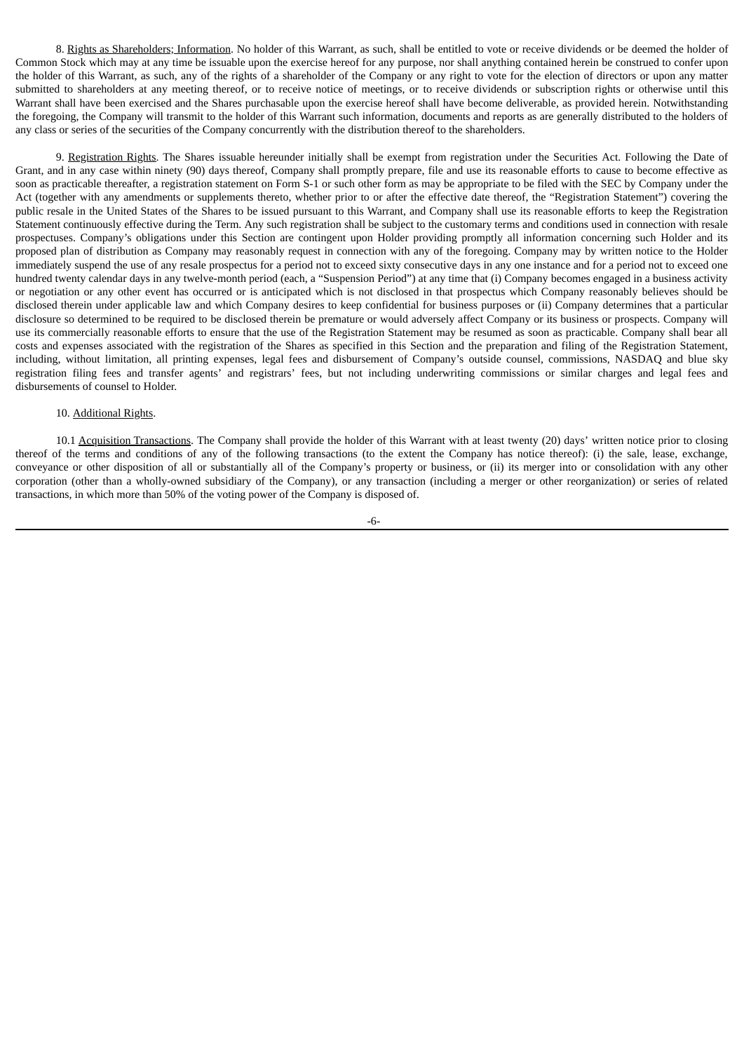8. Rights as Shareholders; Information. No holder of this Warrant, as such, shall be entitled to vote or receive dividends or be deemed the holder of Common Stock which may at any time be issuable upon the exercise hereof for any purpose, nor shall anything contained herein be construed to confer upon the holder of this Warrant, as such, any of the rights of a shareholder of the Company or any right to vote for the election of directors or upon any matter submitted to shareholders at any meeting thereof, or to receive notice of meetings, or to receive dividends or subscription rights or otherwise until this Warrant shall have been exercised and the Shares purchasable upon the exercise hereof shall have become deliverable, as provided herein. Notwithstanding the foregoing, the Company will transmit to the holder of this Warrant such information, documents and reports as are generally distributed to the holders of any class or series of the securities of the Company concurrently with the distribution thereof to the shareholders.

9. Registration Rights. The Shares issuable hereunder initially shall be exempt from registration under the Securities Act. Following the Date of Grant, and in any case within ninety (90) days thereof, Company shall promptly prepare, file and use its reasonable efforts to cause to become effective as soon as practicable thereafter, a registration statement on Form S-1 or such other form as may be appropriate to be filed with the SEC by Company under the Act (together with any amendments or supplements thereto, whether prior to or after the effective date thereof, the "Registration Statement") covering the public resale in the United States of the Shares to be issued pursuant to this Warrant, and Company shall use its reasonable efforts to keep the Registration Statement continuously effective during the Term. Any such registration shall be subject to the customary terms and conditions used in connection with resale prospectuses. Company's obligations under this Section are contingent upon Holder providing promptly all information concerning such Holder and its proposed plan of distribution as Company may reasonably request in connection with any of the foregoing. Company may by written notice to the Holder immediately suspend the use of any resale prospectus for a period not to exceed sixty consecutive days in any one instance and for a period not to exceed one hundred twenty calendar days in any twelve-month period (each, a "Suspension Period") at any time that (i) Company becomes engaged in a business activity or negotiation or any other event has occurred or is anticipated which is not disclosed in that prospectus which Company reasonably believes should be disclosed therein under applicable law and which Company desires to keep confidential for business purposes or (ii) Company determines that a particular disclosure so determined to be required to be disclosed therein be premature or would adversely affect Company or its business or prospects. Company will use its commercially reasonable efforts to ensure that the use of the Registration Statement may be resumed as soon as practicable. Company shall bear all costs and expenses associated with the registration of the Shares as specified in this Section and the preparation and filing of the Registration Statement, including, without limitation, all printing expenses, legal fees and disbursement of Company's outside counsel, commissions, NASDAQ and blue sky registration filing fees and transfer agents' and registrars' fees, but not including underwriting commissions or similar charges and legal fees and disbursements of counsel to Holder.

#### 10. Additional Rights.

10.1 Acquisition Transactions. The Company shall provide the holder of this Warrant with at least twenty (20) days' written notice prior to closing thereof of the terms and conditions of any of the following transactions (to the extent the Company has notice thereof): (i) the sale, lease, exchange, conveyance or other disposition of all or substantially all of the Company's property or business, or (ii) its merger into or consolidation with any other corporation (other than a wholly-owned subsidiary of the Company), or any transaction (including a merger or other reorganization) or series of related transactions, in which more than 50% of the voting power of the Company is disposed of.

-6-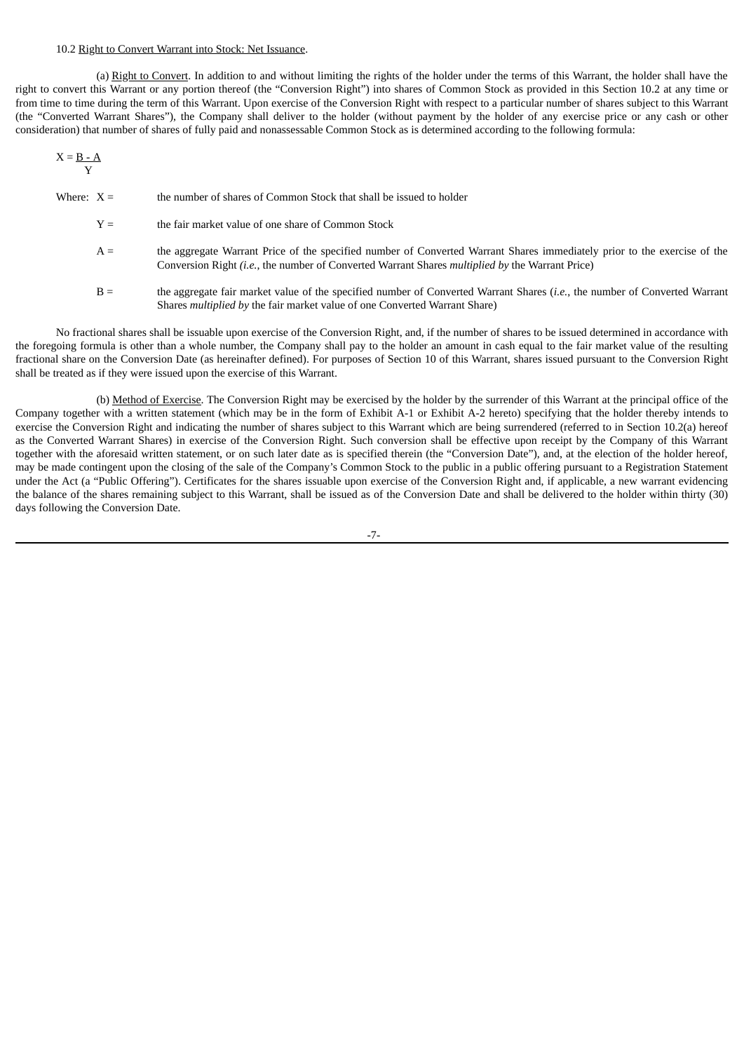#### 10.2 Right to Convert Warrant into Stock: Net Issuance.

(a) Right to Convert. In addition to and without limiting the rights of the holder under the terms of this Warrant, the holder shall have the right to convert this Warrant or any portion thereof (the "Conversion Right") into shares of Common Stock as provided in this Section 10.2 at any time or from time to time during the term of this Warrant. Upon exercise of the Conversion Right with respect to a particular number of shares subject to this Warrant (the "Converted Warrant Shares"), the Company shall deliver to the holder (without payment by the holder of any exercise price or any cash or other consideration) that number of shares of fully paid and nonassessable Common Stock as is determined according to the following formula:

$$
X = \frac{B - A}{Y}
$$

- Where:  $X =$  the number of shares of Common Stock that shall be issued to holder
	- $Y =$  the fair market value of one share of Common Stock
	- A = the aggregate Warrant Price of the specified number of Converted Warrant Shares immediately prior to the exercise of the Conversion Right *(i.e.*, the number of Converted Warrant Shares *multiplied by* the Warrant Price)
	- B = the aggregate fair market value of the specified number of Converted Warrant Shares (*i.e.*, the number of Converted Warrant Shares *multiplied by* the fair market value of one Converted Warrant Share)

No fractional shares shall be issuable upon exercise of the Conversion Right, and, if the number of shares to be issued determined in accordance with the foregoing formula is other than a whole number, the Company shall pay to the holder an amount in cash equal to the fair market value of the resulting fractional share on the Conversion Date (as hereinafter defined). For purposes of Section 10 of this Warrant, shares issued pursuant to the Conversion Right shall be treated as if they were issued upon the exercise of this Warrant.

(b) Method of Exercise. The Conversion Right may be exercised by the holder by the surrender of this Warrant at the principal office of the Company together with a written statement (which may be in the form of Exhibit A-1 or Exhibit A-2 hereto) specifying that the holder thereby intends to exercise the Conversion Right and indicating the number of shares subject to this Warrant which are being surrendered (referred to in Section 10.2(a) hereof as the Converted Warrant Shares) in exercise of the Conversion Right. Such conversion shall be effective upon receipt by the Company of this Warrant together with the aforesaid written statement, or on such later date as is specified therein (the "Conversion Date"), and, at the election of the holder hereof, may be made contingent upon the closing of the sale of the Company's Common Stock to the public in a public offering pursuant to a Registration Statement under the Act (a "Public Offering"). Certificates for the shares issuable upon exercise of the Conversion Right and, if applicable, a new warrant evidencing the balance of the shares remaining subject to this Warrant, shall be issued as of the Conversion Date and shall be delivered to the holder within thirty (30) days following the Conversion Date.

-7-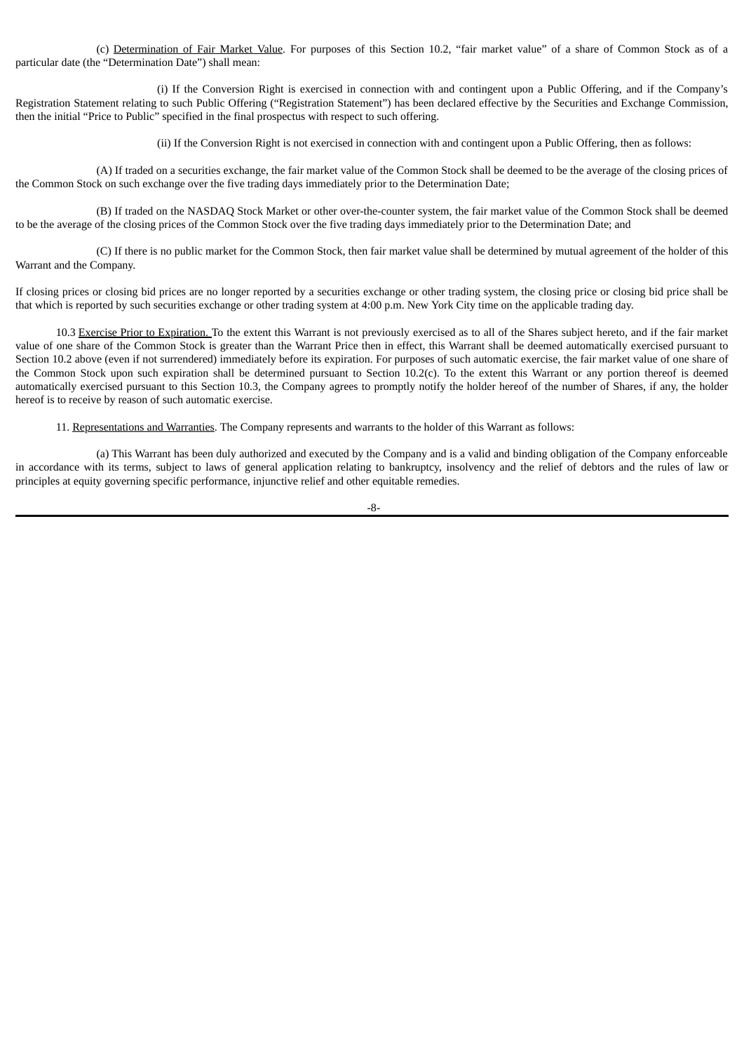(c) Determination of Fair Market Value. For purposes of this Section 10.2, "fair market value" of a share of Common Stock as of a particular date (the "Determination Date") shall mean:

(i) If the Conversion Right is exercised in connection with and contingent upon a Public Offering, and if the Company's Registration Statement relating to such Public Offering ("Registration Statement") has been declared effective by the Securities and Exchange Commission, then the initial "Price to Public" specified in the final prospectus with respect to such offering.

(ii) If the Conversion Right is not exercised in connection with and contingent upon a Public Offering, then as follows:

(A) If traded on a securities exchange, the fair market value of the Common Stock shall be deemed to be the average of the closing prices of the Common Stock on such exchange over the five trading days immediately prior to the Determination Date;

(B) If traded on the NASDAQ Stock Market or other over-the-counter system, the fair market value of the Common Stock shall be deemed to be the average of the closing prices of the Common Stock over the five trading days immediately prior to the Determination Date; and

(C) If there is no public market for the Common Stock, then fair market value shall be determined by mutual agreement of the holder of this Warrant and the Company.

If closing prices or closing bid prices are no longer reported by a securities exchange or other trading system, the closing price or closing bid price shall be that which is reported by such securities exchange or other trading system at 4:00 p.m. New York City time on the applicable trading day.

10.3 Exercise Prior to Expiration. To the extent this Warrant is not previously exercised as to all of the Shares subject hereto, and if the fair market value of one share of the Common Stock is greater than the Warrant Price then in effect, this Warrant shall be deemed automatically exercised pursuant to Section 10.2 above (even if not surrendered) immediately before its expiration. For purposes of such automatic exercise, the fair market value of one share of the Common Stock upon such expiration shall be determined pursuant to Section 10.2(c). To the extent this Warrant or any portion thereof is deemed automatically exercised pursuant to this Section 10.3, the Company agrees to promptly notify the holder hereof of the number of Shares, if any, the holder hereof is to receive by reason of such automatic exercise.

11. Representations and Warranties. The Company represents and warrants to the holder of this Warrant as follows:

(a) This Warrant has been duly authorized and executed by the Company and is a valid and binding obligation of the Company enforceable in accordance with its terms, subject to laws of general application relating to bankruptcy, insolvency and the relief of debtors and the rules of law or principles at equity governing specific performance, injunctive relief and other equitable remedies.

-8-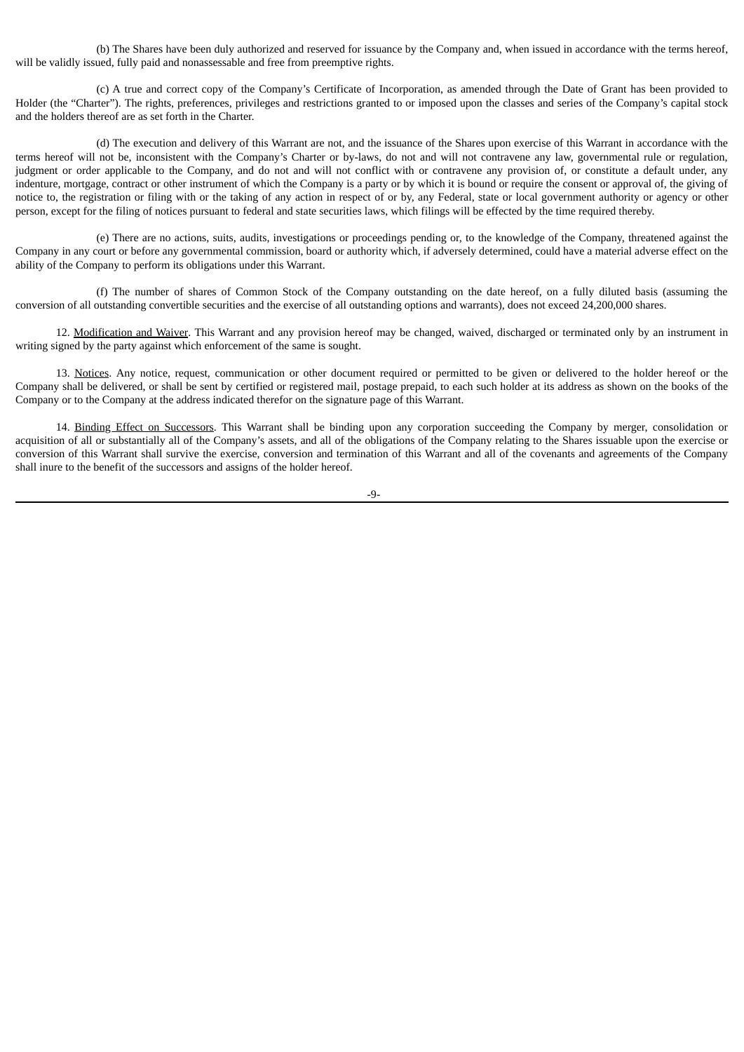(b) The Shares have been duly authorized and reserved for issuance by the Company and, when issued in accordance with the terms hereof, will be validly issued, fully paid and nonassessable and free from preemptive rights.

(c) A true and correct copy of the Company's Certificate of Incorporation, as amended through the Date of Grant has been provided to Holder (the "Charter"). The rights, preferences, privileges and restrictions granted to or imposed upon the classes and series of the Company's capital stock and the holders thereof are as set forth in the Charter.

(d) The execution and delivery of this Warrant are not, and the issuance of the Shares upon exercise of this Warrant in accordance with the terms hereof will not be, inconsistent with the Company's Charter or by-laws, do not and will not contravene any law, governmental rule or regulation, judgment or order applicable to the Company, and do not and will not conflict with or contravene any provision of, or constitute a default under, any indenture, mortgage, contract or other instrument of which the Company is a party or by which it is bound or require the consent or approval of, the giving of notice to, the registration or filing with or the taking of any action in respect of or by, any Federal, state or local government authority or agency or other person, except for the filing of notices pursuant to federal and state securities laws, which filings will be effected by the time required thereby.

(e) There are no actions, suits, audits, investigations or proceedings pending or, to the knowledge of the Company, threatened against the Company in any court or before any governmental commission, board or authority which, if adversely determined, could have a material adverse effect on the ability of the Company to perform its obligations under this Warrant.

(f) The number of shares of Common Stock of the Company outstanding on the date hereof, on a fully diluted basis (assuming the conversion of all outstanding convertible securities and the exercise of all outstanding options and warrants), does not exceed 24,200,000 shares.

12. Modification and Waiver. This Warrant and any provision hereof may be changed, waived, discharged or terminated only by an instrument in writing signed by the party against which enforcement of the same is sought.

13. Notices. Any notice, request, communication or other document required or permitted to be given or delivered to the holder hereof or the Company shall be delivered, or shall be sent by certified or registered mail, postage prepaid, to each such holder at its address as shown on the books of the Company or to the Company at the address indicated therefor on the signature page of this Warrant.

14. Binding Effect on Successors. This Warrant shall be binding upon any corporation succeeding the Company by merger, consolidation or acquisition of all or substantially all of the Company's assets, and all of the obligations of the Company relating to the Shares issuable upon the exercise or conversion of this Warrant shall survive the exercise, conversion and termination of this Warrant and all of the covenants and agreements of the Company shall inure to the benefit of the successors and assigns of the holder hereof.

-9-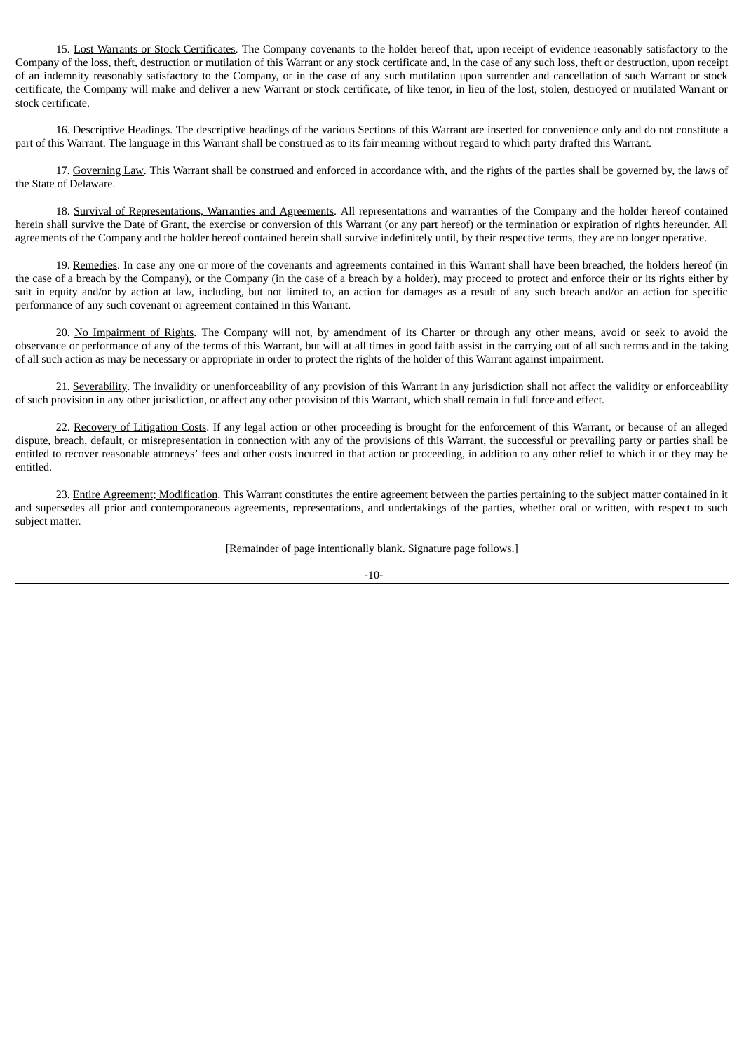15. Lost Warrants or Stock Certificates. The Company covenants to the holder hereof that, upon receipt of evidence reasonably satisfactory to the Company of the loss, theft, destruction or mutilation of this Warrant or any stock certificate and, in the case of any such loss, theft or destruction, upon receipt of an indemnity reasonably satisfactory to the Company, or in the case of any such mutilation upon surrender and cancellation of such Warrant or stock certificate, the Company will make and deliver a new Warrant or stock certificate, of like tenor, in lieu of the lost, stolen, destroyed or mutilated Warrant or stock certificate.

16. Descriptive Headings. The descriptive headings of the various Sections of this Warrant are inserted for convenience only and do not constitute a part of this Warrant. The language in this Warrant shall be construed as to its fair meaning without regard to which party drafted this Warrant.

17. Governing Law. This Warrant shall be construed and enforced in accordance with, and the rights of the parties shall be governed by, the laws of the State of Delaware.

18. Survival of Representations, Warranties and Agreements. All representations and warranties of the Company and the holder hereof contained herein shall survive the Date of Grant, the exercise or conversion of this Warrant (or any part hereof) or the termination or expiration of rights hereunder. All agreements of the Company and the holder hereof contained herein shall survive indefinitely until, by their respective terms, they are no longer operative.

19. Remedies. In case any one or more of the covenants and agreements contained in this Warrant shall have been breached, the holders hereof (in the case of a breach by the Company), or the Company (in the case of a breach by a holder), may proceed to protect and enforce their or its rights either by suit in equity and/or by action at law, including, but not limited to, an action for damages as a result of any such breach and/or an action for specific performance of any such covenant or agreement contained in this Warrant.

20. No Impairment of Rights. The Company will not, by amendment of its Charter or through any other means, avoid or seek to avoid the observance or performance of any of the terms of this Warrant, but will at all times in good faith assist in the carrying out of all such terms and in the taking of all such action as may be necessary or appropriate in order to protect the rights of the holder of this Warrant against impairment.

21. Severability. The invalidity or unenforceability of any provision of this Warrant in any jurisdiction shall not affect the validity or enforceability of such provision in any other jurisdiction, or affect any other provision of this Warrant, which shall remain in full force and effect.

22. Recovery of Litigation Costs. If any legal action or other proceeding is brought for the enforcement of this Warrant, or because of an alleged dispute, breach, default, or misrepresentation in connection with any of the provisions of this Warrant, the successful or prevailing party or parties shall be entitled to recover reasonable attorneys' fees and other costs incurred in that action or proceeding, in addition to any other relief to which it or they may be entitled.

23. Entire Agreement; Modification. This Warrant constitutes the entire agreement between the parties pertaining to the subject matter contained in it and supersedes all prior and contemporaneous agreements, representations, and undertakings of the parties, whether oral or written, with respect to such subject matter.

[Remainder of page intentionally blank. Signature page follows.]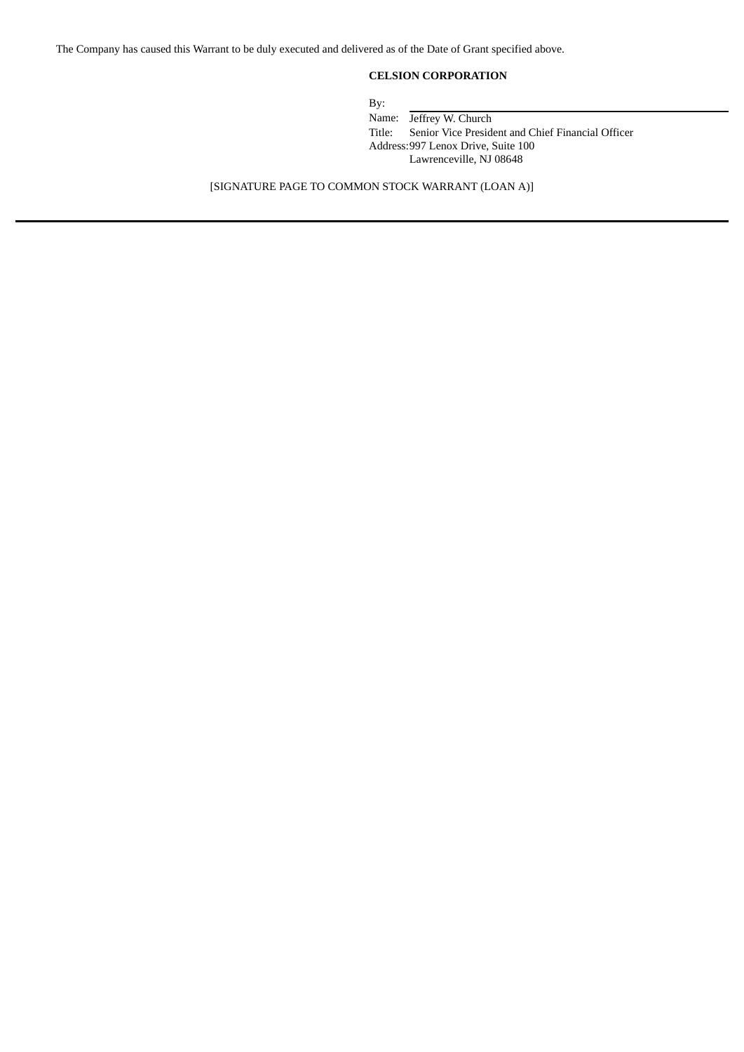The Company has caused this Warrant to be duly executed and delivered as of the Date of Grant specified above.

# **CELSION CORPORATION**

By:

Name: Jeffrey W. Church<br>Title: Senior Vice Preside Senior Vice President and Chief Financial Officer Address:997 Lenox Drive, Suite 100 Lawrenceville, NJ 08648

[SIGNATURE PAGE TO COMMON STOCK WARRANT (LOAN A)]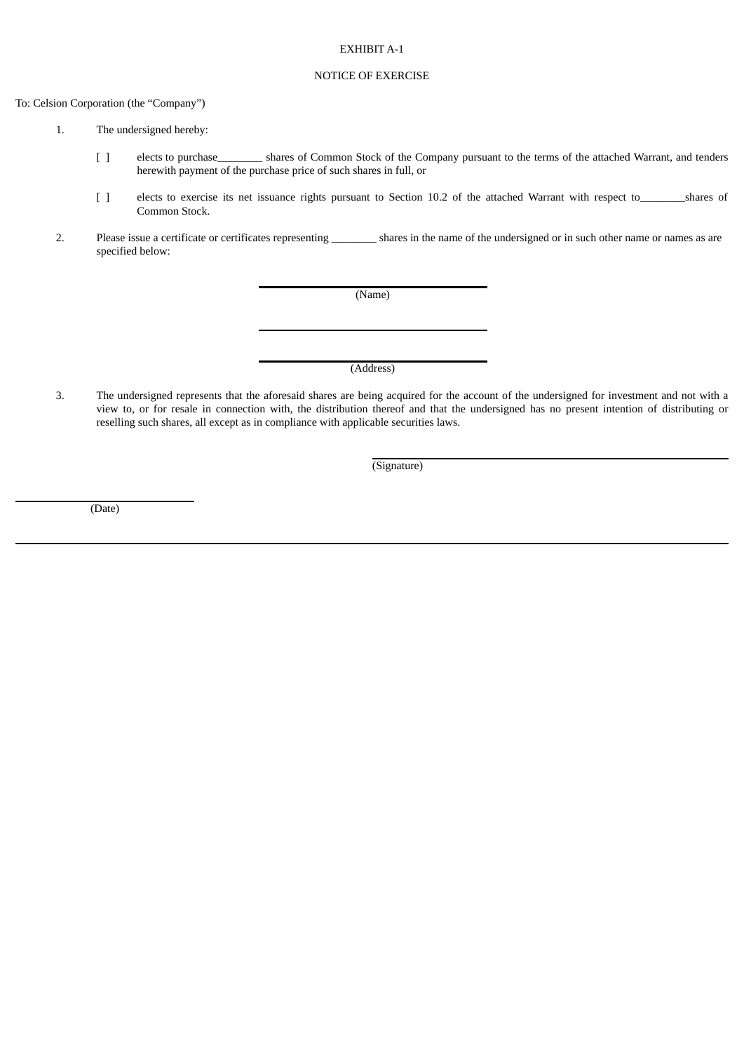## EXHIBIT A-1

# NOTICE OF EXERCISE

To: Celsion Corporation (the "Company")

- 1. The undersigned hereby:
	- [ ] elects to purchase\_\_\_\_\_\_\_\_ shares of Common Stock of the Company pursuant to the terms of the attached Warrant, and tenders herewith payment of the purchase price of such shares in full, or
	- [ ] elects to exercise its net issuance rights pursuant to Section 10.2 of the attached Warrant with respect to\_\_\_\_\_\_\_\_shares of Common Stock.
- 2. Please issue a certificate or certificates representing \_\_\_\_\_\_\_\_\_ shares in the name of the undersigned or in such other name or names as are specified below:

(Name)

(Address)

3. The undersigned represents that the aforesaid shares are being acquired for the account of the undersigned for investment and not with a view to, or for resale in connection with, the distribution thereof and that the undersigned has no present intention of distributing or reselling such shares, all except as in compliance with applicable securities laws.

(Signature)

(Date)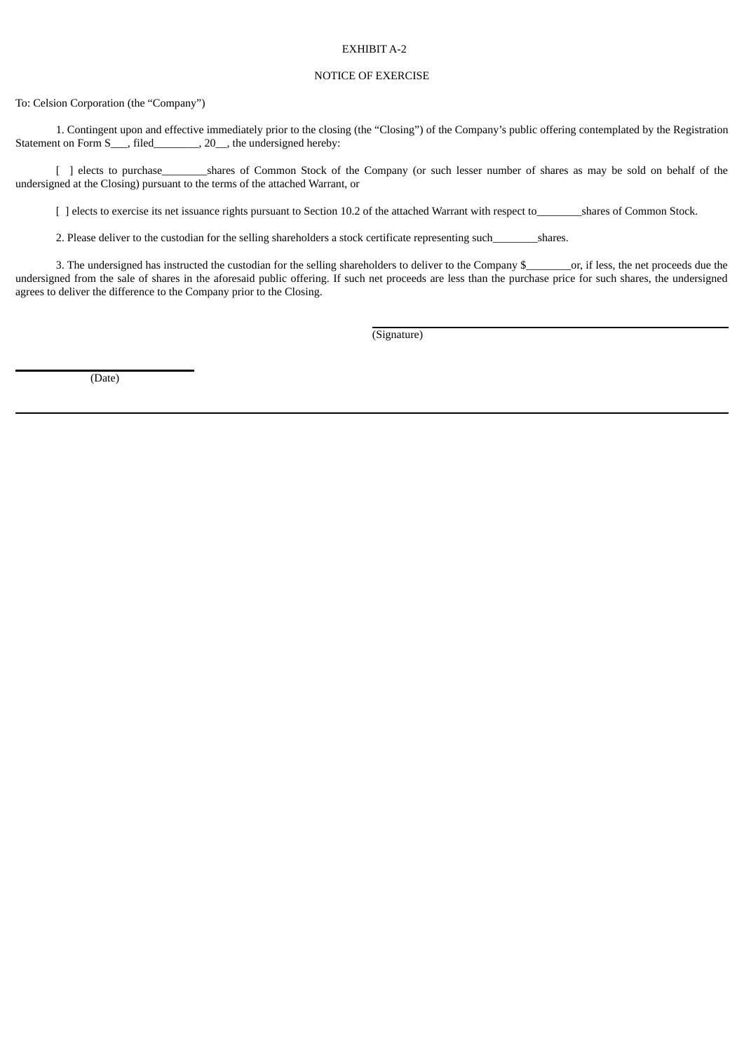## EXHIBIT A-2

# NOTICE OF EXERCISE

To: Celsion Corporation (the "Company")

1. Contingent upon and effective immediately prior to the closing (the "Closing") of the Company's public offering contemplated by the Registration Statement on Form S\_\_\_, filed\_\_\_\_\_\_\_\_, 20\_\_, the undersigned hereby:

[ ] elects to purchase\_\_\_\_\_\_\_\_\_\_shares of Common Stock of the Company (or such lesser number of shares as may be sold on behalf of the undersigned at the Closing) pursuant to the terms of the attached Warrant, or

[ ] elects to exercise its net issuance rights pursuant to Section 10.2 of the attached Warrant with respect to shares of Common Stock.

2. Please deliver to the custodian for the selling shareholders a stock certificate representing such\_\_\_\_\_\_\_\_\_shares.

3. The undersigned has instructed the custodian for the selling shareholders to deliver to the Company \$\_\_\_\_\_\_\_\_\_or, if less, the net proceeds due the undersigned from the sale of shares in the aforesaid public offering. If such net proceeds are less than the purchase price for such shares, the undersigned agrees to deliver the difference to the Company prior to the Closing.

(Signature)

(Date)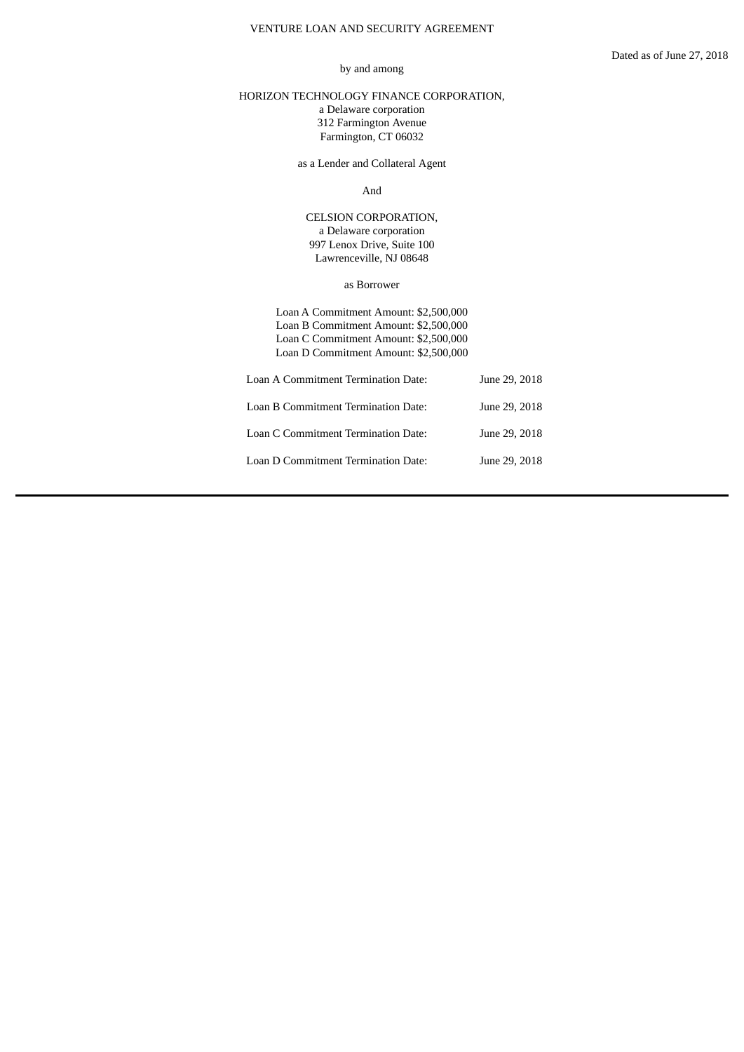# VENTURE LOAN AND SECURITY AGREEMENT

## by and among

# <span id="page-69-0"></span>HORIZON TECHNOLOGY FINANCE CORPORATION, a Delaware corporation 312 Farmington Avenue Farmington, CT 06032

as a Lender and Collateral Agent

And

CELSION CORPORATION, a Delaware corporation 997 Lenox Drive, Suite 100 Lawrenceville, NJ 08648

as Borrower

Loan A Commitment Amount: \$2,500,000 Loan B Commitment Amount: \$2,500,000 Loan C Commitment Amount: \$2,500,000 Loan D Commitment Amount: \$2,500,000

| Loan A Commitment Termination Date: | June 29, 2018 |
|-------------------------------------|---------------|
| Loan B Commitment Termination Date: | June 29, 2018 |
| Loan C Commitment Termination Date: | June 29, 2018 |
| Loan D Commitment Termination Date: | June 29, 2018 |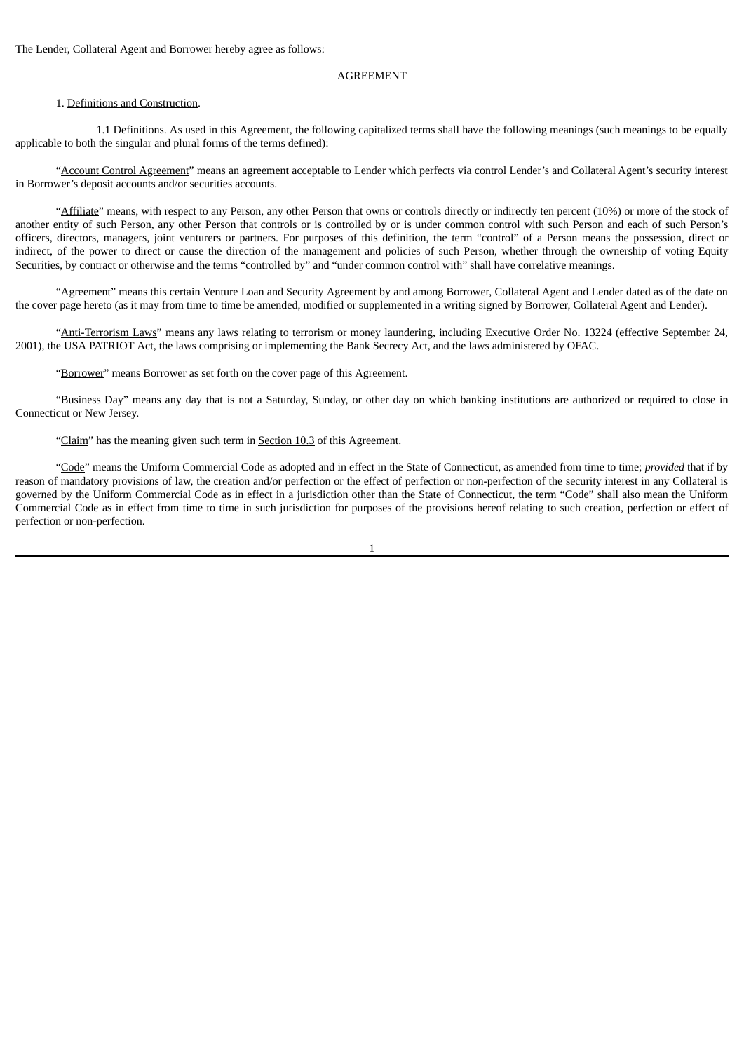The Lender, Collateral Agent and Borrower hereby agree as follows:

## AGREEMENT

# 1. Definitions and Construction.

1.1 Definitions. As used in this Agreement, the following capitalized terms shall have the following meanings (such meanings to be equally applicable to both the singular and plural forms of the terms defined):

"Account Control Agreement" means an agreement acceptable to Lender which perfects via control Lender's and Collateral Agent's security interest in Borrower's deposit accounts and/or securities accounts.

"Affiliate" means, with respect to any Person, any other Person that owns or controls directly or indirectly ten percent (10%) or more of the stock of another entity of such Person, any other Person that controls or is controlled by or is under common control with such Person and each of such Person's officers, directors, managers, joint venturers or partners. For purposes of this definition, the term "control" of a Person means the possession, direct or indirect, of the power to direct or cause the direction of the management and policies of such Person, whether through the ownership of voting Equity Securities, by contract or otherwise and the terms "controlled by" and "under common control with" shall have correlative meanings.

"Agreement" means this certain Venture Loan and Security Agreement by and among Borrower, Collateral Agent and Lender dated as of the date on the cover page hereto (as it may from time to time be amended, modified or supplemented in a writing signed by Borrower, Collateral Agent and Lender).

"Anti-Terrorism Laws" means any laws relating to terrorism or money laundering, including Executive Order No. 13224 (effective September 24, 2001), the USA PATRIOT Act, the laws comprising or implementing the Bank Secrecy Act, and the laws administered by OFAC.

"Borrower" means Borrower as set forth on the cover page of this Agreement.

"Business Day" means any day that is not a Saturday, Sunday, or other day on which banking institutions are authorized or required to close in Connecticut or New Jersey.

"Claim" has the meaning given such term in Section 10.3 of this Agreement.

"Code" means the Uniform Commercial Code as adopted and in effect in the State of Connecticut, as amended from time to time; *provided* that if by reason of mandatory provisions of law, the creation and/or perfection or the effect of perfection or non-perfection of the security interest in any Collateral is governed by the Uniform Commercial Code as in effect in a jurisdiction other than the State of Connecticut, the term "Code" shall also mean the Uniform Commercial Code as in effect from time to time in such jurisdiction for purposes of the provisions hereof relating to such creation, perfection or effect of perfection or non-perfection.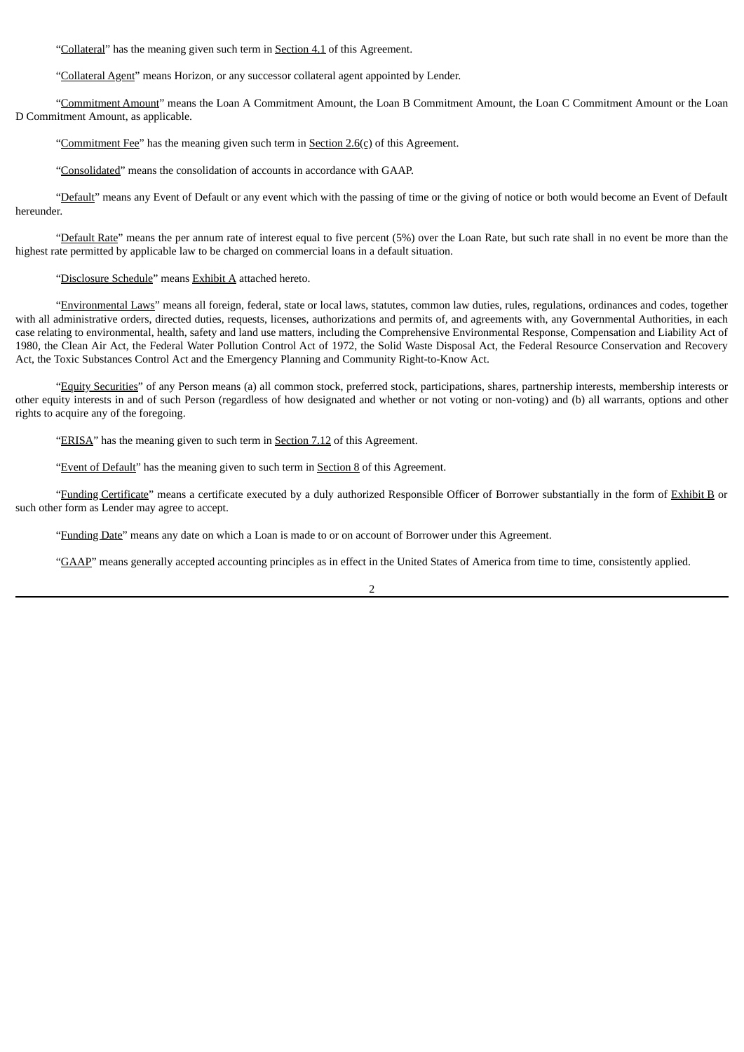"Collateral" has the meaning given such term in Section 4.1 of this Agreement.

"Collateral Agent" means Horizon, or any successor collateral agent appointed by Lender.

"Commitment Amount" means the Loan A Commitment Amount, the Loan B Commitment Amount, the Loan C Commitment Amount or the Loan D Commitment Amount, as applicable.

"Commitment Fee" has the meaning given such term in Section  $2.6(c)$  of this Agreement.

"Consolidated" means the consolidation of accounts in accordance with GAAP.

"Default" means any Event of Default or any event which with the passing of time or the giving of notice or both would become an Event of Default hereunder.

"Default Rate" means the per annum rate of interest equal to five percent (5%) over the Loan Rate, but such rate shall in no event be more than the highest rate permitted by applicable law to be charged on commercial loans in a default situation.

"Disclosure Schedule" means Exhibit A attached hereto.

"Environmental Laws" means all foreign, federal, state or local laws, statutes, common law duties, rules, regulations, ordinances and codes, together with all administrative orders, directed duties, requests, licenses, authorizations and permits of, and agreements with, any Governmental Authorities, in each case relating to environmental, health, safety and land use matters, including the Comprehensive Environmental Response, Compensation and Liability Act of 1980, the Clean Air Act, the Federal Water Pollution Control Act of 1972, the Solid Waste Disposal Act, the Federal Resource Conservation and Recovery Act, the Toxic Substances Control Act and the Emergency Planning and Community Right-to-Know Act.

"Equity Securities" of any Person means (a) all common stock, preferred stock, participations, shares, partnership interests, membership interests or other equity interests in and of such Person (regardless of how designated and whether or not voting or non-voting) and (b) all warrants, options and other rights to acquire any of the foregoing.

"ERISA" has the meaning given to such term in Section 7.12 of this Agreement.

"Event of Default" has the meaning given to such term in Section 8 of this Agreement.

"Funding Certificate" means a certificate executed by a duly authorized Responsible Officer of Borrower substantially in the form of Exhibit B or such other form as Lender may agree to accept.

"Funding Date" means any date on which a Loan is made to or on account of Borrower under this Agreement.

"GAAP" means generally accepted accounting principles as in effect in the United States of America from time to time, consistently applied.

 $\overline{2}$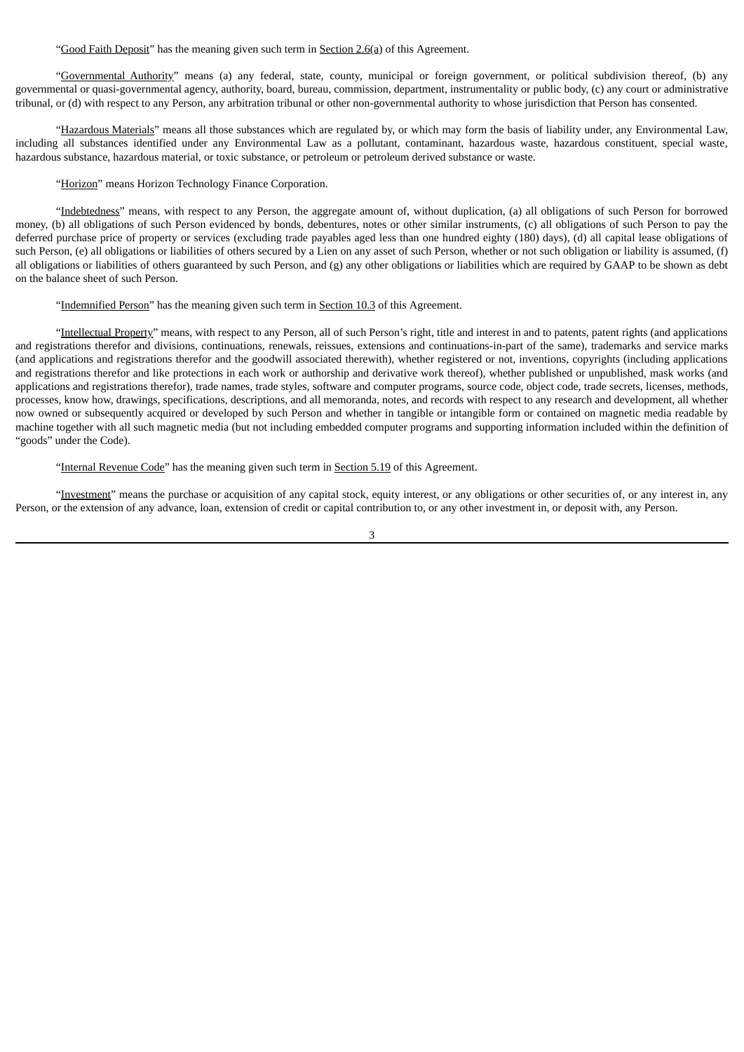"Good Faith Deposit" has the meaning given such term in Section 2.6(a) of this Agreement.

"Governmental Authority" means (a) any federal, state, county, municipal or foreign government, or political subdivision thereof, (b) any governmental or quasi-governmental agency, authority, board, bureau, commission, department, instrumentality or public body, (c) any court or administrative tribunal, or (d) with respect to any Person, any arbitration tribunal or other non-governmental authority to whose jurisdiction that Person has consented.

"Hazardous Materials" means all those substances which are regulated by, or which may form the basis of liability under, any Environmental Law, including all substances identified under any Environmental Law as a pollutant, contaminant, hazardous waste, hazardous constituent, special waste, hazardous substance, hazardous material, or toxic substance, or petroleum or petroleum derived substance or waste.

"Horizon" means Horizon Technology Finance Corporation.

"Indebtedness" means, with respect to any Person, the aggregate amount of, without duplication, (a) all obligations of such Person for borrowed money, (b) all obligations of such Person evidenced by bonds, debentures, notes or other similar instruments, (c) all obligations of such Person to pay the deferred purchase price of property or services (excluding trade payables aged less than one hundred eighty (180) days), (d) all capital lease obligations of such Person, (e) all obligations or liabilities of others secured by a Lien on any asset of such Person, whether or not such obligation or liability is assumed, (f) all obligations or liabilities of others guaranteed by such Person, and (g) any other obligations or liabilities which are required by GAAP to be shown as debt on the balance sheet of such Person.

"Indemnified Person" has the meaning given such term in Section 10.3 of this Agreement.

"Intellectual Property" means, with respect to any Person, all of such Person's right, title and interest in and to patents, patent rights (and applications and registrations therefor and divisions, continuations, renewals, reissues, extensions and continuations-in-part of the same), trademarks and service marks (and applications and registrations therefor and the goodwill associated therewith), whether registered or not, inventions, copyrights (including applications and registrations therefor and like protections in each work or authorship and derivative work thereof), whether published or unpublished, mask works (and applications and registrations therefor), trade names, trade styles, software and computer programs, source code, object code, trade secrets, licenses, methods, processes, know how, drawings, specifications, descriptions, and all memoranda, notes, and records with respect to any research and development, all whether now owned or subsequently acquired or developed by such Person and whether in tangible or intangible form or contained on magnetic media readable by machine together with all such magnetic media (but not including embedded computer programs and supporting information included within the definition of "goods" under the Code).

"Internal Revenue Code" has the meaning given such term in Section 5.19 of this Agreement.

"Investment" means the purchase or acquisition of any capital stock, equity interest, or any obligations or other securities of, or any interest in, any Person, or the extension of any advance, loan, extension of credit or capital contribution to, or any other investment in, or deposit with, any Person.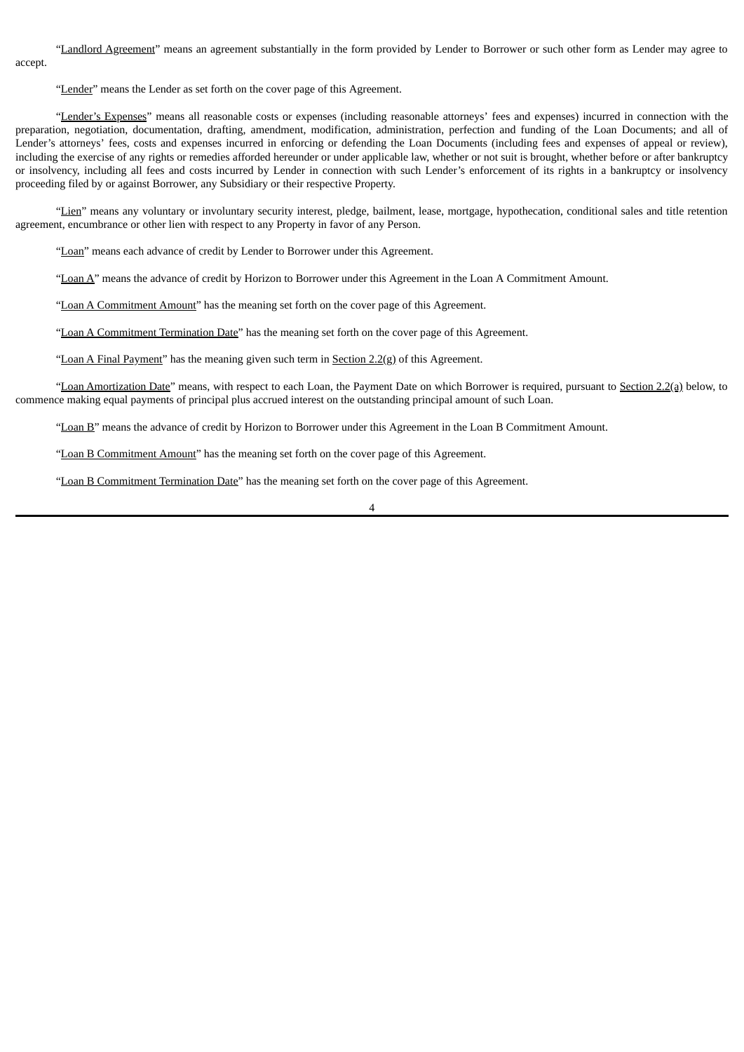"Landlord Agreement" means an agreement substantially in the form provided by Lender to Borrower or such other form as Lender may agree to accept.

"Lender" means the Lender as set forth on the cover page of this Agreement.

"Lender's Expenses" means all reasonable costs or expenses (including reasonable attorneys' fees and expenses) incurred in connection with the preparation, negotiation, documentation, drafting, amendment, modification, administration, perfection and funding of the Loan Documents; and all of Lender's attorneys' fees, costs and expenses incurred in enforcing or defending the Loan Documents (including fees and expenses of appeal or review), including the exercise of any rights or remedies afforded hereunder or under applicable law, whether or not suit is brought, whether before or after bankruptcy or insolvency, including all fees and costs incurred by Lender in connection with such Lender's enforcement of its rights in a bankruptcy or insolvency proceeding filed by or against Borrower, any Subsidiary or their respective Property.

"Lien" means any voluntary or involuntary security interest, pledge, bailment, lease, mortgage, hypothecation, conditional sales and title retention agreement, encumbrance or other lien with respect to any Property in favor of any Person.

"Loan" means each advance of credit by Lender to Borrower under this Agreement.

"Loan A" means the advance of credit by Horizon to Borrower under this Agreement in the Loan A Commitment Amount.

"Loan A Commitment Amount" has the meaning set forth on the cover page of this Agreement.

"Loan A Commitment Termination Date" has the meaning set forth on the cover page of this Agreement.

"Loan A Final Payment" has the meaning given such term in Section 2.2(g) of this Agreement.

"Loan Amortization Date" means, with respect to each Loan, the Payment Date on which Borrower is required, pursuant to Section 2.2(a) below, to commence making equal payments of principal plus accrued interest on the outstanding principal amount of such Loan.

"Loan B" means the advance of credit by Horizon to Borrower under this Agreement in the Loan B Commitment Amount.

"Loan B Commitment Amount" has the meaning set forth on the cover page of this Agreement.

"Loan B Commitment Termination Date" has the meaning set forth on the cover page of this Agreement.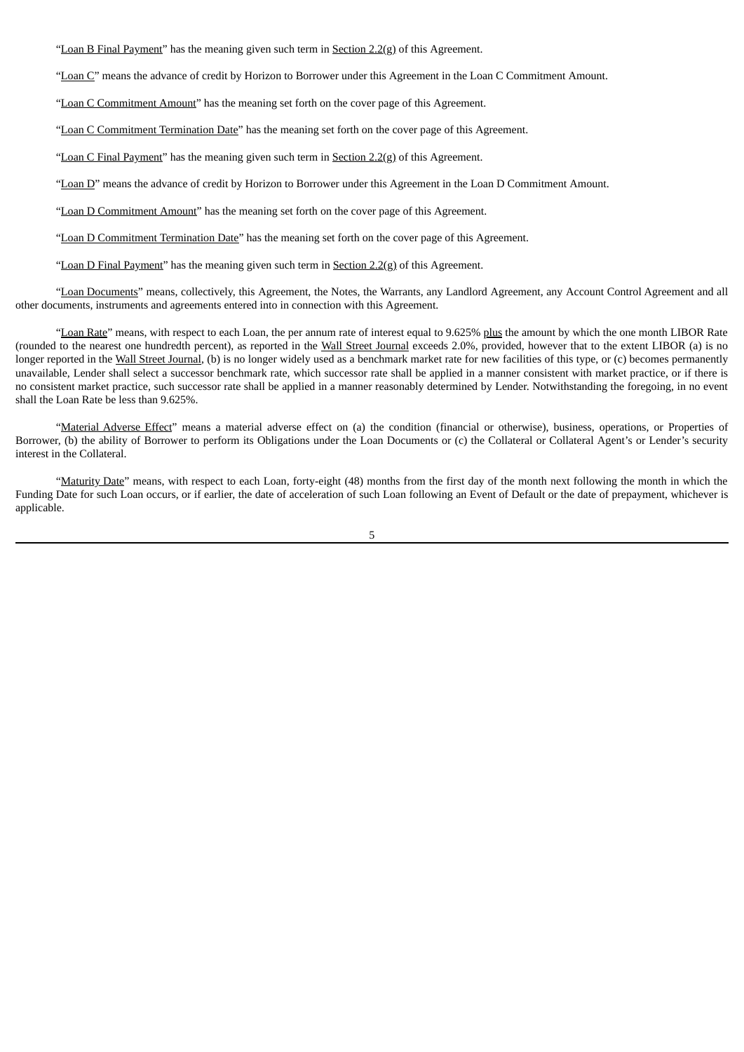"Loan B Final Payment" has the meaning given such term in Section  $2.2(g)$  of this Agreement.

"Loan C" means the advance of credit by Horizon to Borrower under this Agreement in the Loan C Commitment Amount.

"Loan C Commitment Amount" has the meaning set forth on the cover page of this Agreement.

"Loan C Commitment Termination Date" has the meaning set forth on the cover page of this Agreement.

"Loan C Final Payment" has the meaning given such term in Section  $2.2(g)$  of this Agreement.

"Loan D" means the advance of credit by Horizon to Borrower under this Agreement in the Loan D Commitment Amount.

"Loan D Commitment Amount" has the meaning set forth on the cover page of this Agreement.

"Loan D Commitment Termination Date" has the meaning set forth on the cover page of this Agreement.

"Loan D Final Payment" has the meaning given such term in Section 2.2(g) of this Agreement.

"Loan Documents" means, collectively, this Agreement, the Notes, the Warrants, any Landlord Agreement, any Account Control Agreement and all other documents, instruments and agreements entered into in connection with this Agreement.

"Loan Rate" means, with respect to each Loan, the per annum rate of interest equal to 9.625% plus the amount by which the one month LIBOR Rate (rounded to the nearest one hundredth percent), as reported in the Wall Street Journal exceeds 2.0%, provided, however that to the extent LIBOR (a) is no longer reported in the Wall Street Journal, (b) is no longer widely used as a benchmark market rate for new facilities of this type, or (c) becomes permanently unavailable, Lender shall select a successor benchmark rate, which successor rate shall be applied in a manner consistent with market practice, or if there is no consistent market practice, such successor rate shall be applied in a manner reasonably determined by Lender. Notwithstanding the foregoing, in no event shall the Loan Rate be less than 9.625%.

"Material Adverse Effect" means a material adverse effect on (a) the condition (financial or otherwise), business, operations, or Properties of Borrower, (b) the ability of Borrower to perform its Obligations under the Loan Documents or (c) the Collateral or Collateral Agent's or Lender's security interest in the Collateral.

"Maturity Date" means, with respect to each Loan, forty-eight (48) months from the first day of the month next following the month in which the Funding Date for such Loan occurs, or if earlier, the date of acceleration of such Loan following an Event of Default or the date of prepayment, whichever is applicable.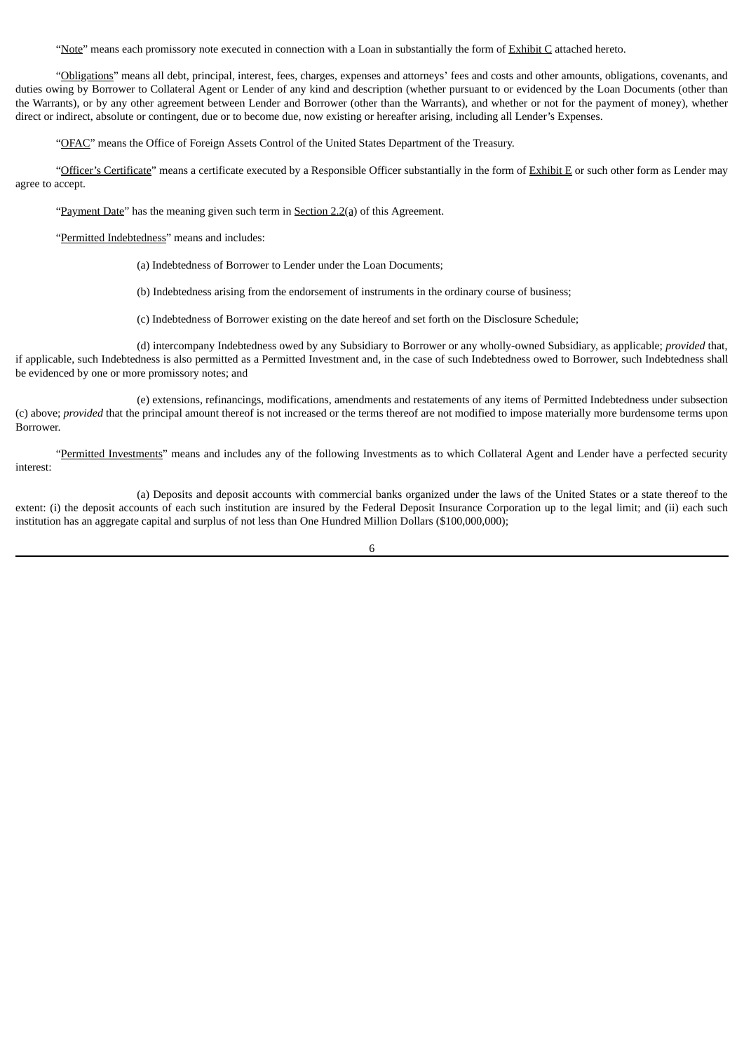"Note" means each promissory note executed in connection with a Loan in substantially the form of Exhibit C attached hereto.

"Obligations" means all debt, principal, interest, fees, charges, expenses and attorneys' fees and costs and other amounts, obligations, covenants, and duties owing by Borrower to Collateral Agent or Lender of any kind and description (whether pursuant to or evidenced by the Loan Documents (other than the Warrants), or by any other agreement between Lender and Borrower (other than the Warrants), and whether or not for the payment of money), whether direct or indirect, absolute or contingent, due or to become due, now existing or hereafter arising, including all Lender's Expenses.

"OFAC" means the Office of Foreign Assets Control of the United States Department of the Treasury.

"Officer's Certificate" means a certificate executed by a Responsible Officer substantially in the form of Exhibit E or such other form as Lender may agree to accept.

"Payment Date" has the meaning given such term in Section 2.2(a) of this Agreement.

"Permitted Indebtedness" means and includes:

(a) Indebtedness of Borrower to Lender under the Loan Documents;

(b) Indebtedness arising from the endorsement of instruments in the ordinary course of business;

(c) Indebtedness of Borrower existing on the date hereof and set forth on the Disclosure Schedule;

(d) intercompany Indebtedness owed by any Subsidiary to Borrower or any wholly-owned Subsidiary, as applicable; *provided* that, if applicable, such Indebtedness is also permitted as a Permitted Investment and, in the case of such Indebtedness owed to Borrower, such Indebtedness shall be evidenced by one or more promissory notes; and

(e) extensions, refinancings, modifications, amendments and restatements of any items of Permitted Indebtedness under subsection (c) above; *provided* that the principal amount thereof is not increased or the terms thereof are not modified to impose materially more burdensome terms upon Borrower.

"Permitted Investments" means and includes any of the following Investments as to which Collateral Agent and Lender have a perfected security interest:

(a) Deposits and deposit accounts with commercial banks organized under the laws of the United States or a state thereof to the extent: (i) the deposit accounts of each such institution are insured by the Federal Deposit Insurance Corporation up to the legal limit; and (ii) each such institution has an aggregate capital and surplus of not less than One Hundred Million Dollars (\$100,000,000);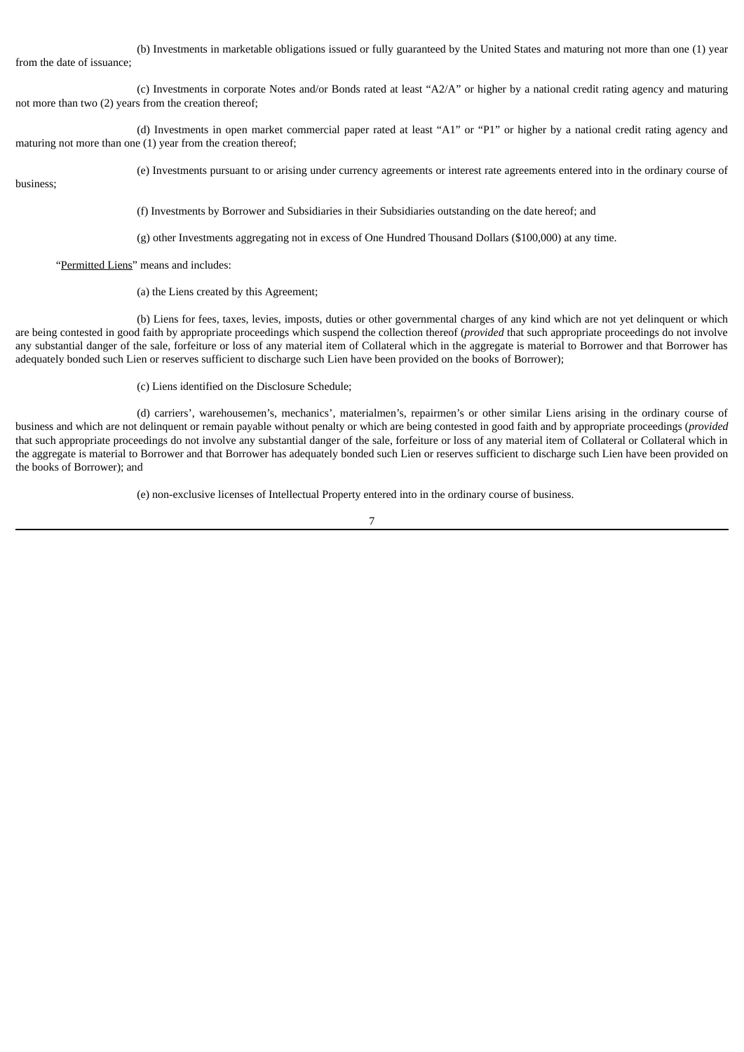(b) Investments in marketable obligations issued or fully guaranteed by the United States and maturing not more than one (1) year from the date of issuance;

(c) Investments in corporate Notes and/or Bonds rated at least "A2/A" or higher by a national credit rating agency and maturing not more than two (2) years from the creation thereof;

(d) Investments in open market commercial paper rated at least "A1" or "P1" or higher by a national credit rating agency and maturing not more than one (1) year from the creation thereof;

business;

(e) Investments pursuant to or arising under currency agreements or interest rate agreements entered into in the ordinary course of

(f) Investments by Borrower and Subsidiaries in their Subsidiaries outstanding on the date hereof; and

(g) other Investments aggregating not in excess of One Hundred Thousand Dollars (\$100,000) at any time.

"Permitted Liens" means and includes:

(a) the Liens created by this Agreement;

(b) Liens for fees, taxes, levies, imposts, duties or other governmental charges of any kind which are not yet delinquent or which are being contested in good faith by appropriate proceedings which suspend the collection thereof (*provided* that such appropriate proceedings do not involve any substantial danger of the sale, forfeiture or loss of any material item of Collateral which in the aggregate is material to Borrower and that Borrower has adequately bonded such Lien or reserves sufficient to discharge such Lien have been provided on the books of Borrower);

(c) Liens identified on the Disclosure Schedule;

(d) carriers', warehousemen's, mechanics', materialmen's, repairmen's or other similar Liens arising in the ordinary course of business and which are not delinquent or remain payable without penalty or which are being contested in good faith and by appropriate proceedings (*provided* that such appropriate proceedings do not involve any substantial danger of the sale, forfeiture or loss of any material item of Collateral or Collateral which in the aggregate is material to Borrower and that Borrower has adequately bonded such Lien or reserves sufficient to discharge such Lien have been provided on the books of Borrower); and

(e) non-exclusive licenses of Intellectual Property entered into in the ordinary course of business.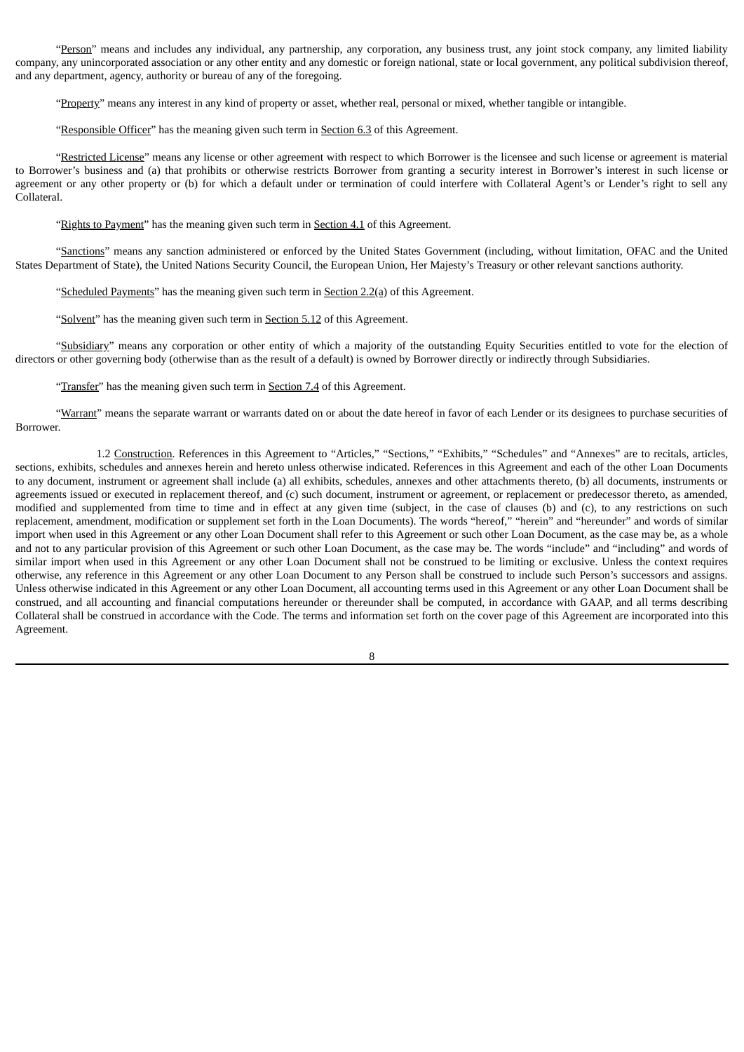"Person" means and includes any individual, any partnership, any corporation, any business trust, any joint stock company, any limited liability company, any unincorporated association or any other entity and any domestic or foreign national, state or local government, any political subdivision thereof, and any department, agency, authority or bureau of any of the foregoing.

"Property" means any interest in any kind of property or asset, whether real, personal or mixed, whether tangible or intangible.

"Responsible Officer" has the meaning given such term in Section 6.3 of this Agreement.

"Restricted License" means any license or other agreement with respect to which Borrower is the licensee and such license or agreement is material to Borrower's business and (a) that prohibits or otherwise restricts Borrower from granting a security interest in Borrower's interest in such license or agreement or any other property or (b) for which a default under or termination of could interfere with Collateral Agent's or Lender's right to sell any Collateral.

"Rights to Payment" has the meaning given such term in Section 4.1 of this Agreement.

"Sanctions" means any sanction administered or enforced by the United States Government (including, without limitation, OFAC and the United States Department of State), the United Nations Security Council, the European Union, Her Majesty's Treasury or other relevant sanctions authority.

"Scheduled Payments" has the meaning given such term in Section 2.2(a) of this Agreement.

"Solvent" has the meaning given such term in Section 5.12 of this Agreement.

"Subsidiary" means any corporation or other entity of which a majority of the outstanding Equity Securities entitled to vote for the election of directors or other governing body (otherwise than as the result of a default) is owned by Borrower directly or indirectly through Subsidiaries.

"Transfer" has the meaning given such term in Section 7.4 of this Agreement.

"Warrant" means the separate warrant or warrants dated on or about the date hereof in favor of each Lender or its designees to purchase securities of Borrower.

1.2 Construction. References in this Agreement to "Articles," "Sections," "Exhibits," "Schedules" and "Annexes" are to recitals, articles, sections, exhibits, schedules and annexes herein and hereto unless otherwise indicated. References in this Agreement and each of the other Loan Documents to any document, instrument or agreement shall include (a) all exhibits, schedules, annexes and other attachments thereto, (b) all documents, instruments or agreements issued or executed in replacement thereof, and (c) such document, instrument or agreement, or replacement or predecessor thereto, as amended, modified and supplemented from time to time and in effect at any given time (subject, in the case of clauses (b) and (c), to any restrictions on such replacement, amendment, modification or supplement set forth in the Loan Documents). The words "hereof," "herein" and "hereunder" and words of similar import when used in this Agreement or any other Loan Document shall refer to this Agreement or such other Loan Document, as the case may be, as a whole and not to any particular provision of this Agreement or such other Loan Document, as the case may be. The words "include" and "including" and words of similar import when used in this Agreement or any other Loan Document shall not be construed to be limiting or exclusive. Unless the context requires otherwise, any reference in this Agreement or any other Loan Document to any Person shall be construed to include such Person's successors and assigns. Unless otherwise indicated in this Agreement or any other Loan Document, all accounting terms used in this Agreement or any other Loan Document shall be construed, and all accounting and financial computations hereunder or thereunder shall be computed, in accordance with GAAP, and all terms describing Collateral shall be construed in accordance with the Code. The terms and information set forth on the cover page of this Agreement are incorporated into this Agreement.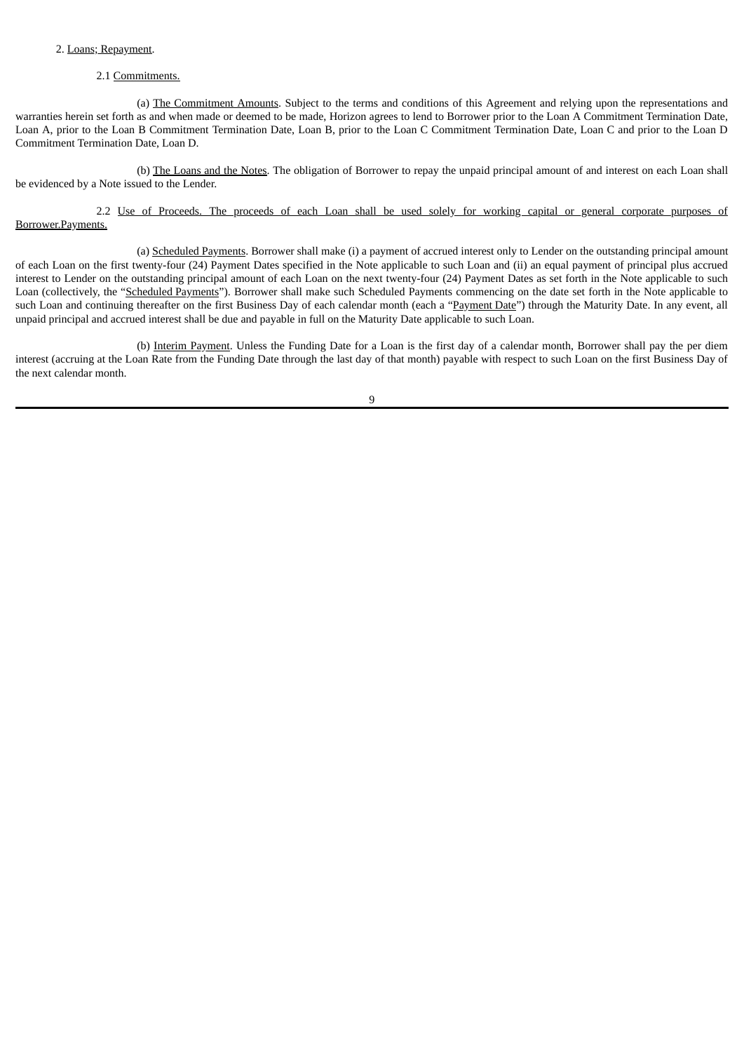# 2. Loans; Repayment.

# 2.1 Commitments.

(a) The Commitment Amounts. Subject to the terms and conditions of this Agreement and relying upon the representations and warranties herein set forth as and when made or deemed to be made, Horizon agrees to lend to Borrower prior to the Loan A Commitment Termination Date, Loan A, prior to the Loan B Commitment Termination Date, Loan B, prior to the Loan C Commitment Termination Date, Loan C and prior to the Loan D Commitment Termination Date, Loan D.

(b) The Loans and the Notes. The obligation of Borrower to repay the unpaid principal amount of and interest on each Loan shall be evidenced by a Note issued to the Lender.

2.2 Use of Proceeds. The proceeds of each Loan shall be used solely for working capital or general corporate purposes of Borrower.Payments.

(a) Scheduled Payments. Borrower shall make (i) a payment of accrued interest only to Lender on the outstanding principal amount of each Loan on the first twenty-four (24) Payment Dates specified in the Note applicable to such Loan and (ii) an equal payment of principal plus accrued interest to Lender on the outstanding principal amount of each Loan on the next twenty-four (24) Payment Dates as set forth in the Note applicable to such Loan (collectively, the "Scheduled Payments"). Borrower shall make such Scheduled Payments commencing on the date set forth in the Note applicable to such Loan and continuing thereafter on the first Business Day of each calendar month (each a "Payment Date") through the Maturity Date. In any event, all unpaid principal and accrued interest shall be due and payable in full on the Maturity Date applicable to such Loan.

(b) Interim Payment. Unless the Funding Date for a Loan is the first day of a calendar month, Borrower shall pay the per diem interest (accruing at the Loan Rate from the Funding Date through the last day of that month) payable with respect to such Loan on the first Business Day of the next calendar month.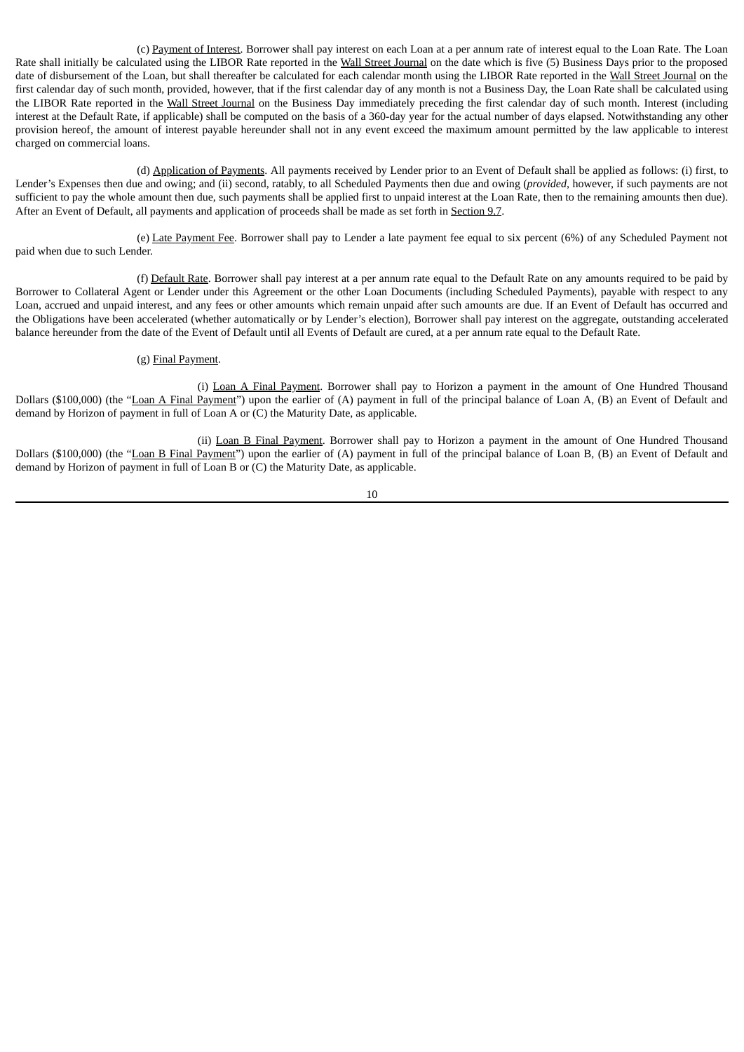(c) Payment of Interest. Borrower shall pay interest on each Loan at a per annum rate of interest equal to the Loan Rate. The Loan Rate shall initially be calculated using the LIBOR Rate reported in the Wall Street Journal on the date which is five (5) Business Days prior to the proposed date of disbursement of the Loan, but shall thereafter be calculated for each calendar month using the LIBOR Rate reported in the Wall Street Journal on the first calendar day of such month, provided, however, that if the first calendar day of any month is not a Business Day, the Loan Rate shall be calculated using the LIBOR Rate reported in the Wall Street Journal on the Business Day immediately preceding the first calendar day of such month. Interest (including interest at the Default Rate, if applicable) shall be computed on the basis of a 360-day year for the actual number of days elapsed. Notwithstanding any other provision hereof, the amount of interest payable hereunder shall not in any event exceed the maximum amount permitted by the law applicable to interest charged on commercial loans.

(d) Application of Payments. All payments received by Lender prior to an Event of Default shall be applied as follows: (i) first, to Lender's Expenses then due and owing; and (ii) second, ratably, to all Scheduled Payments then due and owing (*provided*, however, if such payments are not sufficient to pay the whole amount then due, such payments shall be applied first to unpaid interest at the Loan Rate, then to the remaining amounts then due). After an Event of Default, all payments and application of proceeds shall be made as set forth in Section 9.7.

(e) Late Payment Fee. Borrower shall pay to Lender a late payment fee equal to six percent (6%) of any Scheduled Payment not paid when due to such Lender.

(f) Default Rate. Borrower shall pay interest at a per annum rate equal to the Default Rate on any amounts required to be paid by Borrower to Collateral Agent or Lender under this Agreement or the other Loan Documents (including Scheduled Payments), payable with respect to any Loan, accrued and unpaid interest, and any fees or other amounts which remain unpaid after such amounts are due. If an Event of Default has occurred and the Obligations have been accelerated (whether automatically or by Lender's election), Borrower shall pay interest on the aggregate, outstanding accelerated balance hereunder from the date of the Event of Default until all Events of Default are cured, at a per annum rate equal to the Default Rate.

#### (g) Final Payment.

(i) Loan A Final Payment. Borrower shall pay to Horizon a payment in the amount of One Hundred Thousand Dollars (\$100,000) (the "Loan A Final Payment") upon the earlier of (A) payment in full of the principal balance of Loan A, (B) an Event of Default and demand by Horizon of payment in full of Loan A or (C) the Maturity Date, as applicable.

(ii) Loan B Final Payment. Borrower shall pay to Horizon a payment in the amount of One Hundred Thousand Dollars (\$100,000) (the "Loan B Final Payment") upon the earlier of (A) payment in full of the principal balance of Loan B, (B) an Event of Default and demand by Horizon of payment in full of Loan B or (C) the Maturity Date, as applicable.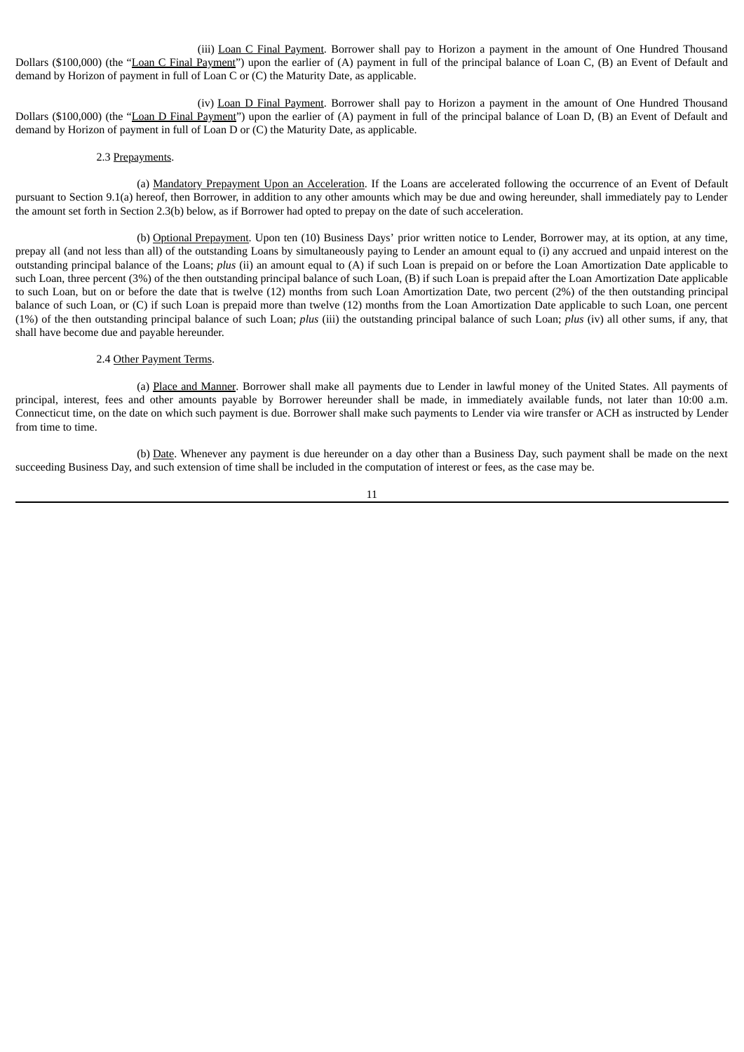(iii) Loan C Final Payment. Borrower shall pay to Horizon a payment in the amount of One Hundred Thousand Dollars (\$100,000) (the "Loan C Final Payment") upon the earlier of (A) payment in full of the principal balance of Loan C, (B) an Event of Default and demand by Horizon of payment in full of Loan C or (C) the Maturity Date, as applicable.

(iv) Loan D Final Payment. Borrower shall pay to Horizon a payment in the amount of One Hundred Thousand Dollars (\$100,000) (the "Loan D Final Payment") upon the earlier of (A) payment in full of the principal balance of Loan D, (B) an Event of Default and demand by Horizon of payment in full of Loan D or (C) the Maturity Date, as applicable.

# 2.3 Prepayments.

(a) Mandatory Prepayment Upon an Acceleration. If the Loans are accelerated following the occurrence of an Event of Default pursuant to Section 9.1(a) hereof, then Borrower, in addition to any other amounts which may be due and owing hereunder, shall immediately pay to Lender the amount set forth in Section 2.3(b) below, as if Borrower had opted to prepay on the date of such acceleration.

(b) Optional Prepayment. Upon ten (10) Business Days' prior written notice to Lender, Borrower may, at its option, at any time, prepay all (and not less than all) of the outstanding Loans by simultaneously paying to Lender an amount equal to (i) any accrued and unpaid interest on the outstanding principal balance of the Loans; *plus* (ii) an amount equal to (A) if such Loan is prepaid on or before the Loan Amortization Date applicable to such Loan, three percent (3%) of the then outstanding principal balance of such Loan, (B) if such Loan is prepaid after the Loan Amortization Date applicable to such Loan, but on or before the date that is twelve (12) months from such Loan Amortization Date, two percent (2%) of the then outstanding principal balance of such Loan, or (C) if such Loan is prepaid more than twelve (12) months from the Loan Amortization Date applicable to such Loan, one percent (1%) of the then outstanding principal balance of such Loan; *plus* (iii) the outstanding principal balance of such Loan; *plus* (iv) all other sums, if any, that shall have become due and payable hereunder.

#### 2.4 Other Payment Terms.

(a) Place and Manner. Borrower shall make all payments due to Lender in lawful money of the United States. All payments of principal, interest, fees and other amounts payable by Borrower hereunder shall be made, in immediately available funds, not later than 10:00 a.m. Connecticut time, on the date on which such payment is due. Borrower shall make such payments to Lender via wire transfer or ACH as instructed by Lender from time to time.

(b) Date. Whenever any payment is due hereunder on a day other than a Business Day, such payment shall be made on the next succeeding Business Day, and such extension of time shall be included in the computation of interest or fees, as the case may be.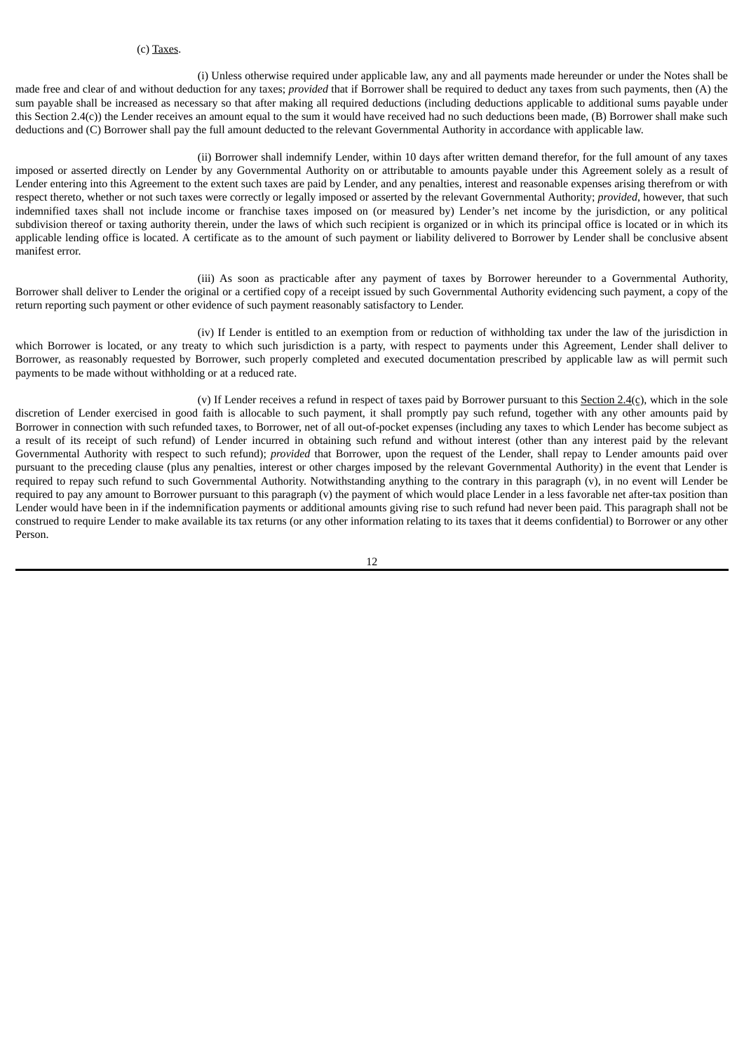### (c) Taxes.

(i) Unless otherwise required under applicable law, any and all payments made hereunder or under the Notes shall be made free and clear of and without deduction for any taxes; *provided* that if Borrower shall be required to deduct any taxes from such payments, then (A) the sum payable shall be increased as necessary so that after making all required deductions (including deductions applicable to additional sums payable under this Section 2.4(c)) the Lender receives an amount equal to the sum it would have received had no such deductions been made, (B) Borrower shall make such deductions and (C) Borrower shall pay the full amount deducted to the relevant Governmental Authority in accordance with applicable law.

(ii) Borrower shall indemnify Lender, within 10 days after written demand therefor, for the full amount of any taxes imposed or asserted directly on Lender by any Governmental Authority on or attributable to amounts payable under this Agreement solely as a result of Lender entering into this Agreement to the extent such taxes are paid by Lender, and any penalties, interest and reasonable expenses arising therefrom or with respect thereto, whether or not such taxes were correctly or legally imposed or asserted by the relevant Governmental Authority; *provided*, however, that such indemnified taxes shall not include income or franchise taxes imposed on (or measured by) Lender's net income by the jurisdiction, or any political subdivision thereof or taxing authority therein, under the laws of which such recipient is organized or in which its principal office is located or in which its applicable lending office is located. A certificate as to the amount of such payment or liability delivered to Borrower by Lender shall be conclusive absent manifest error.

(iii) As soon as practicable after any payment of taxes by Borrower hereunder to a Governmental Authority, Borrower shall deliver to Lender the original or a certified copy of a receipt issued by such Governmental Authority evidencing such payment, a copy of the return reporting such payment or other evidence of such payment reasonably satisfactory to Lender.

(iv) If Lender is entitled to an exemption from or reduction of withholding tax under the law of the jurisdiction in which Borrower is located, or any treaty to which such jurisdiction is a party, with respect to payments under this Agreement, Lender shall deliver to Borrower, as reasonably requested by Borrower, such properly completed and executed documentation prescribed by applicable law as will permit such payments to be made without withholding or at a reduced rate.

(v) If Lender receives a refund in respect of taxes paid by Borrower pursuant to this  $Section 2.4(c)$ , which in the sole discretion of Lender exercised in good faith is allocable to such payment, it shall promptly pay such refund, together with any other amounts paid by Borrower in connection with such refunded taxes, to Borrower, net of all out-of-pocket expenses (including any taxes to which Lender has become subject as a result of its receipt of such refund) of Lender incurred in obtaining such refund and without interest (other than any interest paid by the relevant Governmental Authority with respect to such refund); *provided* that Borrower, upon the request of the Lender, shall repay to Lender amounts paid over pursuant to the preceding clause (plus any penalties, interest or other charges imposed by the relevant Governmental Authority) in the event that Lender is required to repay such refund to such Governmental Authority. Notwithstanding anything to the contrary in this paragraph (v), in no event will Lender be required to pay any amount to Borrower pursuant to this paragraph (v) the payment of which would place Lender in a less favorable net after-tax position than Lender would have been in if the indemnification payments or additional amounts giving rise to such refund had never been paid. This paragraph shall not be construed to require Lender to make available its tax returns (or any other information relating to its taxes that it deems confidential) to Borrower or any other Person.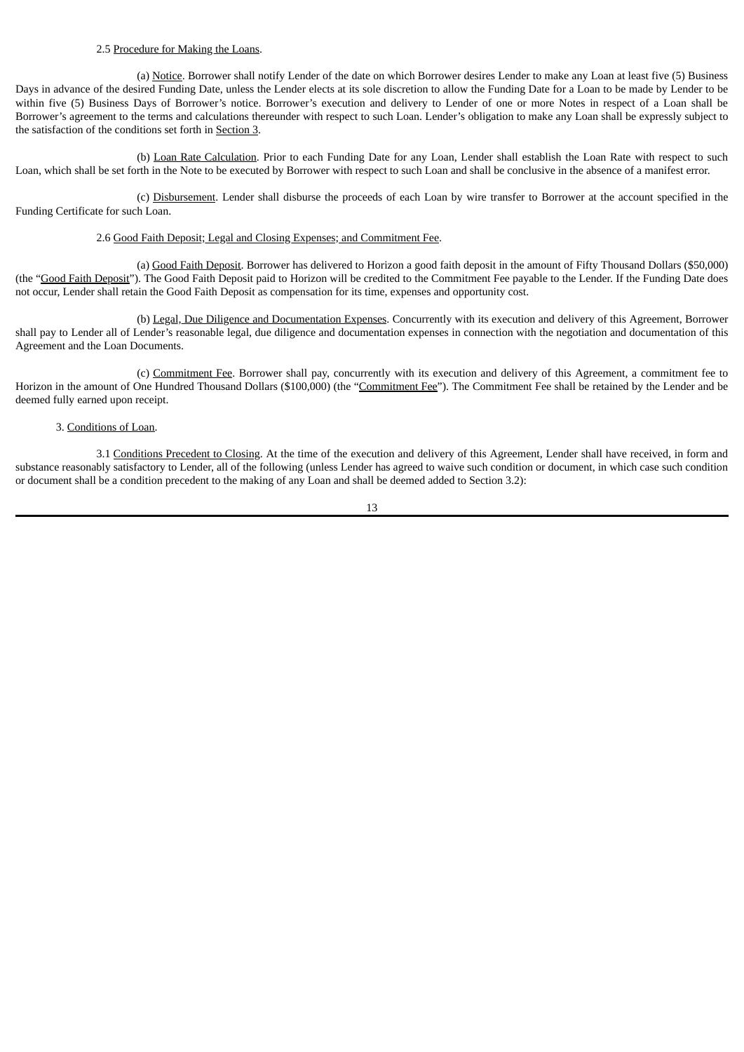### 2.5 Procedure for Making the Loans.

(a) Notice. Borrower shall notify Lender of the date on which Borrower desires Lender to make any Loan at least five (5) Business Days in advance of the desired Funding Date, unless the Lender elects at its sole discretion to allow the Funding Date for a Loan to be made by Lender to be within five (5) Business Days of Borrower's notice. Borrower's execution and delivery to Lender of one or more Notes in respect of a Loan shall be Borrower's agreement to the terms and calculations thereunder with respect to such Loan. Lender's obligation to make any Loan shall be expressly subject to the satisfaction of the conditions set forth in Section 3.

(b) Loan Rate Calculation. Prior to each Funding Date for any Loan, Lender shall establish the Loan Rate with respect to such Loan, which shall be set forth in the Note to be executed by Borrower with respect to such Loan and shall be conclusive in the absence of a manifest error.

(c) Disbursement. Lender shall disburse the proceeds of each Loan by wire transfer to Borrower at the account specified in the Funding Certificate for such Loan.

### 2.6 Good Faith Deposit; Legal and Closing Expenses; and Commitment Fee.

(a) Good Faith Deposit. Borrower has delivered to Horizon a good faith deposit in the amount of Fifty Thousand Dollars (\$50,000) (the "Good Faith Deposit"). The Good Faith Deposit paid to Horizon will be credited to the Commitment Fee payable to the Lender. If the Funding Date does not occur, Lender shall retain the Good Faith Deposit as compensation for its time, expenses and opportunity cost.

(b) Legal, Due Diligence and Documentation Expenses. Concurrently with its execution and delivery of this Agreement, Borrower shall pay to Lender all of Lender's reasonable legal, due diligence and documentation expenses in connection with the negotiation and documentation of this Agreement and the Loan Documents.

(c) Commitment Fee. Borrower shall pay, concurrently with its execution and delivery of this Agreement, a commitment fee to Horizon in the amount of One Hundred Thousand Dollars (\$100,000) (the "Commitment Fee"). The Commitment Fee shall be retained by the Lender and be deemed fully earned upon receipt.

#### 3. Conditions of Loan.

3.1 Conditions Precedent to Closing. At the time of the execution and delivery of this Agreement, Lender shall have received, in form and substance reasonably satisfactory to Lender, all of the following (unless Lender has agreed to waive such condition or document, in which case such condition or document shall be a condition precedent to the making of any Loan and shall be deemed added to Section 3.2):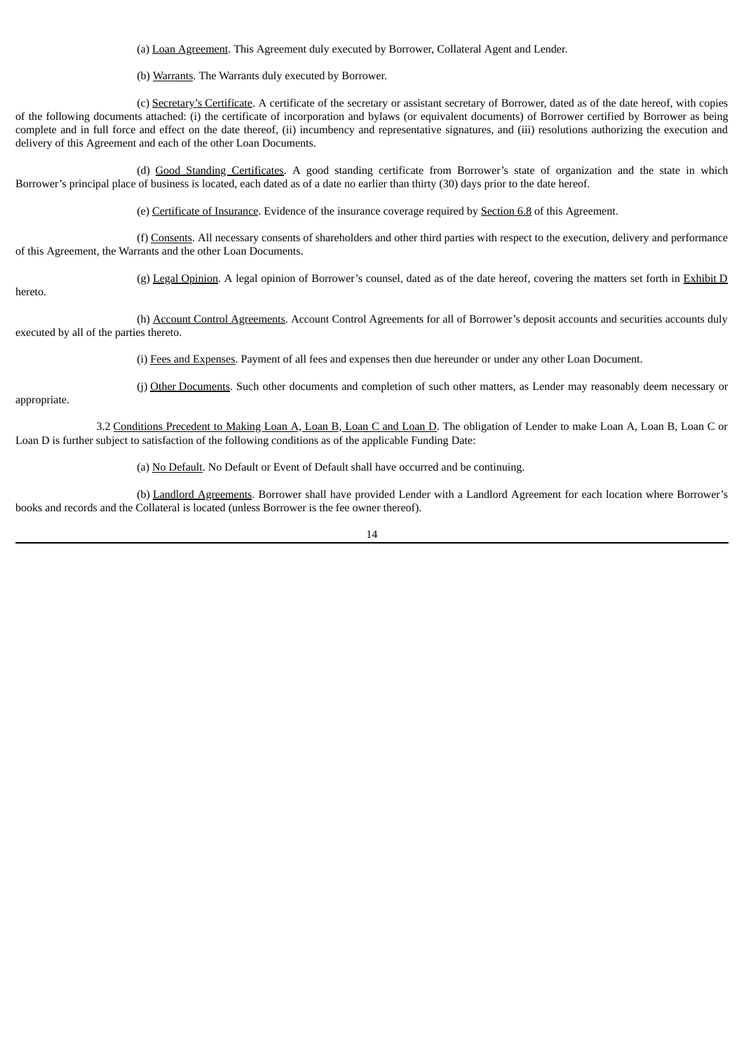(a) Loan Agreement. This Agreement duly executed by Borrower, Collateral Agent and Lender.

(b) Warrants. The Warrants duly executed by Borrower.

(c) Secretary's Certificate. A certificate of the secretary or assistant secretary of Borrower, dated as of the date hereof, with copies of the following documents attached: (i) the certificate of incorporation and bylaws (or equivalent documents) of Borrower certified by Borrower as being complete and in full force and effect on the date thereof, (ii) incumbency and representative signatures, and (iii) resolutions authorizing the execution and delivery of this Agreement and each of the other Loan Documents.

(d) Good Standing Certificates. A good standing certificate from Borrower's state of organization and the state in which Borrower's principal place of business is located, each dated as of a date no earlier than thirty (30) days prior to the date hereof.

(e) Certificate of Insurance. Evidence of the insurance coverage required by Section 6.8 of this Agreement.

(f) Consents. All necessary consents of shareholders and other third parties with respect to the execution, delivery and performance of this Agreement, the Warrants and the other Loan Documents.

hereto.

(g) Legal Opinion. A legal opinion of Borrower's counsel, dated as of the date hereof, covering the matters set forth in Exhibit D

(h) Account Control Agreements. Account Control Agreements for all of Borrower's deposit accounts and securities accounts duly executed by all of the parties thereto.

(i) Fees and Expenses. Payment of all fees and expenses then due hereunder or under any other Loan Document.

(j) Other Documents. Such other documents and completion of such other matters, as Lender may reasonably deem necessary or

appropriate.

3.2 Conditions Precedent to Making Loan A, Loan B, Loan C and Loan D. The obligation of Lender to make Loan A, Loan B, Loan C or Loan D is further subject to satisfaction of the following conditions as of the applicable Funding Date:

(a) No Default. No Default or Event of Default shall have occurred and be continuing.

(b) Landlord Agreements. Borrower shall have provided Lender with a Landlord Agreement for each location where Borrower's books and records and the Collateral is located (unless Borrower is the fee owner thereof).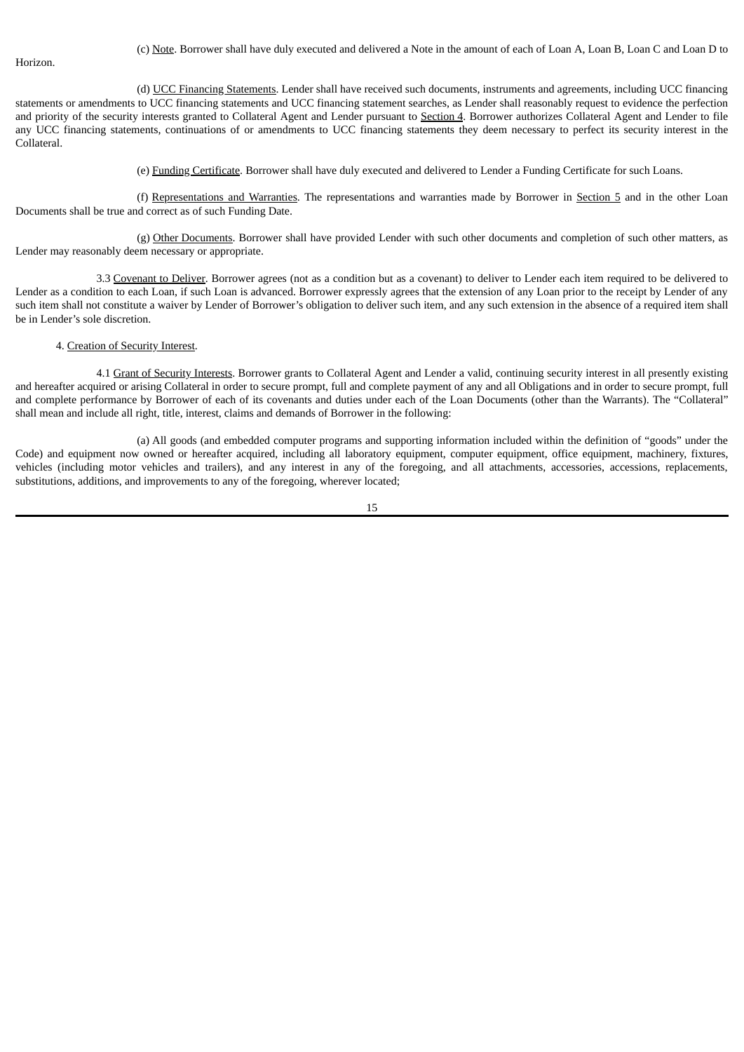Horizon.

(d) UCC Financing Statements. Lender shall have received such documents, instruments and agreements, including UCC financing statements or amendments to UCC financing statements and UCC financing statement searches, as Lender shall reasonably request to evidence the perfection and priority of the security interests granted to Collateral Agent and Lender pursuant to Section 4. Borrower authorizes Collateral Agent and Lender to file any UCC financing statements, continuations of or amendments to UCC financing statements they deem necessary to perfect its security interest in the Collateral.

(e) Funding Certificate. Borrower shall have duly executed and delivered to Lender a Funding Certificate for such Loans.

(f) Representations and Warranties. The representations and warranties made by Borrower in Section 5 and in the other Loan Documents shall be true and correct as of such Funding Date.

(g) Other Documents. Borrower shall have provided Lender with such other documents and completion of such other matters, as Lender may reasonably deem necessary or appropriate.

3.3 Covenant to Deliver. Borrower agrees (not as a condition but as a covenant) to deliver to Lender each item required to be delivered to Lender as a condition to each Loan, if such Loan is advanced. Borrower expressly agrees that the extension of any Loan prior to the receipt by Lender of any such item shall not constitute a waiver by Lender of Borrower's obligation to deliver such item, and any such extension in the absence of a required item shall be in Lender's sole discretion.

## 4. Creation of Security Interest.

4.1 Grant of Security Interests. Borrower grants to Collateral Agent and Lender a valid, continuing security interest in all presently existing and hereafter acquired or arising Collateral in order to secure prompt, full and complete payment of any and all Obligations and in order to secure prompt, full and complete performance by Borrower of each of its covenants and duties under each of the Loan Documents (other than the Warrants). The "Collateral" shall mean and include all right, title, interest, claims and demands of Borrower in the following:

(a) All goods (and embedded computer programs and supporting information included within the definition of "goods" under the Code) and equipment now owned or hereafter acquired, including all laboratory equipment, computer equipment, office equipment, machinery, fixtures, vehicles (including motor vehicles and trailers), and any interest in any of the foregoing, and all attachments, accessories, accessions, replacements, substitutions, additions, and improvements to any of the foregoing, wherever located;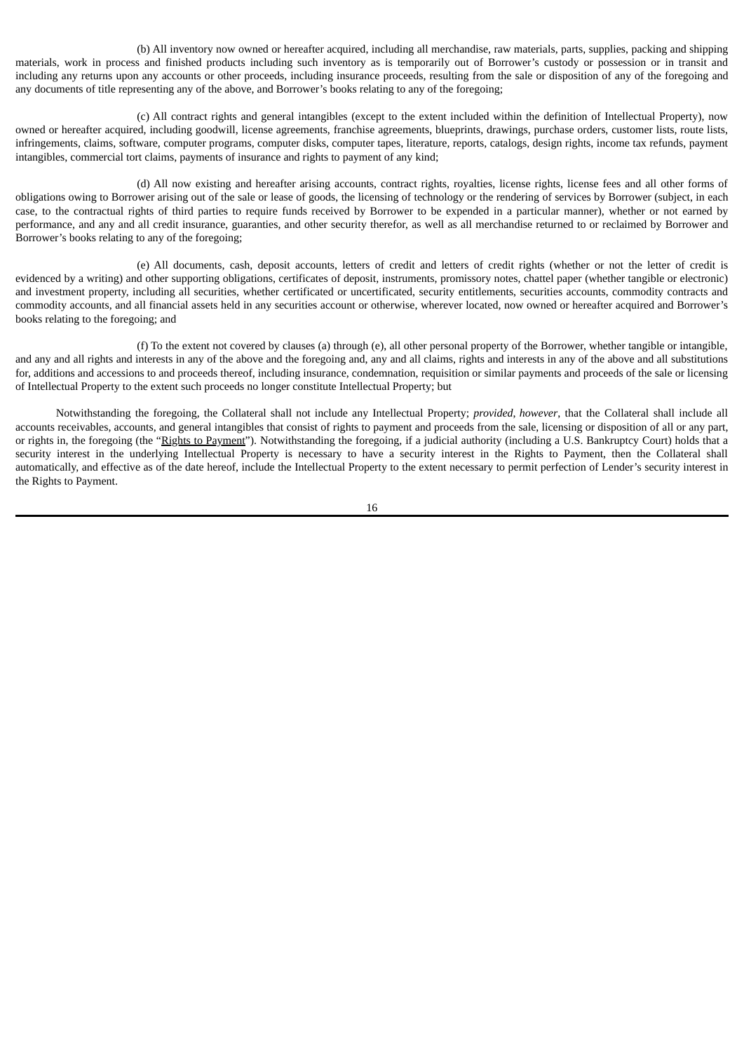(b) All inventory now owned or hereafter acquired, including all merchandise, raw materials, parts, supplies, packing and shipping materials, work in process and finished products including such inventory as is temporarily out of Borrower's custody or possession or in transit and including any returns upon any accounts or other proceeds, including insurance proceeds, resulting from the sale or disposition of any of the foregoing and any documents of title representing any of the above, and Borrower's books relating to any of the foregoing;

(c) All contract rights and general intangibles (except to the extent included within the definition of Intellectual Property), now owned or hereafter acquired, including goodwill, license agreements, franchise agreements, blueprints, drawings, purchase orders, customer lists, route lists, infringements, claims, software, computer programs, computer disks, computer tapes, literature, reports, catalogs, design rights, income tax refunds, payment intangibles, commercial tort claims, payments of insurance and rights to payment of any kind;

(d) All now existing and hereafter arising accounts, contract rights, royalties, license rights, license fees and all other forms of obligations owing to Borrower arising out of the sale or lease of goods, the licensing of technology or the rendering of services by Borrower (subject, in each case, to the contractual rights of third parties to require funds received by Borrower to be expended in a particular manner), whether or not earned by performance, and any and all credit insurance, guaranties, and other security therefor, as well as all merchandise returned to or reclaimed by Borrower and Borrower's books relating to any of the foregoing;

(e) All documents, cash, deposit accounts, letters of credit and letters of credit rights (whether or not the letter of credit is evidenced by a writing) and other supporting obligations, certificates of deposit, instruments, promissory notes, chattel paper (whether tangible or electronic) and investment property, including all securities, whether certificated or uncertificated, security entitlements, securities accounts, commodity contracts and commodity accounts, and all financial assets held in any securities account or otherwise, wherever located, now owned or hereafter acquired and Borrower's books relating to the foregoing; and

(f) To the extent not covered by clauses (a) through (e), all other personal property of the Borrower, whether tangible or intangible, and any and all rights and interests in any of the above and the foregoing and, any and all claims, rights and interests in any of the above and all substitutions for, additions and accessions to and proceeds thereof, including insurance, condemnation, requisition or similar payments and proceeds of the sale or licensing of Intellectual Property to the extent such proceeds no longer constitute Intellectual Property; but

Notwithstanding the foregoing, the Collateral shall not include any Intellectual Property; *provided*, *however*, that the Collateral shall include all accounts receivables, accounts, and general intangibles that consist of rights to payment and proceeds from the sale, licensing or disposition of all or any part, or rights in, the foregoing (the "Rights to Payment"). Notwithstanding the foregoing, if a judicial authority (including a U.S. Bankruptcy Court) holds that a security interest in the underlying Intellectual Property is necessary to have a security interest in the Rights to Payment, then the Collateral shall automatically, and effective as of the date hereof, include the Intellectual Property to the extent necessary to permit perfection of Lender's security interest in the Rights to Payment.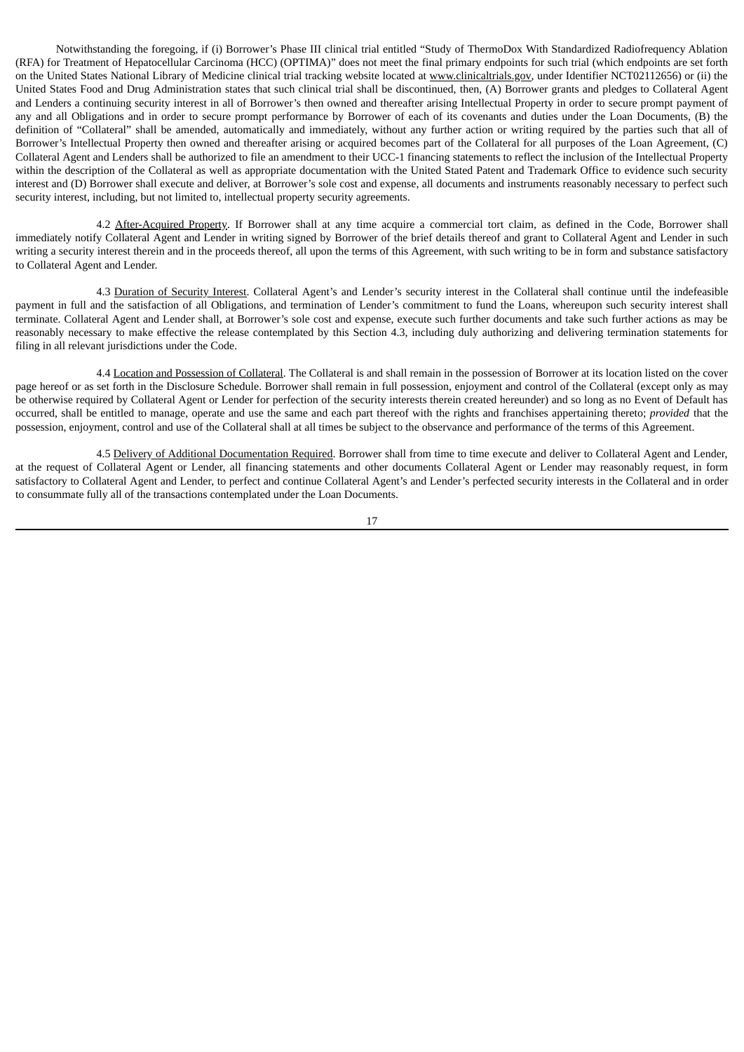Notwithstanding the foregoing, if (i) Borrower's Phase III clinical trial entitled "Study of ThermoDox With Standardized Radiofrequency Ablation (RFA) for Treatment of Hepatocellular Carcinoma (HCC) (OPTIMA)" does not meet the final primary endpoints for such trial (which endpoints are set forth on the United States National Library of Medicine clinical trial tracking website located at www.clinicaltrials.gov, under Identifier NCT02112656) or (ii) the United States Food and Drug Administration states that such clinical trial shall be discontinued, then, (A) Borrower grants and pledges to Collateral Agent and Lenders a continuing security interest in all of Borrower's then owned and thereafter arising Intellectual Property in order to secure prompt payment of any and all Obligations and in order to secure prompt performance by Borrower of each of its covenants and duties under the Loan Documents, (B) the definition of "Collateral" shall be amended, automatically and immediately, without any further action or writing required by the parties such that all of Borrower's Intellectual Property then owned and thereafter arising or acquired becomes part of the Collateral for all purposes of the Loan Agreement, (C) Collateral Agent and Lenders shall be authorized to file an amendment to their UCC-1 financing statements to reflect the inclusion of the Intellectual Property within the description of the Collateral as well as appropriate documentation with the United Stated Patent and Trademark Office to evidence such security interest and (D) Borrower shall execute and deliver, at Borrower's sole cost and expense, all documents and instruments reasonably necessary to perfect such security interest, including, but not limited to, intellectual property security agreements.

4.2 After-Acquired Property. If Borrower shall at any time acquire a commercial tort claim, as defined in the Code, Borrower shall immediately notify Collateral Agent and Lender in writing signed by Borrower of the brief details thereof and grant to Collateral Agent and Lender in such writing a security interest therein and in the proceeds thereof, all upon the terms of this Agreement, with such writing to be in form and substance satisfactory to Collateral Agent and Lender.

4.3 Duration of Security Interest. Collateral Agent's and Lender's security interest in the Collateral shall continue until the indefeasible payment in full and the satisfaction of all Obligations, and termination of Lender's commitment to fund the Loans, whereupon such security interest shall terminate. Collateral Agent and Lender shall, at Borrower's sole cost and expense, execute such further documents and take such further actions as may be reasonably necessary to make effective the release contemplated by this Section 4.3, including duly authorizing and delivering termination statements for filing in all relevant jurisdictions under the Code.

4.4 Location and Possession of Collateral. The Collateral is and shall remain in the possession of Borrower at its location listed on the cover page hereof or as set forth in the Disclosure Schedule. Borrower shall remain in full possession, enjoyment and control of the Collateral (except only as may be otherwise required by Collateral Agent or Lender for perfection of the security interests therein created hereunder) and so long as no Event of Default has occurred, shall be entitled to manage, operate and use the same and each part thereof with the rights and franchises appertaining thereto; *provided* that the possession, enjoyment, control and use of the Collateral shall at all times be subject to the observance and performance of the terms of this Agreement.

4.5 Delivery of Additional Documentation Required. Borrower shall from time to time execute and deliver to Collateral Agent and Lender, at the request of Collateral Agent or Lender, all financing statements and other documents Collateral Agent or Lender may reasonably request, in form satisfactory to Collateral Agent and Lender, to perfect and continue Collateral Agent's and Lender's perfected security interests in the Collateral and in order to consummate fully all of the transactions contemplated under the Loan Documents.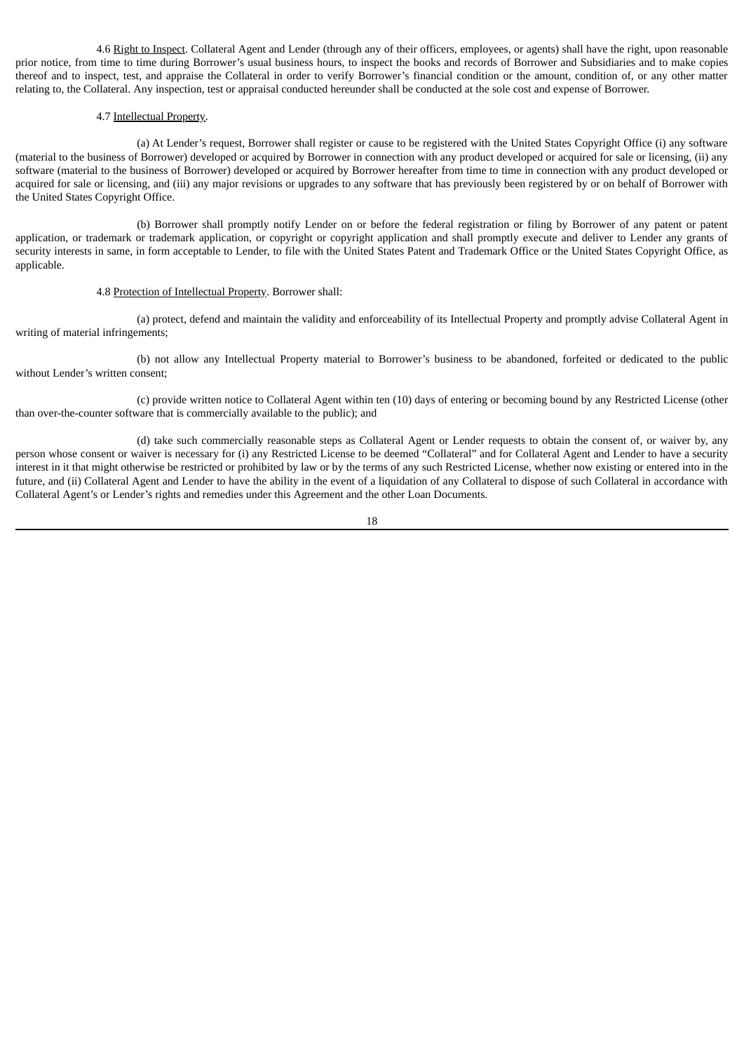4.6 Right to Inspect. Collateral Agent and Lender (through any of their officers, employees, or agents) shall have the right, upon reasonable prior notice, from time to time during Borrower's usual business hours, to inspect the books and records of Borrower and Subsidiaries and to make copies thereof and to inspect, test, and appraise the Collateral in order to verify Borrower's financial condition or the amount, condition of, or any other matter relating to, the Collateral. Any inspection, test or appraisal conducted hereunder shall be conducted at the sole cost and expense of Borrower.

# 4.7 Intellectual Property.

(a) At Lender's request, Borrower shall register or cause to be registered with the United States Copyright Office (i) any software (material to the business of Borrower) developed or acquired by Borrower in connection with any product developed or acquired for sale or licensing, (ii) any software (material to the business of Borrower) developed or acquired by Borrower hereafter from time to time in connection with any product developed or acquired for sale or licensing, and (iii) any major revisions or upgrades to any software that has previously been registered by or on behalf of Borrower with the United States Copyright Office.

(b) Borrower shall promptly notify Lender on or before the federal registration or filing by Borrower of any patent or patent application, or trademark or trademark application, or copyright or copyright application and shall promptly execute and deliver to Lender any grants of security interests in same, in form acceptable to Lender, to file with the United States Patent and Trademark Office or the United States Copyright Office, as applicable.

# 4.8 Protection of Intellectual Property. Borrower shall:

(a) protect, defend and maintain the validity and enforceability of its Intellectual Property and promptly advise Collateral Agent in writing of material infringements;

(b) not allow any Intellectual Property material to Borrower's business to be abandoned, forfeited or dedicated to the public without Lender's written consent;

(c) provide written notice to Collateral Agent within ten (10) days of entering or becoming bound by any Restricted License (other than over-the-counter software that is commercially available to the public); and

(d) take such commercially reasonable steps as Collateral Agent or Lender requests to obtain the consent of, or waiver by, any person whose consent or waiver is necessary for (i) any Restricted License to be deemed "Collateral" and for Collateral Agent and Lender to have a security interest in it that might otherwise be restricted or prohibited by law or by the terms of any such Restricted License, whether now existing or entered into in the future, and (ii) Collateral Agent and Lender to have the ability in the event of a liquidation of any Collateral to dispose of such Collateral in accordance with Collateral Agent's or Lender's rights and remedies under this Agreement and the other Loan Documents.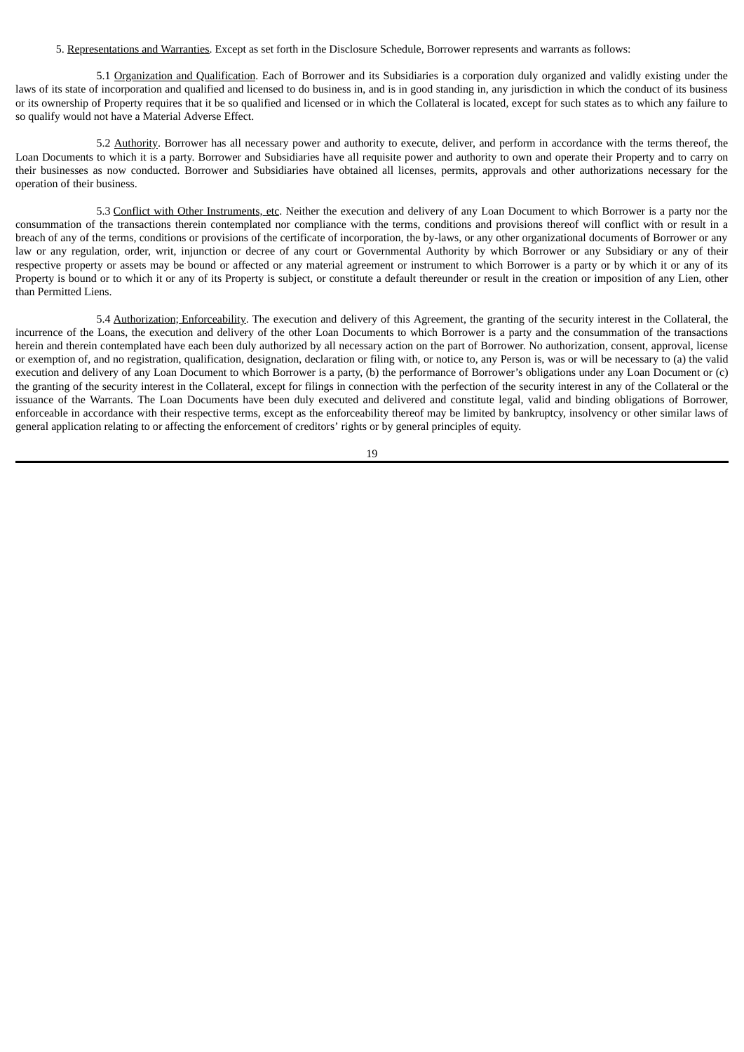5. Representations and Warranties. Except as set forth in the Disclosure Schedule, Borrower represents and warrants as follows:

5.1 Organization and Qualification. Each of Borrower and its Subsidiaries is a corporation duly organized and validly existing under the laws of its state of incorporation and qualified and licensed to do business in, and is in good standing in, any jurisdiction in which the conduct of its business or its ownership of Property requires that it be so qualified and licensed or in which the Collateral is located, except for such states as to which any failure to so qualify would not have a Material Adverse Effect.

5.2 Authority. Borrower has all necessary power and authority to execute, deliver, and perform in accordance with the terms thereof, the Loan Documents to which it is a party. Borrower and Subsidiaries have all requisite power and authority to own and operate their Property and to carry on their businesses as now conducted. Borrower and Subsidiaries have obtained all licenses, permits, approvals and other authorizations necessary for the operation of their business.

5.3 Conflict with Other Instruments, etc. Neither the execution and delivery of any Loan Document to which Borrower is a party nor the consummation of the transactions therein contemplated nor compliance with the terms, conditions and provisions thereof will conflict with or result in a breach of any of the terms, conditions or provisions of the certificate of incorporation, the by-laws, or any other organizational documents of Borrower or any law or any regulation, order, writ, injunction or decree of any court or Governmental Authority by which Borrower or any Subsidiary or any of their respective property or assets may be bound or affected or any material agreement or instrument to which Borrower is a party or by which it or any of its Property is bound or to which it or any of its Property is subject, or constitute a default thereunder or result in the creation or imposition of any Lien, other than Permitted Liens.

5.4 Authorization; Enforceability. The execution and delivery of this Agreement, the granting of the security interest in the Collateral, the incurrence of the Loans, the execution and delivery of the other Loan Documents to which Borrower is a party and the consummation of the transactions herein and therein contemplated have each been duly authorized by all necessary action on the part of Borrower. No authorization, consent, approval, license or exemption of, and no registration, qualification, designation, declaration or filing with, or notice to, any Person is, was or will be necessary to (a) the valid execution and delivery of any Loan Document to which Borrower is a party, (b) the performance of Borrower's obligations under any Loan Document or (c) the granting of the security interest in the Collateral, except for filings in connection with the perfection of the security interest in any of the Collateral or the issuance of the Warrants. The Loan Documents have been duly executed and delivered and constitute legal, valid and binding obligations of Borrower, enforceable in accordance with their respective terms, except as the enforceability thereof may be limited by bankruptcy, insolvency or other similar laws of general application relating to or affecting the enforcement of creditors' rights or by general principles of equity.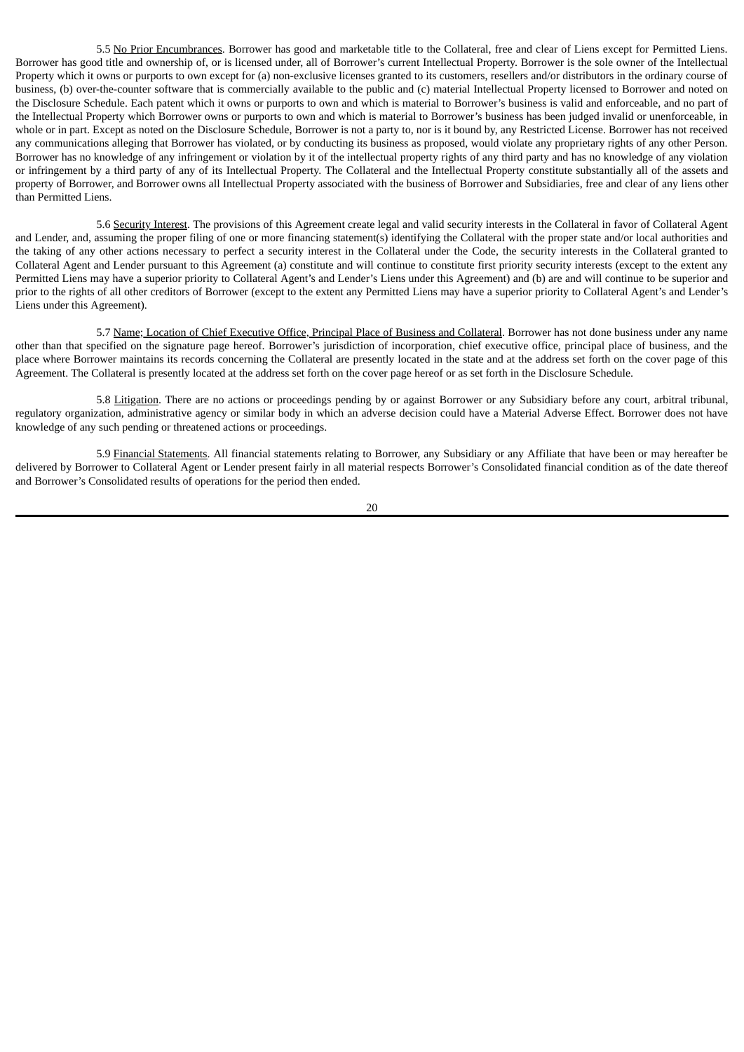5.5 No Prior Encumbrances. Borrower has good and marketable title to the Collateral, free and clear of Liens except for Permitted Liens. Borrower has good title and ownership of, or is licensed under, all of Borrower's current Intellectual Property. Borrower is the sole owner of the Intellectual Property which it owns or purports to own except for (a) non-exclusive licenses granted to its customers, resellers and/or distributors in the ordinary course of business, (b) over-the-counter software that is commercially available to the public and (c) material Intellectual Property licensed to Borrower and noted on the Disclosure Schedule. Each patent which it owns or purports to own and which is material to Borrower's business is valid and enforceable, and no part of the Intellectual Property which Borrower owns or purports to own and which is material to Borrower's business has been judged invalid or unenforceable, in whole or in part. Except as noted on the Disclosure Schedule, Borrower is not a party to, nor is it bound by, any Restricted License. Borrower has not received any communications alleging that Borrower has violated, or by conducting its business as proposed, would violate any proprietary rights of any other Person. Borrower has no knowledge of any infringement or violation by it of the intellectual property rights of any third party and has no knowledge of any violation or infringement by a third party of any of its Intellectual Property. The Collateral and the Intellectual Property constitute substantially all of the assets and property of Borrower, and Borrower owns all Intellectual Property associated with the business of Borrower and Subsidiaries, free and clear of any liens other than Permitted Liens.

5.6 Security Interest. The provisions of this Agreement create legal and valid security interests in the Collateral in favor of Collateral Agent and Lender, and, assuming the proper filing of one or more financing statement(s) identifying the Collateral with the proper state and/or local authorities and the taking of any other actions necessary to perfect a security interest in the Collateral under the Code, the security interests in the Collateral granted to Collateral Agent and Lender pursuant to this Agreement (a) constitute and will continue to constitute first priority security interests (except to the extent any Permitted Liens may have a superior priority to Collateral Agent's and Lender's Liens under this Agreement) and (b) are and will continue to be superior and prior to the rights of all other creditors of Borrower (except to the extent any Permitted Liens may have a superior priority to Collateral Agent's and Lender's Liens under this Agreement).

5.7 Name; Location of Chief Executive Office, Principal Place of Business and Collateral. Borrower has not done business under any name other than that specified on the signature page hereof. Borrower's jurisdiction of incorporation, chief executive office, principal place of business, and the place where Borrower maintains its records concerning the Collateral are presently located in the state and at the address set forth on the cover page of this Agreement. The Collateral is presently located at the address set forth on the cover page hereof or as set forth in the Disclosure Schedule.

5.8 Litigation. There are no actions or proceedings pending by or against Borrower or any Subsidiary before any court, arbitral tribunal, regulatory organization, administrative agency or similar body in which an adverse decision could have a Material Adverse Effect. Borrower does not have knowledge of any such pending or threatened actions or proceedings.

5.9 Financial Statements. All financial statements relating to Borrower, any Subsidiary or any Affiliate that have been or may hereafter be delivered by Borrower to Collateral Agent or Lender present fairly in all material respects Borrower's Consolidated financial condition as of the date thereof and Borrower's Consolidated results of operations for the period then ended.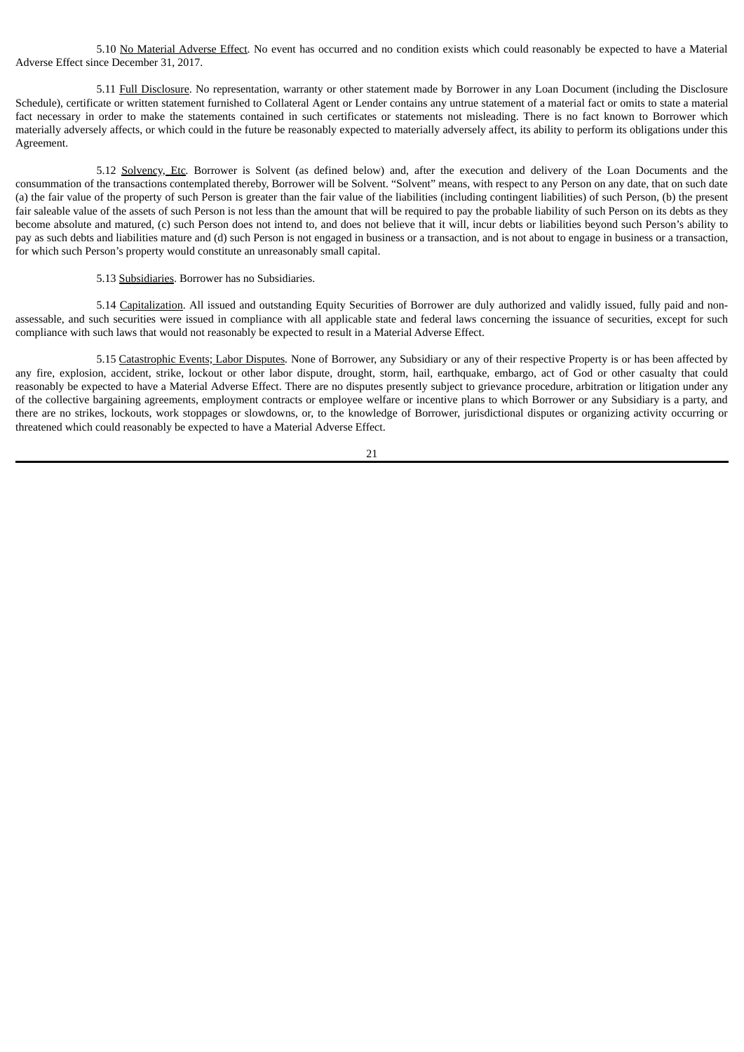5.10 No Material Adverse Effect. No event has occurred and no condition exists which could reasonably be expected to have a Material Adverse Effect since December 31, 2017.

5.11 Full Disclosure. No representation, warranty or other statement made by Borrower in any Loan Document (including the Disclosure Schedule), certificate or written statement furnished to Collateral Agent or Lender contains any untrue statement of a material fact or omits to state a material fact necessary in order to make the statements contained in such certificates or statements not misleading. There is no fact known to Borrower which materially adversely affects, or which could in the future be reasonably expected to materially adversely affect, its ability to perform its obligations under this Agreement.

5.12 Solvency, Etc*.* Borrower is Solvent (as defined below) and, after the execution and delivery of the Loan Documents and the consummation of the transactions contemplated thereby, Borrower will be Solvent. "Solvent" means, with respect to any Person on any date, that on such date (a) the fair value of the property of such Person is greater than the fair value of the liabilities (including contingent liabilities) of such Person, (b) the present fair saleable value of the assets of such Person is not less than the amount that will be required to pay the probable liability of such Person on its debts as they become absolute and matured, (c) such Person does not intend to, and does not believe that it will, incur debts or liabilities beyond such Person's ability to pay as such debts and liabilities mature and (d) such Person is not engaged in business or a transaction, and is not about to engage in business or a transaction, for which such Person's property would constitute an unreasonably small capital.

5.13 Subsidiaries. Borrower has no Subsidiaries.

5.14 Capitalization. All issued and outstanding Equity Securities of Borrower are duly authorized and validly issued, fully paid and nonassessable, and such securities were issued in compliance with all applicable state and federal laws concerning the issuance of securities, except for such compliance with such laws that would not reasonably be expected to result in a Material Adverse Effect.

5.15 Catastrophic Events; Labor Disputes*.* None of Borrower, any Subsidiary or any of their respective Property is or has been affected by any fire, explosion, accident, strike, lockout or other labor dispute, drought, storm, hail, earthquake, embargo, act of God or other casualty that could reasonably be expected to have a Material Adverse Effect. There are no disputes presently subject to grievance procedure, arbitration or litigation under any of the collective bargaining agreements, employment contracts or employee welfare or incentive plans to which Borrower or any Subsidiary is a party, and there are no strikes, lockouts, work stoppages or slowdowns, or, to the knowledge of Borrower, jurisdictional disputes or organizing activity occurring or threatened which could reasonably be expected to have a Material Adverse Effect.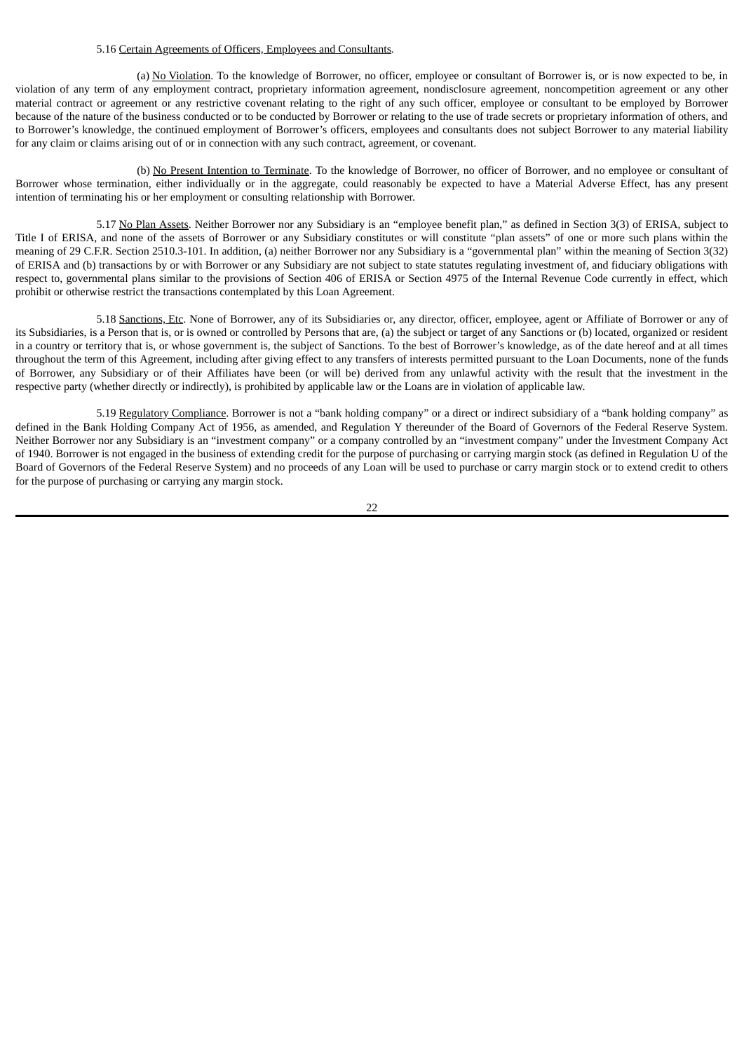## 5.16 Certain Agreements of Officers, Employees and Consultants*.*

(a) No Violation. To the knowledge of Borrower, no officer, employee or consultant of Borrower is, or is now expected to be, in violation of any term of any employment contract, proprietary information agreement, nondisclosure agreement, noncompetition agreement or any other material contract or agreement or any restrictive covenant relating to the right of any such officer, employee or consultant to be employed by Borrower because of the nature of the business conducted or to be conducted by Borrower or relating to the use of trade secrets or proprietary information of others, and to Borrower's knowledge, the continued employment of Borrower's officers, employees and consultants does not subject Borrower to any material liability for any claim or claims arising out of or in connection with any such contract, agreement, or covenant.

(b) No Present Intention to Terminate. To the knowledge of Borrower, no officer of Borrower, and no employee or consultant of Borrower whose termination, either individually or in the aggregate, could reasonably be expected to have a Material Adverse Effect, has any present intention of terminating his or her employment or consulting relationship with Borrower.

5.17 No Plan Assets. Neither Borrower nor any Subsidiary is an "employee benefit plan," as defined in Section 3(3) of ERISA, subject to Title I of ERISA, and none of the assets of Borrower or any Subsidiary constitutes or will constitute "plan assets" of one or more such plans within the meaning of 29 C.F.R. Section 2510.3-101. In addition, (a) neither Borrower nor any Subsidiary is a "governmental plan" within the meaning of Section 3(32) of ERISA and (b) transactions by or with Borrower or any Subsidiary are not subject to state statutes regulating investment of, and fiduciary obligations with respect to, governmental plans similar to the provisions of Section 406 of ERISA or Section 4975 of the Internal Revenue Code currently in effect, which prohibit or otherwise restrict the transactions contemplated by this Loan Agreement.

5.18 Sanctions, Etc. None of Borrower, any of its Subsidiaries or, any director, officer, employee, agent or Affiliate of Borrower or any of its Subsidiaries, is a Person that is, or is owned or controlled by Persons that are, (a) the subject or target of any Sanctions or (b) located, organized or resident in a country or territory that is, or whose government is, the subject of Sanctions. To the best of Borrower's knowledge, as of the date hereof and at all times throughout the term of this Agreement, including after giving effect to any transfers of interests permitted pursuant to the Loan Documents, none of the funds of Borrower, any Subsidiary or of their Affiliates have been (or will be) derived from any unlawful activity with the result that the investment in the respective party (whether directly or indirectly), is prohibited by applicable law or the Loans are in violation of applicable law.

5.19 Regulatory Compliance. Borrower is not a "bank holding company" or a direct or indirect subsidiary of a "bank holding company" as defined in the Bank Holding Company Act of 1956, as amended, and Regulation Y thereunder of the Board of Governors of the Federal Reserve System. Neither Borrower nor any Subsidiary is an "investment company" or a company controlled by an "investment company" under the Investment Company Act of 1940. Borrower is not engaged in the business of extending credit for the purpose of purchasing or carrying margin stock (as defined in Regulation U of the Board of Governors of the Federal Reserve System) and no proceeds of any Loan will be used to purchase or carry margin stock or to extend credit to others for the purpose of purchasing or carrying any margin stock.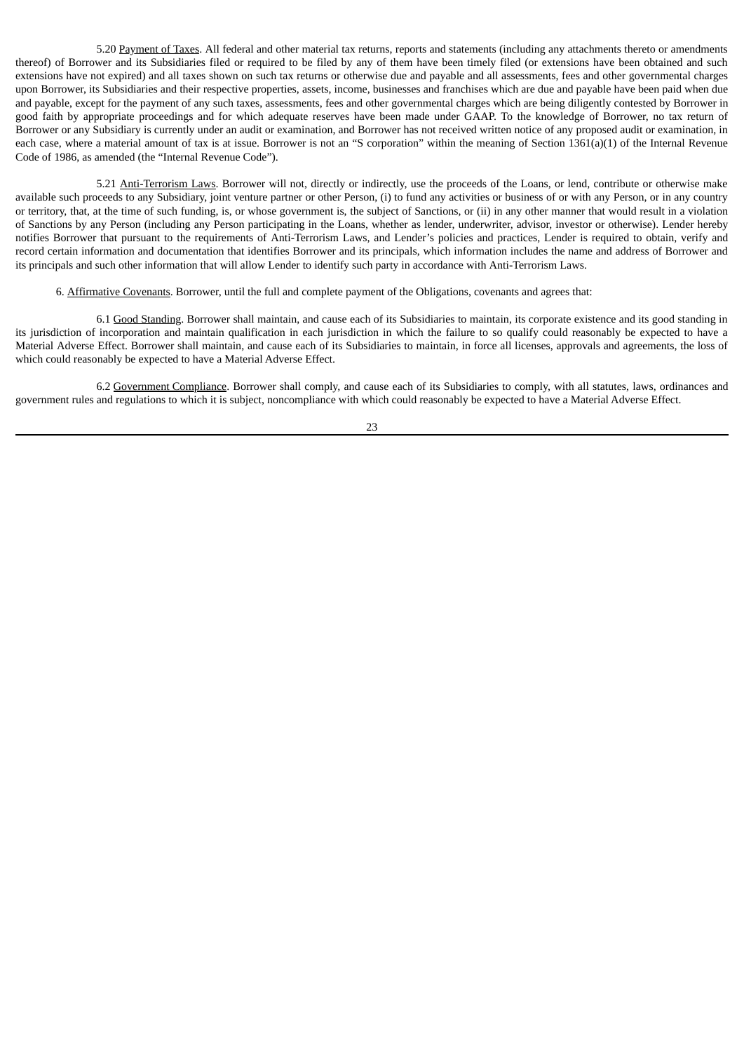5.20 Payment of Taxes. All federal and other material tax returns, reports and statements (including any attachments thereto or amendments thereof) of Borrower and its Subsidiaries filed or required to be filed by any of them have been timely filed (or extensions have been obtained and such extensions have not expired) and all taxes shown on such tax returns or otherwise due and payable and all assessments, fees and other governmental charges upon Borrower, its Subsidiaries and their respective properties, assets, income, businesses and franchises which are due and payable have been paid when due and payable, except for the payment of any such taxes, assessments, fees and other governmental charges which are being diligently contested by Borrower in good faith by appropriate proceedings and for which adequate reserves have been made under GAAP. To the knowledge of Borrower, no tax return of Borrower or any Subsidiary is currently under an audit or examination, and Borrower has not received written notice of any proposed audit or examination, in each case, where a material amount of tax is at issue. Borrower is not an "S corporation" within the meaning of Section 1361(a)(1) of the Internal Revenue Code of 1986, as amended (the "Internal Revenue Code").

5.21 Anti-Terrorism Laws. Borrower will not, directly or indirectly, use the proceeds of the Loans, or lend, contribute or otherwise make available such proceeds to any Subsidiary, joint venture partner or other Person, (i) to fund any activities or business of or with any Person, or in any country or territory, that, at the time of such funding, is, or whose government is, the subject of Sanctions, or (ii) in any other manner that would result in a violation of Sanctions by any Person (including any Person participating in the Loans, whether as lender, underwriter, advisor, investor or otherwise). Lender hereby notifies Borrower that pursuant to the requirements of Anti-Terrorism Laws, and Lender's policies and practices, Lender is required to obtain, verify and record certain information and documentation that identifies Borrower and its principals, which information includes the name and address of Borrower and its principals and such other information that will allow Lender to identify such party in accordance with Anti-Terrorism Laws.

6. Affirmative Covenants. Borrower, until the full and complete payment of the Obligations, covenants and agrees that:

6.1 Good Standing. Borrower shall maintain, and cause each of its Subsidiaries to maintain, its corporate existence and its good standing in its jurisdiction of incorporation and maintain qualification in each jurisdiction in which the failure to so qualify could reasonably be expected to have a Material Adverse Effect. Borrower shall maintain, and cause each of its Subsidiaries to maintain, in force all licenses, approvals and agreements, the loss of which could reasonably be expected to have a Material Adverse Effect.

6.2 Government Compliance. Borrower shall comply, and cause each of its Subsidiaries to comply, with all statutes, laws, ordinances and government rules and regulations to which it is subject, noncompliance with which could reasonably be expected to have a Material Adverse Effect.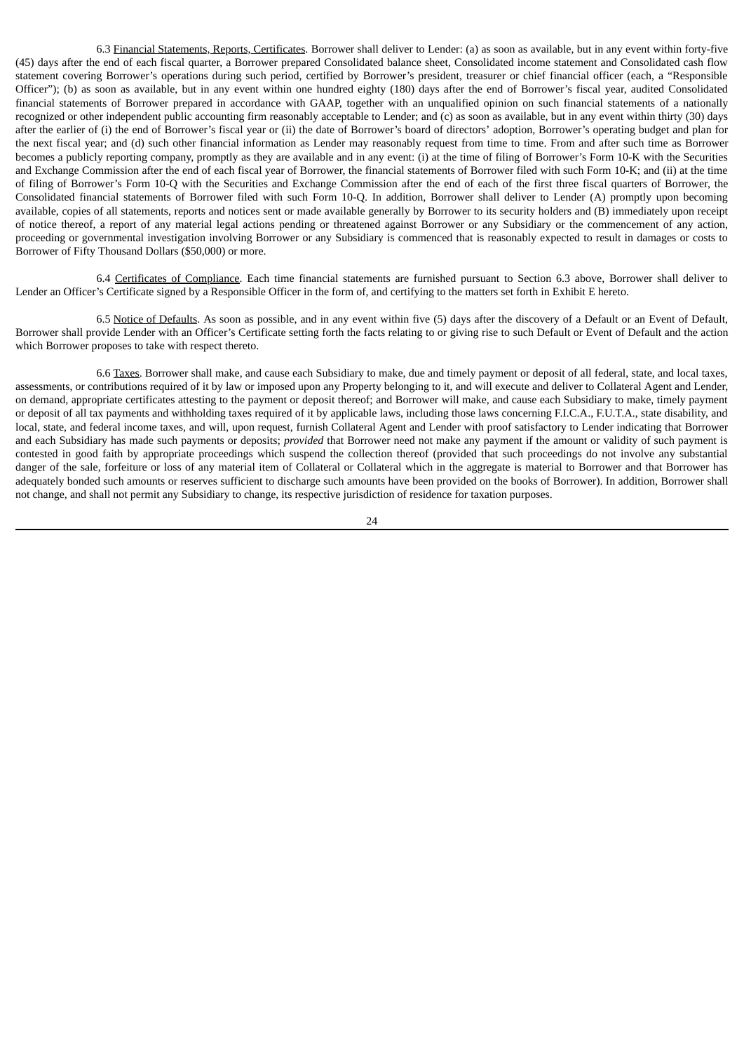6.3 Financial Statements, Reports, Certificates. Borrower shall deliver to Lender: (a) as soon as available, but in any event within forty-five (45) days after the end of each fiscal quarter, a Borrower prepared Consolidated balance sheet, Consolidated income statement and Consolidated cash flow statement covering Borrower's operations during such period, certified by Borrower's president, treasurer or chief financial officer (each, a "Responsible Officer"); (b) as soon as available, but in any event within one hundred eighty (180) days after the end of Borrower's fiscal year, audited Consolidated financial statements of Borrower prepared in accordance with GAAP, together with an unqualified opinion on such financial statements of a nationally recognized or other independent public accounting firm reasonably acceptable to Lender; and (c) as soon as available, but in any event within thirty (30) days after the earlier of (i) the end of Borrower's fiscal year or (ii) the date of Borrower's board of directors' adoption, Borrower's operating budget and plan for the next fiscal year; and (d) such other financial information as Lender may reasonably request from time to time. From and after such time as Borrower becomes a publicly reporting company, promptly as they are available and in any event: (i) at the time of filing of Borrower's Form 10-K with the Securities and Exchange Commission after the end of each fiscal year of Borrower, the financial statements of Borrower filed with such Form 10-K; and (ii) at the time of filing of Borrower's Form 10-Q with the Securities and Exchange Commission after the end of each of the first three fiscal quarters of Borrower, the Consolidated financial statements of Borrower filed with such Form 10-Q. In addition, Borrower shall deliver to Lender (A) promptly upon becoming available, copies of all statements, reports and notices sent or made available generally by Borrower to its security holders and (B) immediately upon receipt of notice thereof, a report of any material legal actions pending or threatened against Borrower or any Subsidiary or the commencement of any action, proceeding or governmental investigation involving Borrower or any Subsidiary is commenced that is reasonably expected to result in damages or costs to Borrower of Fifty Thousand Dollars (\$50,000) or more.

6.4 Certificates of Compliance. Each time financial statements are furnished pursuant to Section 6.3 above, Borrower shall deliver to Lender an Officer's Certificate signed by a Responsible Officer in the form of, and certifying to the matters set forth in Exhibit E hereto.

6.5 Notice of Defaults. As soon as possible, and in any event within five (5) days after the discovery of a Default or an Event of Default, Borrower shall provide Lender with an Officer's Certificate setting forth the facts relating to or giving rise to such Default or Event of Default and the action which Borrower proposes to take with respect thereto.

6.6 Taxes. Borrower shall make, and cause each Subsidiary to make, due and timely payment or deposit of all federal, state, and local taxes, assessments, or contributions required of it by law or imposed upon any Property belonging to it, and will execute and deliver to Collateral Agent and Lender, on demand, appropriate certificates attesting to the payment or deposit thereof; and Borrower will make, and cause each Subsidiary to make, timely payment or deposit of all tax payments and withholding taxes required of it by applicable laws, including those laws concerning F.I.C.A., F.U.T.A., state disability, and local, state, and federal income taxes, and will, upon request, furnish Collateral Agent and Lender with proof satisfactory to Lender indicating that Borrower and each Subsidiary has made such payments or deposits; *provided* that Borrower need not make any payment if the amount or validity of such payment is contested in good faith by appropriate proceedings which suspend the collection thereof (provided that such proceedings do not involve any substantial danger of the sale, forfeiture or loss of any material item of Collateral or Collateral which in the aggregate is material to Borrower and that Borrower has adequately bonded such amounts or reserves sufficient to discharge such amounts have been provided on the books of Borrower). In addition, Borrower shall not change, and shall not permit any Subsidiary to change, its respective jurisdiction of residence for taxation purposes.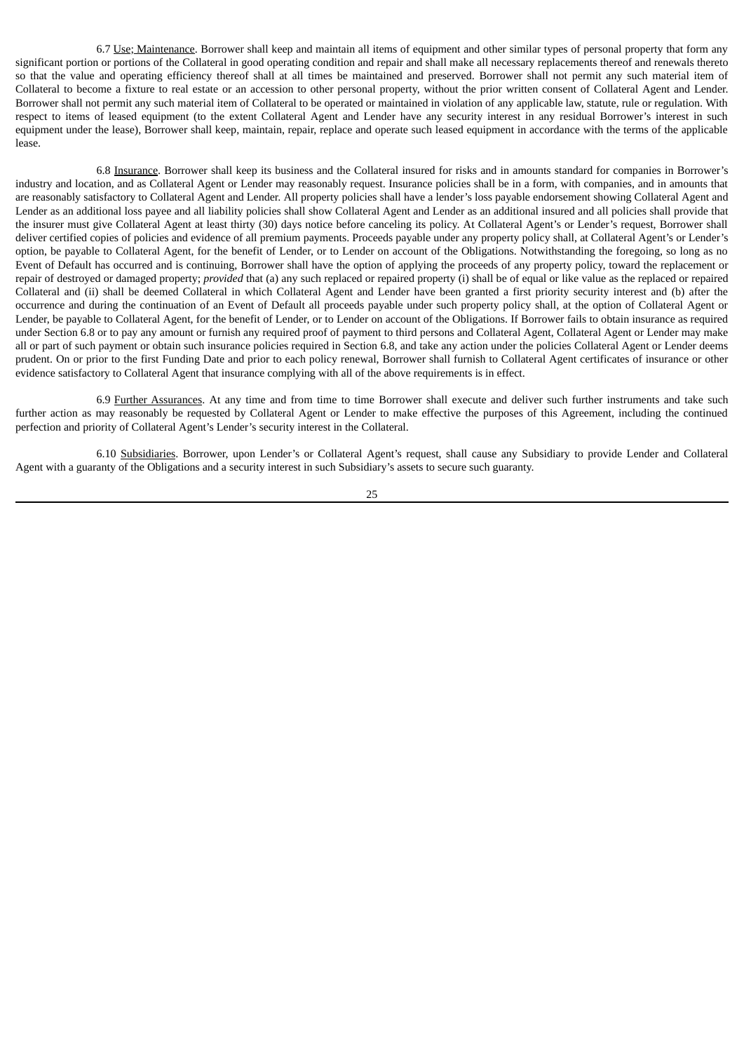6.7 Use; Maintenance. Borrower shall keep and maintain all items of equipment and other similar types of personal property that form any significant portion or portions of the Collateral in good operating condition and repair and shall make all necessary replacements thereof and renewals thereto so that the value and operating efficiency thereof shall at all times be maintained and preserved. Borrower shall not permit any such material item of Collateral to become a fixture to real estate or an accession to other personal property, without the prior written consent of Collateral Agent and Lender. Borrower shall not permit any such material item of Collateral to be operated or maintained in violation of any applicable law, statute, rule or regulation. With respect to items of leased equipment (to the extent Collateral Agent and Lender have any security interest in any residual Borrower's interest in such equipment under the lease), Borrower shall keep, maintain, repair, replace and operate such leased equipment in accordance with the terms of the applicable lease.

6.8 Insurance. Borrower shall keep its business and the Collateral insured for risks and in amounts standard for companies in Borrower's industry and location, and as Collateral Agent or Lender may reasonably request. Insurance policies shall be in a form, with companies, and in amounts that are reasonably satisfactory to Collateral Agent and Lender. All property policies shall have a lender's loss payable endorsement showing Collateral Agent and Lender as an additional loss payee and all liability policies shall show Collateral Agent and Lender as an additional insured and all policies shall provide that the insurer must give Collateral Agent at least thirty (30) days notice before canceling its policy. At Collateral Agent's or Lender's request, Borrower shall deliver certified copies of policies and evidence of all premium payments. Proceeds payable under any property policy shall, at Collateral Agent's or Lender's option, be payable to Collateral Agent, for the benefit of Lender, or to Lender on account of the Obligations. Notwithstanding the foregoing, so long as no Event of Default has occurred and is continuing, Borrower shall have the option of applying the proceeds of any property policy, toward the replacement or repair of destroyed or damaged property; *provided* that (a) any such replaced or repaired property (i) shall be of equal or like value as the replaced or repaired Collateral and (ii) shall be deemed Collateral in which Collateral Agent and Lender have been granted a first priority security interest and (b) after the occurrence and during the continuation of an Event of Default all proceeds payable under such property policy shall, at the option of Collateral Agent or Lender, be payable to Collateral Agent, for the benefit of Lender, or to Lender on account of the Obligations. If Borrower fails to obtain insurance as required under Section 6.8 or to pay any amount or furnish any required proof of payment to third persons and Collateral Agent, Collateral Agent or Lender may make all or part of such payment or obtain such insurance policies required in Section 6.8, and take any action under the policies Collateral Agent or Lender deems prudent. On or prior to the first Funding Date and prior to each policy renewal, Borrower shall furnish to Collateral Agent certificates of insurance or other evidence satisfactory to Collateral Agent that insurance complying with all of the above requirements is in effect.

6.9 Further Assurances. At any time and from time to time Borrower shall execute and deliver such further instruments and take such further action as may reasonably be requested by Collateral Agent or Lender to make effective the purposes of this Agreement, including the continued perfection and priority of Collateral Agent's Lender's security interest in the Collateral.

6.10 Subsidiaries. Borrower, upon Lender's or Collateral Agent's request, shall cause any Subsidiary to provide Lender and Collateral Agent with a guaranty of the Obligations and a security interest in such Subsidiary's assets to secure such guaranty.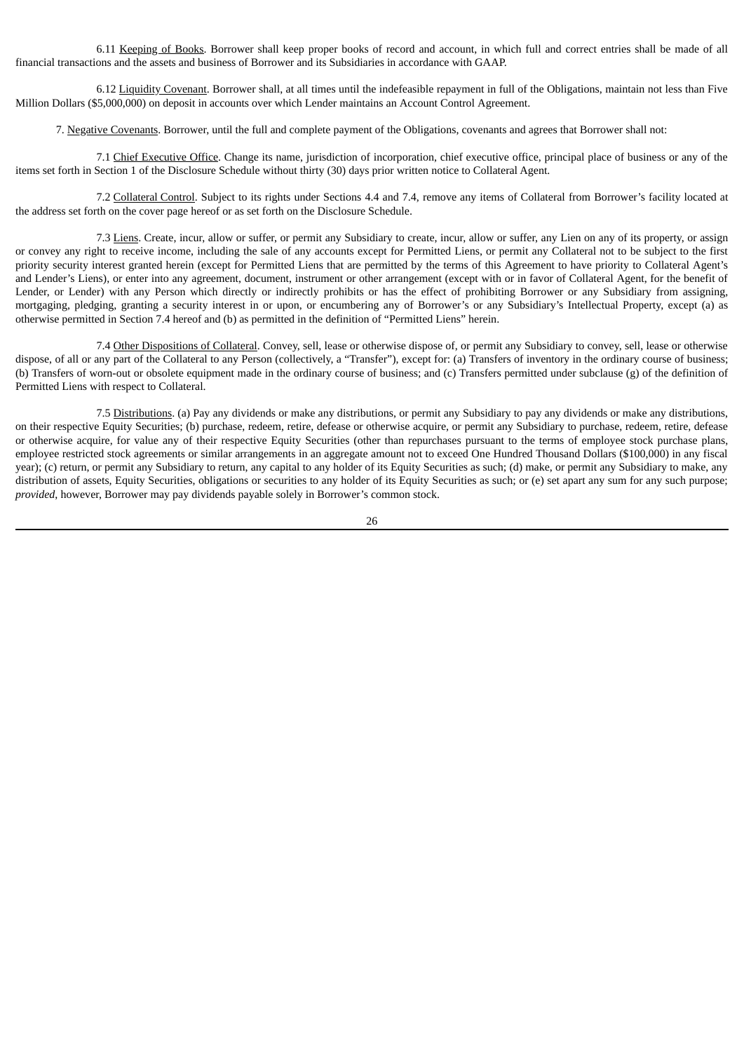6.11 Keeping of Books. Borrower shall keep proper books of record and account, in which full and correct entries shall be made of all financial transactions and the assets and business of Borrower and its Subsidiaries in accordance with GAAP.

6.12 Liquidity Covenant. Borrower shall, at all times until the indefeasible repayment in full of the Obligations, maintain not less than Five Million Dollars (\$5,000,000) on deposit in accounts over which Lender maintains an Account Control Agreement.

7. Negative Covenants. Borrower, until the full and complete payment of the Obligations, covenants and agrees that Borrower shall not:

7.1 Chief Executive Office. Change its name, jurisdiction of incorporation, chief executive office, principal place of business or any of the items set forth in Section 1 of the Disclosure Schedule without thirty (30) days prior written notice to Collateral Agent.

7.2 Collateral Control. Subject to its rights under Sections 4.4 and 7.4, remove any items of Collateral from Borrower's facility located at the address set forth on the cover page hereof or as set forth on the Disclosure Schedule.

7.3 Liens. Create, incur, allow or suffer, or permit any Subsidiary to create, incur, allow or suffer, any Lien on any of its property, or assign or convey any right to receive income, including the sale of any accounts except for Permitted Liens, or permit any Collateral not to be subject to the first priority security interest granted herein (except for Permitted Liens that are permitted by the terms of this Agreement to have priority to Collateral Agent's and Lender's Liens), or enter into any agreement, document, instrument or other arrangement (except with or in favor of Collateral Agent, for the benefit of Lender, or Lender) with any Person which directly or indirectly prohibits or has the effect of prohibiting Borrower or any Subsidiary from assigning, mortgaging, pledging, granting a security interest in or upon, or encumbering any of Borrower's or any Subsidiary's Intellectual Property, except (a) as otherwise permitted in Section 7.4 hereof and (b) as permitted in the definition of "Permitted Liens" herein.

7.4 Other Dispositions of Collateral. Convey, sell, lease or otherwise dispose of, or permit any Subsidiary to convey, sell, lease or otherwise dispose, of all or any part of the Collateral to any Person (collectively, a "Transfer"), except for: (a) Transfers of inventory in the ordinary course of business; (b) Transfers of worn-out or obsolete equipment made in the ordinary course of business; and (c) Transfers permitted under subclause (g) of the definition of Permitted Liens with respect to Collateral.

7.5 Distributions. (a) Pay any dividends or make any distributions, or permit any Subsidiary to pay any dividends or make any distributions, on their respective Equity Securities; (b) purchase, redeem, retire, defease or otherwise acquire, or permit any Subsidiary to purchase, redeem, retire, defease or otherwise acquire, for value any of their respective Equity Securities (other than repurchases pursuant to the terms of employee stock purchase plans, employee restricted stock agreements or similar arrangements in an aggregate amount not to exceed One Hundred Thousand Dollars (\$100,000) in any fiscal year); (c) return, or permit any Subsidiary to return, any capital to any holder of its Equity Securities as such; (d) make, or permit any Subsidiary to make, any distribution of assets, Equity Securities, obligations or securities to any holder of its Equity Securities as such; or (e) set apart any sum for any such purpose; *provided*, however, Borrower may pay dividends payable solely in Borrower's common stock.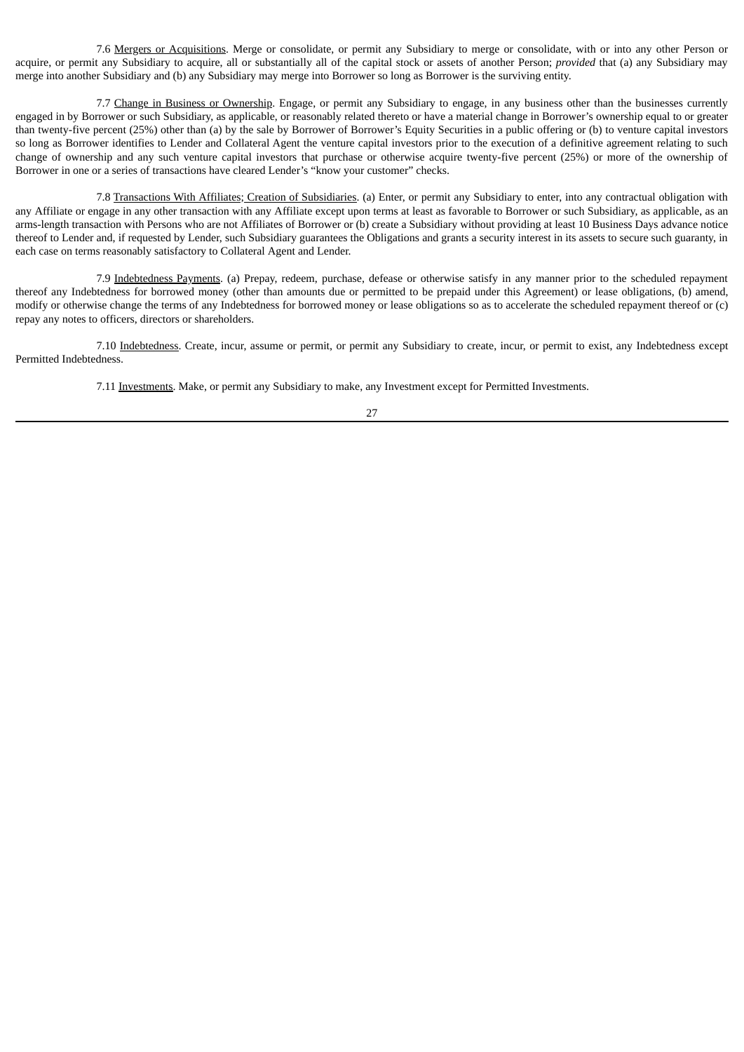7.6 Mergers or Acquisitions. Merge or consolidate, or permit any Subsidiary to merge or consolidate, with or into any other Person or acquire, or permit any Subsidiary to acquire, all or substantially all of the capital stock or assets of another Person; *provided* that (a) any Subsidiary may merge into another Subsidiary and (b) any Subsidiary may merge into Borrower so long as Borrower is the surviving entity.

7.7 Change in Business or Ownership. Engage, or permit any Subsidiary to engage, in any business other than the businesses currently engaged in by Borrower or such Subsidiary, as applicable, or reasonably related thereto or have a material change in Borrower's ownership equal to or greater than twenty-five percent (25%) other than (a) by the sale by Borrower of Borrower's Equity Securities in a public offering or (b) to venture capital investors so long as Borrower identifies to Lender and Collateral Agent the venture capital investors prior to the execution of a definitive agreement relating to such change of ownership and any such venture capital investors that purchase or otherwise acquire twenty-five percent (25%) or more of the ownership of Borrower in one or a series of transactions have cleared Lender's "know your customer" checks.

7.8 Transactions With Affiliates; Creation of Subsidiaries. (a) Enter, or permit any Subsidiary to enter, into any contractual obligation with any Affiliate or engage in any other transaction with any Affiliate except upon terms at least as favorable to Borrower or such Subsidiary, as applicable, as an arms-length transaction with Persons who are not Affiliates of Borrower or (b) create a Subsidiary without providing at least 10 Business Days advance notice thereof to Lender and, if requested by Lender, such Subsidiary guarantees the Obligations and grants a security interest in its assets to secure such guaranty, in each case on terms reasonably satisfactory to Collateral Agent and Lender.

7.9 Indebtedness Payments. (a) Prepay, redeem, purchase, defease or otherwise satisfy in any manner prior to the scheduled repayment thereof any Indebtedness for borrowed money (other than amounts due or permitted to be prepaid under this Agreement) or lease obligations, (b) amend, modify or otherwise change the terms of any Indebtedness for borrowed money or lease obligations so as to accelerate the scheduled repayment thereof or (c) repay any notes to officers, directors or shareholders.

7.10 Indebtedness. Create, incur, assume or permit, or permit any Subsidiary to create, incur, or permit to exist, any Indebtedness except Permitted Indebtedness.

7.11 Investments. Make, or permit any Subsidiary to make, any Investment except for Permitted Investments.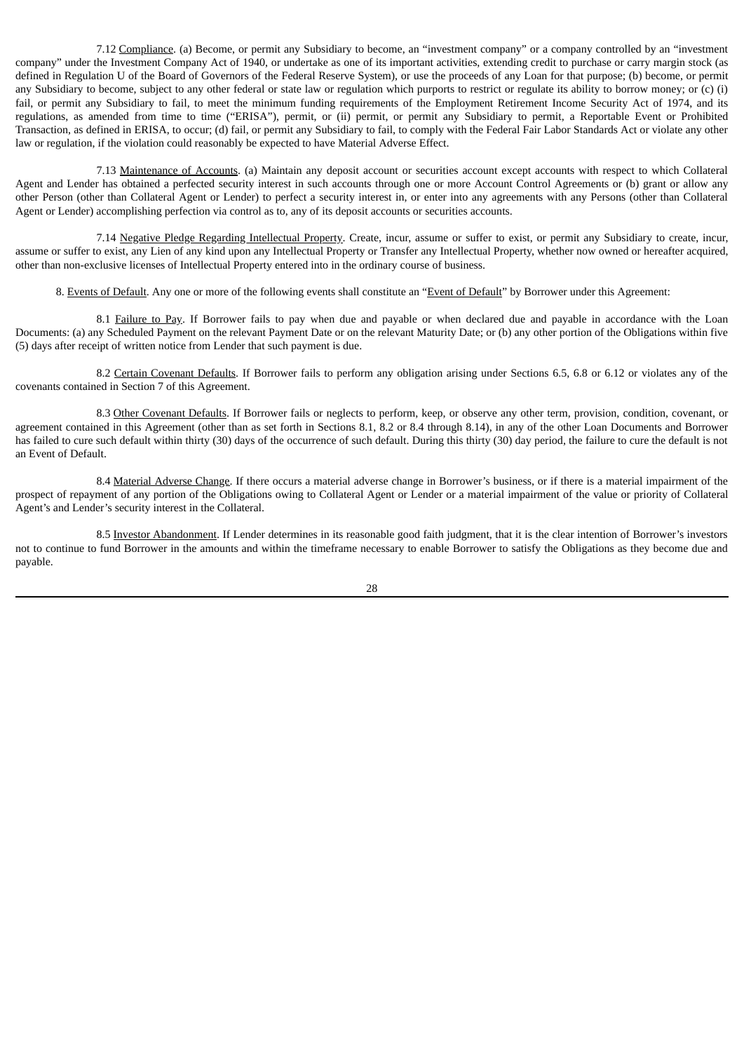7.12 Compliance. (a) Become, or permit any Subsidiary to become, an "investment company" or a company controlled by an "investment company" under the Investment Company Act of 1940, or undertake as one of its important activities, extending credit to purchase or carry margin stock (as defined in Regulation U of the Board of Governors of the Federal Reserve System), or use the proceeds of any Loan for that purpose; (b) become, or permit any Subsidiary to become, subject to any other federal or state law or regulation which purports to restrict or regulate its ability to borrow money; or (c) (i) fail, or permit any Subsidiary to fail, to meet the minimum funding requirements of the Employment Retirement Income Security Act of 1974, and its regulations, as amended from time to time ("ERISA"), permit, or (ii) permit, or permit any Subsidiary to permit, a Reportable Event or Prohibited Transaction, as defined in ERISA, to occur; (d) fail, or permit any Subsidiary to fail, to comply with the Federal Fair Labor Standards Act or violate any other law or regulation, if the violation could reasonably be expected to have Material Adverse Effect.

7.13 Maintenance of Accounts. (a) Maintain any deposit account or securities account except accounts with respect to which Collateral Agent and Lender has obtained a perfected security interest in such accounts through one or more Account Control Agreements or (b) grant or allow any other Person (other than Collateral Agent or Lender) to perfect a security interest in, or enter into any agreements with any Persons (other than Collateral Agent or Lender) accomplishing perfection via control as to, any of its deposit accounts or securities accounts.

7.14 Negative Pledge Regarding Intellectual Property. Create, incur, assume or suffer to exist, or permit any Subsidiary to create, incur, assume or suffer to exist, any Lien of any kind upon any Intellectual Property or Transfer any Intellectual Property, whether now owned or hereafter acquired, other than non-exclusive licenses of Intellectual Property entered into in the ordinary course of business.

8. Events of Default. Any one or more of the following events shall constitute an "Event of Default" by Borrower under this Agreement:

8.1 Failure to Pay. If Borrower fails to pay when due and payable or when declared due and payable in accordance with the Loan Documents: (a) any Scheduled Payment on the relevant Payment Date or on the relevant Maturity Date; or (b) any other portion of the Obligations within five (5) days after receipt of written notice from Lender that such payment is due.

8.2 Certain Covenant Defaults. If Borrower fails to perform any obligation arising under Sections 6.5, 6.8 or 6.12 or violates any of the covenants contained in Section 7 of this Agreement.

8.3 Other Covenant Defaults. If Borrower fails or neglects to perform, keep, or observe any other term, provision, condition, covenant, or agreement contained in this Agreement (other than as set forth in Sections 8.1, 8.2 or 8.4 through 8.14), in any of the other Loan Documents and Borrower has failed to cure such default within thirty (30) days of the occurrence of such default. During this thirty (30) day period, the failure to cure the default is not an Event of Default.

8.4 Material Adverse Change. If there occurs a material adverse change in Borrower's business, or if there is a material impairment of the prospect of repayment of any portion of the Obligations owing to Collateral Agent or Lender or a material impairment of the value or priority of Collateral Agent's and Lender's security interest in the Collateral.

8.5 Investor Abandonment. If Lender determines in its reasonable good faith judgment, that it is the clear intention of Borrower's investors not to continue to fund Borrower in the amounts and within the timeframe necessary to enable Borrower to satisfy the Obligations as they become due and payable.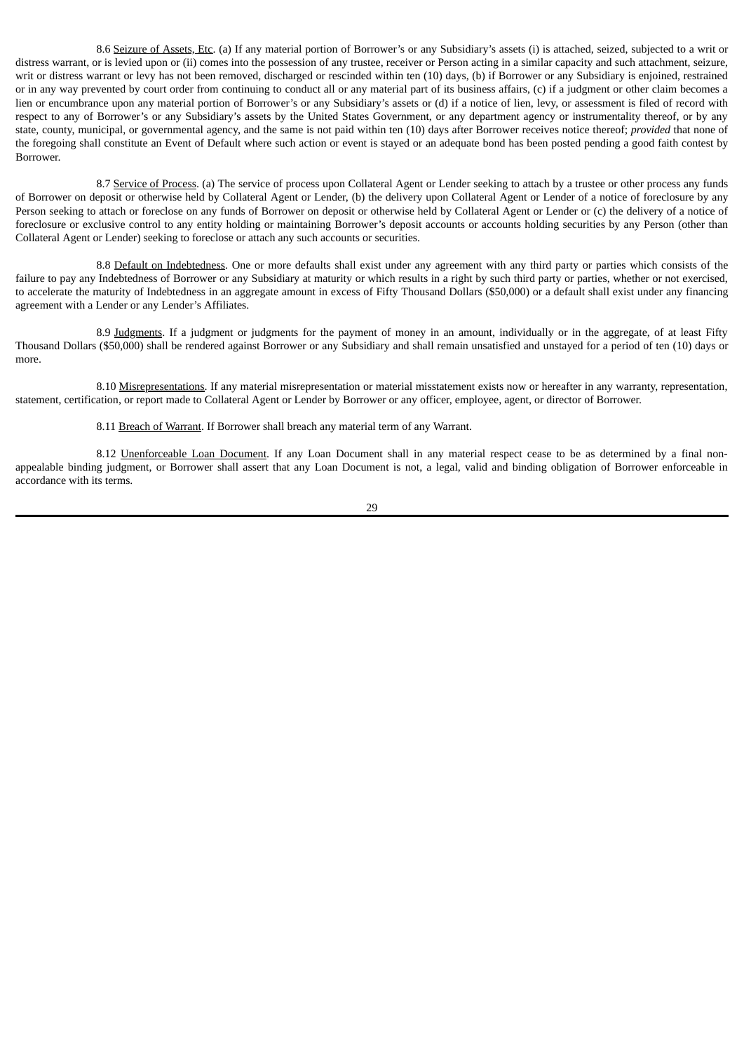8.6 Seizure of Assets, Etc. (a) If any material portion of Borrower's or any Subsidiary's assets (i) is attached, seized, subjected to a writ or distress warrant, or is levied upon or (ii) comes into the possession of any trustee, receiver or Person acting in a similar capacity and such attachment, seizure, writ or distress warrant or levy has not been removed, discharged or rescinded within ten (10) days, (b) if Borrower or any Subsidiary is enjoined, restrained or in any way prevented by court order from continuing to conduct all or any material part of its business affairs, (c) if a judgment or other claim becomes a lien or encumbrance upon any material portion of Borrower's or any Subsidiary's assets or (d) if a notice of lien, levy, or assessment is filed of record with respect to any of Borrower's or any Subsidiary's assets by the United States Government, or any department agency or instrumentality thereof, or by any state, county, municipal, or governmental agency, and the same is not paid within ten (10) days after Borrower receives notice thereof; *provided* that none of the foregoing shall constitute an Event of Default where such action or event is stayed or an adequate bond has been posted pending a good faith contest by Borrower.

8.7 Service of Process. (a) The service of process upon Collateral Agent or Lender seeking to attach by a trustee or other process any funds of Borrower on deposit or otherwise held by Collateral Agent or Lender, (b) the delivery upon Collateral Agent or Lender of a notice of foreclosure by any Person seeking to attach or foreclose on any funds of Borrower on deposit or otherwise held by Collateral Agent or Lender or (c) the delivery of a notice of foreclosure or exclusive control to any entity holding or maintaining Borrower's deposit accounts or accounts holding securities by any Person (other than Collateral Agent or Lender) seeking to foreclose or attach any such accounts or securities.

8.8 Default on Indebtedness. One or more defaults shall exist under any agreement with any third party or parties which consists of the failure to pay any Indebtedness of Borrower or any Subsidiary at maturity or which results in a right by such third party or parties, whether or not exercised, to accelerate the maturity of Indebtedness in an aggregate amount in excess of Fifty Thousand Dollars (\$50,000) or a default shall exist under any financing agreement with a Lender or any Lender's Affiliates.

8.9 Judgments. If a judgment or judgments for the payment of money in an amount, individually or in the aggregate, of at least Fifty Thousand Dollars (\$50,000) shall be rendered against Borrower or any Subsidiary and shall remain unsatisfied and unstayed for a period of ten (10) days or more.

8.10 Misrepresentations. If any material misrepresentation or material misstatement exists now or hereafter in any warranty, representation, statement, certification, or report made to Collateral Agent or Lender by Borrower or any officer, employee, agent, or director of Borrower.

8.11 Breach of Warrant. If Borrower shall breach any material term of any Warrant.

8.12 Unenforceable Loan Document. If any Loan Document shall in any material respect cease to be as determined by a final nonappealable binding judgment, or Borrower shall assert that any Loan Document is not, a legal, valid and binding obligation of Borrower enforceable in accordance with its terms.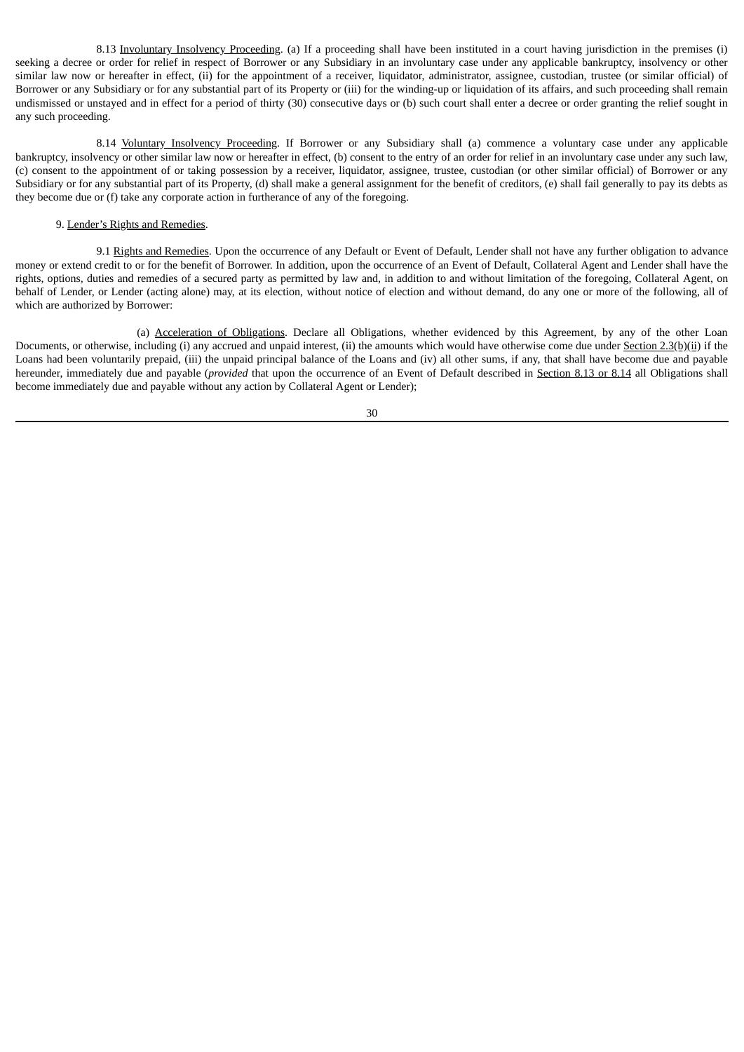8.13 Involuntary Insolvency Proceeding. (a) If a proceeding shall have been instituted in a court having jurisdiction in the premises (i) seeking a decree or order for relief in respect of Borrower or any Subsidiary in an involuntary case under any applicable bankruptcy, insolvency or other similar law now or hereafter in effect, (ii) for the appointment of a receiver, liquidator, administrator, assignee, custodian, trustee (or similar official) of Borrower or any Subsidiary or for any substantial part of its Property or (iii) for the winding-up or liquidation of its affairs, and such proceeding shall remain undismissed or unstayed and in effect for a period of thirty (30) consecutive days or (b) such court shall enter a decree or order granting the relief sought in any such proceeding.

8.14 Voluntary Insolvency Proceeding. If Borrower or any Subsidiary shall (a) commence a voluntary case under any applicable bankruptcy, insolvency or other similar law now or hereafter in effect, (b) consent to the entry of an order for relief in an involuntary case under any such law, (c) consent to the appointment of or taking possession by a receiver, liquidator, assignee, trustee, custodian (or other similar official) of Borrower or any Subsidiary or for any substantial part of its Property, (d) shall make a general assignment for the benefit of creditors, (e) shall fail generally to pay its debts as they become due or (f) take any corporate action in furtherance of any of the foregoing.

# 9. Lender's Rights and Remedies.

9.1 Rights and Remedies. Upon the occurrence of any Default or Event of Default, Lender shall not have any further obligation to advance money or extend credit to or for the benefit of Borrower. In addition, upon the occurrence of an Event of Default, Collateral Agent and Lender shall have the rights, options, duties and remedies of a secured party as permitted by law and, in addition to and without limitation of the foregoing, Collateral Agent, on behalf of Lender, or Lender (acting alone) may, at its election, without notice of election and without demand, do any one or more of the following, all of which are authorized by Borrower:

(a) Acceleration of Obligations. Declare all Obligations, whether evidenced by this Agreement, by any of the other Loan Documents, or otherwise, including (i) any accrued and unpaid interest, (ii) the amounts which would have otherwise come due under Section 2.3(b)(ii) if the Loans had been voluntarily prepaid, (iii) the unpaid principal balance of the Loans and (iv) all other sums, if any, that shall have become due and payable hereunder, immediately due and payable (*provided* that upon the occurrence of an Event of Default described in Section 8.13 or 8.14 all Obligations shall become immediately due and payable without any action by Collateral Agent or Lender);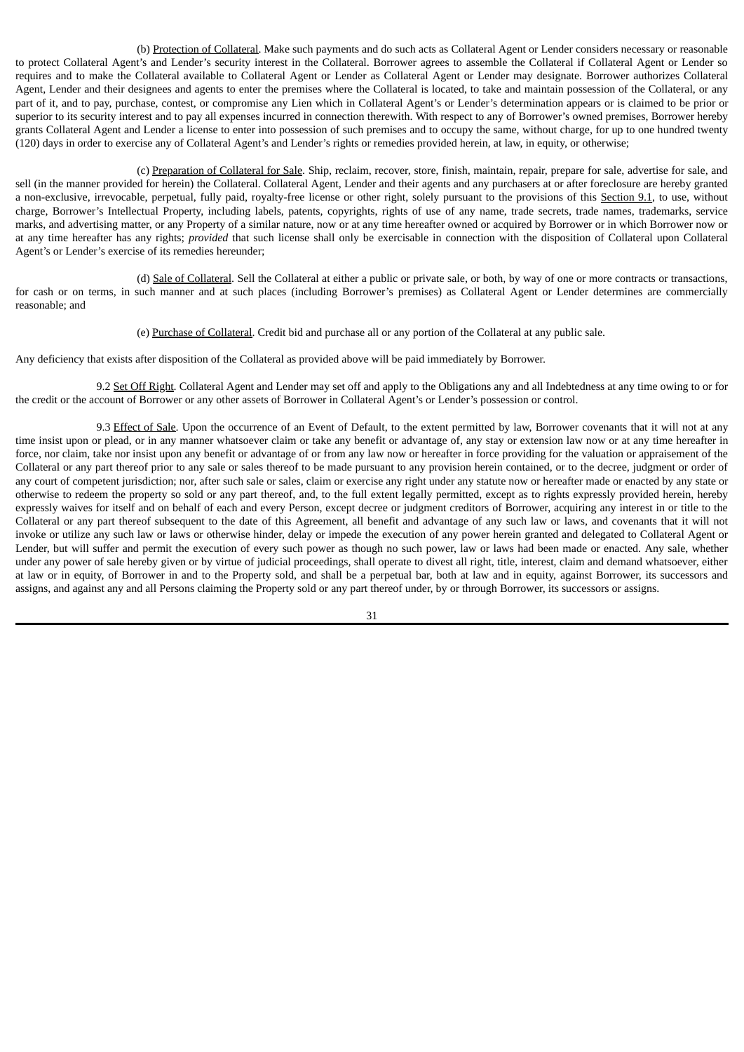(b) Protection of Collateral. Make such payments and do such acts as Collateral Agent or Lender considers necessary or reasonable to protect Collateral Agent's and Lender's security interest in the Collateral. Borrower agrees to assemble the Collateral if Collateral Agent or Lender so requires and to make the Collateral available to Collateral Agent or Lender as Collateral Agent or Lender may designate. Borrower authorizes Collateral Agent, Lender and their designees and agents to enter the premises where the Collateral is located, to take and maintain possession of the Collateral, or any part of it, and to pay, purchase, contest, or compromise any Lien which in Collateral Agent's or Lender's determination appears or is claimed to be prior or superior to its security interest and to pay all expenses incurred in connection therewith. With respect to any of Borrower's owned premises, Borrower hereby grants Collateral Agent and Lender a license to enter into possession of such premises and to occupy the same, without charge, for up to one hundred twenty (120) days in order to exercise any of Collateral Agent's and Lender's rights or remedies provided herein, at law, in equity, or otherwise;

(c) Preparation of Collateral for Sale. Ship, reclaim, recover, store, finish, maintain, repair, prepare for sale, advertise for sale, and sell (in the manner provided for herein) the Collateral. Collateral Agent, Lender and their agents and any purchasers at or after foreclosure are hereby granted a non-exclusive, irrevocable, perpetual, fully paid, royalty-free license or other right, solely pursuant to the provisions of this Section 9.1, to use, without charge, Borrower's Intellectual Property, including labels, patents, copyrights, rights of use of any name, trade secrets, trade names, trademarks, service marks, and advertising matter, or any Property of a similar nature, now or at any time hereafter owned or acquired by Borrower or in which Borrower now or at any time hereafter has any rights; *provided* that such license shall only be exercisable in connection with the disposition of Collateral upon Collateral Agent's or Lender's exercise of its remedies hereunder;

(d) Sale of Collateral. Sell the Collateral at either a public or private sale, or both, by way of one or more contracts or transactions, for cash or on terms, in such manner and at such places (including Borrower's premises) as Collateral Agent or Lender determines are commercially reasonable; and

(e) Purchase of Collateral. Credit bid and purchase all or any portion of the Collateral at any public sale.

Any deficiency that exists after disposition of the Collateral as provided above will be paid immediately by Borrower.

9.2 Set Off Right. Collateral Agent and Lender may set off and apply to the Obligations any and all Indebtedness at any time owing to or for the credit or the account of Borrower or any other assets of Borrower in Collateral Agent's or Lender's possession or control.

9.3 Effect of Sale. Upon the occurrence of an Event of Default, to the extent permitted by law, Borrower covenants that it will not at any time insist upon or plead, or in any manner whatsoever claim or take any benefit or advantage of, any stay or extension law now or at any time hereafter in force, nor claim, take nor insist upon any benefit or advantage of or from any law now or hereafter in force providing for the valuation or appraisement of the Collateral or any part thereof prior to any sale or sales thereof to be made pursuant to any provision herein contained, or to the decree, judgment or order of any court of competent jurisdiction; nor, after such sale or sales, claim or exercise any right under any statute now or hereafter made or enacted by any state or otherwise to redeem the property so sold or any part thereof, and, to the full extent legally permitted, except as to rights expressly provided herein, hereby expressly waives for itself and on behalf of each and every Person, except decree or judgment creditors of Borrower, acquiring any interest in or title to the Collateral or any part thereof subsequent to the date of this Agreement, all benefit and advantage of any such law or laws, and covenants that it will not invoke or utilize any such law or laws or otherwise hinder, delay or impede the execution of any power herein granted and delegated to Collateral Agent or Lender, but will suffer and permit the execution of every such power as though no such power, law or laws had been made or enacted. Any sale, whether under any power of sale hereby given or by virtue of judicial proceedings, shall operate to divest all right, title, interest, claim and demand whatsoever, either at law or in equity, of Borrower in and to the Property sold, and shall be a perpetual bar, both at law and in equity, against Borrower, its successors and assigns, and against any and all Persons claiming the Property sold or any part thereof under, by or through Borrower, its successors or assigns.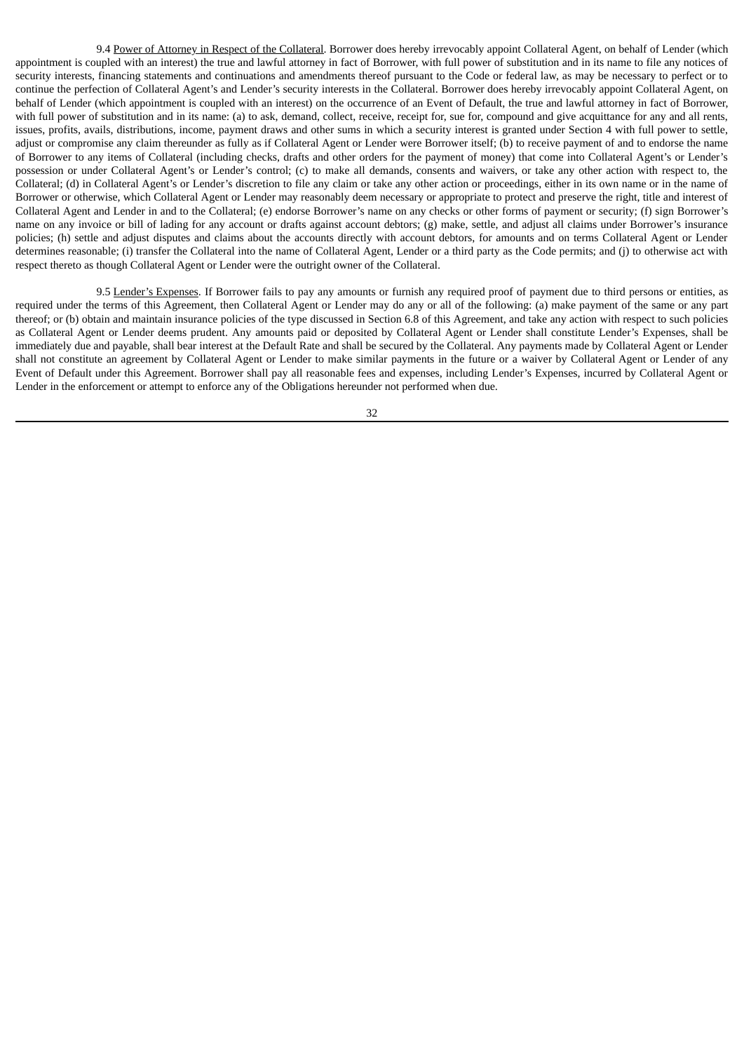9.4 Power of Attorney in Respect of the Collateral. Borrower does hereby irrevocably appoint Collateral Agent, on behalf of Lender (which appointment is coupled with an interest) the true and lawful attorney in fact of Borrower, with full power of substitution and in its name to file any notices of security interests, financing statements and continuations and amendments thereof pursuant to the Code or federal law, as may be necessary to perfect or to continue the perfection of Collateral Agent's and Lender's security interests in the Collateral. Borrower does hereby irrevocably appoint Collateral Agent, on behalf of Lender (which appointment is coupled with an interest) on the occurrence of an Event of Default, the true and lawful attorney in fact of Borrower, with full power of substitution and in its name: (a) to ask, demand, collect, receive, receipt for, sue for, compound and give acquittance for any and all rents, issues, profits, avails, distributions, income, payment draws and other sums in which a security interest is granted under Section 4 with full power to settle, adjust or compromise any claim thereunder as fully as if Collateral Agent or Lender were Borrower itself; (b) to receive payment of and to endorse the name of Borrower to any items of Collateral (including checks, drafts and other orders for the payment of money) that come into Collateral Agent's or Lender's possession or under Collateral Agent's or Lender's control; (c) to make all demands, consents and waivers, or take any other action with respect to, the Collateral; (d) in Collateral Agent's or Lender's discretion to file any claim or take any other action or proceedings, either in its own name or in the name of Borrower or otherwise, which Collateral Agent or Lender may reasonably deem necessary or appropriate to protect and preserve the right, title and interest of Collateral Agent and Lender in and to the Collateral; (e) endorse Borrower's name on any checks or other forms of payment or security; (f) sign Borrower's name on any invoice or bill of lading for any account or drafts against account debtors; (g) make, settle, and adjust all claims under Borrower's insurance policies; (h) settle and adjust disputes and claims about the accounts directly with account debtors, for amounts and on terms Collateral Agent or Lender determines reasonable; (i) transfer the Collateral into the name of Collateral Agent, Lender or a third party as the Code permits; and (j) to otherwise act with respect thereto as though Collateral Agent or Lender were the outright owner of the Collateral.

9.5 Lender's Expenses. If Borrower fails to pay any amounts or furnish any required proof of payment due to third persons or entities, as required under the terms of this Agreement, then Collateral Agent or Lender may do any or all of the following: (a) make payment of the same or any part thereof; or (b) obtain and maintain insurance policies of the type discussed in Section 6.8 of this Agreement, and take any action with respect to such policies as Collateral Agent or Lender deems prudent. Any amounts paid or deposited by Collateral Agent or Lender shall constitute Lender's Expenses, shall be immediately due and payable, shall bear interest at the Default Rate and shall be secured by the Collateral. Any payments made by Collateral Agent or Lender shall not constitute an agreement by Collateral Agent or Lender to make similar payments in the future or a waiver by Collateral Agent or Lender of any Event of Default under this Agreement. Borrower shall pay all reasonable fees and expenses, including Lender's Expenses, incurred by Collateral Agent or Lender in the enforcement or attempt to enforce any of the Obligations hereunder not performed when due.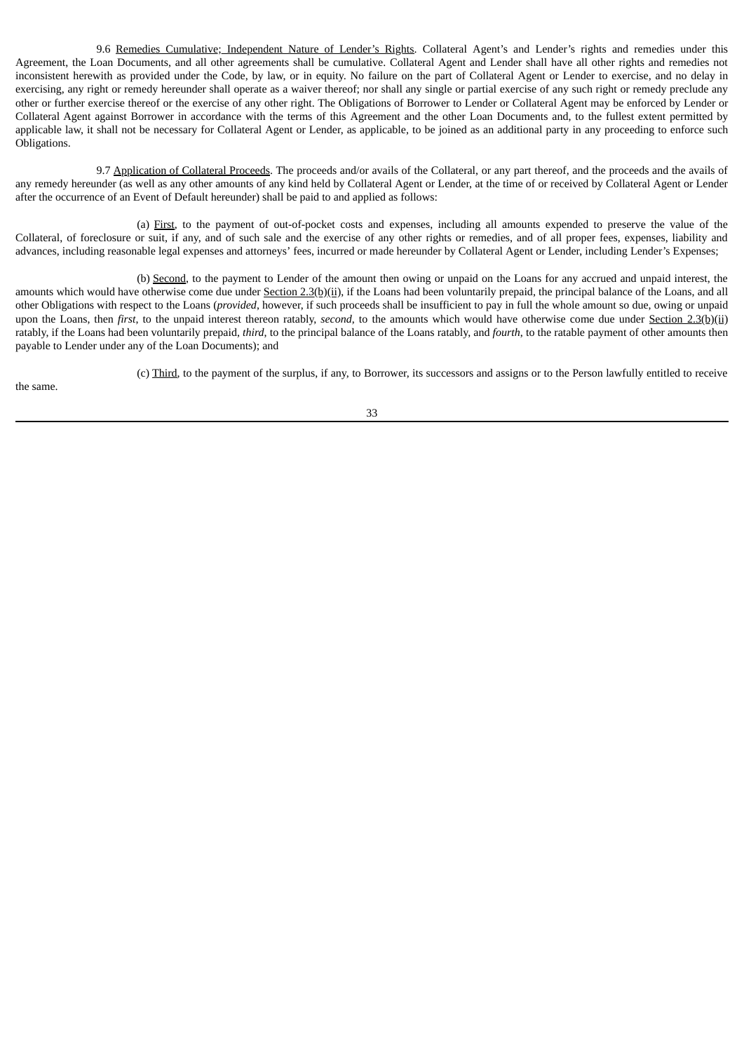9.6 Remedies Cumulative; Independent Nature of Lender's Rights. Collateral Agent's and Lender's rights and remedies under this Agreement, the Loan Documents, and all other agreements shall be cumulative. Collateral Agent and Lender shall have all other rights and remedies not inconsistent herewith as provided under the Code, by law, or in equity. No failure on the part of Collateral Agent or Lender to exercise, and no delay in exercising, any right or remedy hereunder shall operate as a waiver thereof; nor shall any single or partial exercise of any such right or remedy preclude any other or further exercise thereof or the exercise of any other right. The Obligations of Borrower to Lender or Collateral Agent may be enforced by Lender or Collateral Agent against Borrower in accordance with the terms of this Agreement and the other Loan Documents and, to the fullest extent permitted by applicable law, it shall not be necessary for Collateral Agent or Lender, as applicable, to be joined as an additional party in any proceeding to enforce such Obligations.

9.7 Application of Collateral Proceeds. The proceeds and/or avails of the Collateral, or any part thereof, and the proceeds and the avails of any remedy hereunder (as well as any other amounts of any kind held by Collateral Agent or Lender, at the time of or received by Collateral Agent or Lender after the occurrence of an Event of Default hereunder) shall be paid to and applied as follows:

(a) First, to the payment of out-of-pocket costs and expenses, including all amounts expended to preserve the value of the Collateral, of foreclosure or suit, if any, and of such sale and the exercise of any other rights or remedies, and of all proper fees, expenses, liability and advances, including reasonable legal expenses and attorneys' fees, incurred or made hereunder by Collateral Agent or Lender, including Lender's Expenses;

(b) Second, to the payment to Lender of the amount then owing or unpaid on the Loans for any accrued and unpaid interest, the amounts which would have otherwise come due under Section 2.3(b)(ii), if the Loans had been voluntarily prepaid, the principal balance of the Loans, and all other Obligations with respect to the Loans (*provided*, however, if such proceeds shall be insufficient to pay in full the whole amount so due, owing or unpaid upon the Loans, then *first*, to the unpaid interest thereon ratably, *second*, to the amounts which would have otherwise come due under Section 2.3(b)(ii) ratably, if the Loans had been voluntarily prepaid, *third*, to the principal balance of the Loans ratably, and *fourth*, to the ratable payment of other amounts then payable to Lender under any of the Loan Documents); and

33

(c) Third, to the payment of the surplus, if any, to Borrower, its successors and assigns or to the Person lawfully entitled to receive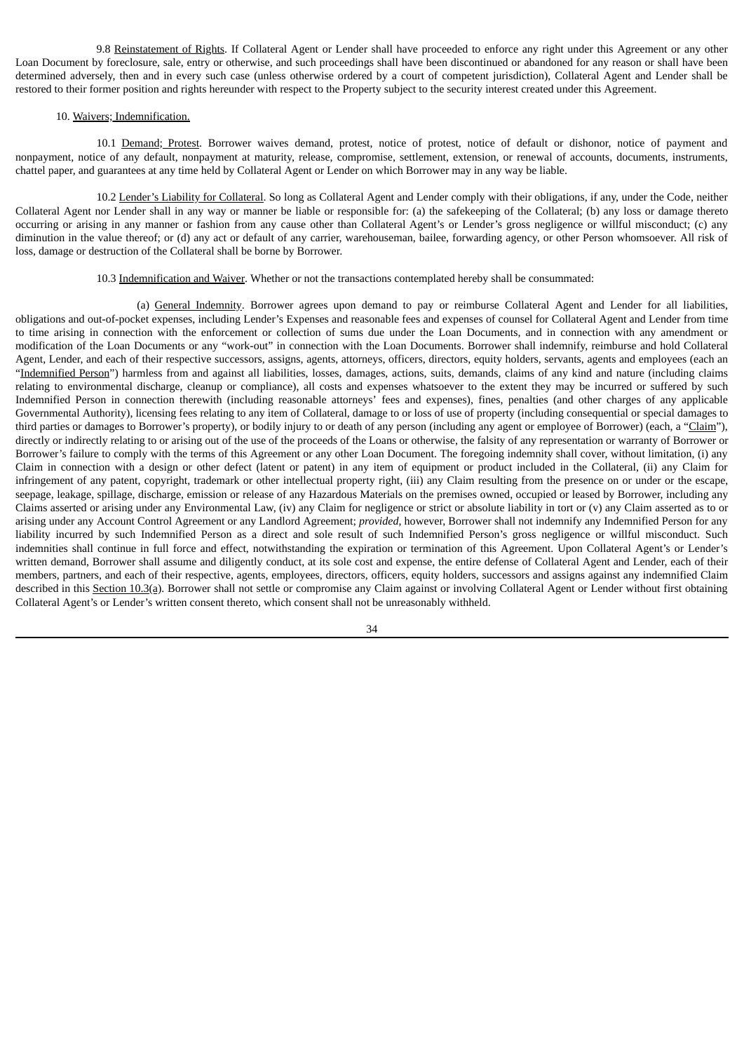9.8 Reinstatement of Rights. If Collateral Agent or Lender shall have proceeded to enforce any right under this Agreement or any other Loan Document by foreclosure, sale, entry or otherwise, and such proceedings shall have been discontinued or abandoned for any reason or shall have been determined adversely, then and in every such case (unless otherwise ordered by a court of competent jurisdiction), Collateral Agent and Lender shall be restored to their former position and rights hereunder with respect to the Property subject to the security interest created under this Agreement.

### 10. Waivers; Indemnification.

10.1 Demand; Protest. Borrower waives demand, protest, notice of protest, notice of default or dishonor, notice of payment and nonpayment, notice of any default, nonpayment at maturity, release, compromise, settlement, extension, or renewal of accounts, documents, instruments, chattel paper, and guarantees at any time held by Collateral Agent or Lender on which Borrower may in any way be liable.

10.2 Lender's Liability for Collateral. So long as Collateral Agent and Lender comply with their obligations, if any, under the Code, neither Collateral Agent nor Lender shall in any way or manner be liable or responsible for: (a) the safekeeping of the Collateral; (b) any loss or damage thereto occurring or arising in any manner or fashion from any cause other than Collateral Agent's or Lender's gross negligence or willful misconduct; (c) any diminution in the value thereof; or (d) any act or default of any carrier, warehouseman, bailee, forwarding agency, or other Person whomsoever. All risk of loss, damage or destruction of the Collateral shall be borne by Borrower.

## 10.3 Indemnification and Waiver. Whether or not the transactions contemplated hereby shall be consummated:

(a) General Indemnity. Borrower agrees upon demand to pay or reimburse Collateral Agent and Lender for all liabilities, obligations and out-of-pocket expenses, including Lender's Expenses and reasonable fees and expenses of counsel for Collateral Agent and Lender from time to time arising in connection with the enforcement or collection of sums due under the Loan Documents, and in connection with any amendment or modification of the Loan Documents or any "work-out" in connection with the Loan Documents. Borrower shall indemnify, reimburse and hold Collateral Agent, Lender, and each of their respective successors, assigns, agents, attorneys, officers, directors, equity holders, servants, agents and employees (each an "Indemnified Person") harmless from and against all liabilities, losses, damages, actions, suits, demands, claims of any kind and nature (including claims relating to environmental discharge, cleanup or compliance), all costs and expenses whatsoever to the extent they may be incurred or suffered by such Indemnified Person in connection therewith (including reasonable attorneys' fees and expenses), fines, penalties (and other charges of any applicable Governmental Authority), licensing fees relating to any item of Collateral, damage to or loss of use of property (including consequential or special damages to third parties or damages to Borrower's property), or bodily injury to or death of any person (including any agent or employee of Borrower) (each, a "Claim"), directly or indirectly relating to or arising out of the use of the proceeds of the Loans or otherwise, the falsity of any representation or warranty of Borrower or Borrower's failure to comply with the terms of this Agreement or any other Loan Document. The foregoing indemnity shall cover, without limitation, (i) any Claim in connection with a design or other defect (latent or patent) in any item of equipment or product included in the Collateral, (ii) any Claim for infringement of any patent, copyright, trademark or other intellectual property right, (iii) any Claim resulting from the presence on or under or the escape, seepage, leakage, spillage, discharge, emission or release of any Hazardous Materials on the premises owned, occupied or leased by Borrower, including any Claims asserted or arising under any Environmental Law, (iv) any Claim for negligence or strict or absolute liability in tort or (v) any Claim asserted as to or arising under any Account Control Agreement or any Landlord Agreement; *provided*, however, Borrower shall not indemnify any Indemnified Person for any liability incurred by such Indemnified Person as a direct and sole result of such Indemnified Person's gross negligence or willful misconduct. Such indemnities shall continue in full force and effect, notwithstanding the expiration or termination of this Agreement. Upon Collateral Agent's or Lender's written demand, Borrower shall assume and diligently conduct, at its sole cost and expense, the entire defense of Collateral Agent and Lender, each of their members, partners, and each of their respective, agents, employees, directors, officers, equity holders, successors and assigns against any indemnified Claim described in this Section 10.3(a). Borrower shall not settle or compromise any Claim against or involving Collateral Agent or Lender without first obtaining Collateral Agent's or Lender's written consent thereto, which consent shall not be unreasonably withheld.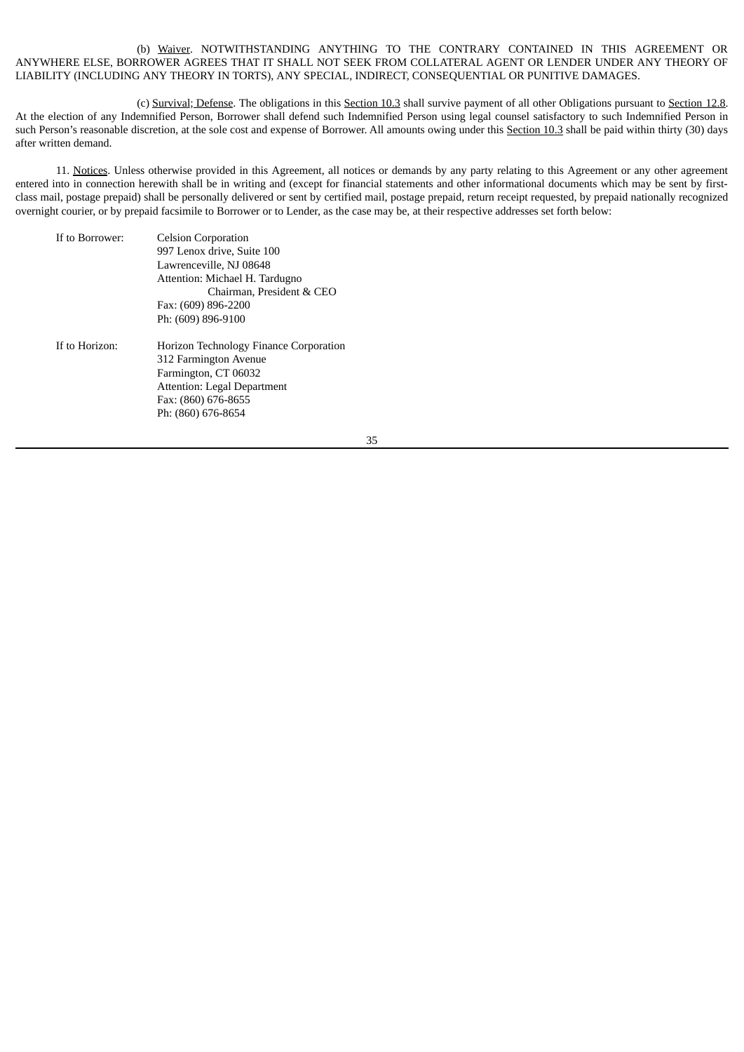# (b) Waiver. NOTWITHSTANDING ANYTHING TO THE CONTRARY CONTAINED IN THIS AGREEMENT OR ANYWHERE ELSE, BORROWER AGREES THAT IT SHALL NOT SEEK FROM COLLATERAL AGENT OR LENDER UNDER ANY THEORY OF LIABILITY (INCLUDING ANY THEORY IN TORTS), ANY SPECIAL, INDIRECT, CONSEQUENTIAL OR PUNITIVE DAMAGES.

(c) Survival; Defense. The obligations in this Section 10.3 shall survive payment of all other Obligations pursuant to Section 12.8. At the election of any Indemnified Person, Borrower shall defend such Indemnified Person using legal counsel satisfactory to such Indemnified Person in such Person's reasonable discretion, at the sole cost and expense of Borrower. All amounts owing under this Section 10.3 shall be paid within thirty (30) days after written demand.

11. Notices. Unless otherwise provided in this Agreement, all notices or demands by any party relating to this Agreement or any other agreement entered into in connection herewith shall be in writing and (except for financial statements and other informational documents which may be sent by firstclass mail, postage prepaid) shall be personally delivered or sent by certified mail, postage prepaid, return receipt requested, by prepaid nationally recognized overnight courier, or by prepaid facsimile to Borrower or to Lender, as the case may be, at their respective addresses set forth below:

| If to Borrower: | <b>Celsion Corporation</b>                                             |
|-----------------|------------------------------------------------------------------------|
|                 | 997 Lenox drive, Suite 100                                             |
|                 | Lawrenceville, NJ 08648                                                |
|                 | Attention: Michael H. Tardugno                                         |
|                 | Chairman, President & CEO                                              |
|                 | Fax: (609) 896-2200                                                    |
|                 | Ph: (609) 896-9100                                                     |
| If to Horizon:  | <b>Horizon Technology Finance Corporation</b><br>312 Farmington Avenue |
|                 | Farmington, CT 06032                                                   |
|                 | Attention: Legal Department                                            |
|                 | Fax: (860) 676-8655                                                    |
|                 | Ph: (860) 676-8654                                                     |
|                 |                                                                        |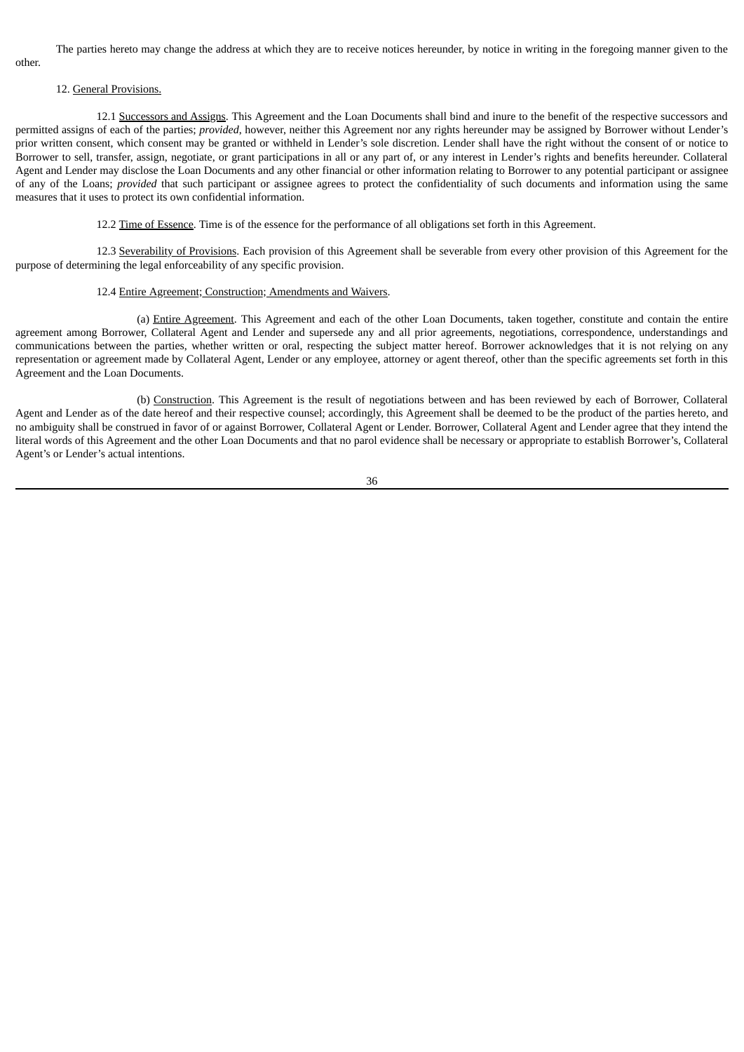The parties hereto may change the address at which they are to receive notices hereunder, by notice in writing in the foregoing manner given to the other.

# 12. General Provisions.

12.1 Successors and Assigns. This Agreement and the Loan Documents shall bind and inure to the benefit of the respective successors and permitted assigns of each of the parties; *provided*, however, neither this Agreement nor any rights hereunder may be assigned by Borrower without Lender's prior written consent, which consent may be granted or withheld in Lender's sole discretion. Lender shall have the right without the consent of or notice to Borrower to sell, transfer, assign, negotiate, or grant participations in all or any part of, or any interest in Lender's rights and benefits hereunder. Collateral Agent and Lender may disclose the Loan Documents and any other financial or other information relating to Borrower to any potential participant or assignee of any of the Loans; *provided* that such participant or assignee agrees to protect the confidentiality of such documents and information using the same measures that it uses to protect its own confidential information.

12.2 Time of Essence. Time is of the essence for the performance of all obligations set forth in this Agreement.

12.3 Severability of Provisions. Each provision of this Agreement shall be severable from every other provision of this Agreement for the purpose of determining the legal enforceability of any specific provision.

# 12.4 Entire Agreement; Construction; Amendments and Waivers.

(a) Entire Agreement. This Agreement and each of the other Loan Documents, taken together, constitute and contain the entire agreement among Borrower, Collateral Agent and Lender and supersede any and all prior agreements, negotiations, correspondence, understandings and communications between the parties, whether written or oral, respecting the subject matter hereof. Borrower acknowledges that it is not relying on any representation or agreement made by Collateral Agent, Lender or any employee, attorney or agent thereof, other than the specific agreements set forth in this Agreement and the Loan Documents.

(b) Construction. This Agreement is the result of negotiations between and has been reviewed by each of Borrower, Collateral Agent and Lender as of the date hereof and their respective counsel; accordingly, this Agreement shall be deemed to be the product of the parties hereto, and no ambiguity shall be construed in favor of or against Borrower, Collateral Agent or Lender. Borrower, Collateral Agent and Lender agree that they intend the literal words of this Agreement and the other Loan Documents and that no parol evidence shall be necessary or appropriate to establish Borrower's, Collateral Agent's or Lender's actual intentions.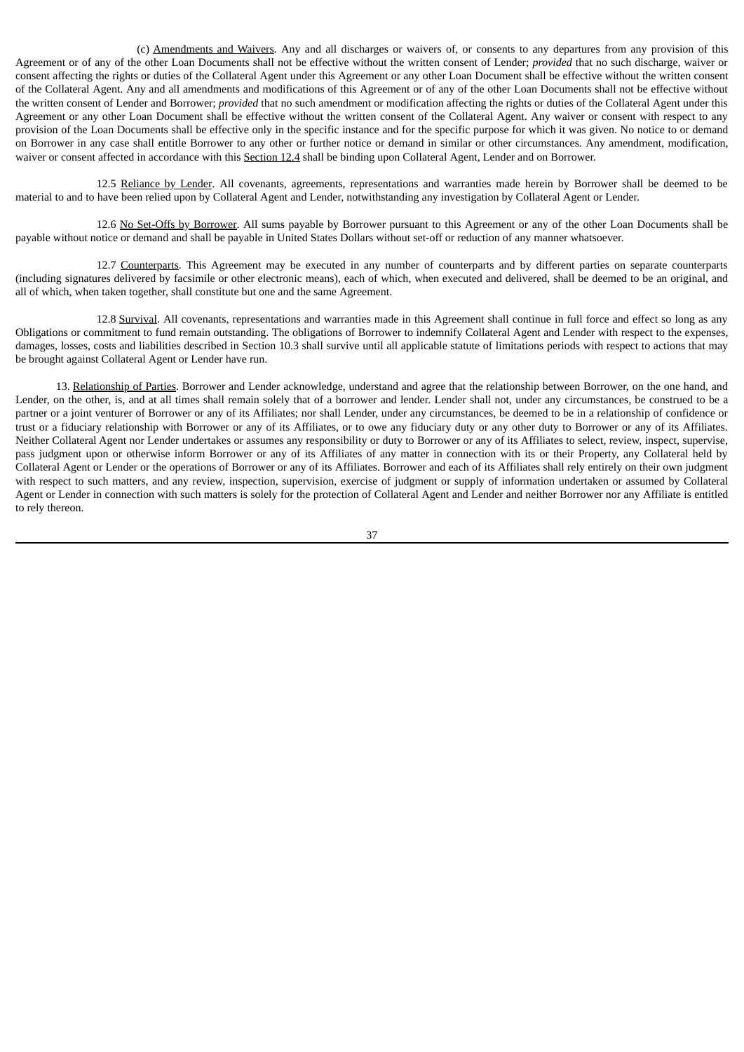(c) Amendments and Waivers. Any and all discharges or waivers of, or consents to any departures from any provision of this Agreement or of any of the other Loan Documents shall not be effective without the written consent of Lender; *provided* that no such discharge, waiver or consent affecting the rights or duties of the Collateral Agent under this Agreement or any other Loan Document shall be effective without the written consent of the Collateral Agent. Any and all amendments and modifications of this Agreement or of any of the other Loan Documents shall not be effective without the written consent of Lender and Borrower; *provided* that no such amendment or modification affecting the rights or duties of the Collateral Agent under this Agreement or any other Loan Document shall be effective without the written consent of the Collateral Agent. Any waiver or consent with respect to any provision of the Loan Documents shall be effective only in the specific instance and for the specific purpose for which it was given. No notice to or demand on Borrower in any case shall entitle Borrower to any other or further notice or demand in similar or other circumstances. Any amendment, modification, waiver or consent affected in accordance with this Section 12.4 shall be binding upon Collateral Agent, Lender and on Borrower.

12.5 Reliance by Lender. All covenants, agreements, representations and warranties made herein by Borrower shall be deemed to be material to and to have been relied upon by Collateral Agent and Lender, notwithstanding any investigation by Collateral Agent or Lender.

12.6 No Set-Offs by Borrower. All sums payable by Borrower pursuant to this Agreement or any of the other Loan Documents shall be payable without notice or demand and shall be payable in United States Dollars without set-off or reduction of any manner whatsoever.

12.7 Counterparts. This Agreement may be executed in any number of counterparts and by different parties on separate counterparts (including signatures delivered by facsimile or other electronic means), each of which, when executed and delivered, shall be deemed to be an original, and all of which, when taken together, shall constitute but one and the same Agreement.

12.8 Survival. All covenants, representations and warranties made in this Agreement shall continue in full force and effect so long as any Obligations or commitment to fund remain outstanding. The obligations of Borrower to indemnify Collateral Agent and Lender with respect to the expenses, damages, losses, costs and liabilities described in Section 10.3 shall survive until all applicable statute of limitations periods with respect to actions that may be brought against Collateral Agent or Lender have run.

13. Relationship of Parties. Borrower and Lender acknowledge, understand and agree that the relationship between Borrower, on the one hand, and Lender, on the other, is, and at all times shall remain solely that of a borrower and lender. Lender shall not, under any circumstances, be construed to be a partner or a joint venturer of Borrower or any of its Affiliates; nor shall Lender, under any circumstances, be deemed to be in a relationship of confidence or trust or a fiduciary relationship with Borrower or any of its Affiliates, or to owe any fiduciary duty or any other duty to Borrower or any of its Affiliates. Neither Collateral Agent nor Lender undertakes or assumes any responsibility or duty to Borrower or any of its Affiliates to select, review, inspect, supervise, pass judgment upon or otherwise inform Borrower or any of its Affiliates of any matter in connection with its or their Property, any Collateral held by Collateral Agent or Lender or the operations of Borrower or any of its Affiliates. Borrower and each of its Affiliates shall rely entirely on their own judgment with respect to such matters, and any review, inspection, supervision, exercise of judgment or supply of information undertaken or assumed by Collateral Agent or Lender in connection with such matters is solely for the protection of Collateral Agent and Lender and neither Borrower nor any Affiliate is entitled to rely thereon.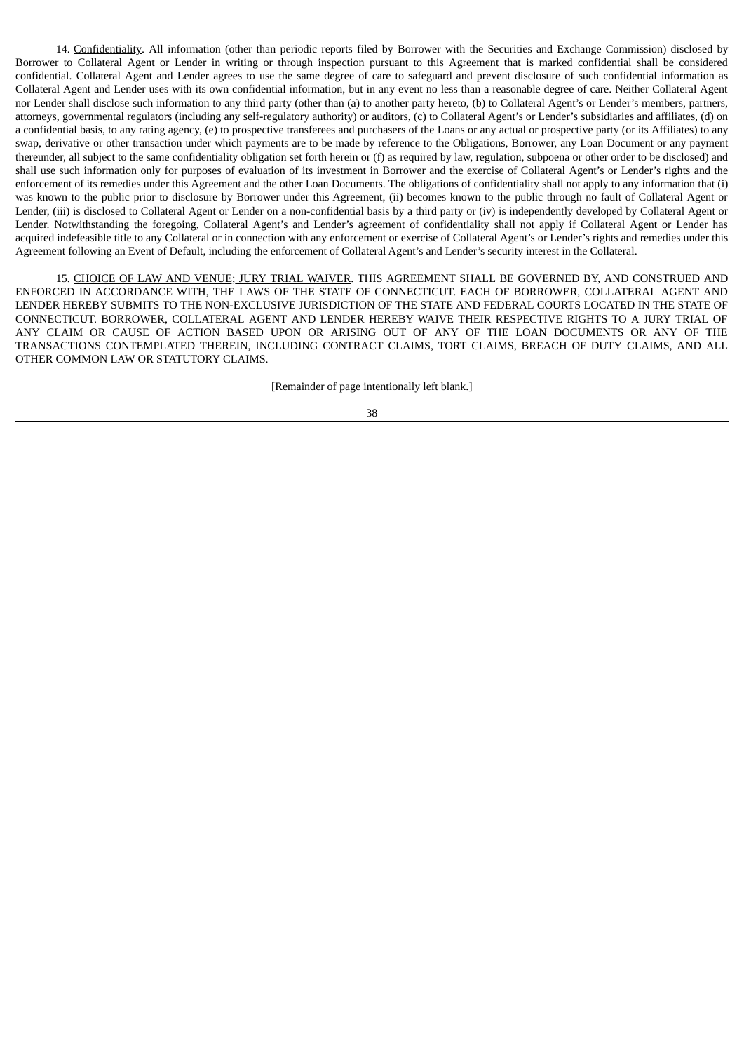14. Confidentiality. All information (other than periodic reports filed by Borrower with the Securities and Exchange Commission) disclosed by Borrower to Collateral Agent or Lender in writing or through inspection pursuant to this Agreement that is marked confidential shall be considered confidential. Collateral Agent and Lender agrees to use the same degree of care to safeguard and prevent disclosure of such confidential information as Collateral Agent and Lender uses with its own confidential information, but in any event no less than a reasonable degree of care. Neither Collateral Agent nor Lender shall disclose such information to any third party (other than (a) to another party hereto, (b) to Collateral Agent's or Lender's members, partners, attorneys, governmental regulators (including any self-regulatory authority) or auditors, (c) to Collateral Agent's or Lender's subsidiaries and affiliates, (d) on a confidential basis, to any rating agency, (e) to prospective transferees and purchasers of the Loans or any actual or prospective party (or its Affiliates) to any swap, derivative or other transaction under which payments are to be made by reference to the Obligations, Borrower, any Loan Document or any payment thereunder, all subject to the same confidentiality obligation set forth herein or (f) as required by law, regulation, subpoena or other order to be disclosed) and shall use such information only for purposes of evaluation of its investment in Borrower and the exercise of Collateral Agent's or Lender's rights and the enforcement of its remedies under this Agreement and the other Loan Documents. The obligations of confidentiality shall not apply to any information that (i) was known to the public prior to disclosure by Borrower under this Agreement, (ii) becomes known to the public through no fault of Collateral Agent or Lender, (iii) is disclosed to Collateral Agent or Lender on a non-confidential basis by a third party or (iv) is independently developed by Collateral Agent or Lender. Notwithstanding the foregoing, Collateral Agent's and Lender's agreement of confidentiality shall not apply if Collateral Agent or Lender has acquired indefeasible title to any Collateral or in connection with any enforcement or exercise of Collateral Agent's or Lender's rights and remedies under this Agreement following an Event of Default, including the enforcement of Collateral Agent's and Lender's security interest in the Collateral.

15. CHOICE OF LAW AND VENUE; JURY TRIAL WAIVER. THIS AGREEMENT SHALL BE GOVERNED BY, AND CONSTRUED AND ENFORCED IN ACCORDANCE WITH, THE LAWS OF THE STATE OF CONNECTICUT. EACH OF BORROWER, COLLATERAL AGENT AND LENDER HEREBY SUBMITS TO THE NON-EXCLUSIVE JURISDICTION OF THE STATE AND FEDERAL COURTS LOCATED IN THE STATE OF CONNECTICUT. BORROWER, COLLATERAL AGENT AND LENDER HEREBY WAIVE THEIR RESPECTIVE RIGHTS TO A JURY TRIAL OF ANY CLAIM OR CAUSE OF ACTION BASED UPON OR ARISING OUT OF ANY OF THE LOAN DOCUMENTS OR ANY OF THE TRANSACTIONS CONTEMPLATED THEREIN, INCLUDING CONTRACT CLAIMS, TORT CLAIMS, BREACH OF DUTY CLAIMS, AND ALL OTHER COMMON LAW OR STATUTORY CLAIMS.

[Remainder of page intentionally left blank.]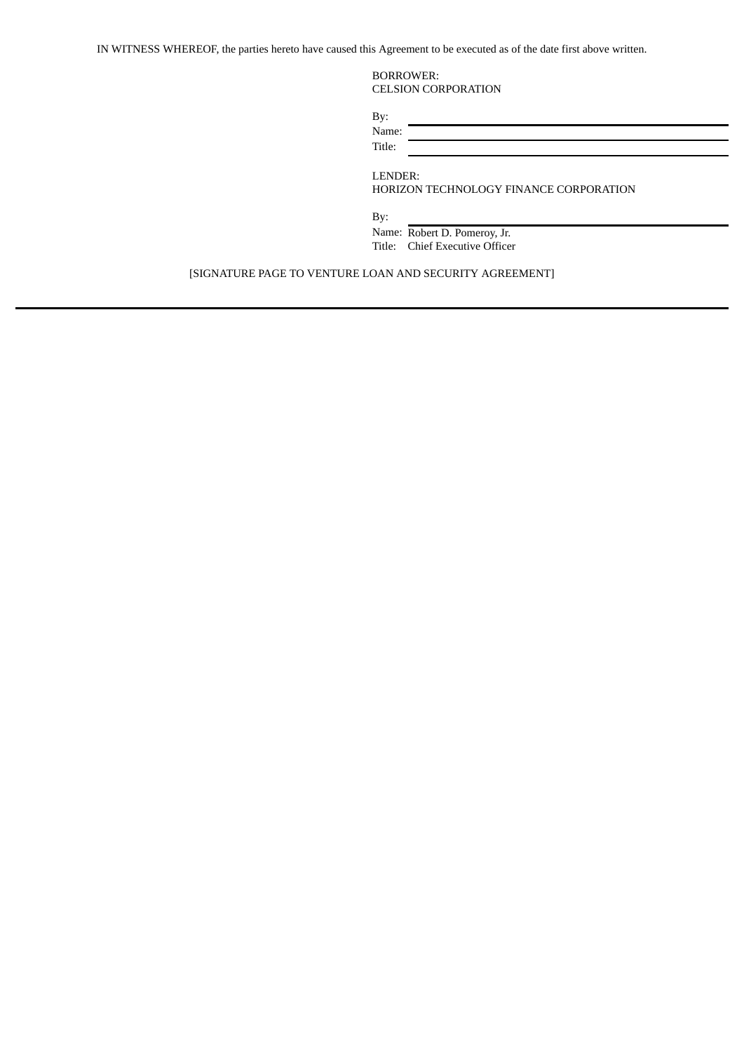IN WITNESS WHEREOF, the parties hereto have caused this Agreement to be executed as of the date first above written.

BORROWER: CELSION CORPORATION

| By:    |  |
|--------|--|
| Name:  |  |
| Title: |  |

LENDER:

HORIZON TECHNOLOGY FINANCE CORPORATION

By:

Name: Robert D. Pomeroy, Jr. Title: Chief Executive Officer

[SIGNATURE PAGE TO VENTURE LOAN AND SECURITY AGREEMENT]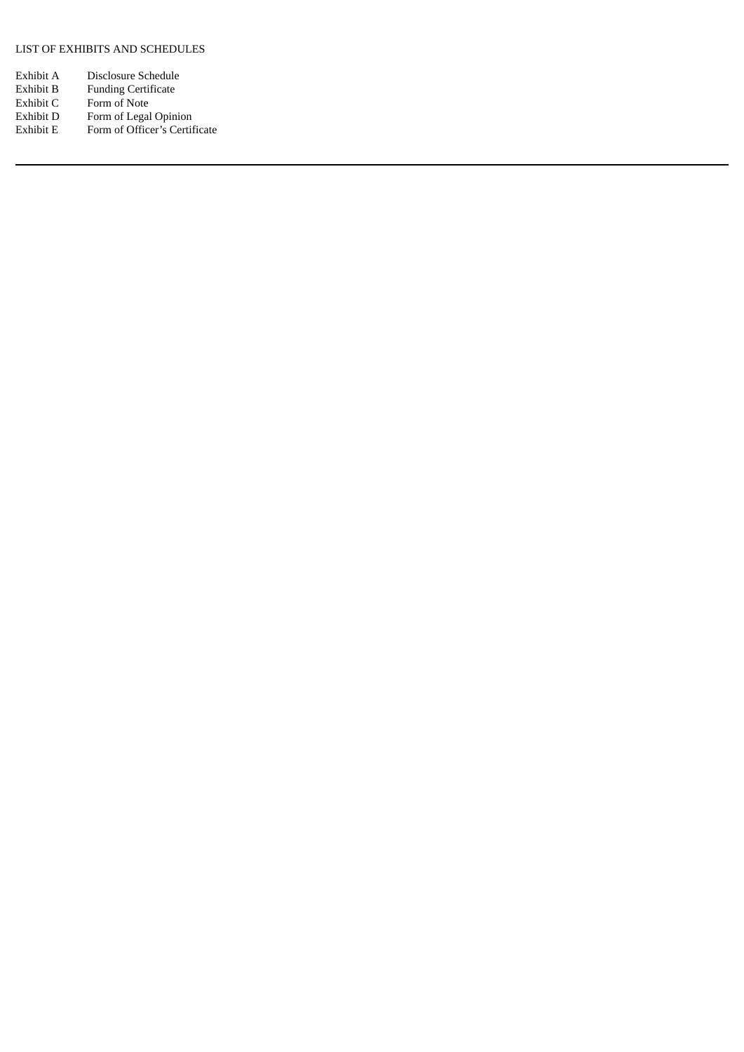# LIST OF EXHIBITS AND SCHEDULES

| Exhibit A | Disclosure Schedule           |
|-----------|-------------------------------|
| Exhibit B | <b>Funding Certificate</b>    |
| Exhibit C | Form of Note                  |
| Exhibit D | Form of Legal Opinion         |
| Exhibit E | Form of Officer's Certificate |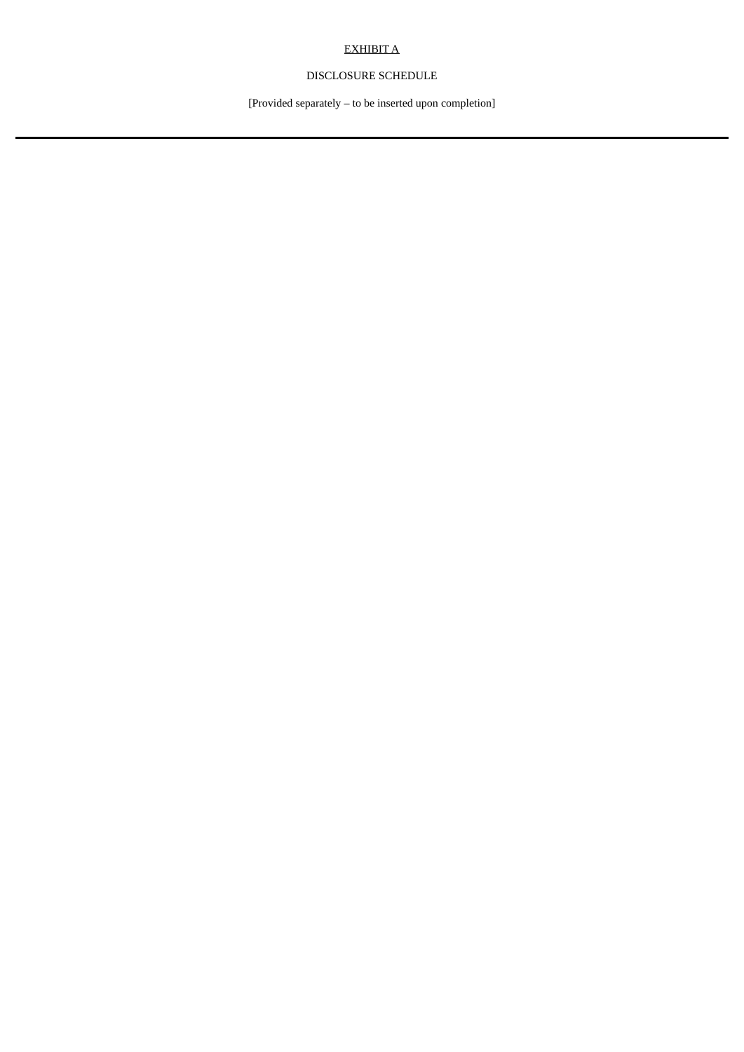# EXHIBIT A

# DISCLOSURE SCHEDULE

[Provided separately – to be inserted upon completion]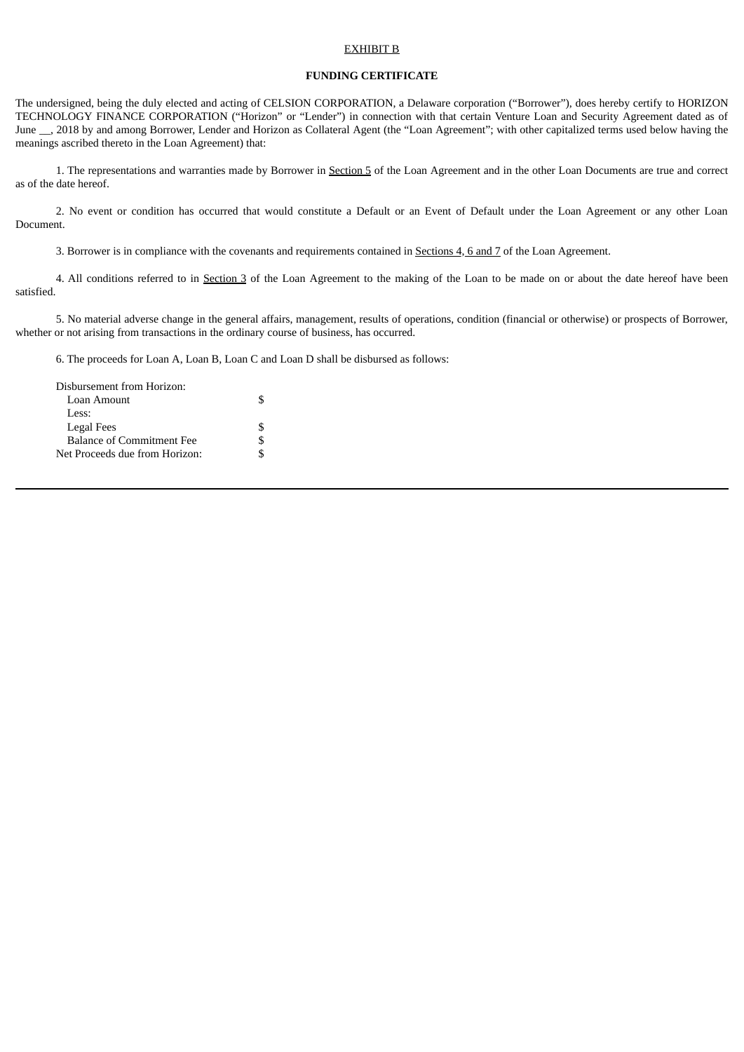#### EXHIBIT B

# **FUNDING CERTIFICATE**

The undersigned, being the duly elected and acting of CELSION CORPORATION, a Delaware corporation ("Borrower"), does hereby certify to HORIZON TECHNOLOGY FINANCE CORPORATION ("Horizon" or "Lender") in connection with that certain Venture Loan and Security Agreement dated as of June \_\_, 2018 by and among Borrower, Lender and Horizon as Collateral Agent (the "Loan Agreement"; with other capitalized terms used below having the meanings ascribed thereto in the Loan Agreement) that:

1. The representations and warranties made by Borrower in Section 5 of the Loan Agreement and in the other Loan Documents are true and correct as of the date hereof.

2. No event or condition has occurred that would constitute a Default or an Event of Default under the Loan Agreement or any other Loan Document.

3. Borrower is in compliance with the covenants and requirements contained in Sections 4, 6 and 7 of the Loan Agreement.

4. All conditions referred to in Section 3 of the Loan Agreement to the making of the Loan to be made on or about the date hereof have been satisfied.

5. No material adverse change in the general affairs, management, results of operations, condition (financial or otherwise) or prospects of Borrower, whether or not arising from transactions in the ordinary course of business, has occurred.

6. The proceeds for Loan A, Loan B, Loan C and Loan D shall be disbursed as follows:

| Disbursement from Horizon:       |  |
|----------------------------------|--|
| Loan Amount                      |  |
| Less:                            |  |
| Legal Fees                       |  |
| <b>Balance of Commitment Fee</b> |  |
| Net Proceeds due from Horizon:   |  |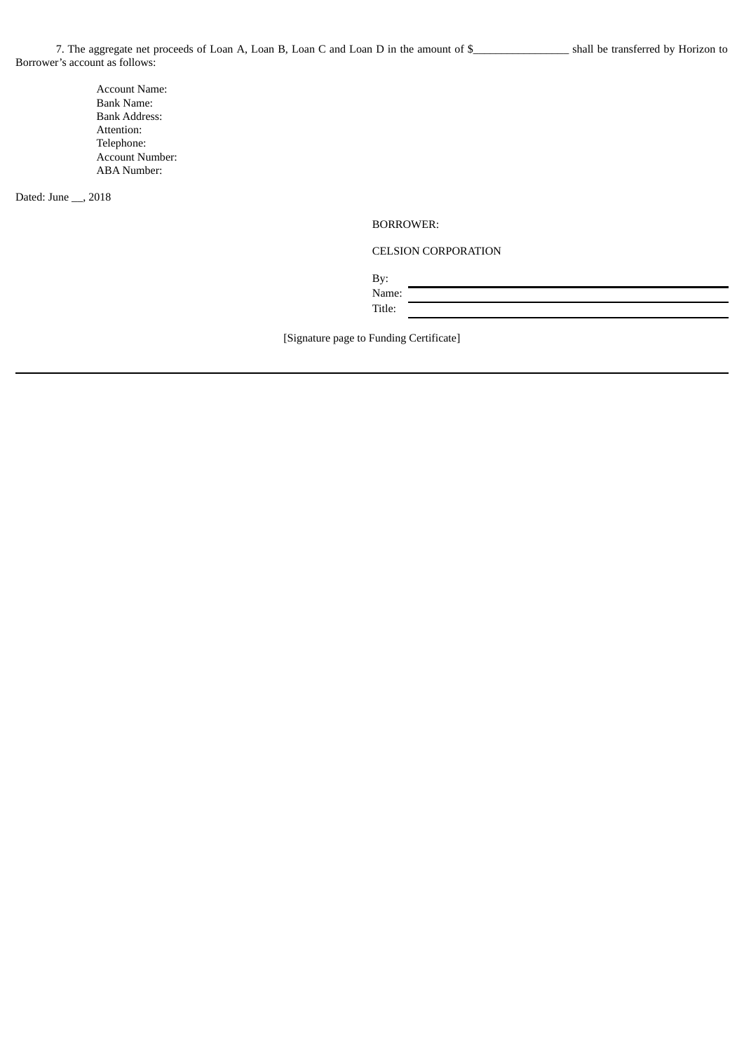Account Name: Bank Name: Bank Address: Attention: Telephone: Account Number: ABA Number:

Dated: June \_\_, 2018

BORROWER:

CELSION CORPORATION

By:

Name: Title:

[Signature page to Funding Certificate]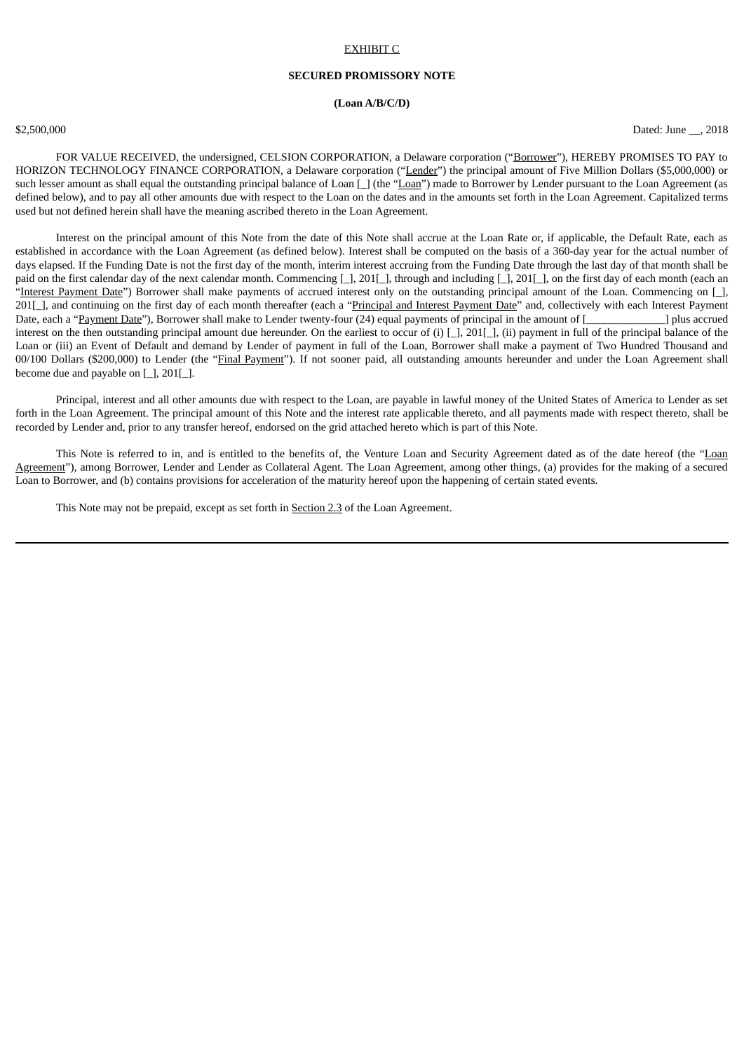#### EXHIBIT C

## **SECURED PROMISSORY NOTE**

## **(Loan A/B/C/D)**

\$2,500,000 Dated: June \_\_, 2018

FOR VALUE RECEIVED, the undersigned, CELSION CORPORATION, a Delaware corporation ("Borrower"), HEREBY PROMISES TO PAY to HORIZON TECHNOLOGY FINANCE CORPORATION, a Delaware corporation ("Lender") the principal amount of Five Million Dollars (\$5,000,000) or such lesser amount as shall equal the outstanding principal balance of Loan [\_] (the "Loan") made to Borrower by Lender pursuant to the Loan Agreement (as defined below), and to pay all other amounts due with respect to the Loan on the dates and in the amounts set forth in the Loan Agreement. Capitalized terms used but not defined herein shall have the meaning ascribed thereto in the Loan Agreement.

Interest on the principal amount of this Note from the date of this Note shall accrue at the Loan Rate or, if applicable, the Default Rate, each as established in accordance with the Loan Agreement (as defined below). Interest shall be computed on the basis of a 360-day year for the actual number of days elapsed. If the Funding Date is not the first day of the month, interim interest accruing from the Funding Date through the last day of that month shall be paid on the first calendar day of the next calendar month. Commencing [\_], 201[\_], through and including [\_], 201[\_], on the first day of each month (each an "Interest Payment Date") Borrower shall make payments of accrued interest only on the outstanding principal amount of the Loan. Commencing on [\_], 201[\_], and continuing on the first day of each month thereafter (each a "Principal and Interest Payment Date" and, collectively with each Interest Payment Date, each a "Payment Date"), Borrower shall make to Lender twenty-four (24) equal payments of principal in the amount of [ interest on the then outstanding principal amount due hereunder. On the earliest to occur of (i) [\_], 201[\_], (ii) payment in full of the principal balance of the Loan or (iii) an Event of Default and demand by Lender of payment in full of the Loan, Borrower shall make a payment of Two Hundred Thousand and 00/100 Dollars (\$200,000) to Lender (the "Final Payment"). If not sooner paid, all outstanding amounts hereunder and under the Loan Agreement shall become due and payable on  $[$   $]$ , 201 $[$   $]$ .

Principal, interest and all other amounts due with respect to the Loan, are payable in lawful money of the United States of America to Lender as set forth in the Loan Agreement. The principal amount of this Note and the interest rate applicable thereto, and all payments made with respect thereto, shall be recorded by Lender and, prior to any transfer hereof, endorsed on the grid attached hereto which is part of this Note.

This Note is referred to in, and is entitled to the benefits of, the Venture Loan and Security Agreement dated as of the date hereof (the "Loan Agreement"), among Borrower, Lender and Lender as Collateral Agent. The Loan Agreement, among other things, (a) provides for the making of a secured Loan to Borrower, and (b) contains provisions for acceleration of the maturity hereof upon the happening of certain stated events.

This Note may not be prepaid, except as set forth in Section 2.3 of the Loan Agreement.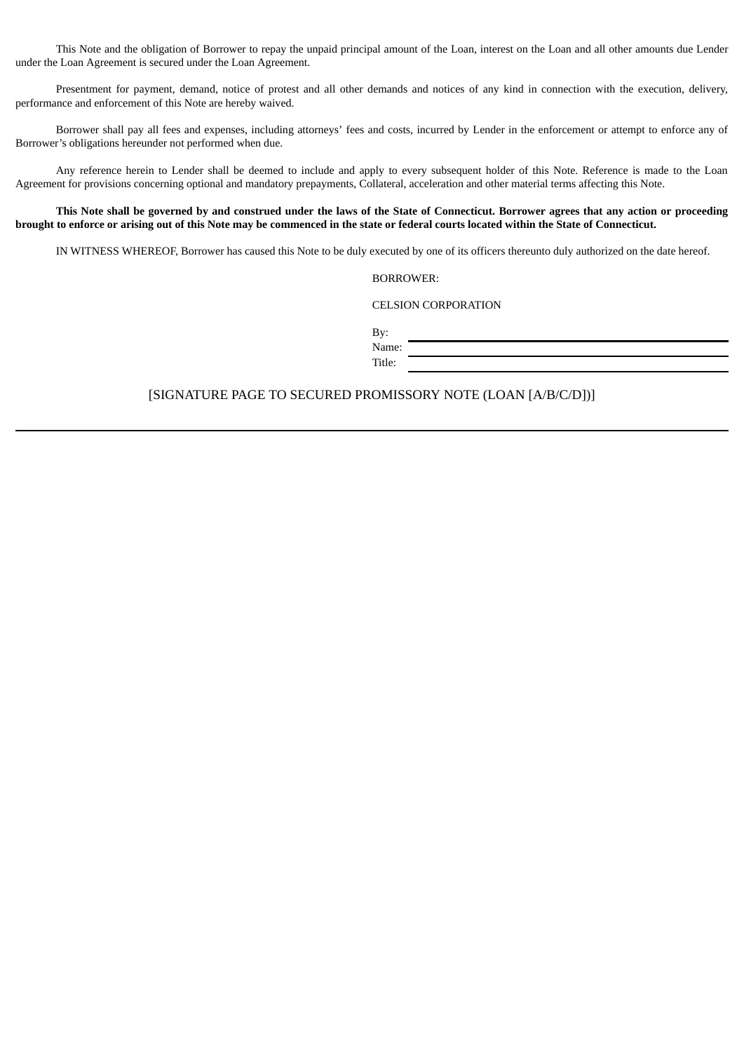This Note and the obligation of Borrower to repay the unpaid principal amount of the Loan, interest on the Loan and all other amounts due Lender under the Loan Agreement is secured under the Loan Agreement.

Presentment for payment, demand, notice of protest and all other demands and notices of any kind in connection with the execution, delivery, performance and enforcement of this Note are hereby waived.

Borrower shall pay all fees and expenses, including attorneys' fees and costs, incurred by Lender in the enforcement or attempt to enforce any of Borrower's obligations hereunder not performed when due.

Any reference herein to Lender shall be deemed to include and apply to every subsequent holder of this Note. Reference is made to the Loan Agreement for provisions concerning optional and mandatory prepayments, Collateral, acceleration and other material terms affecting this Note.

# This Note shall be governed by and construed under the laws of the State of Connecticut. Borrower agrees that any action or proceeding brought to enforce or arising out of this Note may be commenced in the state or federal courts located within the State of Connecticut.

IN WITNESS WHEREOF, Borrower has caused this Note to be duly executed by one of its officers thereunto duly authorized on the date hereof.

BORROWER:

CELSION CORPORATION

By: Name:

Title:

# [SIGNATURE PAGE TO SECURED PROMISSORY NOTE (LOAN [A/B/C/D])]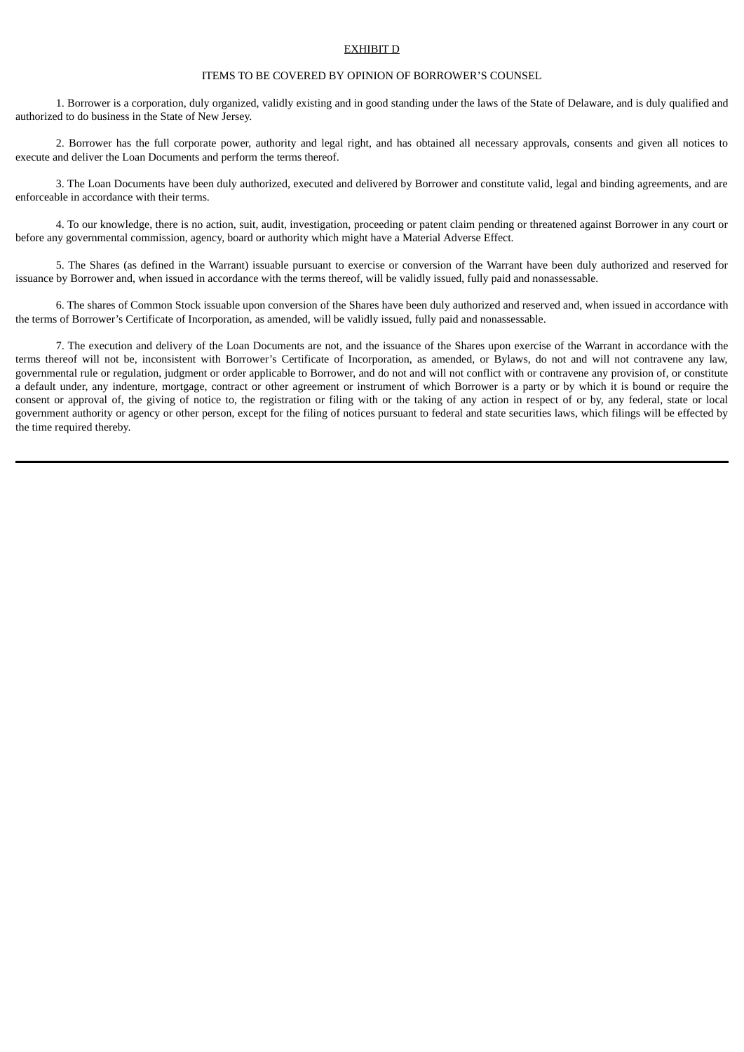#### EXHIBIT D

#### ITEMS TO BE COVERED BY OPINION OF BORROWER'S COUNSEL

1. Borrower is a corporation, duly organized, validly existing and in good standing under the laws of the State of Delaware, and is duly qualified and authorized to do business in the State of New Jersey.

2. Borrower has the full corporate power, authority and legal right, and has obtained all necessary approvals, consents and given all notices to execute and deliver the Loan Documents and perform the terms thereof.

3. The Loan Documents have been duly authorized, executed and delivered by Borrower and constitute valid, legal and binding agreements, and are enforceable in accordance with their terms.

4. To our knowledge, there is no action, suit, audit, investigation, proceeding or patent claim pending or threatened against Borrower in any court or before any governmental commission, agency, board or authority which might have a Material Adverse Effect.

5. The Shares (as defined in the Warrant) issuable pursuant to exercise or conversion of the Warrant have been duly authorized and reserved for issuance by Borrower and, when issued in accordance with the terms thereof, will be validly issued, fully paid and nonassessable.

6. The shares of Common Stock issuable upon conversion of the Shares have been duly authorized and reserved and, when issued in accordance with the terms of Borrower's Certificate of Incorporation, as amended, will be validly issued, fully paid and nonassessable.

7. The execution and delivery of the Loan Documents are not, and the issuance of the Shares upon exercise of the Warrant in accordance with the terms thereof will not be, inconsistent with Borrower's Certificate of Incorporation, as amended, or Bylaws, do not and will not contravene any law, governmental rule or regulation, judgment or order applicable to Borrower, and do not and will not conflict with or contravene any provision of, or constitute a default under, any indenture, mortgage, contract or other agreement or instrument of which Borrower is a party or by which it is bound or require the consent or approval of, the giving of notice to, the registration or filing with or the taking of any action in respect of or by, any federal, state or local government authority or agency or other person, except for the filing of notices pursuant to federal and state securities laws, which filings will be effected by the time required thereby.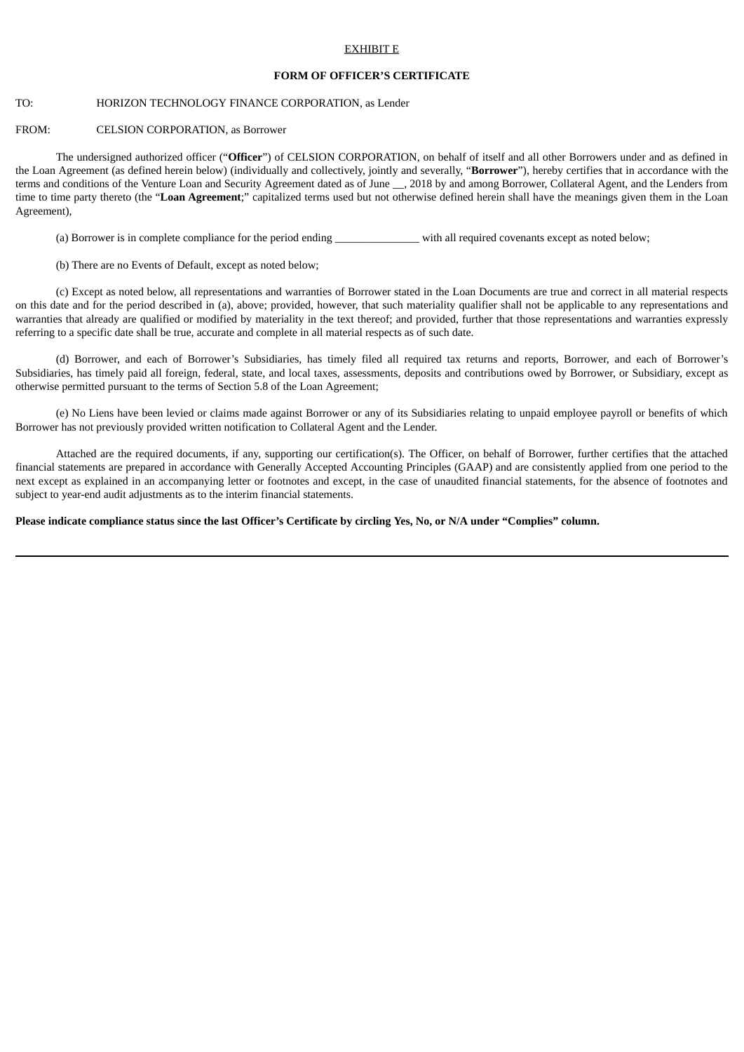#### EXHIBIT E

### **FORM OF OFFICER'S CERTIFICATE**

# TO: HORIZON TECHNOLOGY FINANCE CORPORATION, as Lender

# FROM: CELSION CORPORATION, as Borrower

The undersigned authorized officer ("**Officer**") of CELSION CORPORATION, on behalf of itself and all other Borrowers under and as defined in the Loan Agreement (as defined herein below) (individually and collectively, jointly and severally, "**Borrower**"), hereby certifies that in accordance with the terms and conditions of the Venture Loan and Security Agreement dated as of June \_\_, 2018 by and among Borrower, Collateral Agent, and the Lenders from time to time party thereto (the "**Loan Agreement**;" capitalized terms used but not otherwise defined herein shall have the meanings given them in the Loan Agreement),

(a) Borrower is in complete compliance for the period ending with all required covenants except as noted below;

(b) There are no Events of Default, except as noted below;

(c) Except as noted below, all representations and warranties of Borrower stated in the Loan Documents are true and correct in all material respects on this date and for the period described in (a), above; provided, however, that such materiality qualifier shall not be applicable to any representations and warranties that already are qualified or modified by materiality in the text thereof; and provided, further that those representations and warranties expressly referring to a specific date shall be true, accurate and complete in all material respects as of such date.

(d) Borrower, and each of Borrower's Subsidiaries, has timely filed all required tax returns and reports, Borrower, and each of Borrower's Subsidiaries, has timely paid all foreign, federal, state, and local taxes, assessments, deposits and contributions owed by Borrower, or Subsidiary, except as otherwise permitted pursuant to the terms of Section 5.8 of the Loan Agreement;

(e) No Liens have been levied or claims made against Borrower or any of its Subsidiaries relating to unpaid employee payroll or benefits of which Borrower has not previously provided written notification to Collateral Agent and the Lender.

Attached are the required documents, if any, supporting our certification(s). The Officer, on behalf of Borrower, further certifies that the attached financial statements are prepared in accordance with Generally Accepted Accounting Principles (GAAP) and are consistently applied from one period to the next except as explained in an accompanying letter or footnotes and except, in the case of unaudited financial statements, for the absence of footnotes and subject to year-end audit adjustments as to the interim financial statements.

Please indicate compliance status since the last Officer's Certificate by circling Yes, No, or N/A under "Complies" column.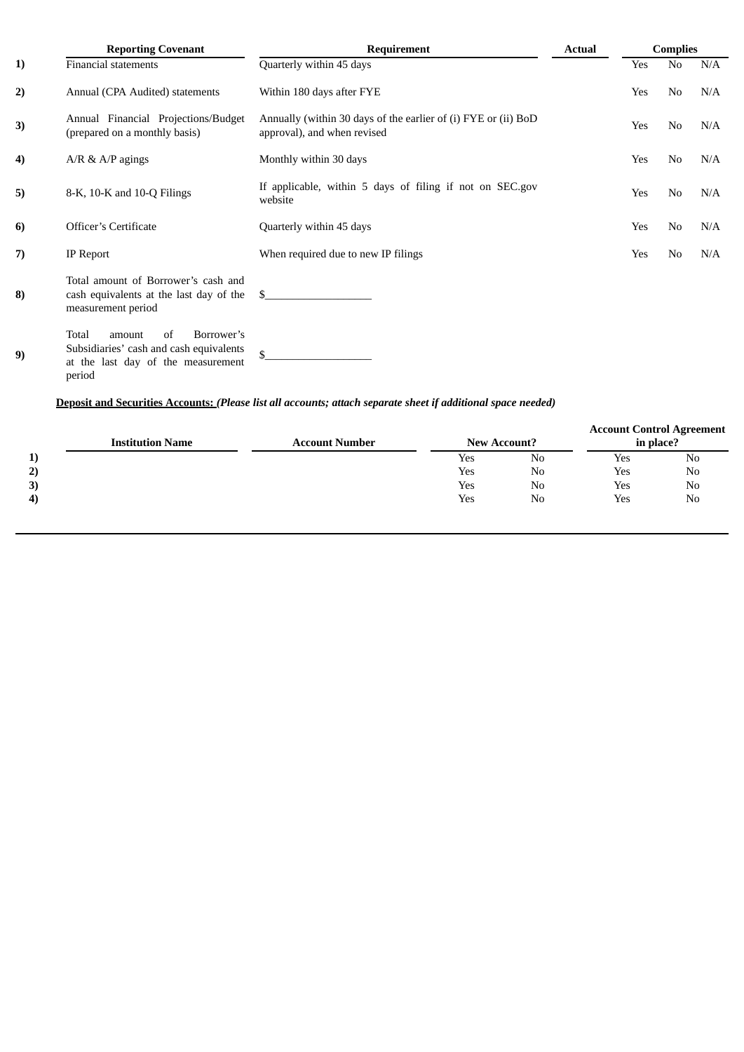|    | <b>Reporting Covenant</b>                                                                                                      | Requirement                                                                                   | <b>Actual</b> |     | <b>Complies</b> |     |
|----|--------------------------------------------------------------------------------------------------------------------------------|-----------------------------------------------------------------------------------------------|---------------|-----|-----------------|-----|
| 1) | <b>Financial statements</b>                                                                                                    | Quarterly within 45 days                                                                      |               | Yes | No              | N/A |
| 2) | Annual (CPA Audited) statements                                                                                                | Within 180 days after FYE                                                                     |               | Yes | N <sub>0</sub>  | N/A |
| 3) | Annual Financial Projections/Budget<br>(prepared on a monthly basis)                                                           | Annually (within 30 days of the earlier of (i) FYE or (ii) BoD<br>approval), and when revised |               | Yes | No              | N/A |
| 4) | $A/R \& A/P$ agings                                                                                                            | Monthly within 30 days                                                                        |               | Yes | No              | N/A |
| 5) | 8-K, 10-K and 10-Q Filings                                                                                                     | If applicable, within 5 days of filing if not on SEC.gov<br>website                           |               | Yes | No              | N/A |
| 6) | <b>Officer's Certificate</b>                                                                                                   | Quarterly within 45 days                                                                      |               | Yes | No              | N/A |
| 7) | IP Report                                                                                                                      | When required due to new IP filings                                                           |               | Yes | No              | N/A |
| 8) | Total amount of Borrower's cash and<br>cash equivalents at the last day of the<br>measurement period                           | -S                                                                                            |               |     |                 |     |
| 9) | Total<br>Borrower's<br>of<br>amount<br>Subsidiaries' cash and cash equivalents<br>at the last day of the measurement<br>period | \$                                                                                            |               |     |                 |     |

# **Deposit and Securities Accounts:** *(Please list all accounts; attach separate sheet if additional space needed)*

|    |                         |                       |     |                     | <b>Account Control Agreement</b> |    |
|----|-------------------------|-----------------------|-----|---------------------|----------------------------------|----|
|    | <b>Institution Name</b> | <b>Account Number</b> |     | <b>New Account?</b> | in place?                        |    |
|    |                         |                       | Yes | N <sub>0</sub>      | Yes                              | No |
| 2) |                         |                       | Yes | No                  | Yes                              | No |
| 3) |                         |                       | Yes | No                  | Yes                              | No |
| 4) |                         |                       | Yes | N <sub>0</sub>      | Yes                              | No |
|    |                         |                       |     |                     |                                  |    |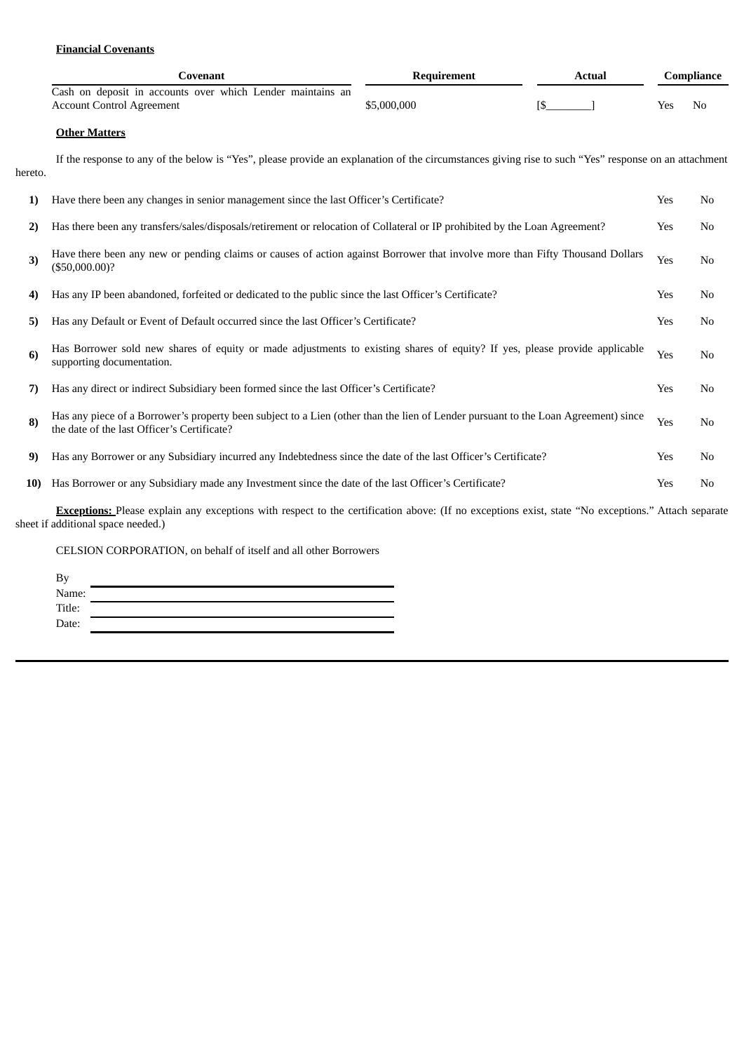# **Financial Covenants**

| Covenant                                                                                       | Requirement | Actual | Compliance |
|------------------------------------------------------------------------------------------------|-------------|--------|------------|
| Cash on deposit in accounts over which Lender maintains an<br><b>Account Control Agreement</b> | \$5,000,000 |        | Yes<br>No  |

# **Other Matters**

If the response to any of the below is "Yes", please provide an explanation of the circumstances giving rise to such "Yes" response on an attachment hereto.

| 1)           | Have there been any changes in senior management since the last Officer's Certificate?                                                                                                          | Yes | N <sub>0</sub> |
|--------------|-------------------------------------------------------------------------------------------------------------------------------------------------------------------------------------------------|-----|----------------|
| $\mathbf{2}$ | Has there been any transfers/sales/disposals/retirement or relocation of Collateral or IP prohibited by the Loan Agreement?                                                                     | Yes | N <sub>0</sub> |
| 3)           | Have there been any new or pending claims or causes of action against Borrower that involve more than Fifty Thousand Dollars<br>(\$50,000.00)?                                                  | Yes | N <sub>0</sub> |
| 4)           | Has any IP been abandoned, forfeited or dedicated to the public since the last Officer's Certificate?                                                                                           | Yes | No             |
| 5)           | Has any Default or Event of Default occurred since the last Officer's Certificate?                                                                                                              | Yes | No             |
| 6)           | Has Borrower sold new shares of equity or made adjustments to existing shares of equity? If yes, please provide applicable<br>supporting documentation.                                         | Yes | N <sub>0</sub> |
| 7)           | Has any direct or indirect Subsidiary been formed since the last Officer's Certificate?                                                                                                         | Yes | No             |
| 8)           | Has any piece of a Borrower's property been subject to a Lien (other than the lien of Lender pursuant to the Loan Agreement) since<br>the date of the last Officer's Certificate?               | Yes | No             |
| 9)           | Has any Borrower or any Subsidiary incurred any Indebtedness since the date of the last Officer's Certificate?                                                                                  | Yes | N <sub>0</sub> |
| <b>10)</b>   | Has Borrower or any Subsidiary made any Investment since the date of the last Officer's Certificate?                                                                                            | Yes | N <sub>0</sub> |
|              | <b>Exceptions:</b> Please explain any exceptions with respect to the certification above: (If no exceptions exist, state "No exceptions." Attach separate<br>sheet if additional space needed.) |     |                |

# CELSION CORPORATION, on behalf of itself and all other Borrowers

| Name:  |  |
|--------|--|
| Title: |  |
| Date:  |  |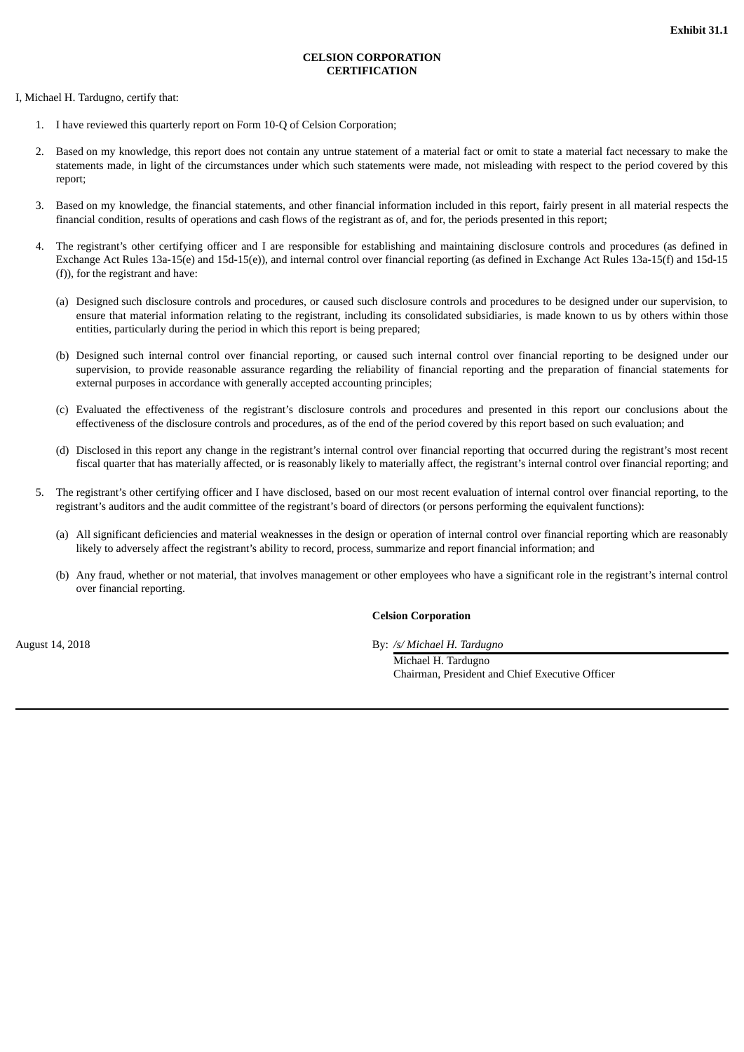# **CELSION CORPORATION CERTIFICATION**

I, Michael H. Tardugno, certify that:

- 1. I have reviewed this quarterly report on Form 10-Q of Celsion Corporation;
- 2. Based on my knowledge, this report does not contain any untrue statement of a material fact or omit to state a material fact necessary to make the statements made, in light of the circumstances under which such statements were made, not misleading with respect to the period covered by this report;
- 3. Based on my knowledge, the financial statements, and other financial information included in this report, fairly present in all material respects the financial condition, results of operations and cash flows of the registrant as of, and for, the periods presented in this report;
- 4. The registrant's other certifying officer and I are responsible for establishing and maintaining disclosure controls and procedures (as defined in Exchange Act Rules 13a-15(e) and 15d-15(e)), and internal control over financial reporting (as defined in Exchange Act Rules 13a-15(f) and 15d-15 (f)), for the registrant and have:
	- (a) Designed such disclosure controls and procedures, or caused such disclosure controls and procedures to be designed under our supervision, to ensure that material information relating to the registrant, including its consolidated subsidiaries, is made known to us by others within those entities, particularly during the period in which this report is being prepared;
	- (b) Designed such internal control over financial reporting, or caused such internal control over financial reporting to be designed under our supervision, to provide reasonable assurance regarding the reliability of financial reporting and the preparation of financial statements for external purposes in accordance with generally accepted accounting principles;
	- (c) Evaluated the effectiveness of the registrant's disclosure controls and procedures and presented in this report our conclusions about the effectiveness of the disclosure controls and procedures, as of the end of the period covered by this report based on such evaluation; and
	- (d) Disclosed in this report any change in the registrant's internal control over financial reporting that occurred during the registrant's most recent fiscal quarter that has materially affected, or is reasonably likely to materially affect, the registrant's internal control over financial reporting; and
- 5. The registrant's other certifying officer and I have disclosed, based on our most recent evaluation of internal control over financial reporting, to the registrant's auditors and the audit committee of the registrant's board of directors (or persons performing the equivalent functions):
	- (a) All significant deficiencies and material weaknesses in the design or operation of internal control over financial reporting which are reasonably likely to adversely affect the registrant's ability to record, process, summarize and report financial information; and
	- (b) Any fraud, whether or not material, that involves management or other employees who have a significant role in the registrant's internal control over financial reporting.

## **Celsion Corporation**

August 14, 2018 By: */s/ Michael H. Tardugno*

Michael H. Tardugno Chairman, President and Chief Executive Officer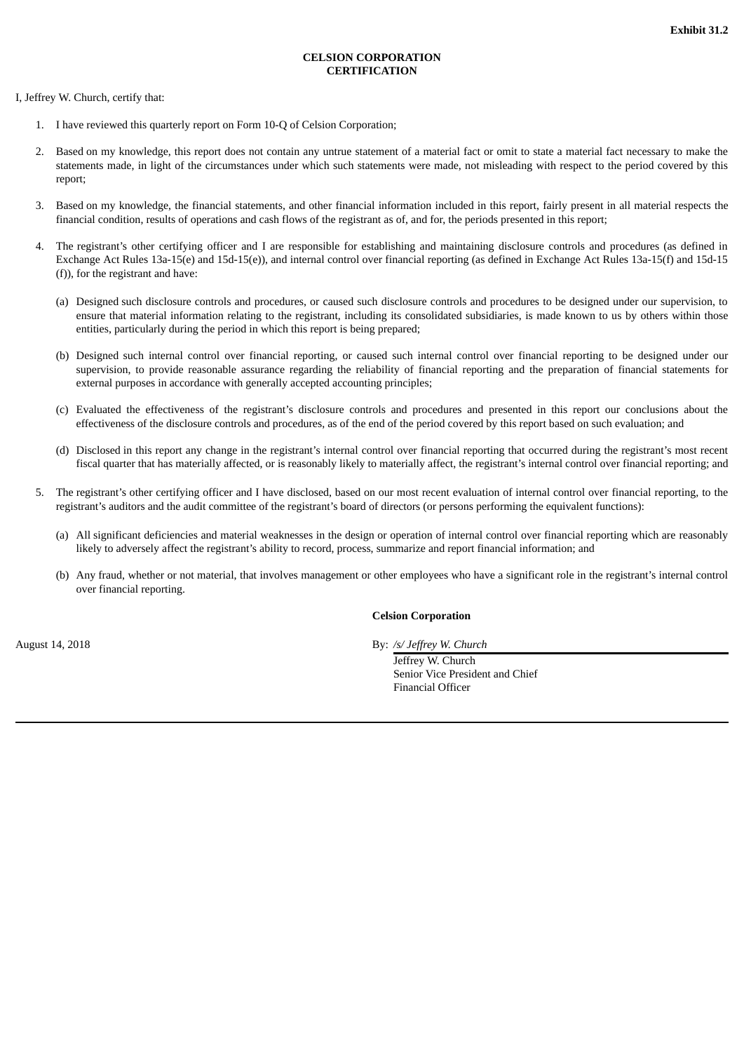# **CELSION CORPORATION CERTIFICATION**

I, Jeffrey W. Church, certify that:

- 1. I have reviewed this quarterly report on Form 10-Q of Celsion Corporation;
- 2. Based on my knowledge, this report does not contain any untrue statement of a material fact or omit to state a material fact necessary to make the statements made, in light of the circumstances under which such statements were made, not misleading with respect to the period covered by this report;
- 3. Based on my knowledge, the financial statements, and other financial information included in this report, fairly present in all material respects the financial condition, results of operations and cash flows of the registrant as of, and for, the periods presented in this report;
- 4. The registrant's other certifying officer and I are responsible for establishing and maintaining disclosure controls and procedures (as defined in Exchange Act Rules 13a-15(e) and 15d-15(e)), and internal control over financial reporting (as defined in Exchange Act Rules 13a-15(f) and 15d-15 (f)), for the registrant and have:
	- (a) Designed such disclosure controls and procedures, or caused such disclosure controls and procedures to be designed under our supervision, to ensure that material information relating to the registrant, including its consolidated subsidiaries, is made known to us by others within those entities, particularly during the period in which this report is being prepared;
	- (b) Designed such internal control over financial reporting, or caused such internal control over financial reporting to be designed under our supervision, to provide reasonable assurance regarding the reliability of financial reporting and the preparation of financial statements for external purposes in accordance with generally accepted accounting principles;
	- (c) Evaluated the effectiveness of the registrant's disclosure controls and procedures and presented in this report our conclusions about the effectiveness of the disclosure controls and procedures, as of the end of the period covered by this report based on such evaluation; and
	- (d) Disclosed in this report any change in the registrant's internal control over financial reporting that occurred during the registrant's most recent fiscal quarter that has materially affected, or is reasonably likely to materially affect, the registrant's internal control over financial reporting; and
- 5. The registrant's other certifying officer and I have disclosed, based on our most recent evaluation of internal control over financial reporting, to the registrant's auditors and the audit committee of the registrant's board of directors (or persons performing the equivalent functions):
	- (a) All significant deficiencies and material weaknesses in the design or operation of internal control over financial reporting which are reasonably likely to adversely affect the registrant's ability to record, process, summarize and report financial information; and
	- (b) Any fraud, whether or not material, that involves management or other employees who have a significant role in the registrant's internal control over financial reporting.

## **Celsion Corporation**

August 14, 2018 By: */s/ Jeffrey W. Church*

Jeffrey W. Church Senior Vice President and Chief Financial Officer